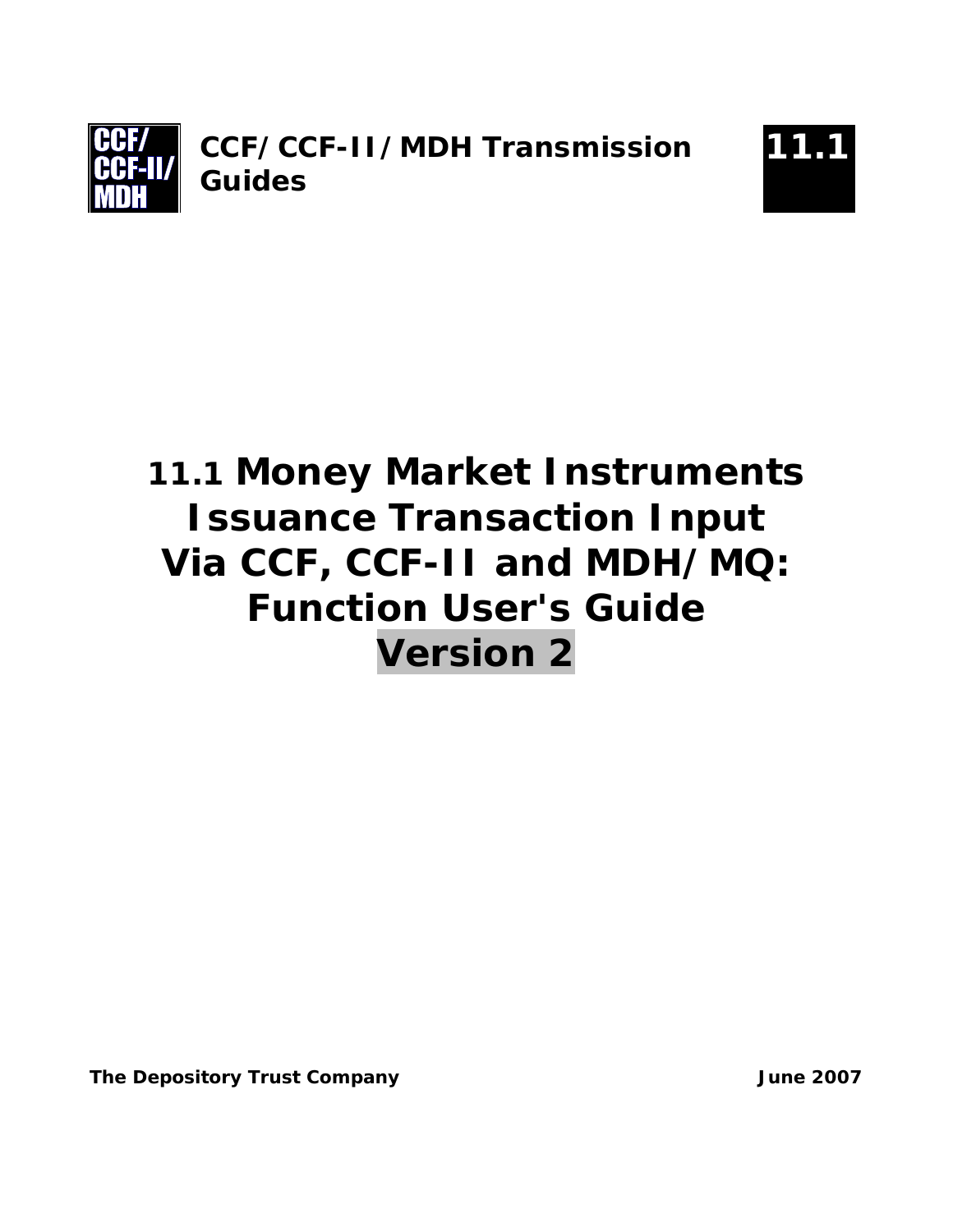



# **11.1 Money Market Instruments Issuance Transaction Input Via CCF, CCF-II and MDH/MQ: Function User's Guide Version 2**

**The Depository Trust Company Company Company Communist Company Communist Communist Communist Communist Communist Communist Communist Communist Communist Communist Communist Communist Communist Communist Communist Communis**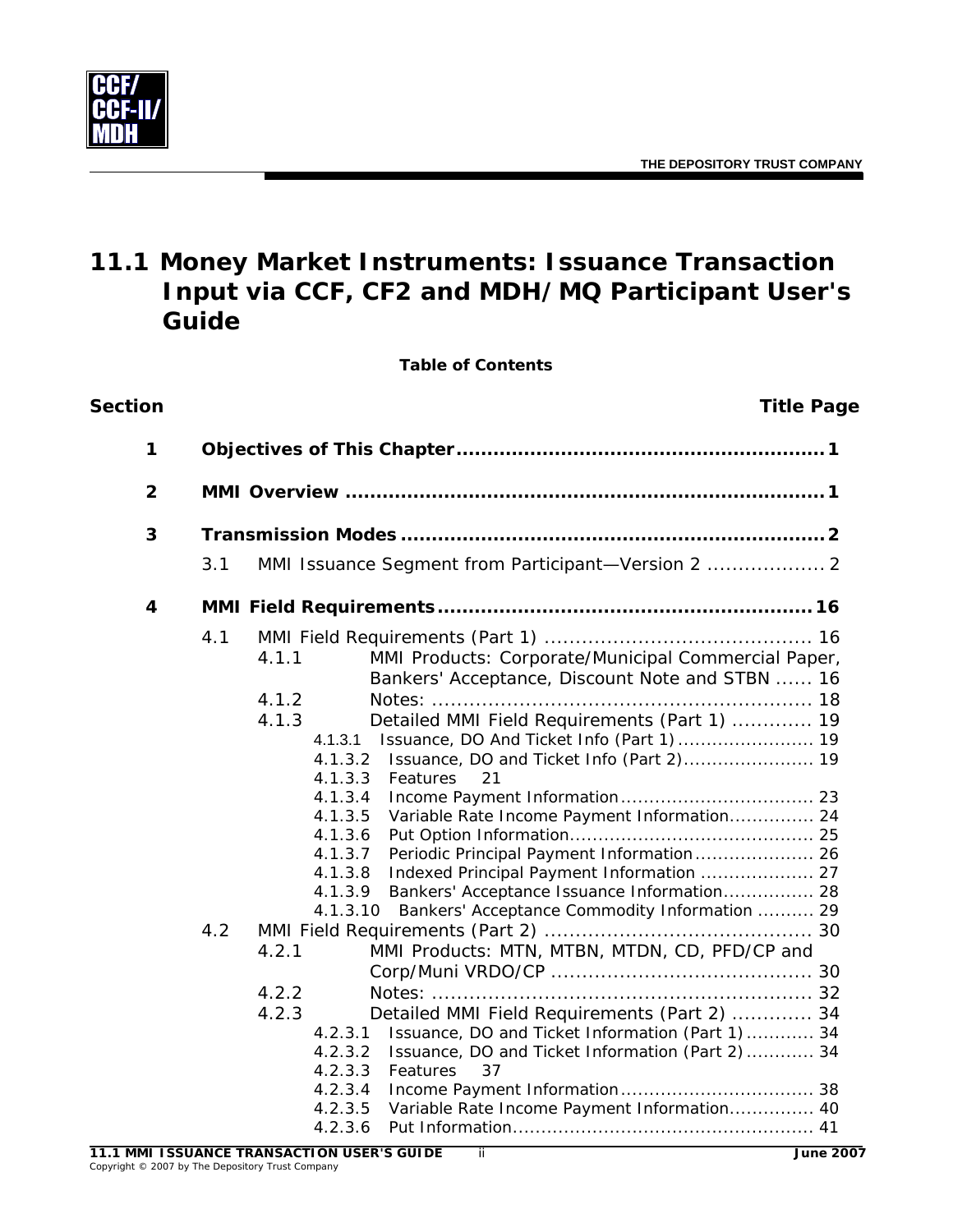

# **11.1 Money Market Instruments: Issuance Transaction Input via CCF, CF2 and MDH/MQ Participant User's Guide**

**Table of Contents**

| Section      |            | <b>Title Page</b>                                                                                                                                                                                                                                                                                                                                                                                                                                                                                                                                                                                                                                                                                                                                                                                                                                                                                                                                                              |
|--------------|------------|--------------------------------------------------------------------------------------------------------------------------------------------------------------------------------------------------------------------------------------------------------------------------------------------------------------------------------------------------------------------------------------------------------------------------------------------------------------------------------------------------------------------------------------------------------------------------------------------------------------------------------------------------------------------------------------------------------------------------------------------------------------------------------------------------------------------------------------------------------------------------------------------------------------------------------------------------------------------------------|
| 1            |            |                                                                                                                                                                                                                                                                                                                                                                                                                                                                                                                                                                                                                                                                                                                                                                                                                                                                                                                                                                                |
| $\mathbf{2}$ |            |                                                                                                                                                                                                                                                                                                                                                                                                                                                                                                                                                                                                                                                                                                                                                                                                                                                                                                                                                                                |
| 3            |            |                                                                                                                                                                                                                                                                                                                                                                                                                                                                                                                                                                                                                                                                                                                                                                                                                                                                                                                                                                                |
|              | 3.1        | MMI Issuance Segment from Participant-Version 2  2                                                                                                                                                                                                                                                                                                                                                                                                                                                                                                                                                                                                                                                                                                                                                                                                                                                                                                                             |
| 4            |            |                                                                                                                                                                                                                                                                                                                                                                                                                                                                                                                                                                                                                                                                                                                                                                                                                                                                                                                                                                                |
|              | 4.1<br>4.2 | MMI Products: Corporate/Municipal Commercial Paper,<br>4.1.1<br>Bankers' Acceptance, Discount Note and STBN  16<br>4.1.2<br>Detailed MMI Field Requirements (Part 1)  19<br>4.1.3<br>4.1.3.1<br>Issuance, DO and Ticket Info (Part 2) 19<br>4.1.3.2<br>4.1.3.3<br>Features<br>21<br>4.1.3.4<br>Variable Rate Income Payment Information 24<br>4.1.3.5<br>4.1.3.6<br>4.1.3.7<br>Periodic Principal Payment Information 26<br>4.1.3.8<br>Indexed Principal Payment Information  27<br>4.1.3.9<br>Bankers' Acceptance Issuance Information 28<br>Bankers' Acceptance Commodity Information  29<br>4.1.3.10<br>MMI Products: MTN, MTBN, MTDN, CD, PFD/CP and<br>4.2.1<br>4.2.2<br>4.2.3<br>Detailed MMI Field Requirements (Part 2)  34<br>Issuance, DO and Ticket Information (Part 1)  34<br>4.2.3.1<br>4.2.3.2<br>Issuance, DO and Ticket Information (Part 2)  34<br>4.2.3.3<br>37<br>Features<br>4.2.3.4<br>Variable Rate Income Payment Information 40<br>4.2.3.5<br>4.2.3.6 |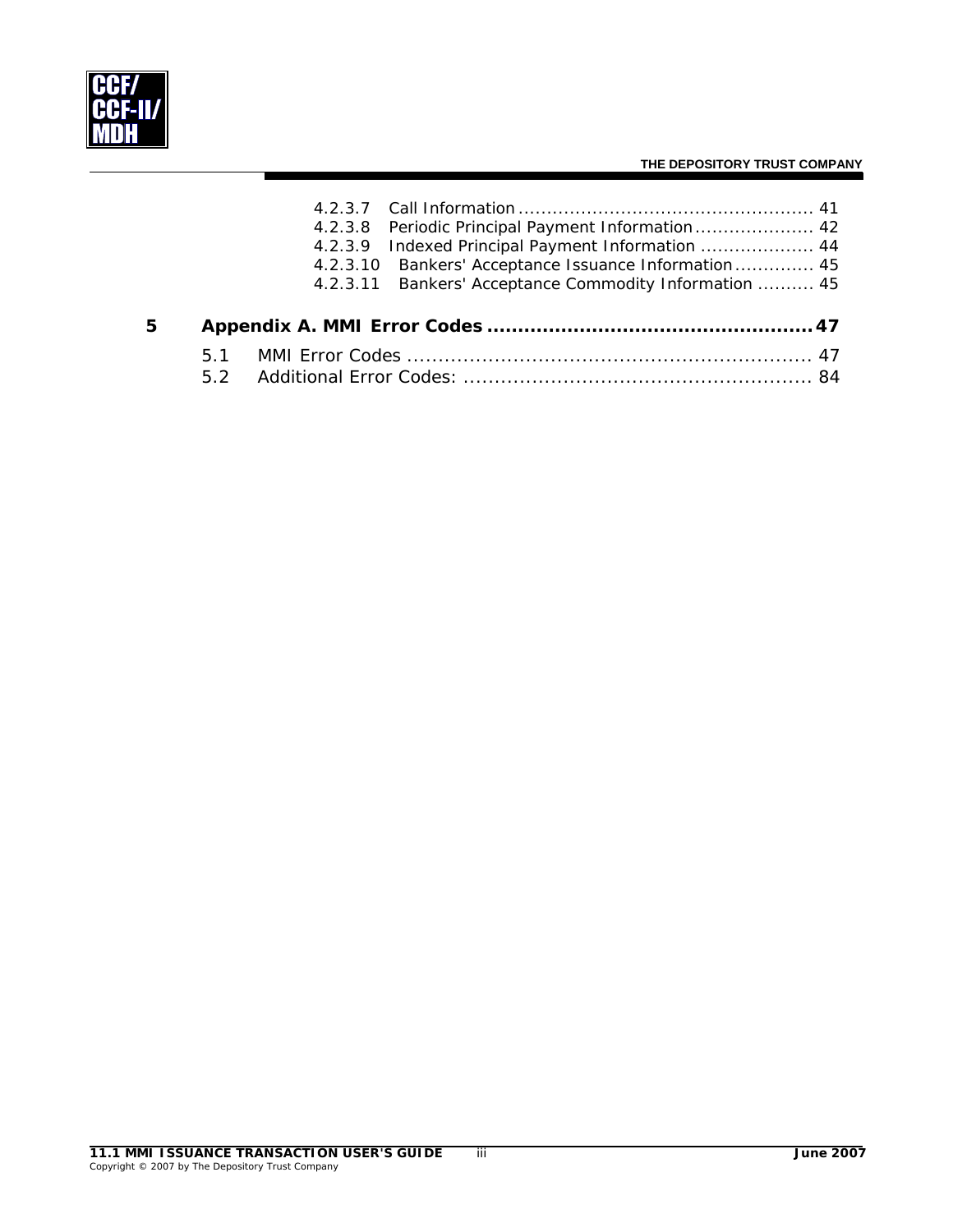

|   |  | 4.2.3.8 Periodic Principal Payment Information 42      |  |
|---|--|--------------------------------------------------------|--|
|   |  | 4.2.3.9 Indexed Principal Payment Information  44      |  |
|   |  | 4.2.3.10 Bankers' Acceptance Issuance Information  45  |  |
|   |  | 4.2.3.11 Bankers' Acceptance Commodity Information  45 |  |
| 5 |  |                                                        |  |
|   |  |                                                        |  |
|   |  |                                                        |  |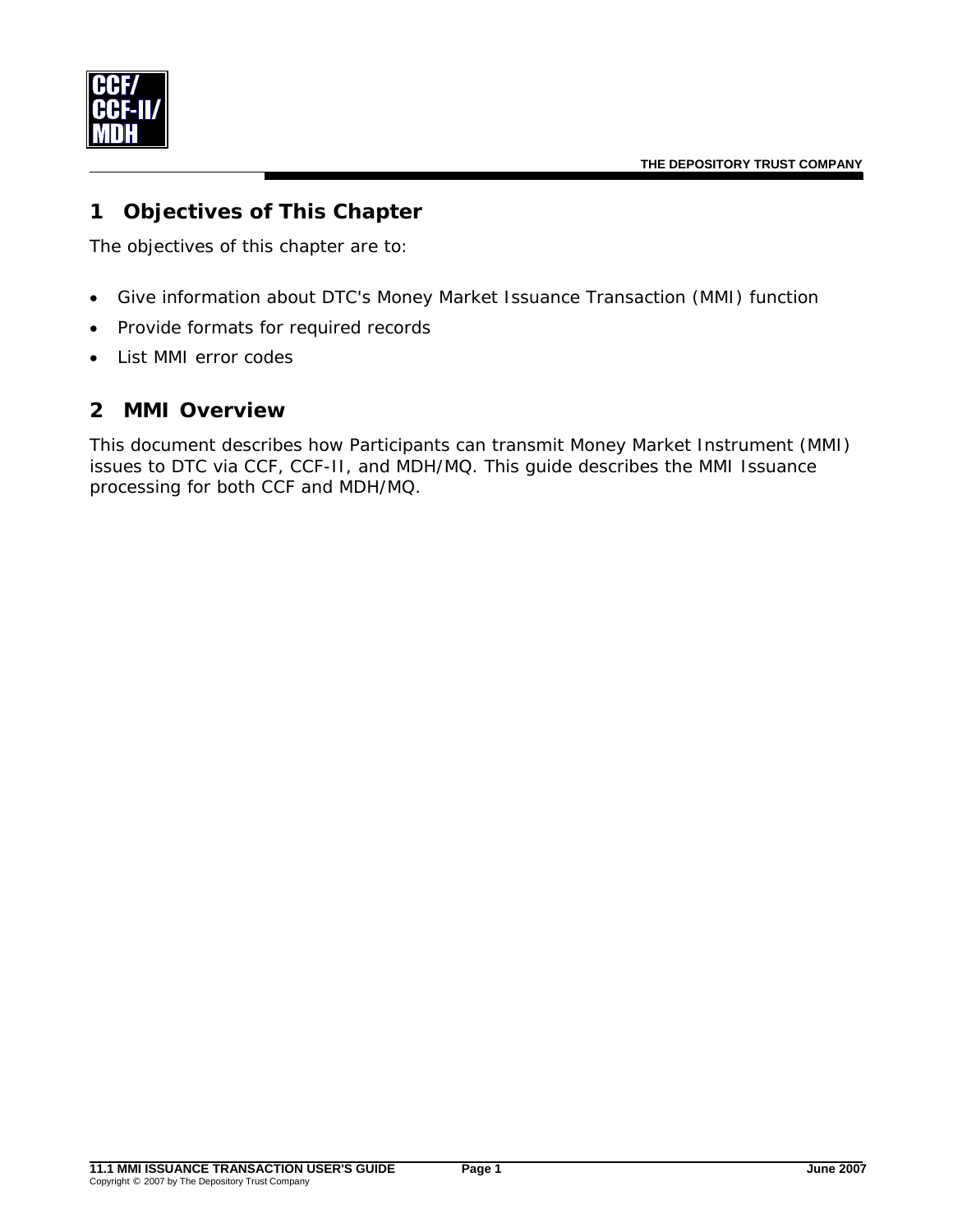<span id="page-3-0"></span>

# **1 Objectives of This Chapter**

The objectives of this chapter are to:

- Give information about DTC's Money Market Issuance Transaction (MMI) function
- Provide formats for required records
- List MMI error codes

# **2 MMI Overview**

This document describes how Participants can transmit Money Market Instrument (MMI) issues to DTC via CCF, CCF-II, and MDH/MQ. This guide describes the MMI Issuance processing for both CCF and MDH/MQ.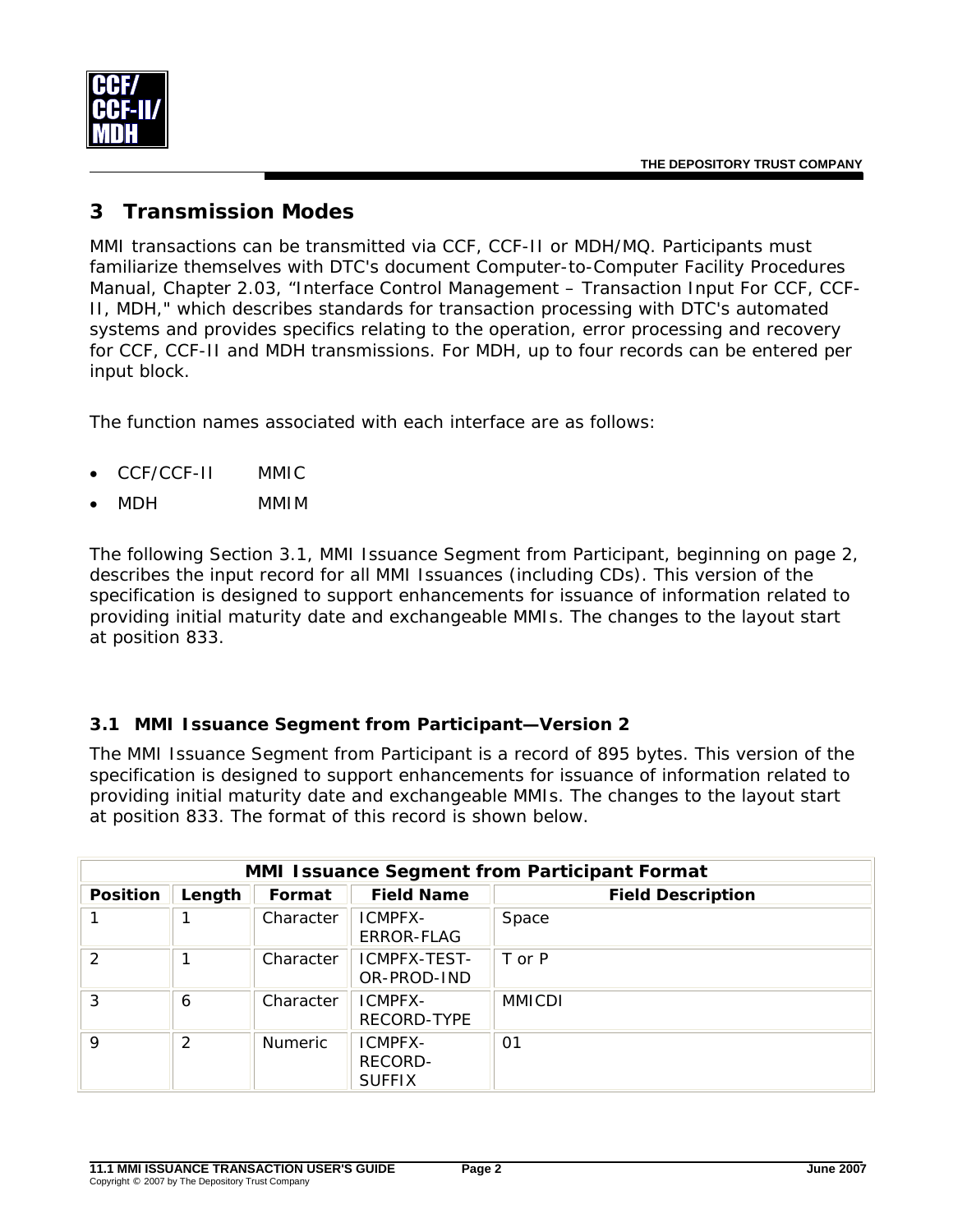<span id="page-4-0"></span>

# **3 Transmission Modes**

MMI transactions can be transmitted via CCF, CCF-II or MDH/MQ. Participants must familiarize themselves with DTC's document *Computer-to-Computer Facility Procedures Manual,* Chapter 2.03, "Interface Control Management – Transaction Input For CCF, CCF-II, MDH," which describes standards for transaction processing with DTC's automated systems and provides specifics relating to the operation, error processing and recovery for CCF, CCF-II and MDH transmissions. For MDH, up to four records can be entered per input block.

The function names associated with each interface are as follows:

- CCF/CCF-II MMIC
- MDH MMIM

The following Section 3.1, MMI Issuance Segment from Participant, beginning on page [2,](#page-4-1) describes the input record for all MMI Issuances (including CDs). This version of the specification is designed to support enhancements for issuance of information related to providing initial maturity date and exchangeable MMIs. The changes to the layout start at position 833.

#### <span id="page-4-1"></span>**3.1 MMI Issuance Segment from Participant—Version 2**

The MMI Issuance Segment from Participant is a record of 895 bytes. This version of the specification is designed to support enhancements for issuance of information related to providing initial maturity date and exchangeable MMIs. The changes to the layout start at position 833. The format of this record is shown below.

| <b>MMI Issuance Segment from Participant Format</b> |        |                |                                     |                          |  |  |
|-----------------------------------------------------|--------|----------------|-------------------------------------|--------------------------|--|--|
| <b>Position</b>                                     | Length | Format         | <b>Field Name</b>                   | <b>Field Description</b> |  |  |
|                                                     |        | Character      | ICMPFX-<br>ERROR-FLAG               | Space                    |  |  |
| $\mathcal{P}$                                       |        | Character      | ICMPFX-TEST-<br>OR-PROD-IND         | T or P                   |  |  |
| 3                                                   | 6      | Character      | ICMPFX-<br>RECORD-TYPE              | <b>MMICDI</b>            |  |  |
| 9                                                   | 2      | <b>Numeric</b> | ICMPFX-<br>RECORD-<br><b>SUFFIX</b> | 01                       |  |  |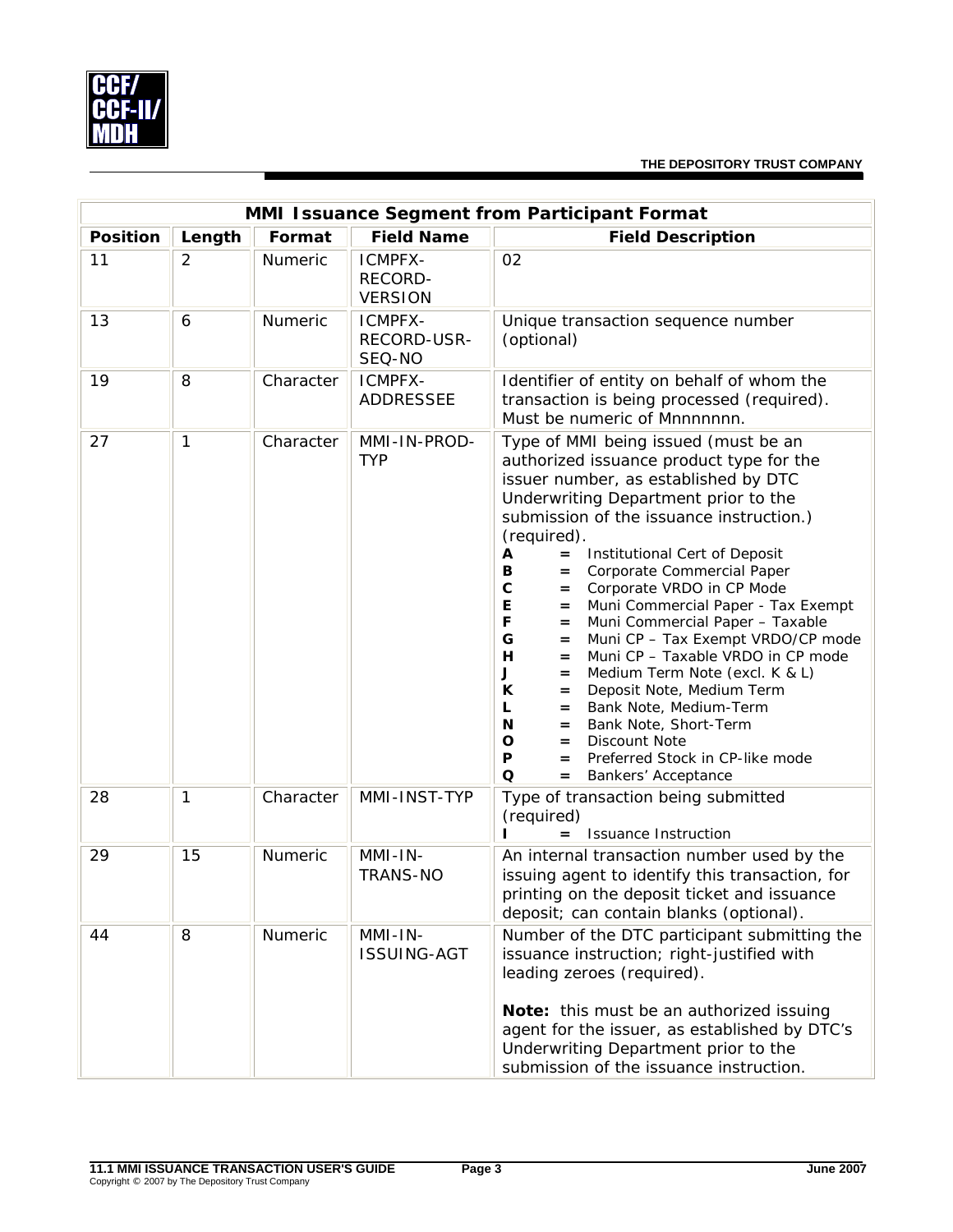

|                 | MMI Issuance Segment from Participant Format |           |                                             |                                                                                                                                                                                                                                                                                                                                                                                                                                                                                                                                                                                                                                                                                                                                                                                                                                                 |  |  |  |  |
|-----------------|----------------------------------------------|-----------|---------------------------------------------|-------------------------------------------------------------------------------------------------------------------------------------------------------------------------------------------------------------------------------------------------------------------------------------------------------------------------------------------------------------------------------------------------------------------------------------------------------------------------------------------------------------------------------------------------------------------------------------------------------------------------------------------------------------------------------------------------------------------------------------------------------------------------------------------------------------------------------------------------|--|--|--|--|
| <b>Position</b> | Length                                       | Format    | <b>Field Name</b>                           | <b>Field Description</b>                                                                                                                                                                                                                                                                                                                                                                                                                                                                                                                                                                                                                                                                                                                                                                                                                        |  |  |  |  |
| 11              | 2                                            | Numeric   | ICMPFX-<br><b>RECORD-</b><br><b>VERSION</b> | 02                                                                                                                                                                                                                                                                                                                                                                                                                                                                                                                                                                                                                                                                                                                                                                                                                                              |  |  |  |  |
| 13              | 6                                            | Numeric   | ICMPFX-<br>RECORD-USR-<br>SEQ-NO            | Unique transaction sequence number<br>(optional)                                                                                                                                                                                                                                                                                                                                                                                                                                                                                                                                                                                                                                                                                                                                                                                                |  |  |  |  |
| 19              | 8                                            | Character | ICMPFX-<br><b>ADDRESSEE</b>                 | Identifier of entity on behalf of whom the<br>transaction is being processed (required).<br>Must be numeric of Mnnnnnnn.                                                                                                                                                                                                                                                                                                                                                                                                                                                                                                                                                                                                                                                                                                                        |  |  |  |  |
| 27              | $\mathbf{1}$                                 | Character | MMI-IN-PROD-<br><b>TYP</b>                  | Type of MMI being issued (must be an<br>authorized issuance product type for the<br>issuer number, as established by DTC<br>Underwriting Department prior to the<br>submission of the issuance instruction.)<br>(required).<br>Institutional Cert of Deposit<br>A<br>$=$<br>Corporate Commercial Paper<br>в<br>$=$<br>C<br>Corporate VRDO in CP Mode<br>$=$<br>Е<br>Muni Commercial Paper - Tax Exempt<br>$=$<br>Muni Commercial Paper - Taxable<br>F<br>$=$<br>Muni CP - Tax Exempt VRDO/CP mode<br>G<br>$=$<br>н<br>Muni CP - Taxable VRDO in CP mode<br>$=$<br>Medium Term Note (excl. K & L)<br>J<br>$=$<br>К<br>Deposit Note, Medium Term<br>$=$<br>Bank Note, Medium-Term<br>L<br>$=$<br>Bank Note, Short-Term<br>N<br>$=$<br>Discount Note<br>O<br>$=$<br>Preferred Stock in CP-like mode<br>P<br>$=$<br>Q<br>Bankers' Acceptance<br>$=$ |  |  |  |  |
| 28              | 1                                            | Character | MMI-INST-TYP                                | Type of transaction being submitted<br>(required)<br><b>Issuance Instruction</b><br>$=$                                                                                                                                                                                                                                                                                                                                                                                                                                                                                                                                                                                                                                                                                                                                                         |  |  |  |  |
| 29              | 15                                           | Numeric   | MMI-IN-<br><b>TRANS-NO</b>                  | An internal transaction number used by the<br>issuing agent to identify this transaction, for<br>printing on the deposit ticket and issuance<br>deposit; can contain blanks (optional).                                                                                                                                                                                                                                                                                                                                                                                                                                                                                                                                                                                                                                                         |  |  |  |  |
| 44              | 8                                            | Numeric   | $MMI-IN-$<br><b>ISSUING-AGT</b>             | Number of the DTC participant submitting the<br>issuance instruction; right-justified with<br>leading zeroes (required).<br>Note: this must be an authorized issuing<br>agent for the issuer, as established by DTC's<br>Underwriting Department prior to the<br>submission of the issuance instruction.                                                                                                                                                                                                                                                                                                                                                                                                                                                                                                                                        |  |  |  |  |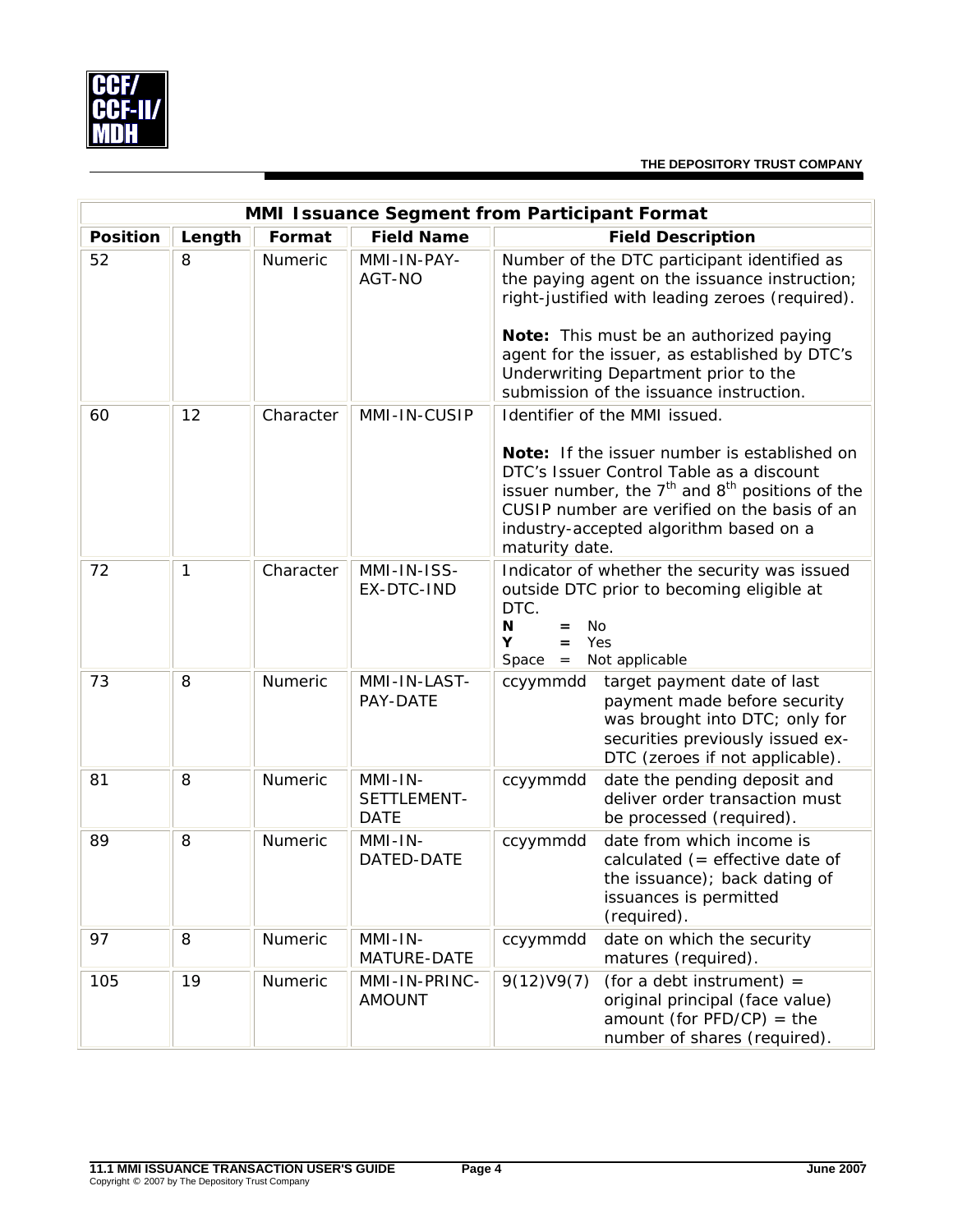

| MMI Issuance Segment from Participant Format |        |           |                                       |                                                                                                                                                                                                                                                             |  |  |
|----------------------------------------------|--------|-----------|---------------------------------------|-------------------------------------------------------------------------------------------------------------------------------------------------------------------------------------------------------------------------------------------------------------|--|--|
| <b>Position</b>                              | Length | Format    | <b>Field Name</b>                     | <b>Field Description</b>                                                                                                                                                                                                                                    |  |  |
| 52                                           | 8      | Numeric   | MMI-IN-PAY-<br>AGT-NO                 | Number of the DTC participant identified as<br>the paying agent on the issuance instruction;<br>right-justified with leading zeroes (required).                                                                                                             |  |  |
|                                              |        |           |                                       | Note: This must be an authorized paying<br>agent for the issuer, as established by DTC's<br>Underwriting Department prior to the<br>submission of the issuance instruction.                                                                                 |  |  |
| 60                                           | 12     | Character | MMI-IN-CUSIP                          | Identifier of the MMI issued.                                                                                                                                                                                                                               |  |  |
|                                              |        |           |                                       | Note: If the issuer number is established on<br>DTC's Issuer Control Table as a discount<br>issuer number, the $7th$ and $8th$ positions of the<br>CUSIP number are verified on the basis of an<br>industry-accepted algorithm based on a<br>maturity date. |  |  |
| 72                                           | 1      | Character | MMI-IN-ISS-<br>EX-DTC-IND             | Indicator of whether the security was issued<br>outside DTC prior to becoming eligible at<br>DTC.<br>N<br><b>No</b><br>$=$<br>Y<br>Yes<br>$=$<br>Not applicable<br>Space<br>$\qquad \qquad =$                                                               |  |  |
| 73                                           | 8      | Numeric   | MMI-IN-LAST-<br>PAY-DATE              | ccyymmdd target payment date of last<br>payment made before security<br>was brought into DTC; only for<br>securities previously issued ex-<br>DTC (zeroes if not applicable).                                                                               |  |  |
| 81                                           | 8      | Numeric   | MMI-IN-<br>SETTLEMENT-<br><b>DATE</b> | date the pending deposit and<br>ccyymmdd<br>deliver order transaction must<br>be processed (required).                                                                                                                                                      |  |  |
| 89                                           | 8      | Numeric   | MMI-IN-<br>DATED-DATE                 | date from which income is<br>ccyymmdd<br>calculated $($ = effective date of<br>the issuance); back dating of<br>issuances is permitted<br>(required).                                                                                                       |  |  |
| 97                                           | 8      | Numeric   | $MMI-IN-$<br>MATURE-DATE              | date on which the security<br>ccyymmdd<br>matures (required).                                                                                                                                                                                               |  |  |
| 105                                          | 19     | Numeric   | MMI-IN-PRINC-<br><b>AMOUNT</b>        | 9(12)V9(7)<br>(for a debt instrument) $=$<br>original principal (face value)<br>amount (for $PFD/CP$ ) = the<br>number of shares (required).                                                                                                                |  |  |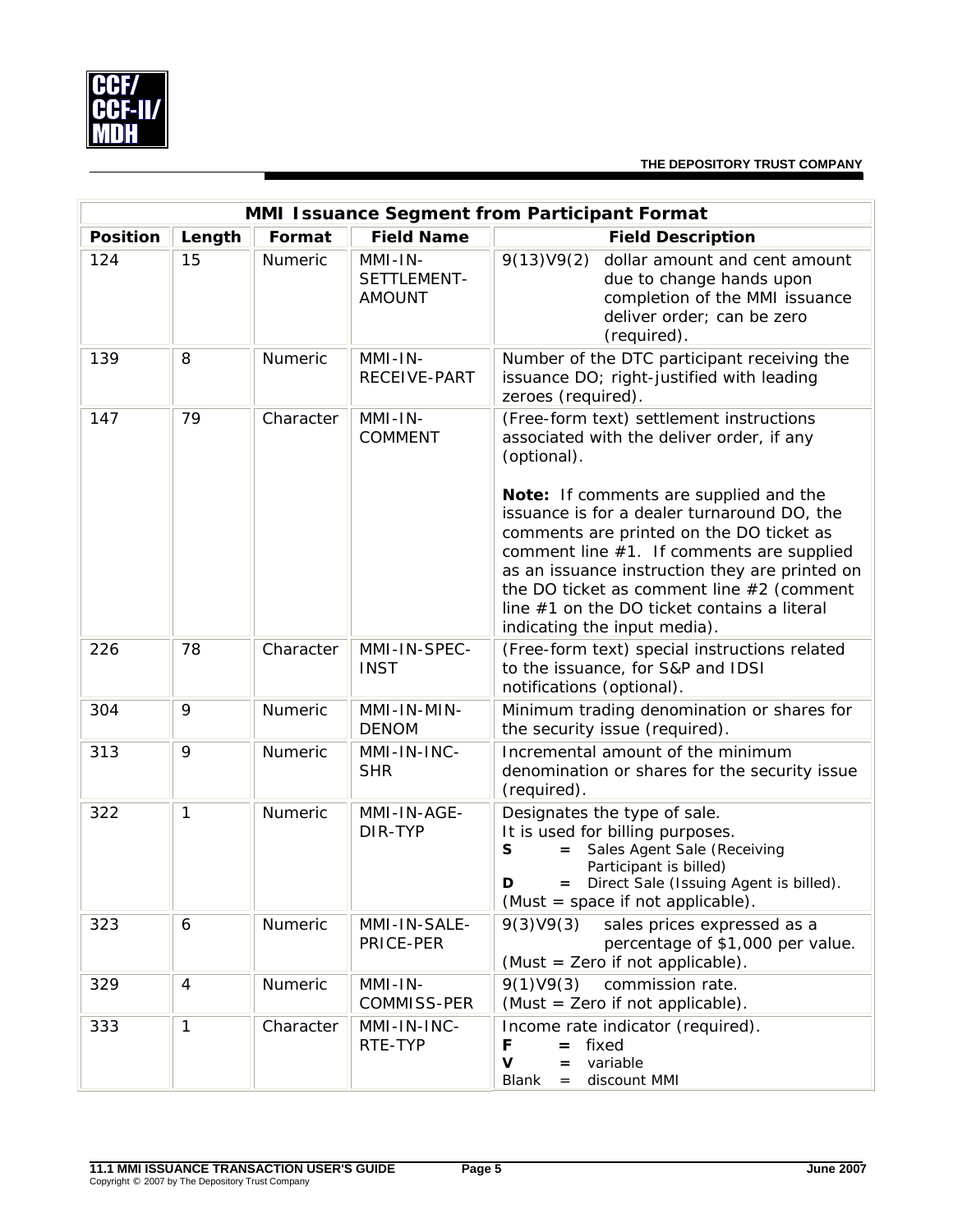

|                 | MMI Issuance Segment from Participant Format |           |                                         |                                                                                                                                                                                                                                                                                                                                                                                                                                                                        |  |  |  |
|-----------------|----------------------------------------------|-----------|-----------------------------------------|------------------------------------------------------------------------------------------------------------------------------------------------------------------------------------------------------------------------------------------------------------------------------------------------------------------------------------------------------------------------------------------------------------------------------------------------------------------------|--|--|--|
| <b>Position</b> | Length                                       | Format    | <b>Field Name</b>                       | <b>Field Description</b>                                                                                                                                                                                                                                                                                                                                                                                                                                               |  |  |  |
| 124             | 15                                           | Numeric   | MMI-IN-<br>SETTLEMENT-<br><b>AMOUNT</b> | 9(13)V9(2)<br>dollar amount and cent amount<br>due to change hands upon<br>completion of the MMI issuance<br>deliver order; can be zero<br>(required).                                                                                                                                                                                                                                                                                                                 |  |  |  |
| 139             | 8                                            | Numeric   | MMI-IN-<br>RECEIVE-PART                 | Number of the DTC participant receiving the<br>issuance DO; right-justified with leading<br>zeroes (required).                                                                                                                                                                                                                                                                                                                                                         |  |  |  |
| 147             | 79                                           | Character | $MMI$ -IN-<br><b>COMMENT</b>            | (Free-form text) settlement instructions<br>associated with the deliver order, if any<br>(optional).<br>Note: If comments are supplied and the<br>issuance is for a dealer turnaround DO, the<br>comments are printed on the DO ticket as<br>comment line #1. If comments are supplied<br>as an issuance instruction they are printed on<br>the DO ticket as comment line $#2$ (comment<br>line #1 on the DO ticket contains a literal<br>indicating the input media). |  |  |  |
| 226             | 78                                           | Character | MMI-IN-SPEC-<br><b>INST</b>             | (Free-form text) special instructions related<br>to the issuance, for S&P and IDSI<br>notifications (optional).                                                                                                                                                                                                                                                                                                                                                        |  |  |  |
| 304             | 9                                            | Numeric   | MMI-IN-MIN-<br><b>DENOM</b>             | Minimum trading denomination or shares for<br>the security issue (required).                                                                                                                                                                                                                                                                                                                                                                                           |  |  |  |
| 313             | 9                                            | Numeric   | MMI-IN-INC-<br><b>SHR</b>               | Incremental amount of the minimum<br>denomination or shares for the security issue<br>(required).                                                                                                                                                                                                                                                                                                                                                                      |  |  |  |
| 322             | $\mathbf{1}$                                 | Numeric   | MMI-IN-AGE-<br>DIR-TYP                  | Designates the type of sale.<br>It is used for billing purposes.<br>Sales Agent Sale (Receiving<br>S<br>$=$<br>Participant is billed)<br>Direct Sale (Issuing Agent is billed).<br>D<br>$=$<br>(Must = space if not applicable).                                                                                                                                                                                                                                       |  |  |  |
| 323             | 6                                            | Numeric   | MMI-IN-SALE-<br>PRICE-PER               | 9(3)V9(3)<br>sales prices expressed as a<br>percentage of \$1,000 per value.<br>(Must = Zero if not applicable).                                                                                                                                                                                                                                                                                                                                                       |  |  |  |
| 329             | 4                                            | Numeric   | $MMI-IN-$<br>COMMISS-PER                | commission rate.<br>9(1)V9(3)<br>(Must = Zero if not applicable).                                                                                                                                                                                                                                                                                                                                                                                                      |  |  |  |
| 333             | $\mathbf{1}$                                 | Character | MMI-IN-INC-<br>RTE-TYP                  | Income rate indicator (required).<br>$=$ fixed<br>F<br>$\mathbf v$<br>variable<br>$=$<br>discount MMI<br>Blank<br>$=$                                                                                                                                                                                                                                                                                                                                                  |  |  |  |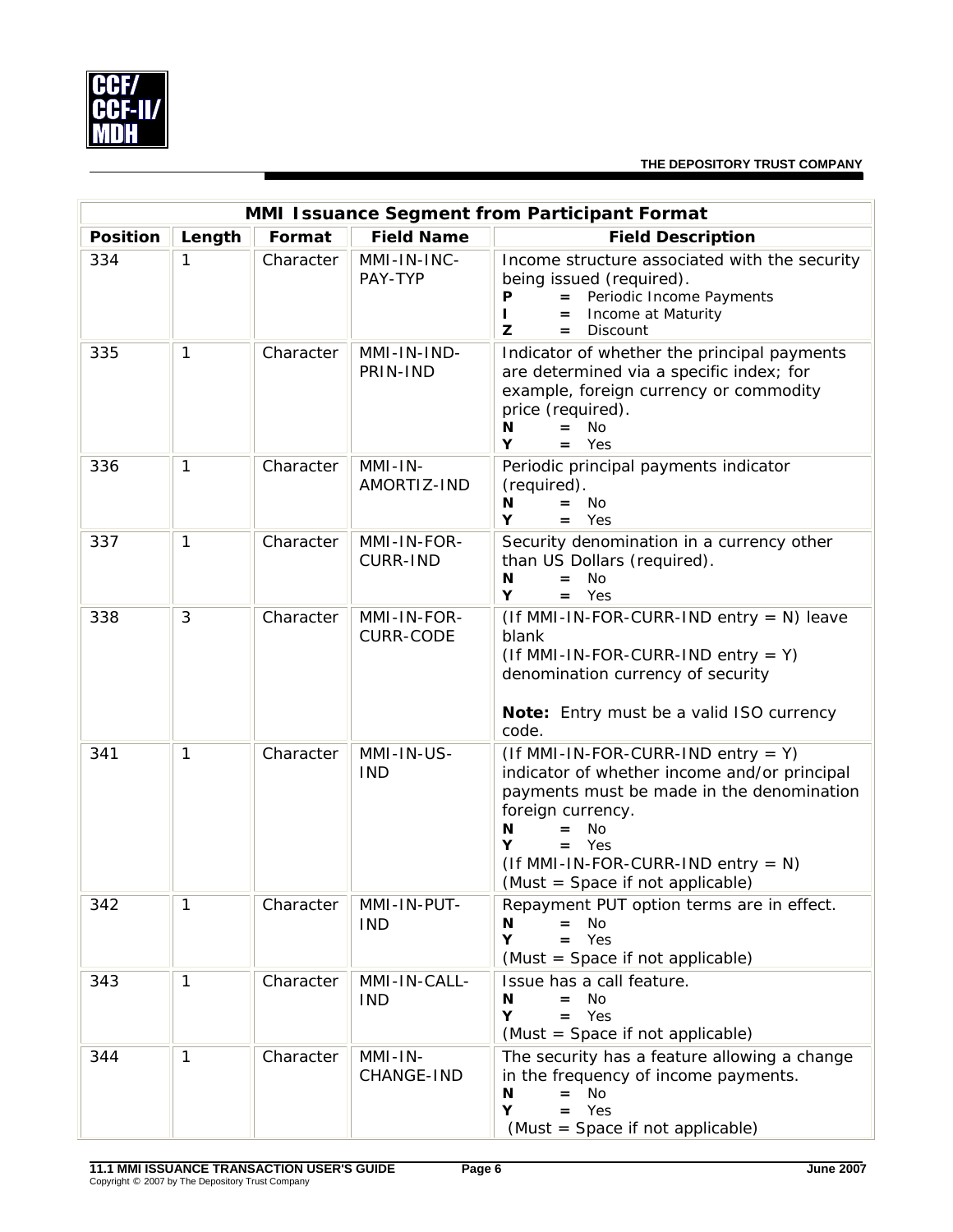

| MMI Issuance Segment from Participant Format |              |           |                                 |                                                                                                                                                                                                                                                                               |  |  |
|----------------------------------------------|--------------|-----------|---------------------------------|-------------------------------------------------------------------------------------------------------------------------------------------------------------------------------------------------------------------------------------------------------------------------------|--|--|
| <b>Position</b>                              | Length       | Format    | <b>Field Name</b>               | <b>Field Description</b>                                                                                                                                                                                                                                                      |  |  |
| 334                                          | 1            | Character | MMI-IN-INC-<br>PAY-TYP          | Income structure associated with the security<br>being issued (required).<br>= Periodic Income Payments<br>Ρ<br>Income at Maturity<br>H.<br>$=$<br>Discount<br>z<br>$=$                                                                                                       |  |  |
| 335                                          | $\mathbf{1}$ | Character | MMI-IN-IND-<br>PRIN-IND         | Indicator of whether the principal payments<br>are determined via a specific index; for<br>example, foreign currency or commodity<br>price (required).<br><b>No</b><br>N<br>Y<br>Yes<br>$=$                                                                                   |  |  |
| 336                                          | $\mathbf{1}$ | Character | MMI-IN-<br>AMORTIZ-IND          | Periodic principal payments indicator<br>(required).<br>N<br><b>No</b><br>$=$<br>Y<br>Yes<br>$=$                                                                                                                                                                              |  |  |
| 337                                          | $\mathbf{1}$ | Character | MMI-IN-FOR-<br><b>CURR-IND</b>  | Security denomination in a currency other<br>than US Dollars (required).<br><b>No</b><br>N<br>$=$<br>Y<br>Yes<br>$=$                                                                                                                                                          |  |  |
| 338                                          | 3            | Character | MMI-IN-FOR-<br><b>CURR-CODE</b> | $($ If MMI-IN-FOR-CURR-IND entry = N) leave<br>blank<br>$($ If MMI-IN-FOR-CURR-IND entry = Y)<br>denomination currency of security<br>Note: Entry must be a valid ISO currency<br>code.                                                                                       |  |  |
| 341                                          | $\mathbf{1}$ | Character | MMI-IN-US-<br><b>IND</b>        | $($ If MMI-IN-FOR-CURR-IND entry = Y)<br>indicator of whether income and/or principal<br>payments must be made in the denomination<br>foreign currency.<br><b>No</b><br>N<br>$=$<br>$=$ Yes<br>Y<br>$($ If MMI-IN-FOR-CURR-IND entry = N)<br>(Must = Space if not applicable) |  |  |
| 342                                          | 1            | Character | MMI-IN-PUT-<br><b>IND</b>       | Repayment PUT option terms are in effect.<br>Ν<br>No<br>$=$ Yes<br>Υ<br>(Must = Space if not applicable)                                                                                                                                                                      |  |  |
| 343                                          | $\mathbf{1}$ | Character | MMI-IN-CALL-<br><b>IND</b>      | Issue has a call feature.<br>No.<br>N<br>$=$ Yes<br>Y<br>(Must = Space if not applicable)                                                                                                                                                                                     |  |  |
| 344                                          | $\mathbf{1}$ | Character | $MMI-IN-$<br>CHANGE-IND         | The security has a feature allowing a change<br>in the frequency of income payments.<br>N<br><b>No</b><br>$=$<br>Υ<br>$=$ Yes<br>(Must = Space if not applicable)                                                                                                             |  |  |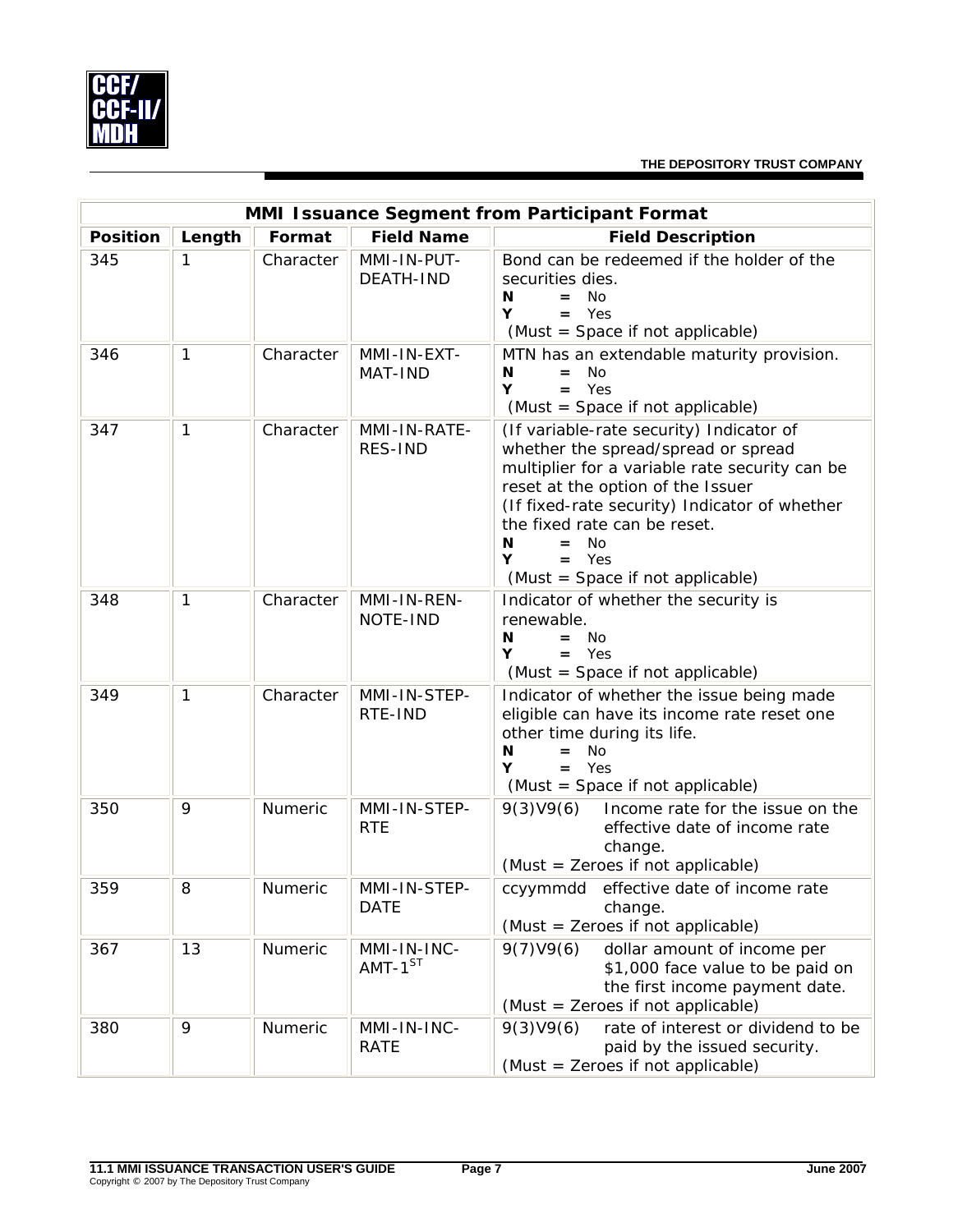

| MMI Issuance Segment from Participant Format |              |           |                                 |                                                                                                                                                                                                                                                                                                                                      |  |  |
|----------------------------------------------|--------------|-----------|---------------------------------|--------------------------------------------------------------------------------------------------------------------------------------------------------------------------------------------------------------------------------------------------------------------------------------------------------------------------------------|--|--|
| <b>Position</b>                              | Length       | Format    | <b>Field Name</b>               | <b>Field Description</b>                                                                                                                                                                                                                                                                                                             |  |  |
| 345                                          | 1            | Character | MMI-IN-PUT-<br><b>DEATH-IND</b> | Bond can be redeemed if the holder of the<br>securities dies.<br>N<br>No.<br>$=$<br>$=$ Yes<br>Y<br>(Must = Space if not applicable)                                                                                                                                                                                                 |  |  |
| 346                                          | 1            | Character | MMI-IN-EXT-<br>MAT-IND          | MTN has an extendable maturity provision.<br><b>No</b><br>N<br>Yes<br>Y<br>$=$<br>(Must = Space if not applicable)                                                                                                                                                                                                                   |  |  |
| 347                                          | $\mathbf{1}$ | Character | MMI-IN-RATE-<br>RES-IND         | (If variable-rate security) Indicator of<br>whether the spread/spread or spread<br>multiplier for a variable rate security can be<br>reset at the option of the Issuer<br>(If fixed-rate security) Indicator of whether<br>the fixed rate can be reset.<br><b>No</b><br>N<br>$=$<br>Y<br>$=$ Yes<br>(Must = Space if not applicable) |  |  |
| 348                                          | $\mathbf{1}$ | Character | MMI-IN-REN-<br>NOTE-IND         | Indicator of whether the security is<br>renewable.<br>- No<br>N<br>$=$<br>$=$ Yes<br>Y<br>(Must = Space if not applicable)                                                                                                                                                                                                           |  |  |
| 349                                          | 1            | Character | MMI-IN-STEP-<br>RTE-IND         | Indicator of whether the issue being made<br>eligible can have its income rate reset one<br>other time during its life.<br>N <sub>O</sub><br>N<br>$=$<br>Υ<br>Yes<br>$=$<br>(Must = Space if not applicable)                                                                                                                         |  |  |
| 350                                          | 9            | Numeric   | MMI-IN-STEP-<br><b>RTE</b>      | 9(3)V9(6)<br>Income rate for the issue on the<br>effective date of income rate<br>change.<br>(Must = Zeroes if not applicable)                                                                                                                                                                                                       |  |  |
| 359                                          | 8            | Numeric   | MMI-IN-STEP-<br><b>DATE</b>     | ccyymmdd effective date of income rate<br>change.<br>(Must = Zeroes if not applicable)                                                                                                                                                                                                                                               |  |  |
| 367                                          | 13           | Numeric   | MMI-IN-INC-<br>$AMT-1^{ST}$     | dollar amount of income per<br>9(7)V9(6)<br>\$1,000 face value to be paid on<br>the first income payment date.<br>(Must = Zeroes if not applicable)                                                                                                                                                                                  |  |  |
| 380                                          | 9            | Numeric   | MMI-IN-INC-<br><b>RATE</b>      | 9(3)V9(6)<br>rate of interest or dividend to be<br>paid by the issued security.<br>(Must = Zeroes if not applicable)                                                                                                                                                                                                                 |  |  |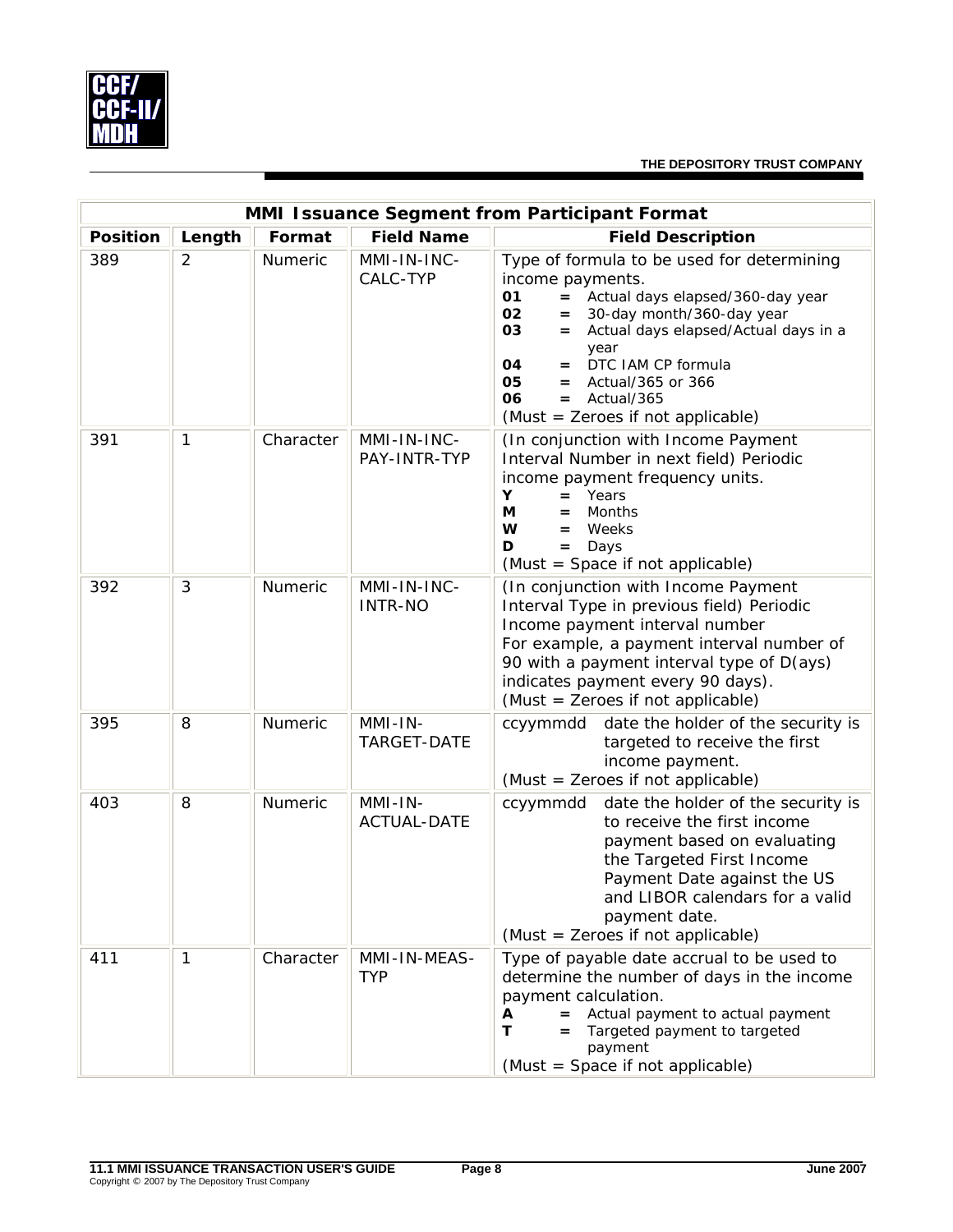

| MMI Issuance Segment from Participant Format |                |           |                                 |                                                                                                                                                                                                                                                                                                                                                       |  |  |
|----------------------------------------------|----------------|-----------|---------------------------------|-------------------------------------------------------------------------------------------------------------------------------------------------------------------------------------------------------------------------------------------------------------------------------------------------------------------------------------------------------|--|--|
| <b>Position</b>                              | Length         | Format    | <b>Field Name</b>               | <b>Field Description</b>                                                                                                                                                                                                                                                                                                                              |  |  |
| 389                                          | $\overline{2}$ | Numeric   | MMI-IN-INC-<br>CALC-TYP         | Type of formula to be used for determining<br>income payments.<br>Actual days elapsed/360-day year<br>01<br>$=$<br>02<br>30-day month/360-day year<br>$=$<br>03<br>Actual days elapsed/Actual days in a<br>$=$<br>year<br>DTC IAM CP formula<br>04<br>$=$<br>05<br>$=$ Actual/365 or 366<br>06<br>$=$ Actual/365<br>(Must = Zeroes if not applicable) |  |  |
| 391                                          | 1              | Character | MMI-IN-INC-<br>PAY-INTR-TYP     | (In conjunction with Income Payment<br>Interval Number in next field) Periodic<br>income payment frequency units.<br>Y<br>Years<br>$=$<br>М<br>Months<br>$=$<br>W<br>Weeks<br>$=$<br>D<br>Days<br>$=$<br>(Must = Space if not applicable)                                                                                                             |  |  |
| 392                                          | 3              | Numeric   | MMI-IN-INC-<br><b>INTR-NO</b>   | (In conjunction with Income Payment<br>Interval Type in previous field) Periodic<br>Income payment interval number<br>For example, a payment interval number of<br>90 with a payment interval type of D(ays)<br>indicates payment every 90 days).<br>(Must = Zeroes if not applicable)                                                                |  |  |
| 395                                          | 8              | Numeric   | $MMI-IN-$<br>TARGET-DATE        | date the holder of the security is<br>ccyymmdd<br>targeted to receive the first<br>income payment.<br>(Must = Zeroes if not applicable)                                                                                                                                                                                                               |  |  |
| 403                                          | 8              | Numeric   | $MMI-IN-$<br><b>ACTUAL-DATE</b> | date the holder of the security is<br>ccyymmdd<br>to receive the first income<br>payment based on evaluating<br>the Targeted First Income<br>Payment Date against the US<br>and LIBOR calendars for a valid<br>payment date.<br>(Must = Zeroes if not applicable)                                                                                     |  |  |
| 411                                          | 1              | Character | MMI-IN-MEAS-<br><b>TYP</b>      | Type of payable date accrual to be used to<br>determine the number of days in the income<br>payment calculation.<br>Actual payment to actual payment<br>А<br>Τ<br>Targeted payment to targeted<br>payment<br>(Must = Space if not applicable)                                                                                                         |  |  |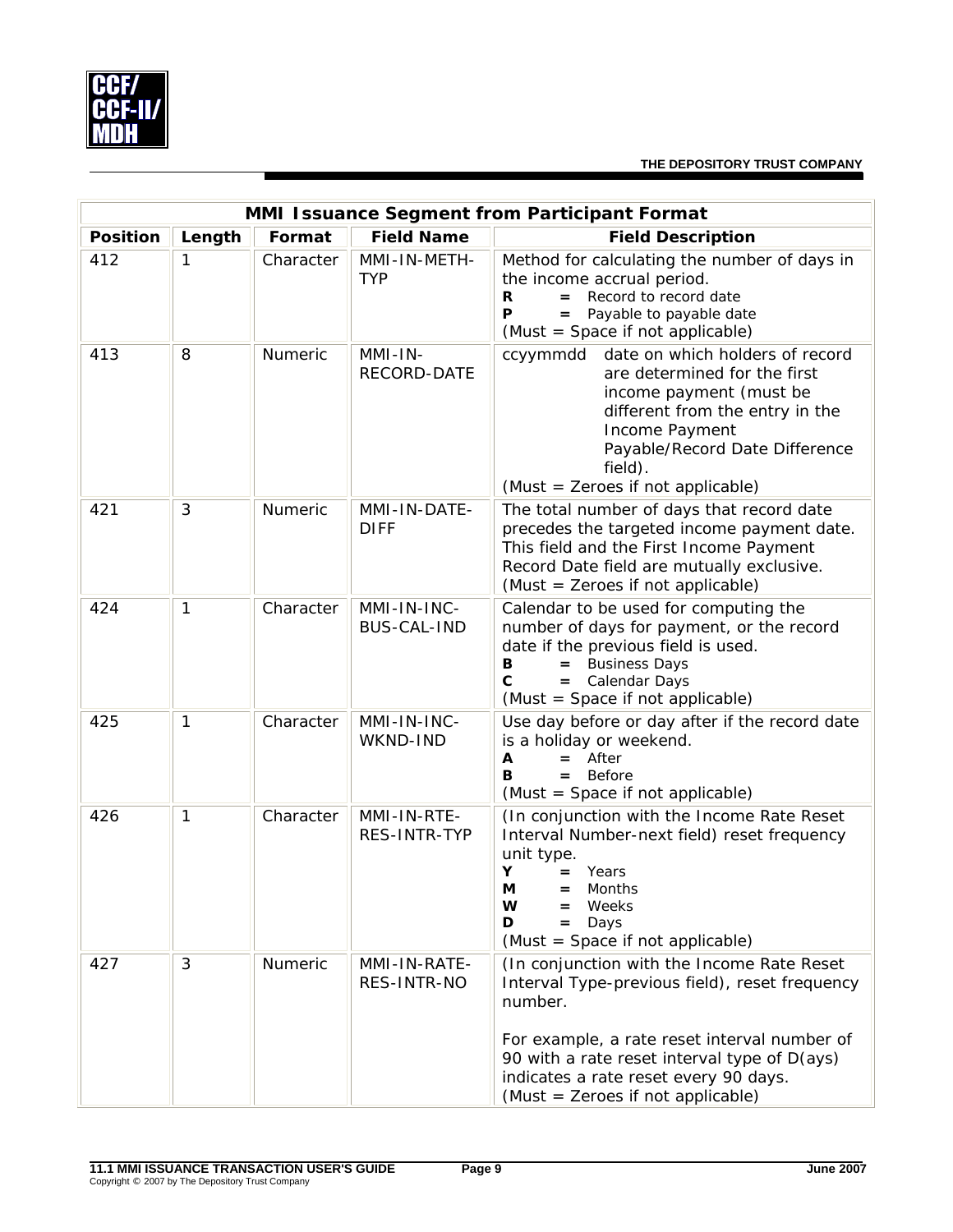

|                 | MMI Issuance Segment from Participant Format |           |                                   |                                                                                                                                                                                                                                                                                       |  |  |  |
|-----------------|----------------------------------------------|-----------|-----------------------------------|---------------------------------------------------------------------------------------------------------------------------------------------------------------------------------------------------------------------------------------------------------------------------------------|--|--|--|
| <b>Position</b> | Length                                       | Format    | <b>Field Name</b>                 | <b>Field Description</b>                                                                                                                                                                                                                                                              |  |  |  |
| 412             | 1                                            | Character | MMI-IN-METH-<br><b>TYP</b>        | Method for calculating the number of days in<br>the income accrual period.<br>Record to record date<br>R<br>$=$<br>Payable to payable date<br>P<br>$=$<br>(Must = Space if not applicable)                                                                                            |  |  |  |
| 413             | 8                                            | Numeric   | MMI-IN-<br>RECORD-DATE            | ccyymmdd date on which holders of record<br>are determined for the first<br>income payment (must be<br>different from the entry in the<br>Income Payment<br>Payable/Record Date Difference<br>field).<br>(Must = Zeroes if not applicable)                                            |  |  |  |
| 421             | 3                                            | Numeric   | MMI-IN-DATE-<br><b>DIFF</b>       | The total number of days that record date<br>precedes the targeted income payment date.<br>This field and the First Income Payment<br>Record Date field are mutually exclusive.<br>(Must = Zeroes if not applicable)                                                                  |  |  |  |
| 424             | $\mathbf{1}$                                 | Character | MMI-IN-INC-<br><b>BUS-CAL-IND</b> | Calendar to be used for computing the<br>number of days for payment, or the record<br>date if the previous field is used.<br><b>Business Days</b><br>в<br>$=$<br>$\mathbf{C}$<br>= Calendar Days<br>(Must = Space if not applicable)                                                  |  |  |  |
| 425             | $\mathbf{1}$                                 | Character | MMI-IN-INC-<br>WKND-IND           | Use day before or day after if the record date<br>is a holiday or weekend.<br>After<br>Α<br>в<br>$=$ Before<br>(Must = Space if not applicable)                                                                                                                                       |  |  |  |
| 426             | $\mathbf{1}$                                 | Character | MMI-IN-RTE-<br>RES-INTR-TYP       | (In conjunction with the Income Rate Reset<br>Interval Number-next field) reset frequency<br>unit type.<br>Υ<br>Years<br>$=$<br>М<br>Months<br>=<br>W<br>Weeks<br>Days<br>D<br>(Must = Space if not applicable)                                                                       |  |  |  |
| 427             | 3                                            | Numeric   | MMI-IN-RATE-<br>RES-INTR-NO       | (In conjunction with the Income Rate Reset<br>Interval Type-previous field), reset frequency<br>number.<br>For example, a rate reset interval number of<br>90 with a rate reset interval type of D(ays)<br>indicates a rate reset every 90 days.<br>(Must = Zeroes if not applicable) |  |  |  |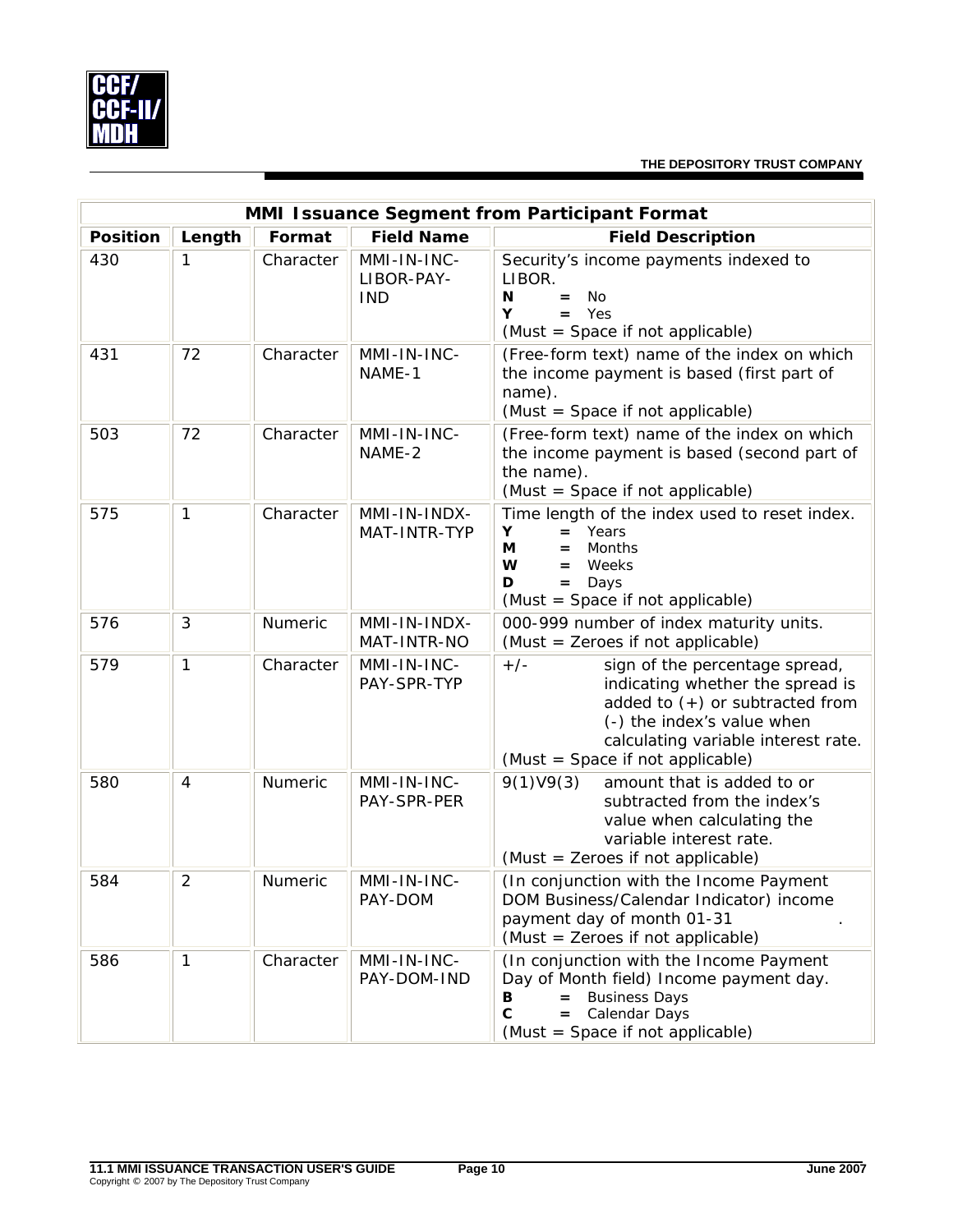

|                 | MMI Issuance Segment from Participant Format |           |                                         |                                                                                                                                                                                                                           |  |  |  |
|-----------------|----------------------------------------------|-----------|-----------------------------------------|---------------------------------------------------------------------------------------------------------------------------------------------------------------------------------------------------------------------------|--|--|--|
| <b>Position</b> | Length                                       | Format    | <b>Field Name</b>                       | <b>Field Description</b>                                                                                                                                                                                                  |  |  |  |
| 430             | 1                                            | Character | MMI-IN-INC-<br>LIBOR-PAY-<br><b>IND</b> | Security's income payments indexed to<br>LIBOR.<br>N<br><b>No</b><br>$=$<br>Yes<br>Y<br>$=$ $-$<br>(Must = Space if not applicable)                                                                                       |  |  |  |
| 431             | 72                                           | Character | MMI-IN-INC-<br>NAME-1                   | (Free-form text) name of the index on which<br>the income payment is based (first part of<br>name).<br>(Must = Space if not applicable)                                                                                   |  |  |  |
| 503             | 72                                           | Character | MMI-IN-INC-<br>NAME-2                   | (Free-form text) name of the index on which<br>the income payment is based (second part of<br>the name).<br>(Must = Space if not applicable)                                                                              |  |  |  |
| 575             | $\mathbf{1}$                                 | Character | MMI-IN-INDX-<br>MAT-INTR-TYP            | Time length of the index used to reset index.<br>Υ<br>Years<br>$=$<br>М<br>Months<br>$=$<br>W<br>Weeks<br>$=$<br>Days<br>D<br>$=$<br>(Must = Space if not applicable)                                                     |  |  |  |
| 576             | 3                                            | Numeric   | MMI-IN-INDX-<br>MAT-INTR-NO             | 000-999 number of index maturity units.<br>(Must = Zeroes if not applicable)                                                                                                                                              |  |  |  |
| 579             | 1                                            | Character | MMI-IN-INC-<br>PAY-SPR-TYP              | $+/-$<br>sign of the percentage spread,<br>indicating whether the spread is<br>added to $(+)$ or subtracted from<br>(-) the index's value when<br>calculating variable interest rate.<br>(Must = Space if not applicable) |  |  |  |
| 580             | 4                                            | Numeric   | MMI-IN-INC-<br>PAY-SPR-PER              | 9(1)V9(3)<br>amount that is added to or<br>subtracted from the index's<br>value when calculating the<br>variable interest rate.<br>(Must = Zeroes if not applicable)                                                      |  |  |  |
| 584             | $\overline{2}$                               | Numeric   | MMI-IN-INC-<br>PAY-DOM                  | (In conjunction with the Income Payment<br>DOM Business/Calendar Indicator) income<br>payment day of month 01-31<br>(Must = Zeroes if not applicable)                                                                     |  |  |  |
| 586             | $\mathbf{1}$                                 | Character | MMI-IN-INC-<br>PAY-DOM-IND              | (In conjunction with the Income Payment<br>Day of Month field) Income payment day.<br><b>Business Days</b><br>В<br>$=$<br>C<br>Calendar Days<br>$=$<br>(Must = Space if not applicable)                                   |  |  |  |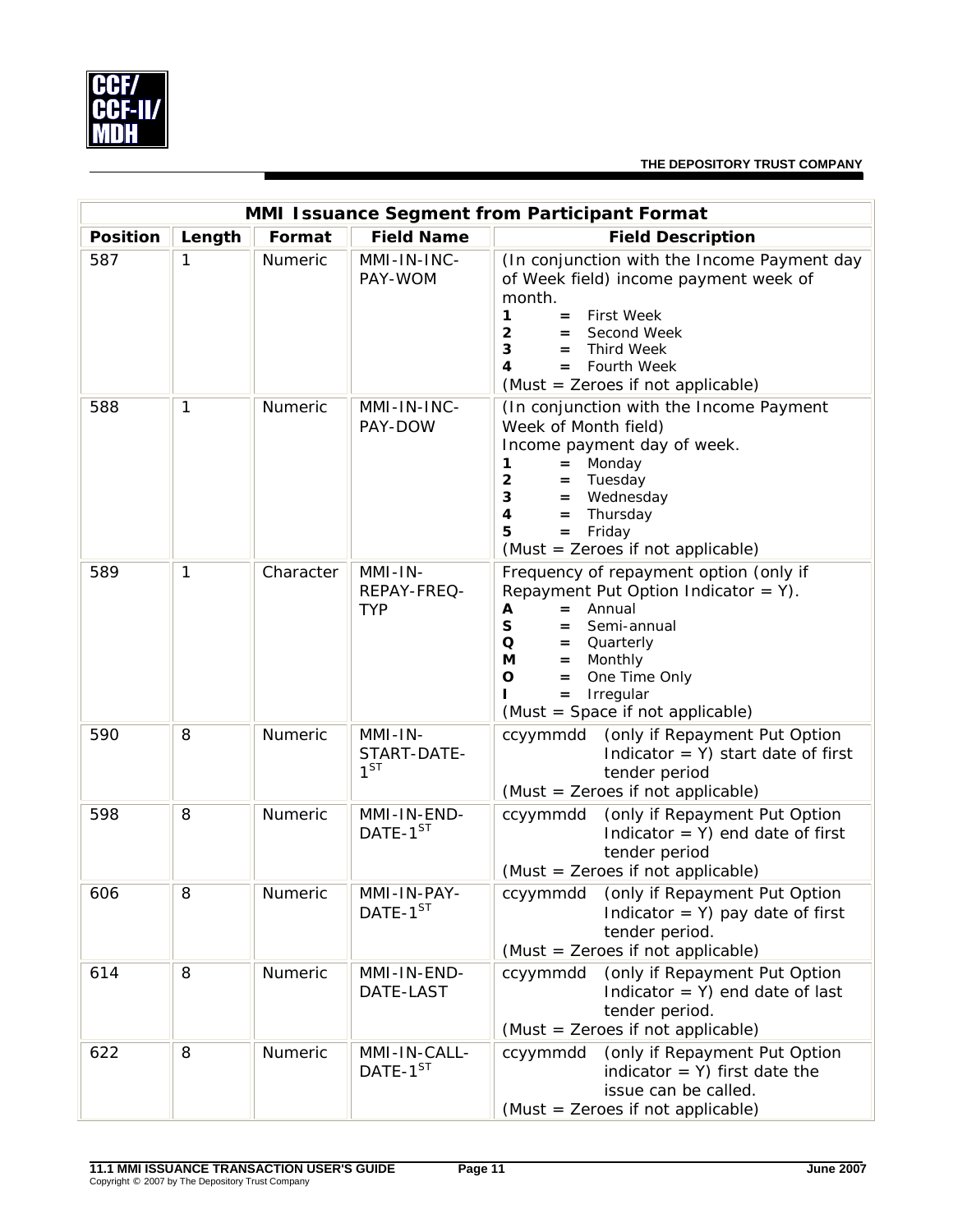

|                 | MMI Issuance Segment from Participant Format |           |                                      |                                                                                                                                                                                                                                                                                   |  |  |  |
|-----------------|----------------------------------------------|-----------|--------------------------------------|-----------------------------------------------------------------------------------------------------------------------------------------------------------------------------------------------------------------------------------------------------------------------------------|--|--|--|
| <b>Position</b> | Length                                       | Format    | <b>Field Name</b>                    | <b>Field Description</b>                                                                                                                                                                                                                                                          |  |  |  |
| 587             | 1                                            | Numeric   | MMI-IN-INC-<br>PAY-WOM               | (In conjunction with the Income Payment day<br>of Week field) income payment week of<br>month.<br><b>First Week</b><br>1<br>$=$<br>$\overline{\mathbf{2}}$<br>Second Week<br>$=$<br>3<br><b>Third Week</b><br>$=$<br>Fourth Week<br>4<br>$=$<br>(Must = Zeroes if not applicable) |  |  |  |
| 588             | 1                                            | Numeric   | MMI-IN-INC-<br>PAY-DOW               | (In conjunction with the Income Payment<br>Week of Month field)<br>Income payment day of week.<br>Monday<br>1<br>$=$<br>$\mathbf{2}$<br>Tuesday<br>$=$<br>3<br>Wednesday<br>$=$<br>4<br>Thursday<br>$=$<br>5<br>$=$<br>Friday<br>(Must = Zeroes if not applicable)                |  |  |  |
| 589             | 1                                            | Character | MMI-IN-<br>REPAY-FREQ-<br><b>TYP</b> | Frequency of repayment option (only if<br>Repayment Put Option Indicator = $Y$ ).<br>Annual<br>A<br>$=$<br>S<br>Semi-annual<br>$=$<br>Q<br>Quarterly<br>$=$<br>Monthly<br>М<br>$=$<br>O<br>One Time Only<br>$=$<br>Irregular<br>$=$<br>(Must = Space if not applicable)           |  |  |  |
| 590             | 8                                            | Numeric   | MMI-IN-<br>START-DATE-<br>$1^{ST}$   | (only if Repayment Put Option<br>ccyymmdd<br>Indicator = $Y$ ) start date of first<br>tender period<br>(Must = Zeroes if not applicable)                                                                                                                                          |  |  |  |
| 598             | 8                                            | Numeric   | MMI-IN-END-<br>DATE-1 <sup>ST</sup>  | (only if Repayment Put Option<br>ccyymmdd<br>Indicator = $Y$ ) end date of first<br>tender period<br>(Must = Zeroes if not applicable)                                                                                                                                            |  |  |  |
| 606             | 8                                            | Numeric   | MMI-IN-PAY-<br>$DATAF-1^{ST}$        | ccyymmdd (only if Repayment Put Option<br>Indicator = $Y$ ) pay date of first<br>tender period.<br>(Must = Zeroes if not applicable)                                                                                                                                              |  |  |  |
| 614             | 8                                            | Numeric   | MMI-IN-END-<br>DATE-LAST             | ccyymmdd (only if Repayment Put Option<br>Indicator = $Y$ ) end date of last<br>tender period.<br>(Must = Zeroes if not applicable)                                                                                                                                               |  |  |  |
| 622             | 8                                            | Numeric   | MMI-IN-CALL-<br>DATE-1ST             | (only if Repayment Put Option<br>ccyymmdd<br>indicator = $Y$ ) first date the<br>issue can be called.<br>(Must = Zeroes if not applicable)                                                                                                                                        |  |  |  |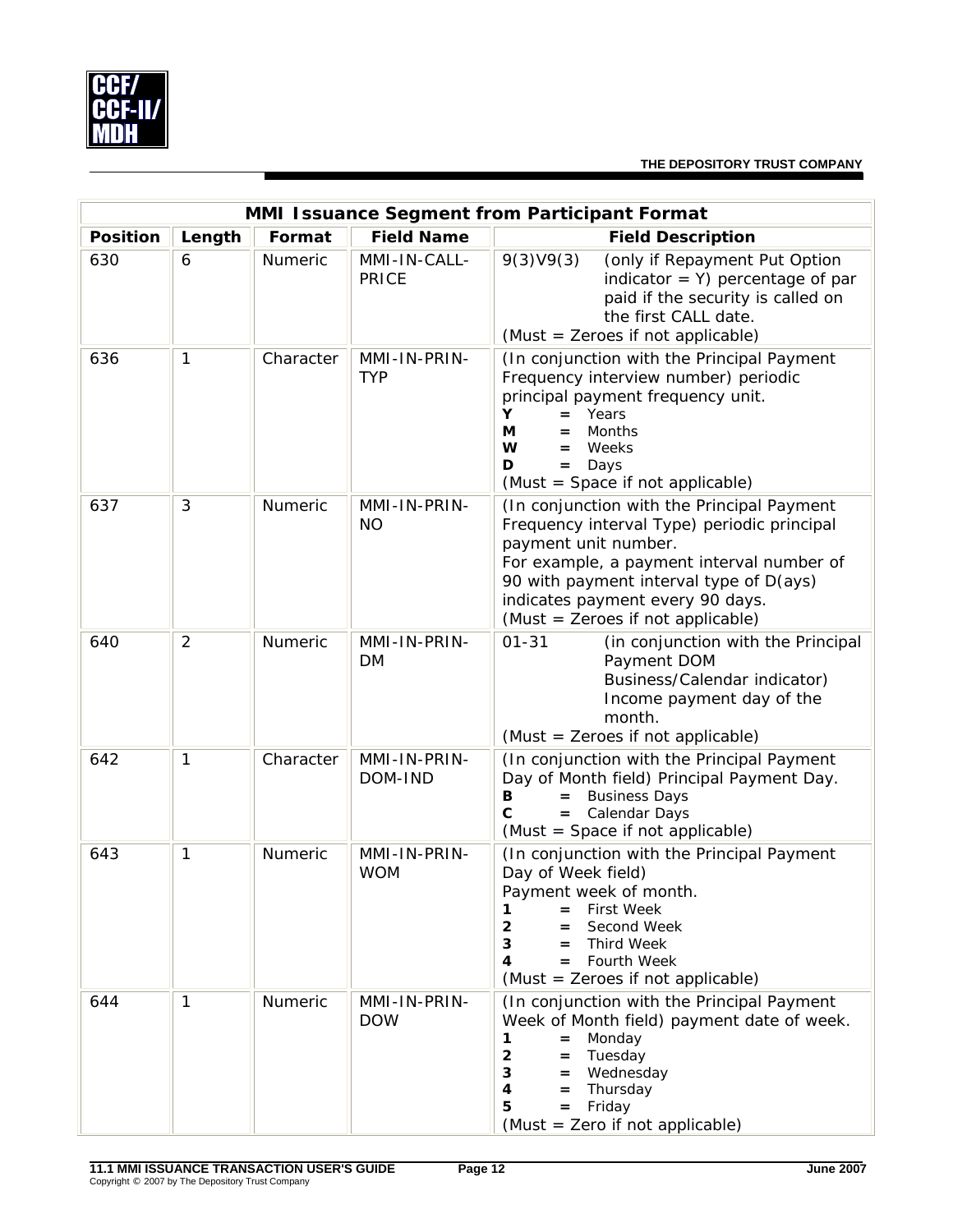

| MMI Issuance Segment from Participant Format |                |                |                              |                                                                                                                                                                                                                                                                                    |  |  |  |  |
|----------------------------------------------|----------------|----------------|------------------------------|------------------------------------------------------------------------------------------------------------------------------------------------------------------------------------------------------------------------------------------------------------------------------------|--|--|--|--|
| <b>Position</b>                              | Length         | Format         | <b>Field Name</b>            | <b>Field Description</b>                                                                                                                                                                                                                                                           |  |  |  |  |
| 630                                          | 6              | Numeric        | MMI-IN-CALL-<br><b>PRICE</b> | 9(3)V9(3)<br>(only if Repayment Put Option<br>indicator = $Y$ ) percentage of par<br>paid if the security is called on<br>the first CALL date.<br>(Must = Zeroes if not applicable)                                                                                                |  |  |  |  |
| 636                                          | $\mathbf{1}$   | Character      | MMI-IN-PRIN-<br><b>TYP</b>   | (In conjunction with the Principal Payment<br>Frequency interview number) periodic<br>principal payment frequency unit.<br>Years<br>Y<br>$=$<br>Months<br>М<br>=<br>W<br>Weeks<br>$=$<br>D<br>Days<br>$=$<br>(Must = Space if not applicable)                                      |  |  |  |  |
| 637                                          | 3              | Numeric        | MMI-IN-PRIN-<br><b>NO</b>    | (In conjunction with the Principal Payment<br>Frequency interval Type) periodic principal<br>payment unit number.<br>For example, a payment interval number of<br>90 with payment interval type of D(ays)<br>indicates payment every 90 days.<br>(Must = Zeroes if not applicable) |  |  |  |  |
| 640                                          | $\overline{2}$ | <b>Numeric</b> | MMI-IN-PRIN-<br>DM           | $01 - 31$<br>(in conjunction with the Principal<br>Payment DOM<br>Business/Calendar indicator)<br>Income payment day of the<br>month.<br>(Must = Zeroes if not applicable)                                                                                                         |  |  |  |  |
| 642                                          | $\mathbf{1}$   | Character      | MMI-IN-PRIN-<br>DOM-IND      | (In conjunction with the Principal Payment<br>Day of Month field) Principal Payment Day.<br><b>Business Days</b><br>В<br>$=$<br>$\mathbf{C}$<br>Calendar Days<br>$=$<br>(Must = Space if not applicable)                                                                           |  |  |  |  |
| 643                                          | 1              | <b>Numeric</b> | MMI-IN-PRIN-<br><b>WOM</b>   | (In conjunction with the Principal Payment<br>Day of Week field)<br>Payment week of month.<br><b>First Week</b><br>1<br>Second Week<br>$\overline{2}$<br>3<br><b>Third Week</b><br>$=$<br>Fourth Week<br>4<br>$=$ $-$<br>(Must = Zeroes if not applicable)                         |  |  |  |  |
| 644                                          | $\mathbf{1}$   | Numeric        | MMI-IN-PRIN-<br><b>DOW</b>   | (In conjunction with the Principal Payment<br>Week of Month field) payment date of week.<br>Monday<br>$=$<br>1<br>$\mathbf{2}$<br>$=$ Tuesday<br>3<br>= Wednesday<br>4<br>Thursday<br>$=$<br>Friday<br>5<br>$=$<br>(Must = Zero if not applicable)                                 |  |  |  |  |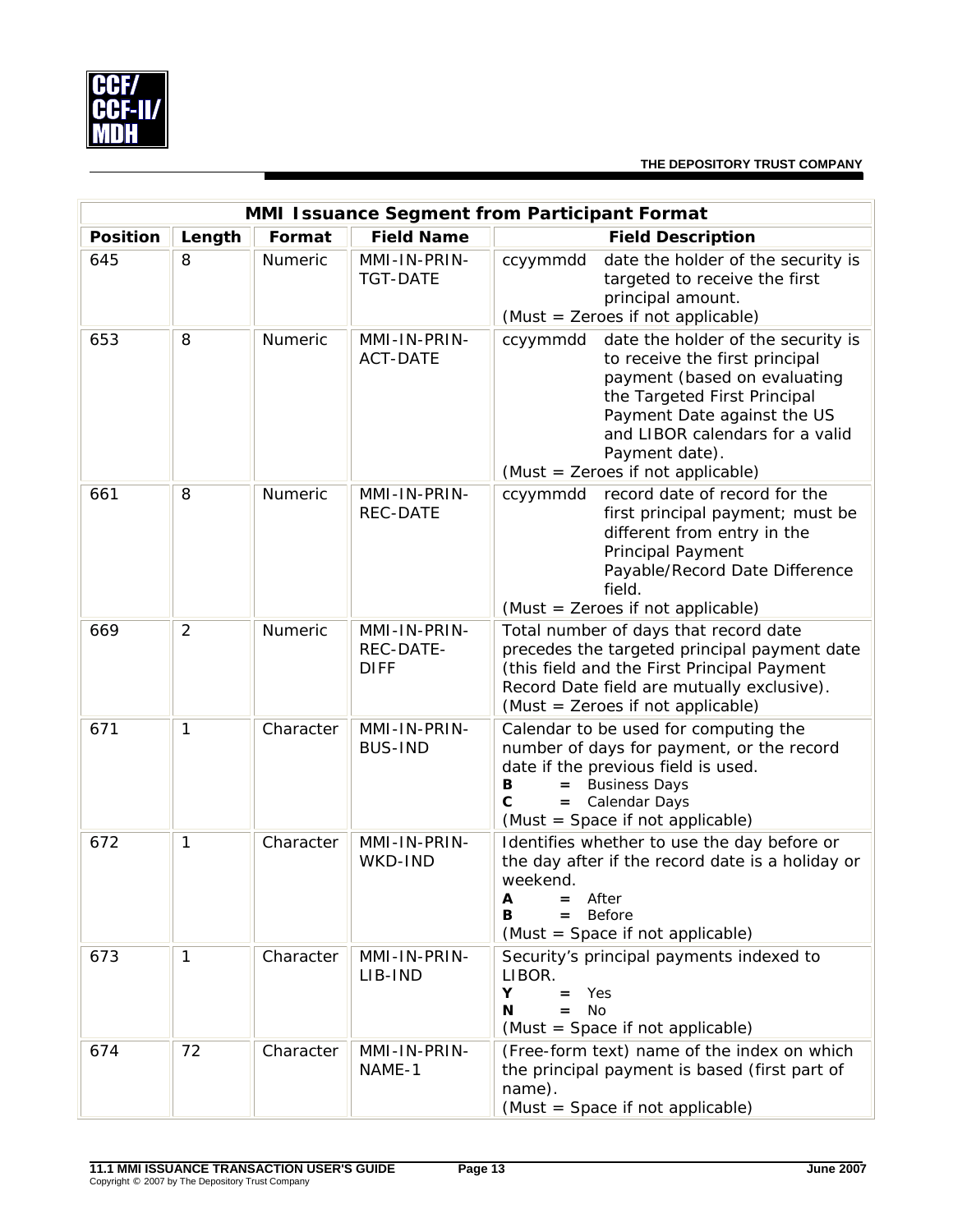

| MMI Issuance Segment from Participant Format |                |           |                                          |                                                                                                                                                                                                                                                                           |  |  |  |
|----------------------------------------------|----------------|-----------|------------------------------------------|---------------------------------------------------------------------------------------------------------------------------------------------------------------------------------------------------------------------------------------------------------------------------|--|--|--|
| <b>Position</b>                              | Length         | Format    | <b>Field Name</b>                        | <b>Field Description</b>                                                                                                                                                                                                                                                  |  |  |  |
| 645                                          | 8              | Numeric   | MMI-IN-PRIN-<br><b>TGT-DATE</b>          | date the holder of the security is<br>ccyymmdd<br>targeted to receive the first<br>principal amount.<br>(Must = Zeroes if not applicable)                                                                                                                                 |  |  |  |
| 653                                          | 8              | Numeric   | MMI-IN-PRIN-<br><b>ACT-DATE</b>          | date the holder of the security is<br>ccyymmdd<br>to receive the first principal<br>payment (based on evaluating<br>the Targeted First Principal<br>Payment Date against the US<br>and LIBOR calendars for a valid<br>Payment date).<br>(Must = Zeroes if not applicable) |  |  |  |
| 661                                          | 8              | Numeric   | MMI-IN-PRIN-<br><b>REC-DATE</b>          | ccyymmdd record date of record for the<br>first principal payment; must be<br>different from entry in the<br><b>Principal Payment</b><br>Payable/Record Date Difference<br>field.<br>(Must = Zeroes if not applicable)                                                    |  |  |  |
| 669                                          | $\overline{2}$ | Numeric   | MMI-IN-PRIN-<br>REC-DATE-<br><b>DIFF</b> | Total number of days that record date<br>precedes the targeted principal payment date<br>(this field and the First Principal Payment<br>Record Date field are mutually exclusive).<br>(Must = Zeroes if not applicable)                                                   |  |  |  |
| 671                                          | $\mathbf{1}$   | Character | MMI-IN-PRIN-<br><b>BUS-IND</b>           | Calendar to be used for computing the<br>number of days for payment, or the record<br>date if the previous field is used.<br><b>Business Days</b><br>в<br>C<br>= Calendar Days<br>(Must = Space if not applicable)                                                        |  |  |  |
| 672                                          | $\mathbf{1}$   | Character | MMI-IN-PRIN-<br>WKD-IND                  | Identifies whether to use the day before or<br>the day after if the record date is a holiday or<br>weekend.<br>After<br>A<br>Before<br>в<br>$=$<br>(Must = Space if not applicable)                                                                                       |  |  |  |
| 673                                          | $\mathbf{1}$   | Character | MMI-IN-PRIN-<br>LIB-IND                  | Security's principal payments indexed to<br>LIBOR.<br>Υ<br>Yes<br>$=$<br><b>No</b><br>N<br>$=$<br>(Must = Space if not applicable)                                                                                                                                        |  |  |  |
| 674                                          | 72             | Character | MMI-IN-PRIN-<br>NAME-1                   | (Free-form text) name of the index on which<br>the principal payment is based (first part of<br>name).<br>(Must = Space if not applicable)                                                                                                                                |  |  |  |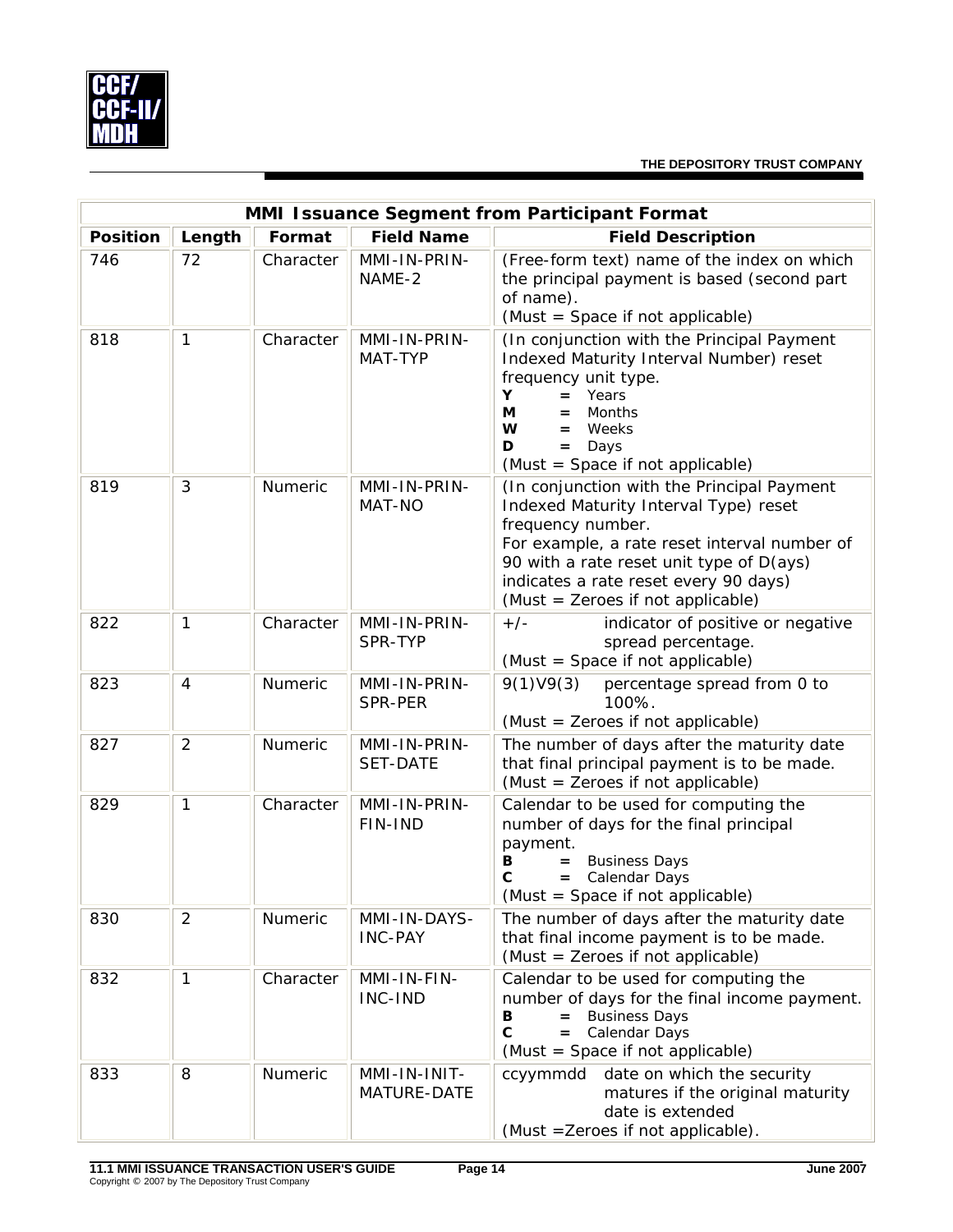

| MMI Issuance Segment from Participant Format                                         |                |           |                                 |                                                                                                                                                                                                                                                                                    |  |  |  |  |
|--------------------------------------------------------------------------------------|----------------|-----------|---------------------------------|------------------------------------------------------------------------------------------------------------------------------------------------------------------------------------------------------------------------------------------------------------------------------------|--|--|--|--|
| <b>Field Name</b><br><b>Position</b><br>Length<br>Format<br><b>Field Description</b> |                |           |                                 |                                                                                                                                                                                                                                                                                    |  |  |  |  |
| 746                                                                                  | 72             | Character | MMI-IN-PRIN-<br>NAME-2          | (Free-form text) name of the index on which<br>the principal payment is based (second part<br>of name).<br>(Must = Space if not applicable)                                                                                                                                        |  |  |  |  |
| 818                                                                                  | $\mathbf{1}$   | Character | MMI-IN-PRIN-<br>MAT-TYP         | (In conjunction with the Principal Payment<br>Indexed Maturity Interval Number) reset<br>frequency unit type.<br>Y<br>Years<br>$=$<br>М<br>Months<br>=<br>W<br>Weeks<br>$=$<br>D<br>Days<br>$=$<br>(Must = Space if not applicable)                                                |  |  |  |  |
| 819                                                                                  | 3              | Numeric   | MMI-IN-PRIN-<br>MAT-NO          | (In conjunction with the Principal Payment<br>Indexed Maturity Interval Type) reset<br>frequency number.<br>For example, a rate reset interval number of<br>90 with a rate reset unit type of D(ays)<br>indicates a rate reset every 90 days)<br>(Must = Zeroes if not applicable) |  |  |  |  |
| 822                                                                                  | $\mathbf{1}$   | Character | MMI-IN-PRIN-<br>SPR-TYP         | $+/-$<br>indicator of positive or negative<br>spread percentage.<br>(Must = Space if not applicable)                                                                                                                                                                               |  |  |  |  |
| 823                                                                                  | $\overline{4}$ | Numeric   | MMI-IN-PRIN-<br>SPR-PER         | 9(1)V9(3)<br>percentage spread from 0 to<br>100%.<br>(Must = Zeroes if not applicable)                                                                                                                                                                                             |  |  |  |  |
| 827                                                                                  | $\overline{2}$ | Numeric   | MMI-IN-PRIN-<br><b>SET-DATE</b> | The number of days after the maturity date<br>that final principal payment is to be made.<br>(Must = Zeroes if not applicable)                                                                                                                                                     |  |  |  |  |
| 829                                                                                  | $\mathbf{1}$   | Character | MMI-IN-PRIN-<br>FIN-IND         | Calendar to be used for computing the<br>number of days for the final principal<br>payment.<br><b>Business Days</b><br>В<br>$=$<br>C<br>= Calendar Days<br>(Must = Space if not applicable)                                                                                        |  |  |  |  |
| 830                                                                                  | $\overline{2}$ | Numeric   | MMI-IN-DAYS-<br><b>INC-PAY</b>  | The number of days after the maturity date<br>that final income payment is to be made.<br>(Must = Zeroes if not applicable)                                                                                                                                                        |  |  |  |  |
| 832                                                                                  | $\mathbf{1}$   | Character | MMI-IN-FIN-<br>INC-IND          | Calendar to be used for computing the<br>number of days for the final income payment.<br><b>Business Days</b><br>В<br>$\mathbf{C}$<br>Calendar Days<br>$=$<br>(Must = Space if not applicable)                                                                                     |  |  |  |  |
| 833                                                                                  | 8              | Numeric   | MMI-IN-INIT-<br>MATURE-DATE     | ccyymmdd date on which the security<br>matures if the original maturity<br>date is extended<br>(Must = Zeroes if not applicable).                                                                                                                                                  |  |  |  |  |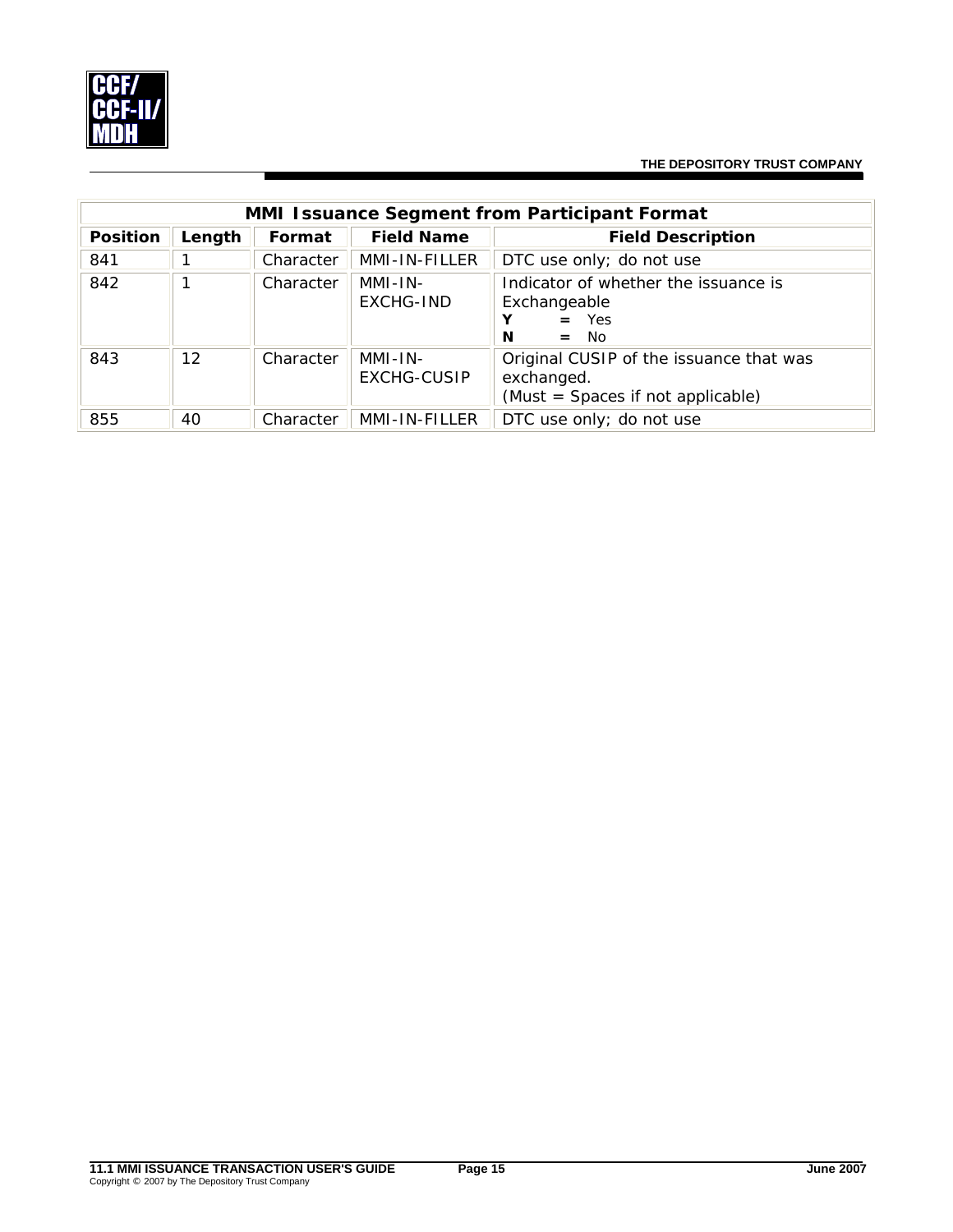

|                 | <b>MMI Issuance Segment from Participant Format</b> |           |                               |                                                                                            |  |  |  |  |  |
|-----------------|-----------------------------------------------------|-----------|-------------------------------|--------------------------------------------------------------------------------------------|--|--|--|--|--|
| <b>Position</b> | Length                                              | Format    | <b>Field Name</b>             | <b>Field Description</b>                                                                   |  |  |  |  |  |
| 841             |                                                     | Character | MMI-IN-FILLER                 | DTC use only; do not use                                                                   |  |  |  |  |  |
| 842             |                                                     | Character | MMI-IN-<br>EXCHG-IND          | Indicator of whether the issuance is<br>Exchangeable<br>$=$ Yes<br>N<br>$=$ No             |  |  |  |  |  |
| 843             | 12                                                  | Character | MMI-IN-<br><b>EXCHG-CUSIP</b> | Original CUSIP of the issuance that was<br>exchanged.<br>(Must = Spaces if not applicable) |  |  |  |  |  |
| 855             | 40                                                  | Character | MMI-IN-FILLER                 | DTC use only; do not use                                                                   |  |  |  |  |  |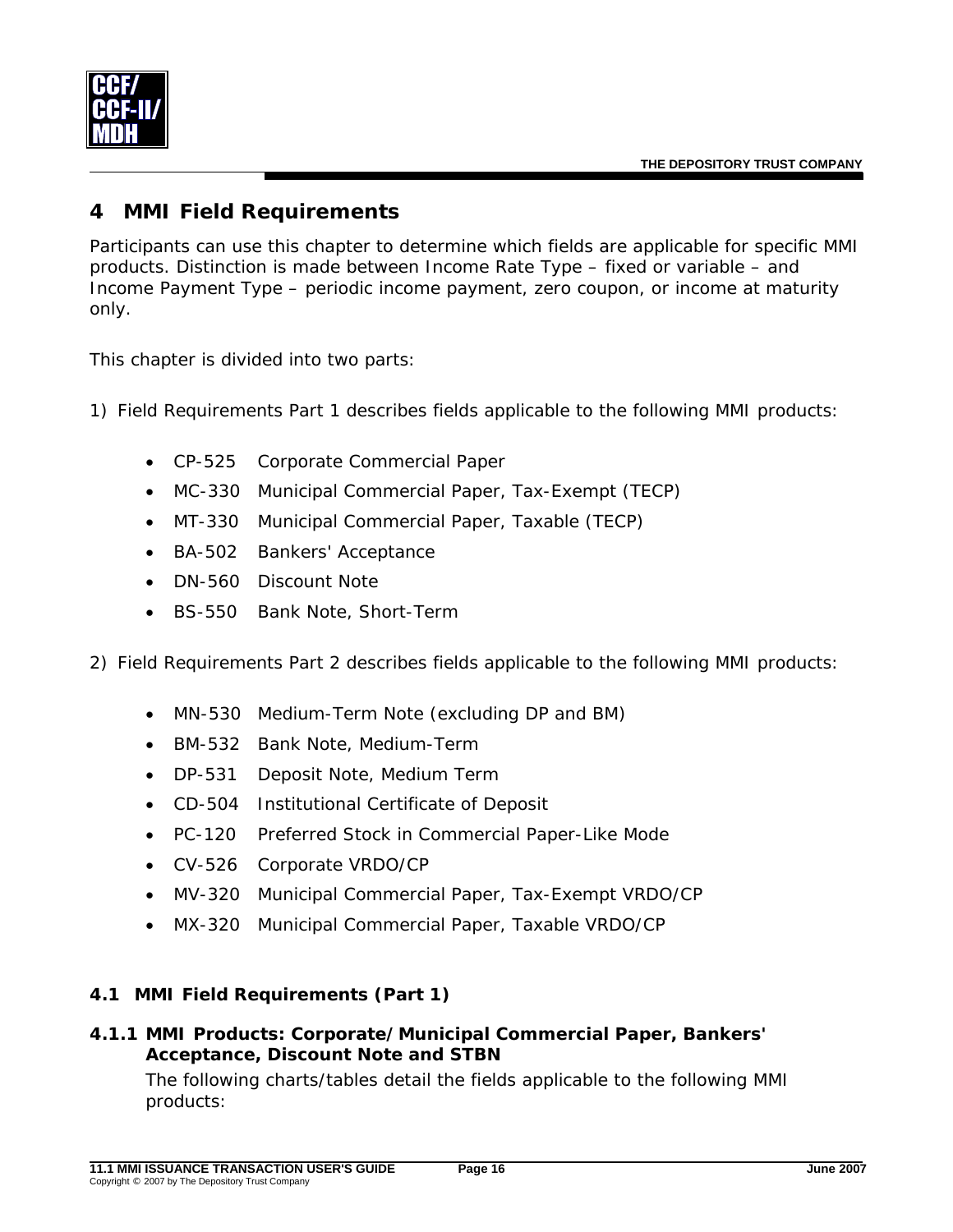# <span id="page-18-0"></span>**4 MMI Field Requirements**

Participants can use this chapter to determine which fields are applicable for specific MMI products. Distinction is made between Income Rate Type – fixed or variable – and Income Payment Type – periodic income payment, zero coupon, or income at maturity only.

This chapter is divided into two parts:

1) Field Requirements Part 1 describes fields applicable to the following MMI products:

- CP-525 Corporate Commercial Paper
- MC-330 Municipal Commercial Paper, Tax-Exempt (TECP)
- MT-330 Municipal Commercial Paper, Taxable (TECP)
- BA-502 Bankers' Acceptance
- DN-560 Discount Note
- BS-550 Bank Note, Short-Term

2) Field Requirements Part 2 describes fields applicable to the following MMI products:

- MN-530 Medium-Term Note (excluding DP and BM)
- BM-532 Bank Note, Medium-Term
- DP-531 Deposit Note, Medium Term
- CD-504 Institutional Certificate of Deposit
- PC-120 Preferred Stock in Commercial Paper-Like Mode
- CV-526 Corporate VRDO/CP
- MV-320 Municipal Commercial Paper, Tax-Exempt VRDO/CP
- MX-320 Municipal Commercial Paper, Taxable VRDO/CP

#### **4.1 MMI Field Requirements (Part 1)**

#### *4.1.1 MMI Products: Corporate/Municipal Commercial Paper, Bankers' Acceptance, Discount Note and STBN*

The following charts/tables detail the fields applicable to the following MMI products: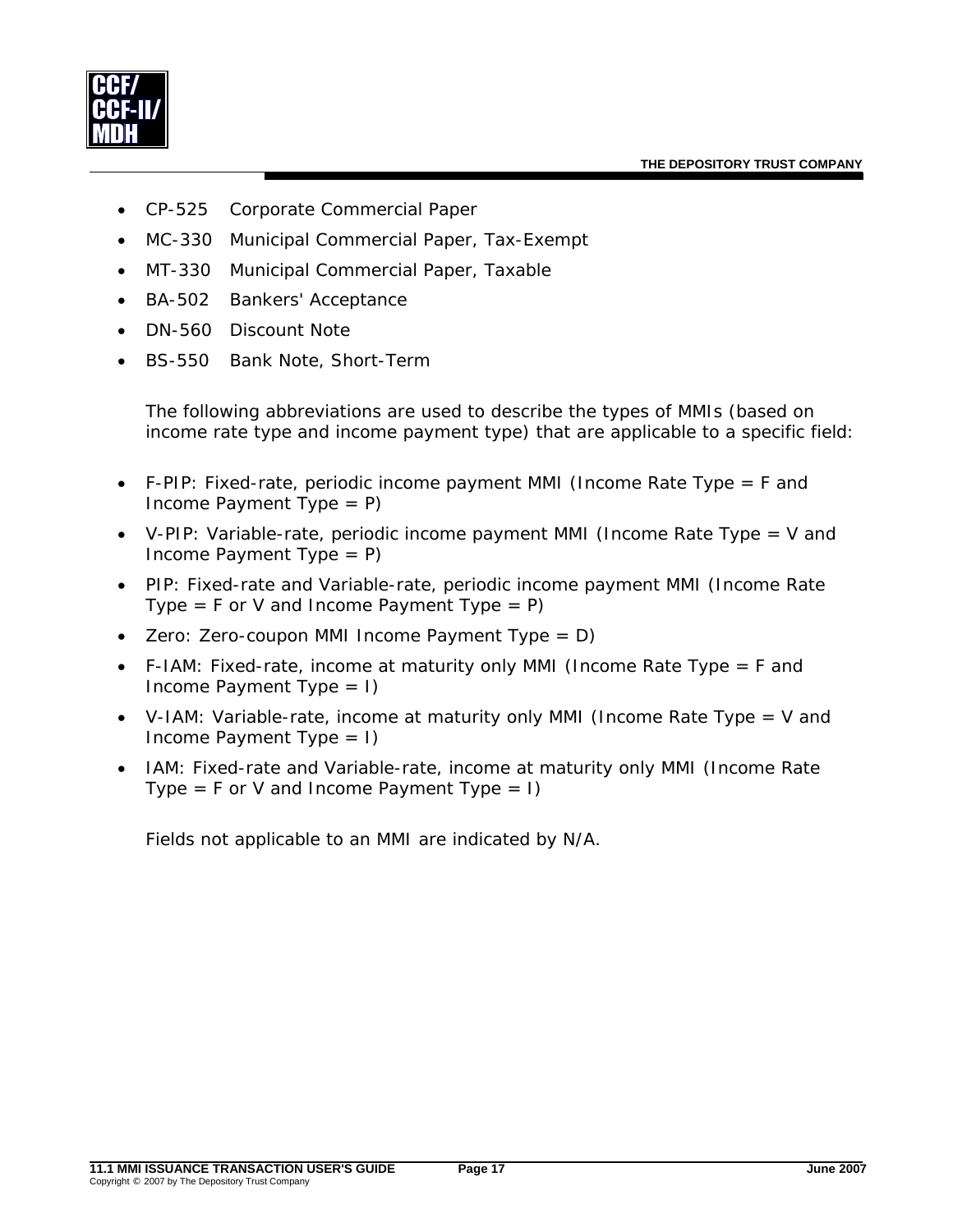

- CP-525 Corporate Commercial Paper
- MC-330 Municipal Commercial Paper, Tax-Exempt
- MT-330 Municipal Commercial Paper, Taxable
- BA-502 Bankers' Acceptance
- DN-560 Discount Note
- BS-550 Bank Note, Short-Term

The following abbreviations are used to describe the types of MMIs (based on income rate type and income payment type) that are applicable to a specific field:

- F-PIP: Fixed-rate, periodic income payment MMI (Income Rate Type  $=$  F and Income Payment Type = P)
- V-PIP: Variable-rate, periodic income payment MMI (Income Rate Type = V and Income Payment Type = P)
- PIP: Fixed-rate and Variable-rate, periodic income payment MMI (Income Rate Type =  $F$  or V and Income Payment Type =  $P$ )
- Zero: Zero-coupon MMI Income Payment Type =  $D$ )
- F-IAM: Fixed-rate, income at maturity only MMI (Income Rate Type = F and Income Payment Type  $= 1$ )
- V-IAM: Variable-rate, income at maturity only MMI (Income Rate Type = V and Income Payment Type  $= 1$ )
- IAM: Fixed-rate and Variable-rate, income at maturity only MMI (Income Rate Type = F or V and Income Payment Type =  $I$ )

Fields not applicable to an MMI are indicated by N/A.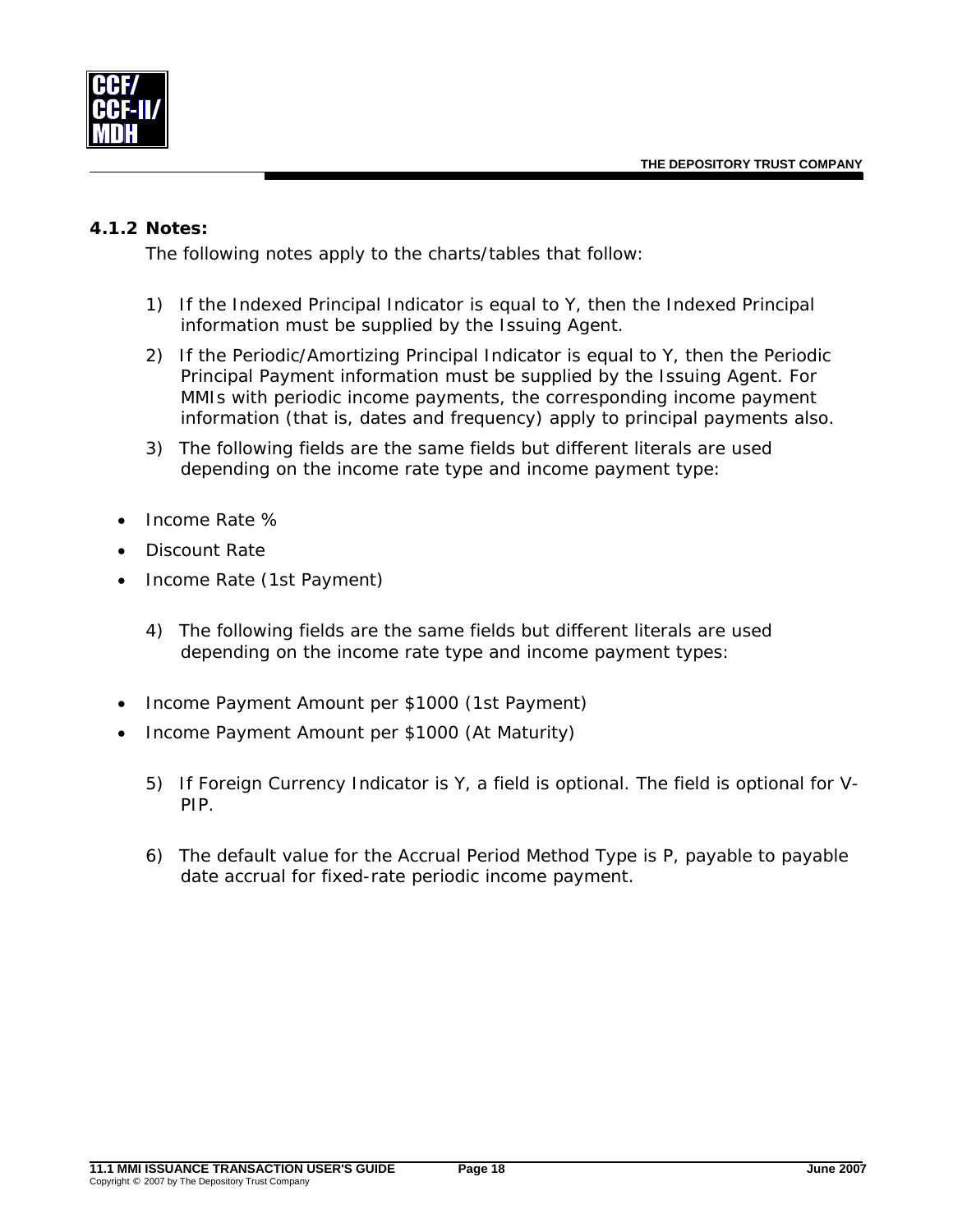<span id="page-20-0"></span>

#### <span id="page-20-1"></span>*4.1.2 Notes:*

The following notes apply to the charts/tables that follow:

- 1) If the Indexed Principal Indicator is equal to Y, then the Indexed Principal information must be supplied by the Issuing Agent.
- <span id="page-20-2"></span>2) If the Periodic/Amortizing Principal Indicator is equal to Y, then the Periodic Principal Payment information must be supplied by the Issuing Agent. For MMIs with periodic income payments, the corresponding income payment information (that is, dates and frequency) apply to principal payments also.
- 3) The following fields are the same fields but different literals are used depending on the income rate type and income payment type:
- Income Rate %
- Discount Rate
- Income Rate (1st Payment)
	- 4) The following fields are the same fields but different literals are used depending on the income rate type and income payment types:
- Income Payment Amount per \$1000 (1st Payment)
- Income Payment Amount per \$1000 (At Maturity)
	- 5) If Foreign Currency Indicator is Y, a field is optional. The field is optional for V-PIP.
	- 6) The default value for the Accrual Period Method Type is P, payable to payable date accrual for fixed-rate periodic income payment.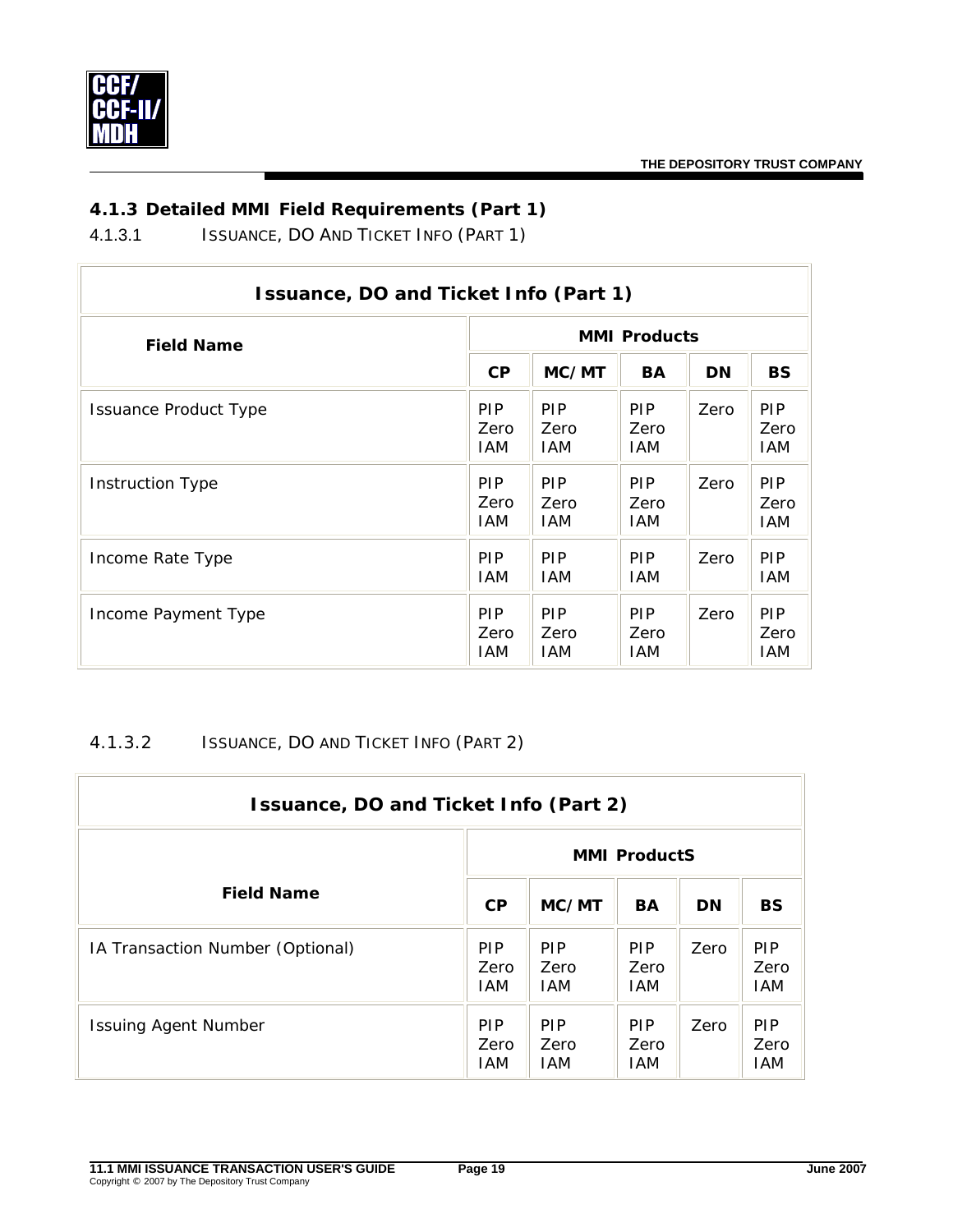<span id="page-21-0"></span>

# *4.1.3 Detailed MMI Field Requirements (Part 1)*

4.1.3.1 ISSUANCE, DO AND TICKET INFO (PART 1)

| Issuance, DO and Ticket Info (Part 1) |                            |                            |                           |           |                                  |  |  |  |
|---------------------------------------|----------------------------|----------------------------|---------------------------|-----------|----------------------------------|--|--|--|
| <b>Field Name</b>                     | <b>MMI Products</b>        |                            |                           |           |                                  |  |  |  |
|                                       | <b>CP</b>                  | MC/MT                      | BA                        | <b>DN</b> | <b>BS</b>                        |  |  |  |
| <b>Issuance Product Type</b>          | <b>PIP</b><br>Zero<br>IAM. | <b>PIP</b><br>Zero<br>IAM. | <b>PIP</b><br>Zero<br>IAM | Zero      | PIP.<br>Zero<br>IAM              |  |  |  |
| <b>Instruction Type</b>               | <b>PIP</b><br>Zero<br>IAM. | <b>PIP</b><br>Zero<br>IAM. | <b>PIP</b><br>Zero<br>IAM | Zero      | <b>PIP</b><br>Zero<br>IAM        |  |  |  |
| Income Rate Type                      | <b>PIP</b><br>IAM.         | <b>PIP</b><br><b>IAM</b>   | <b>PIP</b><br>IAM         | Zero      | PIP.<br>IAM.                     |  |  |  |
| Income Payment Type                   | <b>PIP</b><br>Zero<br>IAM  | <b>PIP</b><br>Zero<br>IAM  | <b>PIP</b><br>Zero<br>IAM | Zero      | <b>PIP</b><br>Zero<br><b>IAM</b> |  |  |  |

# 4.1.3.2 ISSUANCE, DO AND TICKET INFO (PART 2)

| Issuance, DO and Ticket Info (Part 2) |                                  |                                  |                                  |           |                           |  |  |
|---------------------------------------|----------------------------------|----------------------------------|----------------------------------|-----------|---------------------------|--|--|
|                                       | <b>MMI ProductS</b>              |                                  |                                  |           |                           |  |  |
| <b>Field Name</b>                     | CP                               | MC/MT                            | <b>BA</b>                        | <b>DN</b> | <b>BS</b>                 |  |  |
| IA Transaction Number (Optional)      | <b>PIP</b><br>Zero<br><b>IAM</b> | <b>PIP</b><br>Zero<br><b>IAM</b> | <b>PIP</b><br>Zero<br><b>IAM</b> | Zero      | <b>PIP</b><br>Zero<br>IAM |  |  |
| <b>Issuing Agent Number</b>           | <b>PIP</b><br>Zero<br><b>IAM</b> | <b>PIP</b><br>Zero<br><b>IAM</b> | <b>PIP</b><br>Zero<br><b>IAM</b> | Zero      | <b>PIP</b><br>Zero<br>IAM |  |  |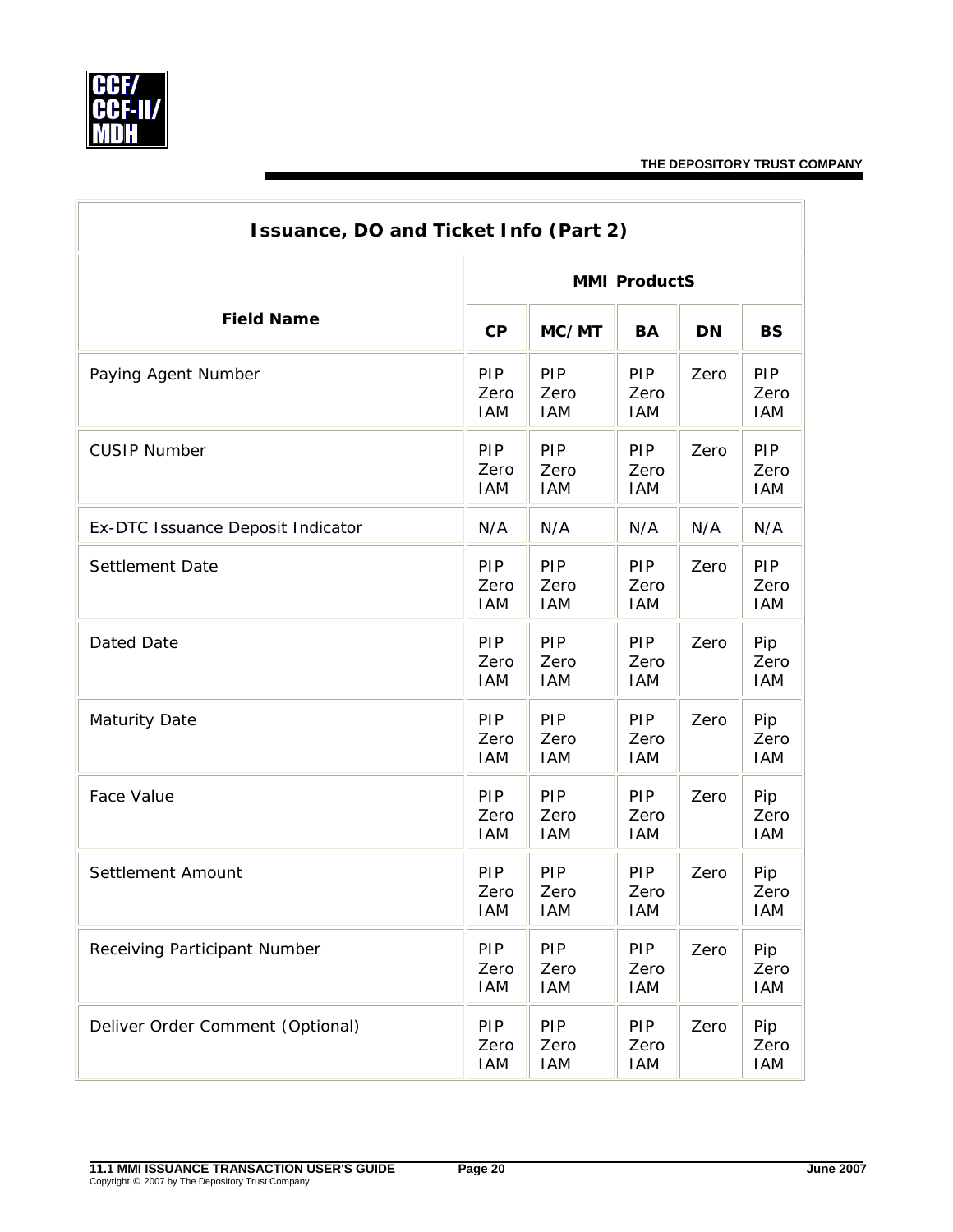

| <b>Issuance, DO and Ticket Info (Part 2)</b> |                                  |                           |                           |           |                                  |  |  |
|----------------------------------------------|----------------------------------|---------------------------|---------------------------|-----------|----------------------------------|--|--|
|                                              |                                  | <b>MMI ProductS</b>       |                           |           |                                  |  |  |
| <b>Field Name</b>                            | CP                               | MC/MT                     | <b>BA</b>                 | <b>DN</b> | <b>BS</b>                        |  |  |
| Paying Agent Number                          | PIP<br>Zero<br><b>IAM</b>        | PIP<br>Zero<br><b>IAM</b> | PIP<br>Zero<br><b>IAM</b> | Zero      | PIP<br>Zero<br><b>IAM</b>        |  |  |
| <b>CUSIP Number</b>                          | PIP<br>Zero<br><b>IAM</b>        | PIP<br>Zero<br><b>IAM</b> | PIP<br>Zero<br><b>IAM</b> | Zero      | PIP<br>Zero<br><b>IAM</b>        |  |  |
| Ex-DTC Issuance Deposit Indicator            | N/A                              | N/A                       | N/A                       | N/A       | N/A                              |  |  |
| Settlement Date                              | <b>PIP</b><br>Zero<br><b>IAM</b> | PIP<br>Zero<br><b>IAM</b> | PIP<br>Zero<br><b>IAM</b> | Zero      | <b>PIP</b><br>Zero<br><b>IAM</b> |  |  |
| Dated Date                                   | PIP<br>Zero<br><b>IAM</b>        | PIP<br>Zero<br><b>IAM</b> | PIP<br>Zero<br><b>IAM</b> | Zero      | Pip<br>Zero<br><b>IAM</b>        |  |  |
| <b>Maturity Date</b>                         | PIP<br>Zero<br><b>IAM</b>        | PIP<br>Zero<br><b>IAM</b> | PIP<br>Zero<br><b>IAM</b> | Zero      | Pip<br>Zero<br><b>IAM</b>        |  |  |
| Face Value                                   | PIP<br>Zero<br><b>IAM</b>        | PIP<br>Zero<br><b>IAM</b> | PIP<br>Zero<br><b>IAM</b> | Zero      | Pip<br>Zero<br><b>IAM</b>        |  |  |
| Settlement Amount                            | PIP<br>Zero<br>IAM               | PIP<br>Zero<br>IAM        | PIP<br>Zero<br><b>IAM</b> | Zero      | Pip<br>Zero<br>IAM               |  |  |
| Receiving Participant Number                 | <b>PIP</b><br>Zero<br><b>IAM</b> | PIP<br>Zero<br><b>IAM</b> | PIP<br>Zero<br><b>IAM</b> | Zero      | Pip<br>Zero<br><b>IAM</b>        |  |  |
| Deliver Order Comment (Optional)             | PIP<br>Zero<br><b>IAM</b>        | PIP<br>Zero<br><b>IAM</b> | PIP<br>Zero<br><b>IAM</b> | Zero      | Pip<br>Zero<br><b>IAM</b>        |  |  |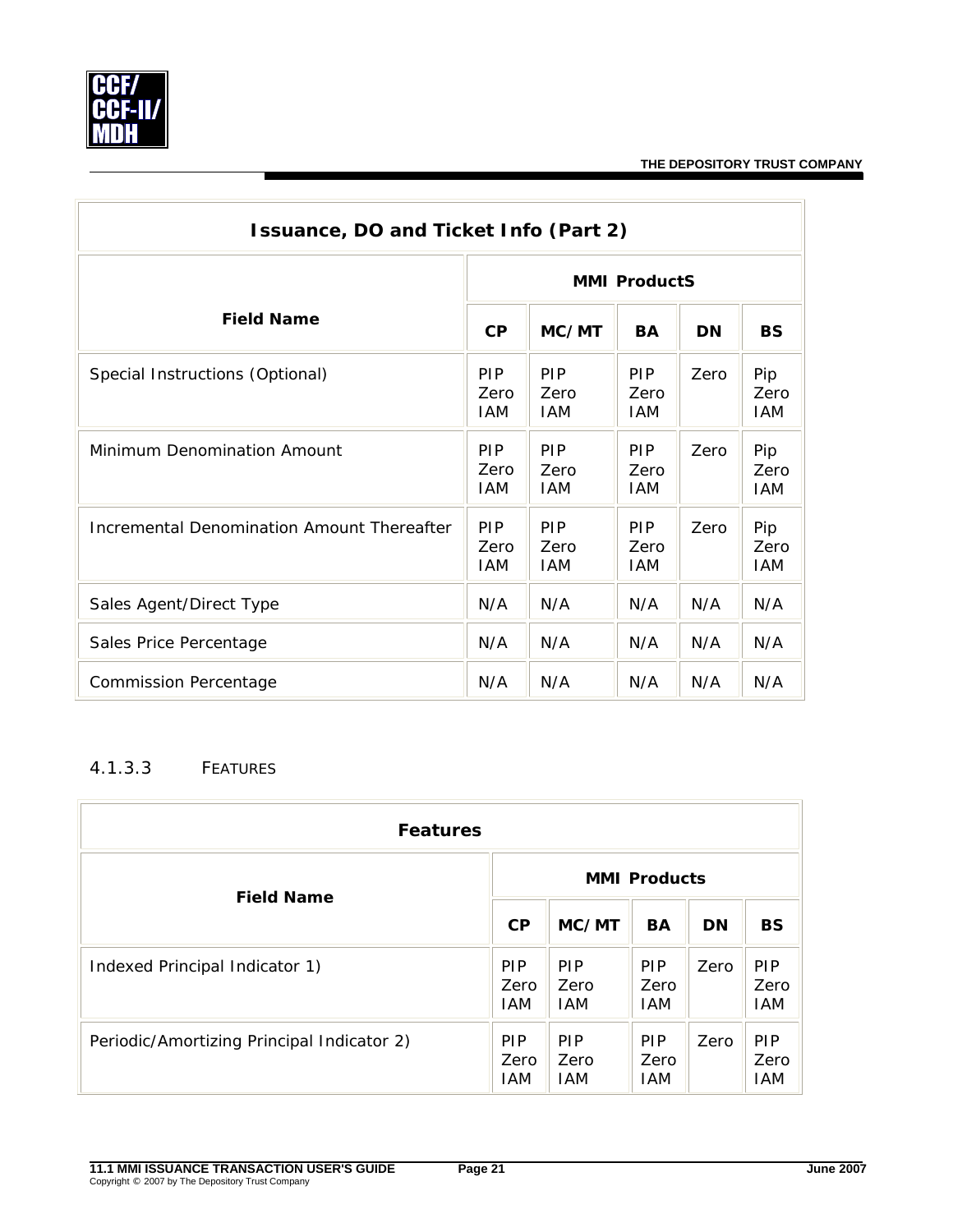<span id="page-23-0"></span>

÷,

| Issuance, DO and Ticket Info (Part 2)      |                                  |                                  |                                  |           |                           |  |  |
|--------------------------------------------|----------------------------------|----------------------------------|----------------------------------|-----------|---------------------------|--|--|
|                                            | <b>MMI ProductS</b>              |                                  |                                  |           |                           |  |  |
| <b>Field Name</b>                          | CP                               | MC/MT                            | <b>BA</b>                        | <b>DN</b> | <b>BS</b>                 |  |  |
| Special Instructions (Optional)            | PIP<br>Zero<br><b>IAM</b>        | PIP<br>Zero<br><b>IAM</b>        | <b>PIP</b><br>Zero<br><b>IAM</b> | Zero      | Pip<br>Zero<br><b>IAM</b> |  |  |
| Minimum Denomination Amount                | <b>PIP</b><br>Zero<br><b>IAM</b> | <b>PIP</b><br>Zero<br><b>IAM</b> | <b>PIP</b><br>Zero<br><b>IAM</b> | Zero      | Pip<br>Zero<br><b>IAM</b> |  |  |
| Incremental Denomination Amount Thereafter | PIP<br>Zero<br><b>IAM</b>        | <b>PIP</b><br>Zero<br><b>IAM</b> | <b>PIP</b><br>Zero<br><b>IAM</b> | Zero      | Pip<br>Zero<br><b>IAM</b> |  |  |
| Sales Agent/Direct Type                    | N/A                              | N/A                              | N/A                              | N/A       | N/A                       |  |  |
| Sales Price Percentage                     | N/A                              | N/A                              | N/A                              | N/A       | N/A                       |  |  |
| <b>Commission Percentage</b>               | N/A                              | N/A                              | N/A                              | N/A       | N/A                       |  |  |

### 4.1.3.3 FEATURES

| <b>Features</b>                            |                                  |                                  |                                  |           |                                  |  |
|--------------------------------------------|----------------------------------|----------------------------------|----------------------------------|-----------|----------------------------------|--|
| <b>Field Name</b>                          | <b>MMI Products</b>              |                                  |                                  |           |                                  |  |
|                                            | CP                               | MC/MT                            | <b>BA</b>                        | <b>DN</b> | <b>BS</b>                        |  |
| Indexed Principal Indicator 1)             | <b>PIP</b><br>Zero<br><b>IAM</b> | <b>PIP</b><br>Zero<br><b>IAM</b> | <b>PIP</b><br>Zero<br><b>IAM</b> | Zero      | <b>PIP</b><br>Zero<br><b>IAM</b> |  |
| Periodic/Amortizing Principal Indicator 2) | <b>PIP</b><br>Zero<br><b>IAM</b> | <b>PIP</b><br>Zero<br><b>IAM</b> | <b>PIP</b><br>Zero<br>IAM        | Zero      | <b>PIP</b><br>Zero<br>IAM        |  |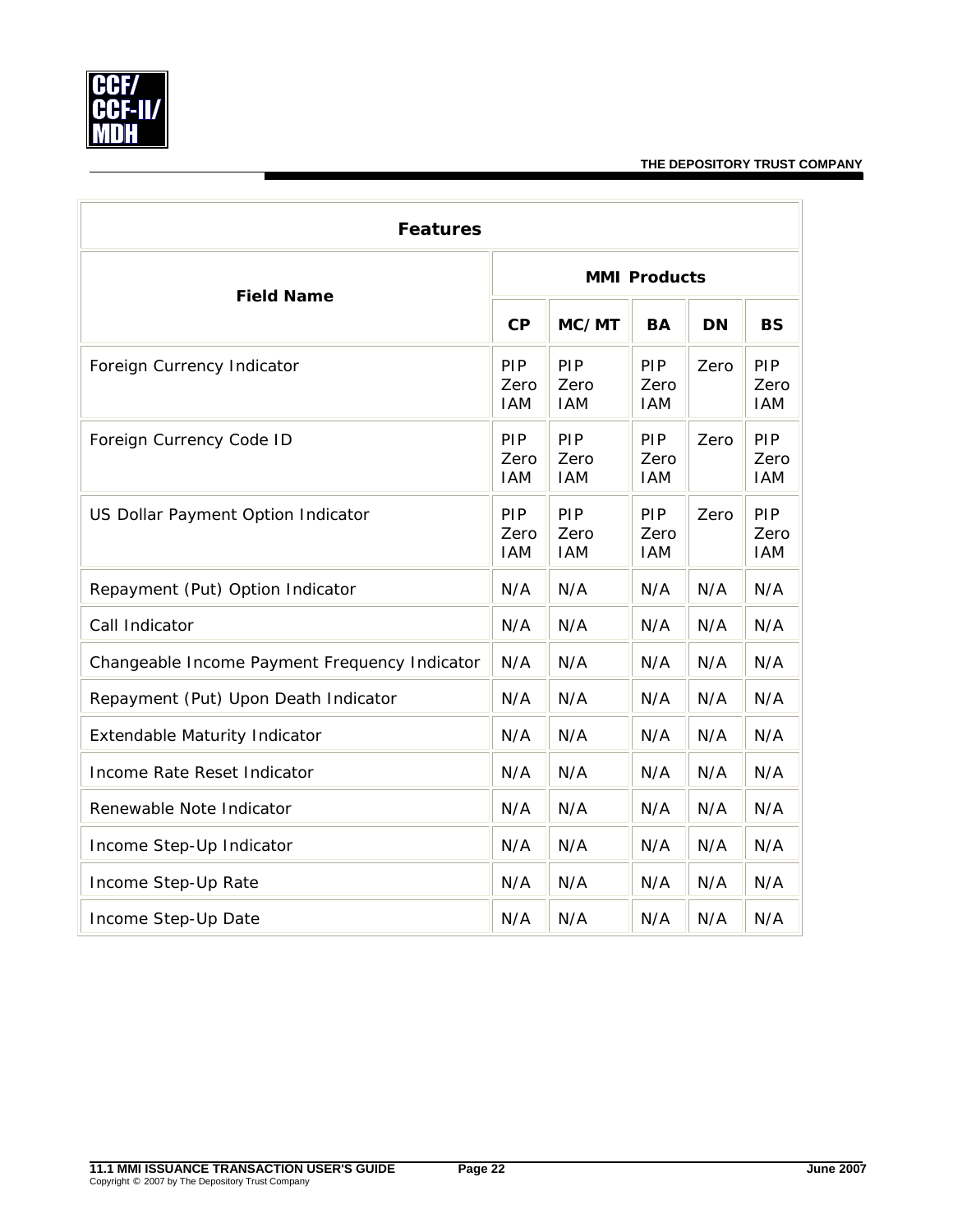

| <b>Features</b>                               |                           |                           |                           |           |                           |  |  |
|-----------------------------------------------|---------------------------|---------------------------|---------------------------|-----------|---------------------------|--|--|
|                                               | <b>MMI Products</b>       |                           |                           |           |                           |  |  |
| <b>Field Name</b>                             |                           | MC/MT                     | <b>BA</b>                 | <b>DN</b> | <b>BS</b>                 |  |  |
| Foreign Currency Indicator                    | PIP<br>Zero<br><b>IAM</b> | PIP<br>Zero<br><b>IAM</b> | PIP<br>Zero<br><b>IAM</b> | Zero      | PIP<br>Zero<br><b>IAM</b> |  |  |
| Foreign Currency Code ID                      | PIP<br>Zero<br><b>IAM</b> | PIP<br>Zero<br><b>IAM</b> | PIP<br>Zero<br><b>IAM</b> | Zero      | PIP<br>Zero<br><b>IAM</b> |  |  |
| US Dollar Payment Option Indicator            | PIP<br>Zero<br><b>IAM</b> | PIP<br>Zero<br><b>IAM</b> | PIP<br>Zero<br><b>IAM</b> | Zero      | PIP<br>Zero<br><b>IAM</b> |  |  |
| Repayment (Put) Option Indicator              | N/A                       | N/A                       | N/A                       | N/A       | N/A                       |  |  |
| Call Indicator                                | N/A                       | N/A                       | N/A                       | N/A       | N/A                       |  |  |
| Changeable Income Payment Frequency Indicator | N/A                       | N/A                       | N/A                       | N/A       | N/A                       |  |  |
| Repayment (Put) Upon Death Indicator          | N/A                       | N/A                       | N/A                       | N/A       | N/A                       |  |  |
| Extendable Maturity Indicator                 | N/A                       | N/A                       | N/A                       | N/A       | N/A                       |  |  |
| Income Rate Reset Indicator                   | N/A                       | N/A                       | N/A                       | N/A       | N/A                       |  |  |
| Renewable Note Indicator                      | N/A                       | N/A                       | N/A                       | N/A       | N/A                       |  |  |
| Income Step-Up Indicator                      | N/A                       | N/A                       | N/A                       | N/A       | N/A                       |  |  |
| Income Step-Up Rate                           | N/A                       | N/A                       | N/A                       | N/A       | N/A                       |  |  |
| Income Step-Up Date                           | N/A                       | N/A                       | N/A                       | N/A       | N/A                       |  |  |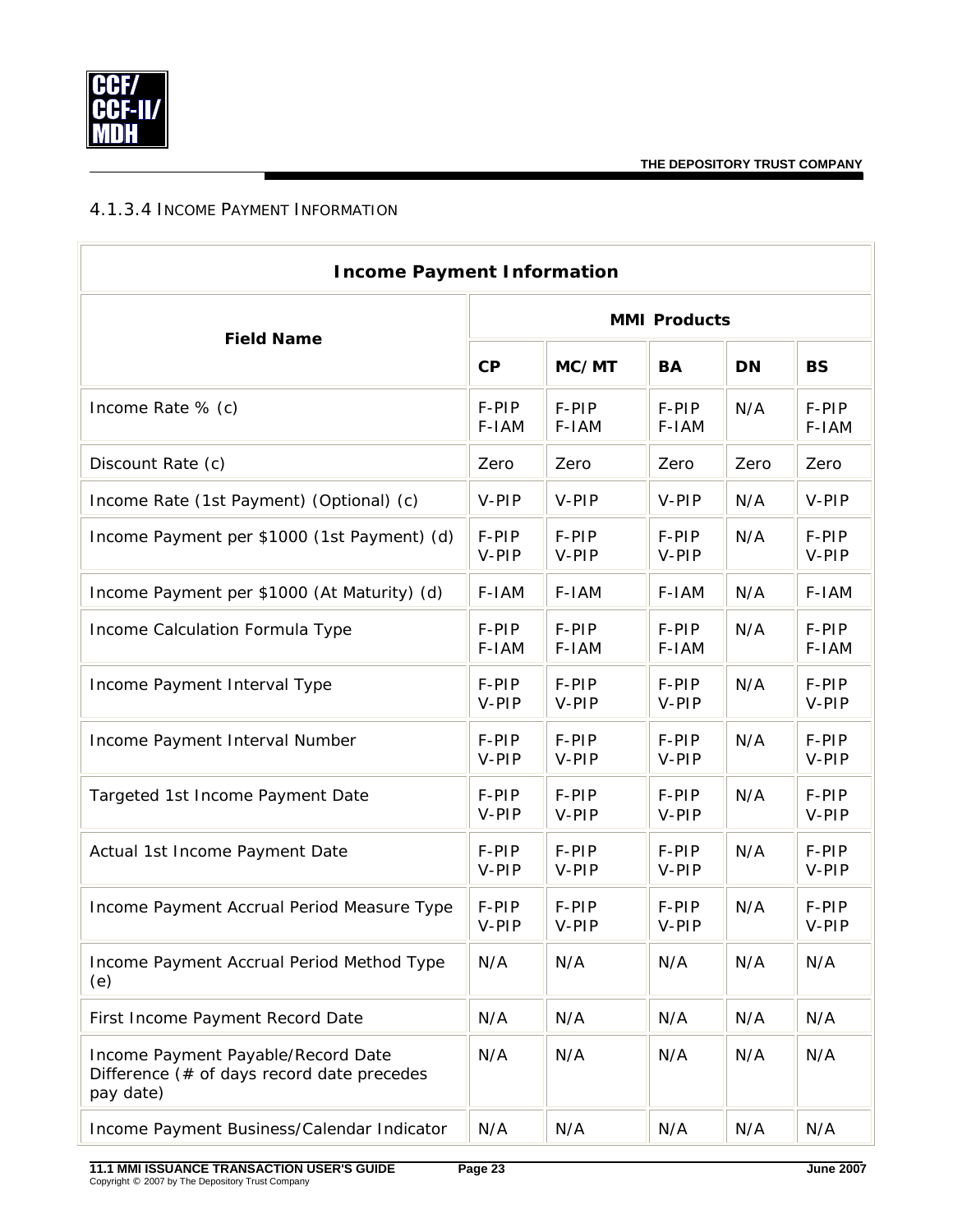<span id="page-25-0"></span>

#### 4.1.3.4 INCOME PAYMENT INFORMATION

| <b>Income Payment Information</b>                                                                |                     |                |                |           |                |  |  |
|--------------------------------------------------------------------------------------------------|---------------------|----------------|----------------|-----------|----------------|--|--|
| <b>Field Name</b>                                                                                | <b>MMI Products</b> |                |                |           |                |  |  |
|                                                                                                  | CP                  | MC/MT          | <b>BA</b>      | <b>DN</b> | <b>BS</b>      |  |  |
| Income Rate % (c)                                                                                | F-PIP<br>F-IAM      | F-PIP<br>F-IAM | F-PIP<br>F-IAM | N/A       | F-PIP<br>F-IAM |  |  |
| Discount Rate (c)                                                                                | Zero                | Zero           | Zero           | Zero      | Zero           |  |  |
| Income Rate (1st Payment) (Optional) (c)                                                         | V-PIP               | V-PIP          | V-PIP          | N/A       | V-PIP          |  |  |
| Income Payment per \$1000 (1st Payment) (d)                                                      | F-PIP<br>V-PIP      | F-PIP<br>V-PIP | F-PIP<br>V-PIP | N/A       | F-PIP<br>V-PIP |  |  |
| Income Payment per \$1000 (At Maturity) (d)                                                      | F-IAM               | F-IAM          | F-IAM          | N/A       | F-IAM          |  |  |
| Income Calculation Formula Type                                                                  | F-PIP<br>F-IAM      | F-PIP<br>F-IAM | F-PIP<br>F-IAM | N/A       | F-PIP<br>F-IAM |  |  |
| Income Payment Interval Type                                                                     | F-PIP<br>V-PIP      | F-PIP<br>V-PIP | F-PIP<br>V-PIP | N/A       | F-PIP<br>V-PIP |  |  |
| Income Payment Interval Number                                                                   | F-PIP<br>V-PIP      | F-PIP<br>V-PIP | F-PIP<br>V-PIP | N/A       | F-PIP<br>V-PIP |  |  |
| Targeted 1st Income Payment Date                                                                 | F-PIP<br>V-PIP      | F-PIP<br>V-PIP | F-PIP<br>V-PIP | N/A       | F-PIP<br>V-PIP |  |  |
| Actual 1st Income Payment Date                                                                   | F-PIP<br>V-PIP      | F-PIP<br>V-PIP | F-PIP<br>V-PIP | N/A       | F-PIP<br>V-PIP |  |  |
| Income Payment Accrual Period Measure Type                                                       | F-PIP<br>V-PIP      | F-PIP<br>V-PIP | F-PIP<br>V-PIP | N/A       | F-PIP<br>V-PIP |  |  |
| Income Payment Accrual Period Method Type<br>(e)                                                 | N/A                 | N/A            | N/A            | N/A       | N/A            |  |  |
| First Income Payment Record Date                                                                 | N/A                 | N/A            | N/A            | N/A       | N/A            |  |  |
| Income Payment Payable/Record Date<br>Difference $($ # of days record date precedes<br>pay date) | N/A                 | N/A            | N/A            | N/A       | N/A            |  |  |
| Income Payment Business/Calendar Indicator                                                       | N/A                 | N/A            | N/A            | N/A       | N/A            |  |  |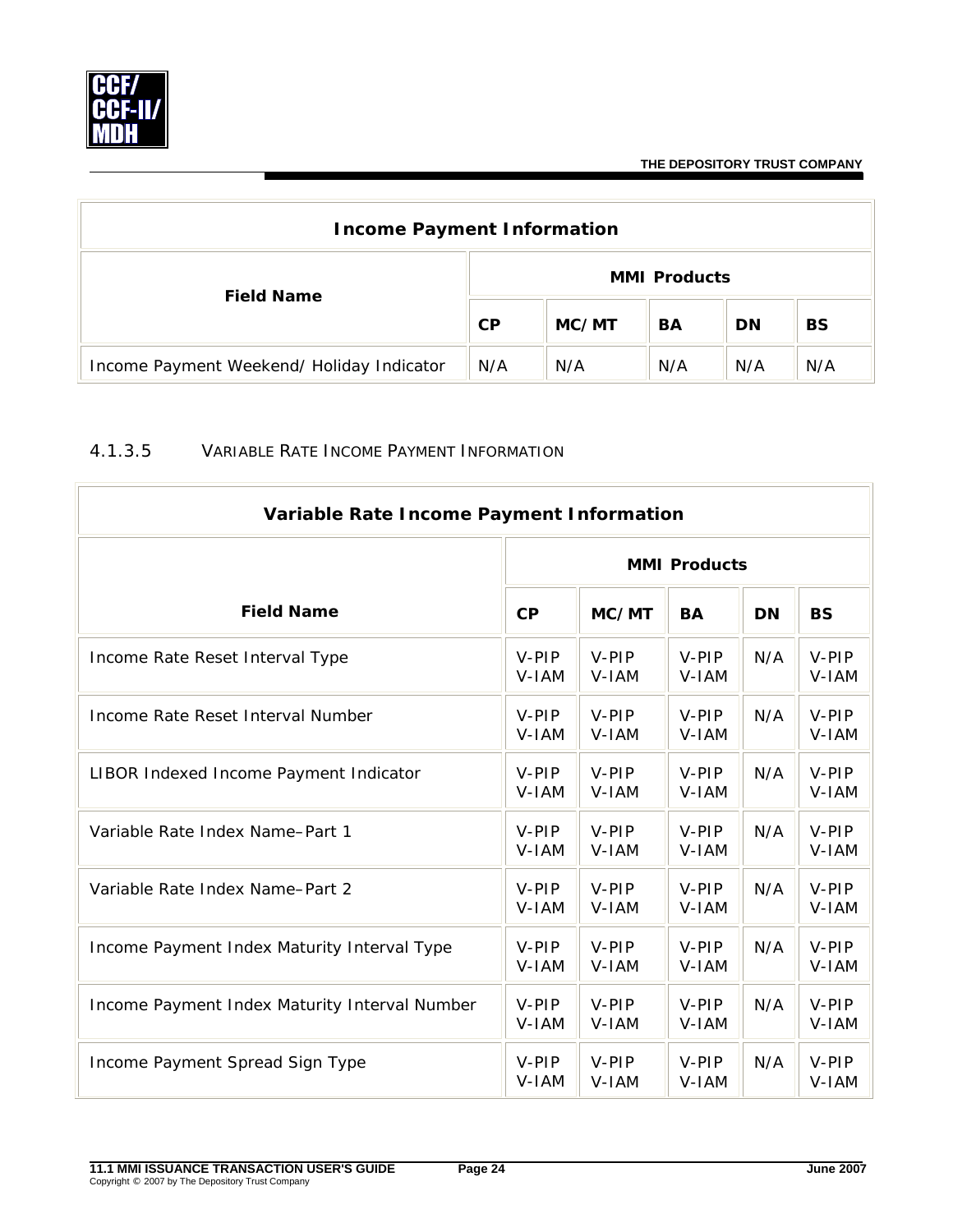<span id="page-26-0"></span>

| <b>Income Payment Information</b>         |                     |       |     |           |           |  |  |
|-------------------------------------------|---------------------|-------|-----|-----------|-----------|--|--|
| <b>Field Name</b>                         | <b>MMI Products</b> |       |     |           |           |  |  |
|                                           | CP                  | MC/MT | BA  | <b>DN</b> | <b>BS</b> |  |  |
| Income Payment Weekend/ Holiday Indicator | N/A                 | N/A   | N/A | N/A       | N/A       |  |  |

#### 4.1.3.5 VARIABLE RATE INCOME PAYMENT INFORMATION

| Variable Rate Income Payment Information      |                     |                |                  |           |                |  |  |  |
|-----------------------------------------------|---------------------|----------------|------------------|-----------|----------------|--|--|--|
|                                               | <b>MMI Products</b> |                |                  |           |                |  |  |  |
| <b>Field Name</b>                             | CP                  | MC/MT          | <b>BA</b>        | <b>DN</b> | <b>BS</b>      |  |  |  |
| Income Rate Reset Interval Type               | V-PIP<br>V-IAM      | V-PIP<br>V-IAM | V-PIP<br>V-IAM   | N/A       | V-PIP<br>V-IAM |  |  |  |
| Income Rate Reset Interval Number             | V-PIP<br>V-IAM      | V-PIP<br>V-IAM | V-PIP<br>V-IAM   | N/A       | V-PIP<br>V-IAM |  |  |  |
| LIBOR Indexed Income Payment Indicator        | V-PIP<br>V-IAM      | V-PIP<br>V-IAM | $V-PIP$<br>V-IAM | N/A       | V-PIP<br>V-IAM |  |  |  |
| Variable Rate Index Name-Part 1               | V-PIP<br>V-IAM      | V-PIP<br>V-IAM | V-PIP<br>V-IAM   | N/A       | V-PIP<br>V-IAM |  |  |  |
| Variable Rate Index Name-Part 2               | V-PIP<br>V-IAM      | V-PIP<br>V-IAM | V-PIP<br>V-IAM   | N/A       | V-PIP<br>V-IAM |  |  |  |
| Income Payment Index Maturity Interval Type   | V-PIP<br>V-IAM      | V-PIP<br>V-IAM | V-PIP<br>V-IAM   | N/A       | V-PIP<br>V-IAM |  |  |  |
| Income Payment Index Maturity Interval Number | V-PIP<br>V-IAM      | V-PIP<br>V-IAM | V-PIP<br>V-IAM   | N/A       | V-PIP<br>V-IAM |  |  |  |
| Income Payment Spread Sign Type               | V-PIP<br>V-IAM      | V-PIP<br>V-IAM | V-PIP<br>V-IAM   | N/A       | V-PIP<br>V-IAM |  |  |  |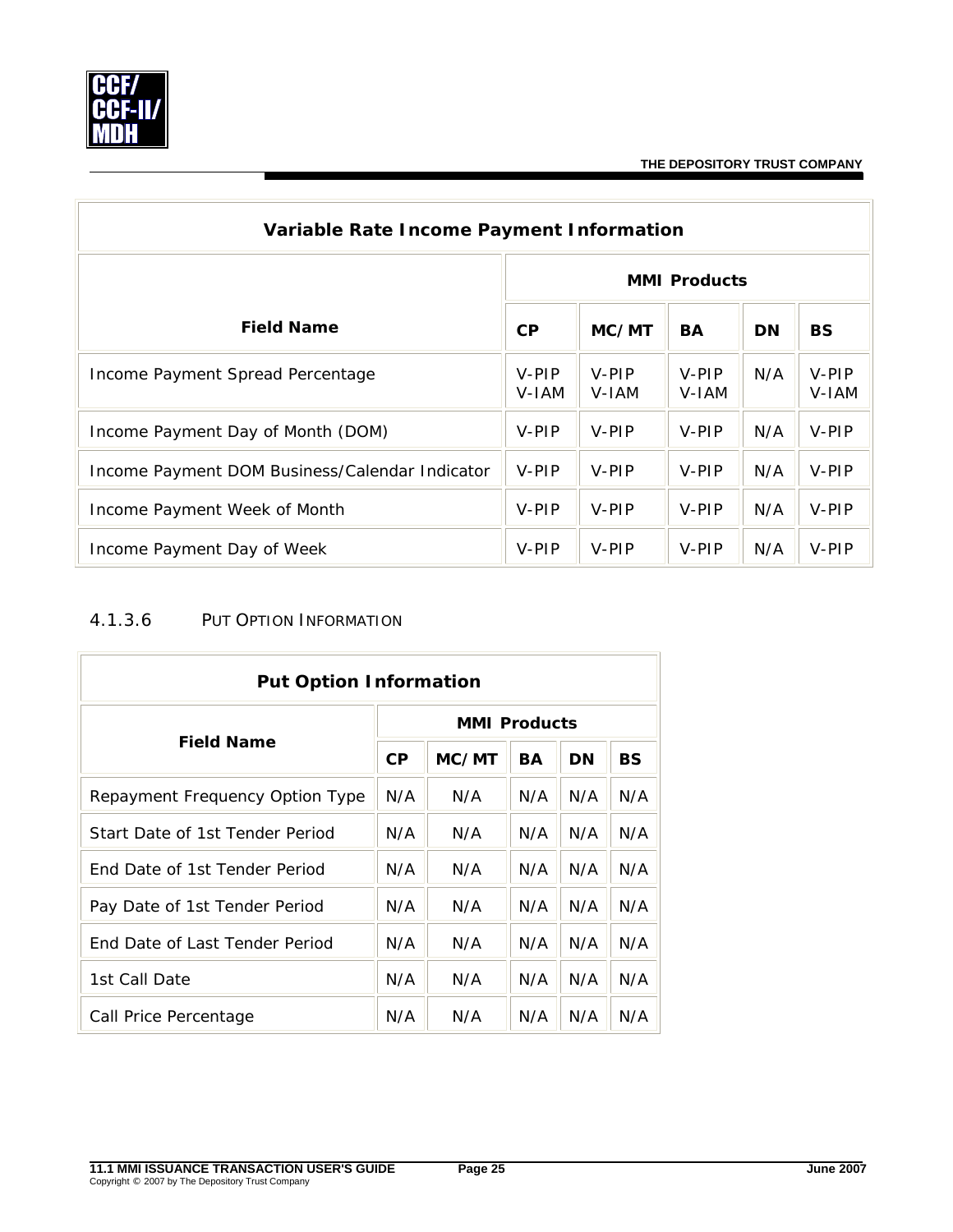<span id="page-27-0"></span>

| Variable Rate Income Payment Information       |                     |                |                |           |                |  |  |  |  |
|------------------------------------------------|---------------------|----------------|----------------|-----------|----------------|--|--|--|--|
|                                                | <b>MMI Products</b> |                |                |           |                |  |  |  |  |
| <b>Field Name</b>                              | <b>CP</b>           | MC/MT          | <b>BA</b>      | <b>DN</b> | <b>BS</b>      |  |  |  |  |
| Income Payment Spread Percentage               | V-PIP<br>V-IAM      | V-PIP<br>V-IAM | V-PIP<br>V-IAM | N/A       | V-PIP<br>V-IAM |  |  |  |  |
| Income Payment Day of Month (DOM)              | V-PIP               | V-PIP          | V-PIP          | N/A       | V-PIP          |  |  |  |  |
| Income Payment DOM Business/Calendar Indicator | V-PIP               | V-PIP          | V-PIP          | N/A       | V-PIP          |  |  |  |  |
| Income Payment Week of Month                   | V-PIP               | V-PIP          | V-PIP          | N/A       | V-PIP          |  |  |  |  |
| Income Payment Day of Week                     | V-PIP               | V-PIP          | V-PIP          | N/A       | V-PIP          |  |  |  |  |

# 4.1.3.6 PUT OPTION INFORMATION

| <b>Put Option Information</b>        |                     |       |     |     |     |  |  |  |
|--------------------------------------|---------------------|-------|-----|-----|-----|--|--|--|
|                                      | <b>MMI Products</b> |       |     |     |     |  |  |  |
| <b>Field Name</b>                    | <b>CP</b>           | MC/MT | BA  | DN  | BS  |  |  |  |
| Repayment Frequency Option Type      | N/A                 | N/A   | N/A | N/A | N/A |  |  |  |
| Start Date of 1st Tender Period      | N/A                 | N/A   | N/A | N/A | N/A |  |  |  |
| <b>Fnd Date of 1st Tender Period</b> | N/A                 | N/A   | N/A | N/A | N/A |  |  |  |
| Pay Date of 1st Tender Period        | N/A                 | N/A   | N/A | N/A | N/A |  |  |  |
| End Date of Last Tender Period       | N/A                 | N/A   | N/A | N/A | N/A |  |  |  |
| 1st Call Date                        | N/A                 | N/A   | N/A | N/A | N/A |  |  |  |
| Call Price Percentage                | N/A                 | N/A   | N/A | N/A | N/A |  |  |  |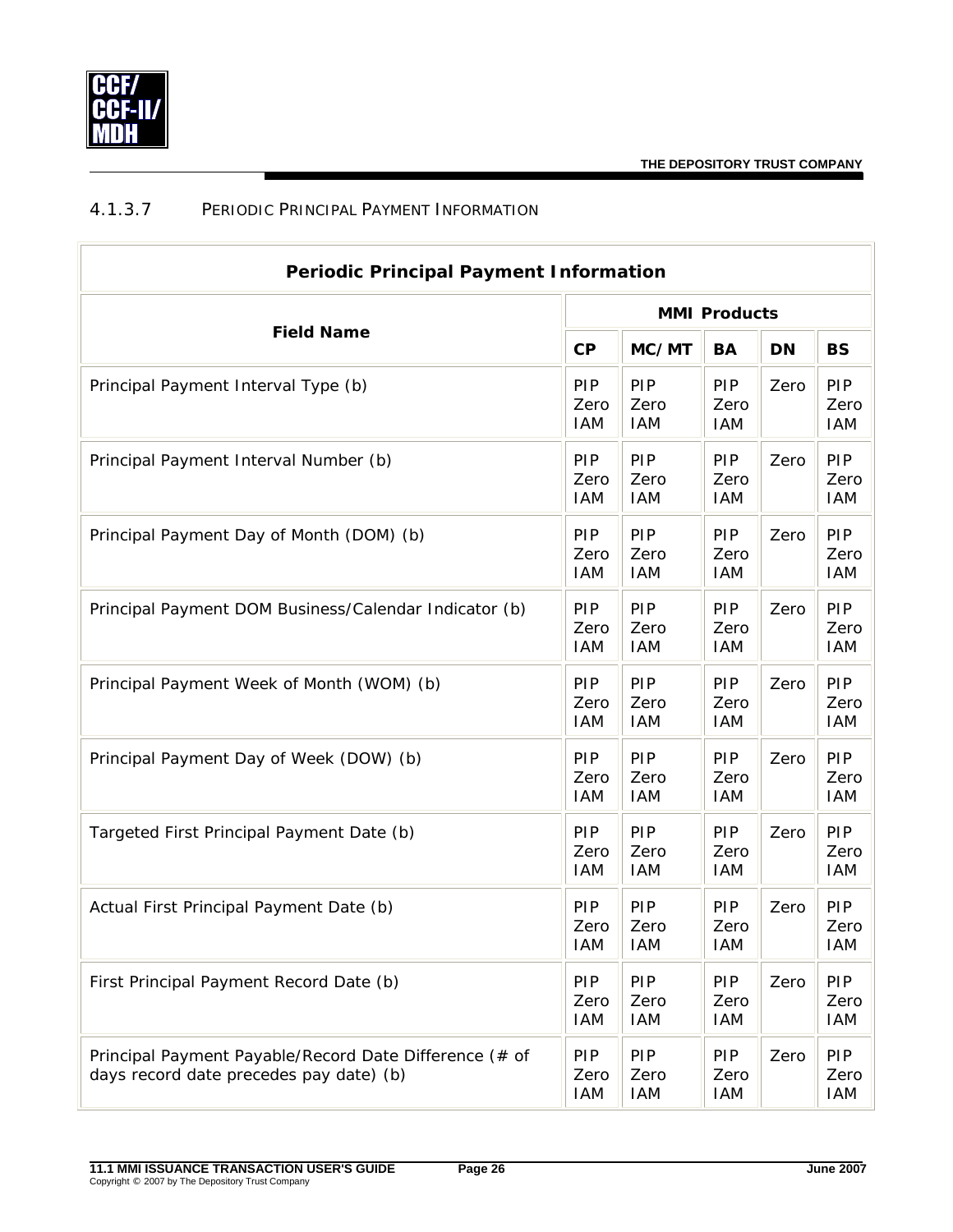<span id="page-28-0"></span>

# 4.1.3.7 PERIODIC PRINCIPAL PAYMENT INFORMATION

| <b>Periodic Principal Payment Information</b>                                                     |                                  |                                  |                                  |      |                                  |  |  |
|---------------------------------------------------------------------------------------------------|----------------------------------|----------------------------------|----------------------------------|------|----------------------------------|--|--|
|                                                                                                   | <b>MMI Products</b>              |                                  |                                  |      |                                  |  |  |
| <b>Field Name</b>                                                                                 | CP                               | MC/MT                            | BA                               | DN   | <b>BS</b>                        |  |  |
| Principal Payment Interval Type (b)                                                               | PIP<br>Zero<br><b>IAM</b>        | PIP<br>Zero<br><b>IAM</b>        | <b>PIP</b><br>Zero<br><b>IAM</b> | Zero | PIP<br>Zero<br><b>IAM</b>        |  |  |
| Principal Payment Interval Number (b)                                                             | PIP<br>Zero<br><b>IAM</b>        | PIP<br>Zero<br><b>IAM</b>        | <b>PIP</b><br>Zero<br><b>IAM</b> | Zero | PIP<br>Zero<br><b>IAM</b>        |  |  |
| Principal Payment Day of Month (DOM) (b)                                                          | <b>PIP</b><br>Zero<br><b>IAM</b> | PIP<br>Zero<br><b>IAM</b>        | <b>PIP</b><br>Zero<br><b>IAM</b> | Zero | PIP<br>Zero<br><b>IAM</b>        |  |  |
| Principal Payment DOM Business/Calendar Indicator (b)                                             | <b>PIP</b><br>Zero<br><b>IAM</b> | PIP<br>Zero<br><b>IAM</b>        | <b>PIP</b><br>Zero<br><b>IAM</b> | Zero | PIP<br>Zero<br><b>IAM</b>        |  |  |
| Principal Payment Week of Month (WOM) (b)                                                         | <b>PIP</b><br>Zero<br><b>IAM</b> | PIP<br>Zero<br><b>IAM</b>        | <b>PIP</b><br>Zero<br><b>IAM</b> | Zero | PIP<br>Zero<br><b>IAM</b>        |  |  |
| Principal Payment Day of Week (DOW) (b)                                                           | <b>PIP</b><br>Zero<br><b>IAM</b> | PIP<br>Zero<br><b>IAM</b>        | <b>PIP</b><br>Zero<br><b>IAM</b> | Zero | PIP<br>Zero<br><b>IAM</b>        |  |  |
| Targeted First Principal Payment Date (b)                                                         | PIP<br>Zero<br><b>IAM</b>        | PIP<br>Zero<br><b>IAM</b>        | <b>PIP</b><br>Zero<br><b>IAM</b> | Zero | PIP<br>Zero<br><b>IAM</b>        |  |  |
| Actual First Principal Payment Date (b)                                                           | <b>PIP</b><br>Zero<br><b>IAM</b> | PIP<br>Zero<br><b>IAM</b>        | <b>PIP</b><br>Zero<br><b>IAM</b> | Zero | <b>PIP</b><br>Zero<br><b>IAM</b> |  |  |
| First Principal Payment Record Date (b)                                                           | <b>PIP</b><br>Zero<br><b>IAM</b> | PIP<br>Zero<br><b>IAM</b>        | <b>PIP</b><br>Zero<br><b>IAM</b> | Zero | PIP<br>Zero<br>IAM               |  |  |
| Principal Payment Payable/Record Date Difference (# of<br>days record date precedes pay date) (b) | <b>PIP</b><br>Zero<br><b>IAM</b> | <b>PIP</b><br>Zero<br><b>IAM</b> | <b>PIP</b><br>Zero<br><b>IAM</b> | Zero | PIP<br>Zero<br>IAM               |  |  |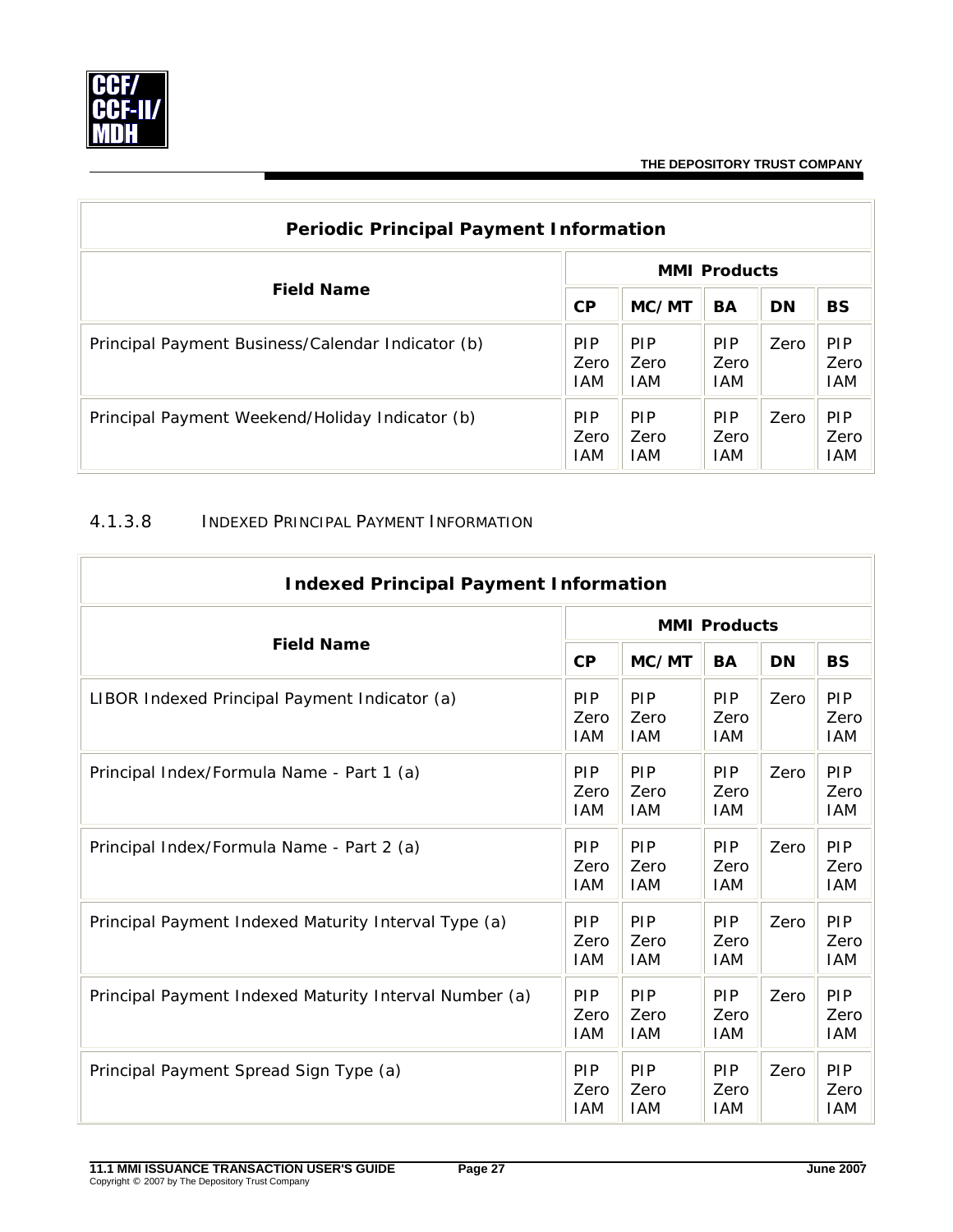<span id="page-29-0"></span>

| <b>Periodic Principal Payment Information</b>     |                           |                            |                                  |           |                                  |  |  |
|---------------------------------------------------|---------------------------|----------------------------|----------------------------------|-----------|----------------------------------|--|--|
| <b>Field Name</b>                                 | <b>MMI Products</b>       |                            |                                  |           |                                  |  |  |
|                                                   | CP                        | MC/MT                      | BA                               | <b>DN</b> | <b>BS</b>                        |  |  |
| Principal Payment Business/Calendar Indicator (b) | <b>PIP</b><br>Zero<br>IAM | <b>PIP</b><br>Zero<br>IAM  | <b>PIP</b><br>Zero<br><b>IAM</b> | Zero      | <b>PIP</b><br>Zero<br><b>IAM</b> |  |  |
| Principal Payment Weekend/Holiday Indicator (b)   | <b>PIP</b><br>Zero<br>IAM | <b>PIP</b><br>Zero<br>IAM. | <b>PIP</b><br>Zero<br><b>IAM</b> | Zero      | <b>PIP</b><br>Zero<br><b>IAM</b> |  |  |

#### 4.1.3.8 INDEXED PRINCIPAL PAYMENT INFORMATION

| <b>Indexed Principal Payment Information</b>           |                                  |                                  |                                  |           |                           |  |  |
|--------------------------------------------------------|----------------------------------|----------------------------------|----------------------------------|-----------|---------------------------|--|--|
|                                                        | <b>MMI Products</b>              |                                  |                                  |           |                           |  |  |
| <b>Field Name</b>                                      | CP                               | MC/MT                            | <b>BA</b>                        | <b>DN</b> | <b>BS</b>                 |  |  |
| LIBOR Indexed Principal Payment Indicator (a)          | <b>PIP</b><br>Zero<br><b>IAM</b> | PIP<br>Zero<br><b>IAM</b>        | <b>PIP</b><br>Zero<br><b>IAM</b> | Zero      | PIP<br>Zero<br><b>IAM</b> |  |  |
| Principal Index/Formula Name - Part 1 (a)              | <b>PIP</b><br>Zero<br>IAM        | PIP<br>Zero<br><b>IAM</b>        | <b>PIP</b><br>Zero<br><b>IAM</b> | Zero      | PIP<br>Zero<br><b>IAM</b> |  |  |
| Principal Index/Formula Name - Part 2 (a)              | <b>PIP</b><br>Zero<br>IAM        | PIP<br>Zero<br><b>IAM</b>        | PIP<br>Zero<br>IAM               | Zero      | PIP<br>Zero<br><b>IAM</b> |  |  |
| Principal Payment Indexed Maturity Interval Type (a)   | <b>PIP</b><br>Zero<br>IAM        | PIP<br>Zero<br><b>IAM</b>        | <b>PIP</b><br>Zero<br><b>IAM</b> | Zero      | PIP<br>Zero<br><b>IAM</b> |  |  |
| Principal Payment Indexed Maturity Interval Number (a) | <b>PIP</b><br>Zero<br>IAM        | <b>PIP</b><br>Zero<br><b>IAM</b> | <b>PIP</b><br>Zero<br><b>IAM</b> | Zero      | PIP<br>Zero<br><b>IAM</b> |  |  |
| Principal Payment Spread Sign Type (a)                 | <b>PIP</b><br>Zero<br><b>IAM</b> | PIP<br>Zero<br><b>IAM</b>        | <b>PIP</b><br>Zero<br><b>IAM</b> | Zero      | PIP<br>Zero<br><b>IAM</b> |  |  |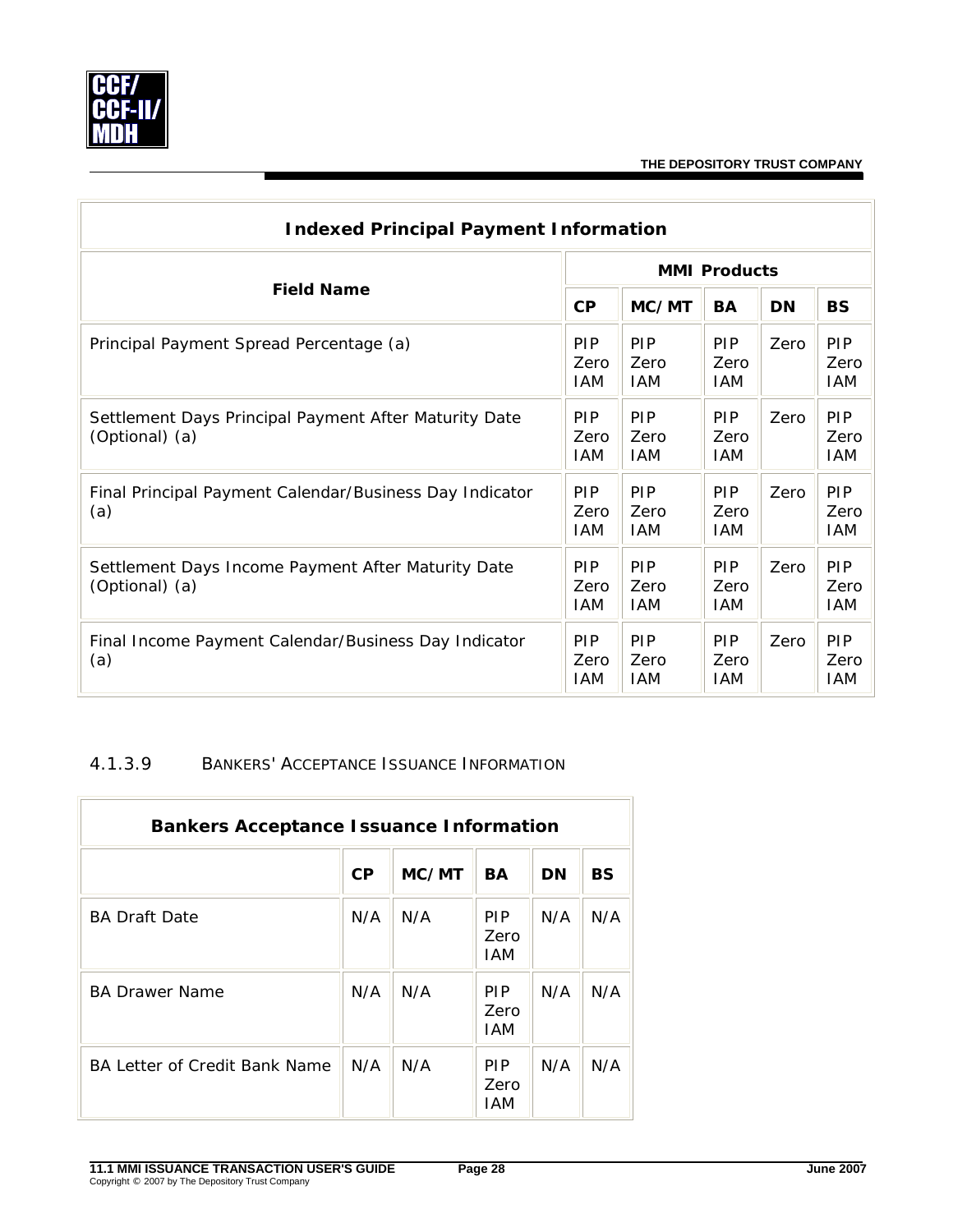<span id="page-30-0"></span>

| <b>Indexed Principal Payment Information</b>                            |                                  |                                  |                                  |           |                                  |  |  |  |
|-------------------------------------------------------------------------|----------------------------------|----------------------------------|----------------------------------|-----------|----------------------------------|--|--|--|
|                                                                         | <b>MMI Products</b>              |                                  |                                  |           |                                  |  |  |  |
| <b>Field Name</b>                                                       | CP                               | MC/MT                            | <b>BA</b>                        | <b>DN</b> | <b>BS</b>                        |  |  |  |
| Principal Payment Spread Percentage (a)                                 | <b>PIP</b><br>Zero<br>IAM        | PIP<br>Zero<br><b>IAM</b>        | <b>PIP</b><br>Zero<br><b>IAM</b> | Zero      | <b>PIP</b><br>Zero<br>IAM        |  |  |  |
| Settlement Days Principal Payment After Maturity Date<br>(Optional) (a) | <b>PIP</b><br>Zero<br>IAM        | <b>PIP</b><br>Zero<br><b>IAM</b> | <b>PIP</b><br>Zero<br><b>IAM</b> | Zero      | <b>PIP</b><br>Zero<br><b>IAM</b> |  |  |  |
| Final Principal Payment Calendar/Business Day Indicator<br>(a)          | <b>PIP</b><br>Zero<br>IAM        | <b>PIP</b><br>Zero<br>IAM        | <b>PIP</b><br>Zero<br><b>IAM</b> | Zero      | <b>PIP</b><br>Zero<br>IAM        |  |  |  |
| Settlement Days Income Payment After Maturity Date<br>(Optional) (a)    | <b>PIP</b><br>Zero<br>IAM        | <b>PIP</b><br>Zero<br>IAM.       | <b>PIP</b><br>Zero<br><b>IAM</b> | Zero      | <b>PIP</b><br>Zero<br>IAM        |  |  |  |
| Final Income Payment Calendar/Business Day Indicator<br>(a)             | <b>PIP</b><br>Zero<br><b>IAM</b> | <b>PIP</b><br>Zero<br><b>IAM</b> | <b>PIP</b><br>Zero<br><b>IAM</b> | Zero      | PIP<br>Zero<br><b>IAM</b>        |  |  |  |

#### 4.1.3.9 BANKERS' ACCEPTANCE ISSUANCE INFORMATION

| <b>Bankers Acceptance Issuance Information</b> |           |       |                           |           |           |  |  |  |
|------------------------------------------------|-----------|-------|---------------------------|-----------|-----------|--|--|--|
|                                                | <b>CP</b> | MC/MT | BA                        | <b>DN</b> | <b>BS</b> |  |  |  |
| <b>BA Draft Date</b>                           | N/A       | N/A   | <b>PIP</b><br>Zero<br>IAM | N/A       | N/A       |  |  |  |
| <b>BA Drawer Name</b>                          | N/A       | N/A   | <b>PIP</b><br>Zero<br>IAM | N/A       | N/A       |  |  |  |
| BA Letter of Credit Bank Name                  | N/A       | N/A   | <b>PIP</b><br>Zero<br>IAM | N/A       | N/A       |  |  |  |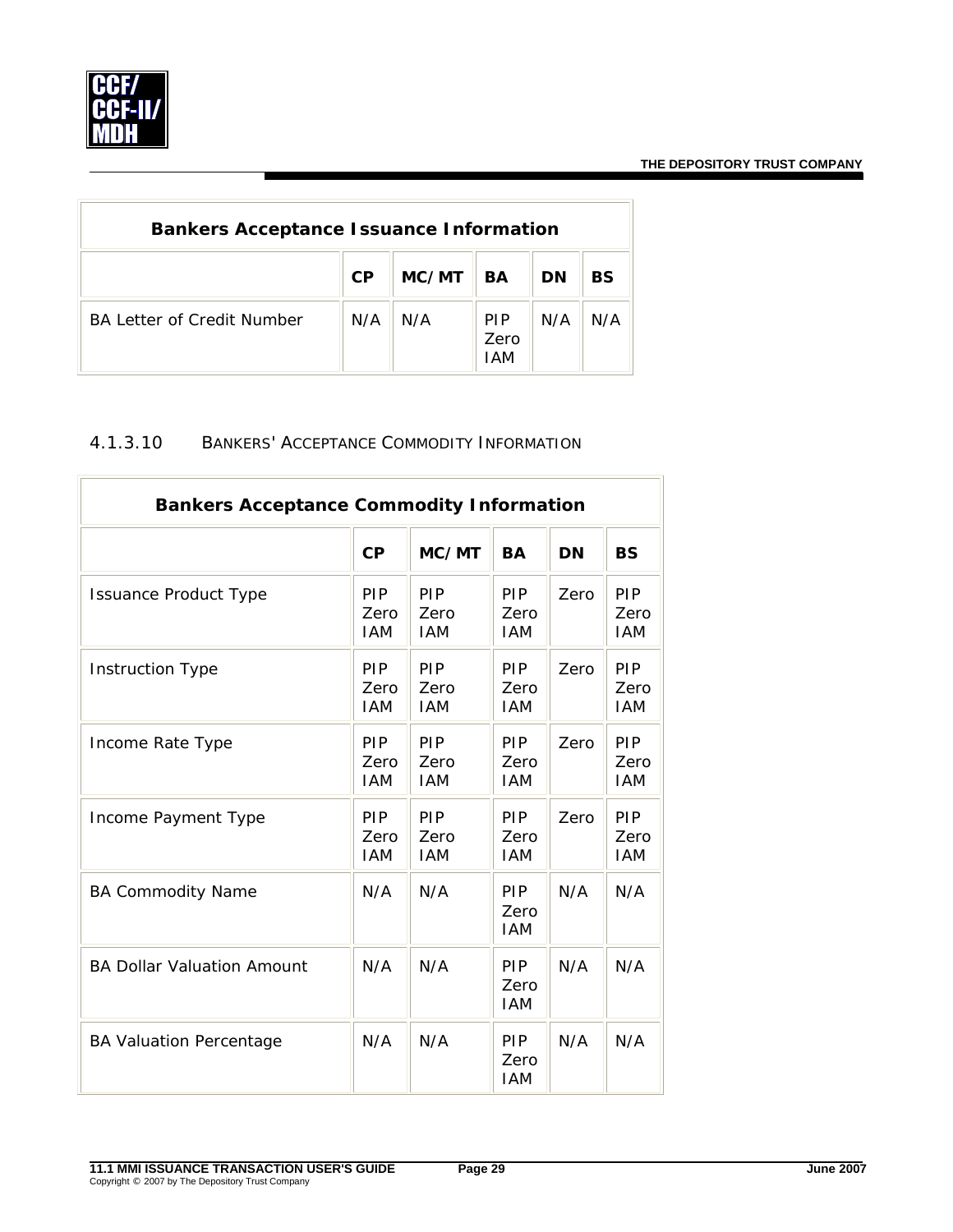<span id="page-31-0"></span>

| <b>Bankers Acceptance Issuance Information</b> |           |       |                           |           |     |  |  |  |
|------------------------------------------------|-----------|-------|---------------------------|-----------|-----|--|--|--|
|                                                | <b>CP</b> | MC/MT | <b>BA</b>                 | <b>DN</b> | BS  |  |  |  |
| <b>BA Letter of Credit Number</b>              | N/A       | N/A   | <b>PIP</b><br>Zero<br>IAM | N/A       | N/A |  |  |  |

## 4.1.3.10 BANKERS' ACCEPTANCE COMMODITY INFORMATION

| <b>Bankers Acceptance Commodity Information</b> |                                  |                                  |                                  |           |                           |  |  |  |
|-------------------------------------------------|----------------------------------|----------------------------------|----------------------------------|-----------|---------------------------|--|--|--|
|                                                 | CP                               | MC/MT                            | <b>BA</b>                        | <b>DN</b> | <b>BS</b>                 |  |  |  |
| <b>Issuance Product Type</b>                    | PIP<br>Zero<br><b>IAM</b>        | PIP<br>Zero<br><b>IAM</b>        | <b>PIP</b><br>Zero<br><b>IAM</b> | Zero      | PIP<br>Zero<br><b>IAM</b> |  |  |  |
| <b>Instruction Type</b>                         | PIP<br>Zero<br><b>IAM</b>        | PIP<br>Zero<br><b>IAM</b>        | <b>PIP</b><br>Zero<br><b>IAM</b> | Zero      | PIP<br>Zero<br><b>IAM</b> |  |  |  |
| Income Rate Type                                | PIP<br>Zero<br><b>IAM</b>        | PIP<br>Zero<br><b>IAM</b>        | PIP<br>Zero<br><b>IAM</b>        | Zero      | PIP<br>Zero<br><b>IAM</b> |  |  |  |
| Income Payment Type                             | <b>PIP</b><br>Zero<br><b>IAM</b> | <b>PIP</b><br>Zero<br><b>IAM</b> | <b>PIP</b><br>Zero<br><b>IAM</b> | Zero      | PIP<br>Zero<br><b>IAM</b> |  |  |  |
| <b>BA Commodity Name</b>                        | N/A                              | N/A                              | PIP<br>Zero<br><b>IAM</b>        | N/A       | N/A                       |  |  |  |
| <b>BA Dollar Valuation Amount</b>               | N/A                              | N/A                              | <b>PIP</b><br>Zero<br><b>IAM</b> | N/A       | N/A                       |  |  |  |
| <b>BA Valuation Percentage</b>                  | N/A                              | N/A                              | <b>PIP</b><br>Zero<br><b>IAM</b> | N/A       | N/A                       |  |  |  |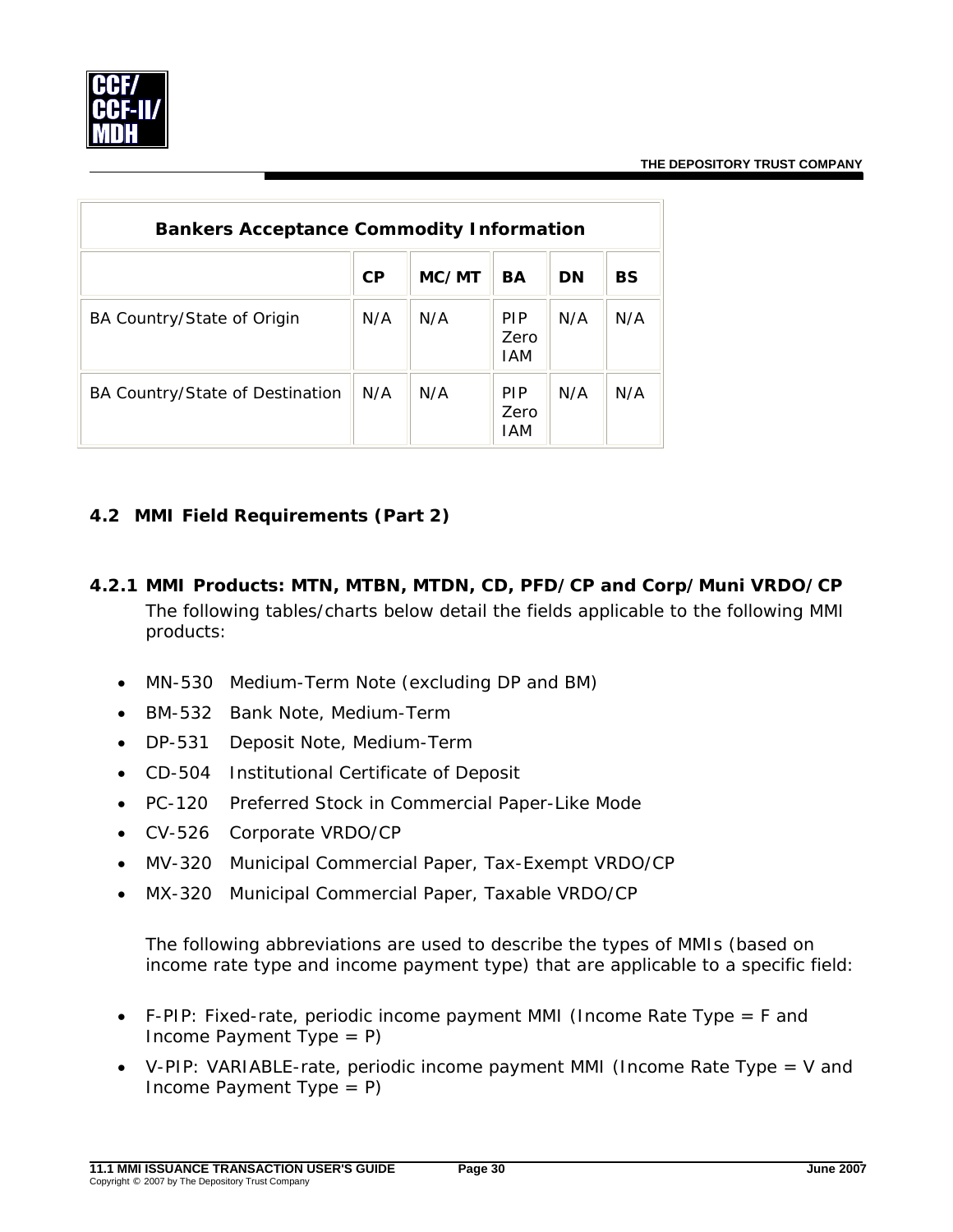<span id="page-32-0"></span>

| <b>Bankers Acceptance Commodity Information</b> |           |       |                           |     |           |  |  |  |
|-------------------------------------------------|-----------|-------|---------------------------|-----|-----------|--|--|--|
|                                                 | <b>CP</b> | MC/MT | BA                        | DN  | <b>BS</b> |  |  |  |
| BA Country/State of Origin                      | N/A       | N/A   | <b>PIP</b><br>Zero<br>IAM | N/A | N/A       |  |  |  |
| BA Country/State of Destination                 | N/A       | N/A   | <b>PIP</b><br>Zero<br>IAM | N/A | N/A       |  |  |  |

# **4.2 MMI Field Requirements (Part 2)**

- *4.2.1 MMI Products: MTN, MTBN, MTDN, CD, PFD/CP and Corp/Muni VRDO/CP*  The following tables/charts below detail the fields applicable to the following MMI products:
	- MN-530 Medium-Term Note (excluding DP and BM)
	- BM-532 Bank Note, Medium-Term
	- DP-531 Deposit Note, Medium-Term
	- CD-504 Institutional Certificate of Deposit
	- PC-120 Preferred Stock in Commercial Paper-Like Mode
	- CV-526 Corporate VRDO/CP
	- MV-320 Municipal Commercial Paper, Tax-Exempt VRDO/CP
	- MX-320 Municipal Commercial Paper, Taxable VRDO/CP

The following abbreviations are used to describe the types of MMIs (based on income rate type and income payment type) that are applicable to a specific field:

- F-PIP: Fixed-rate, periodic income payment MMI (Income Rate Type = F and Income Payment Type  $= P$ )
- V-PIP: VARIABLE-rate, periodic income payment MMI (Income Rate Type = V and Income Payment Type  $= P$ )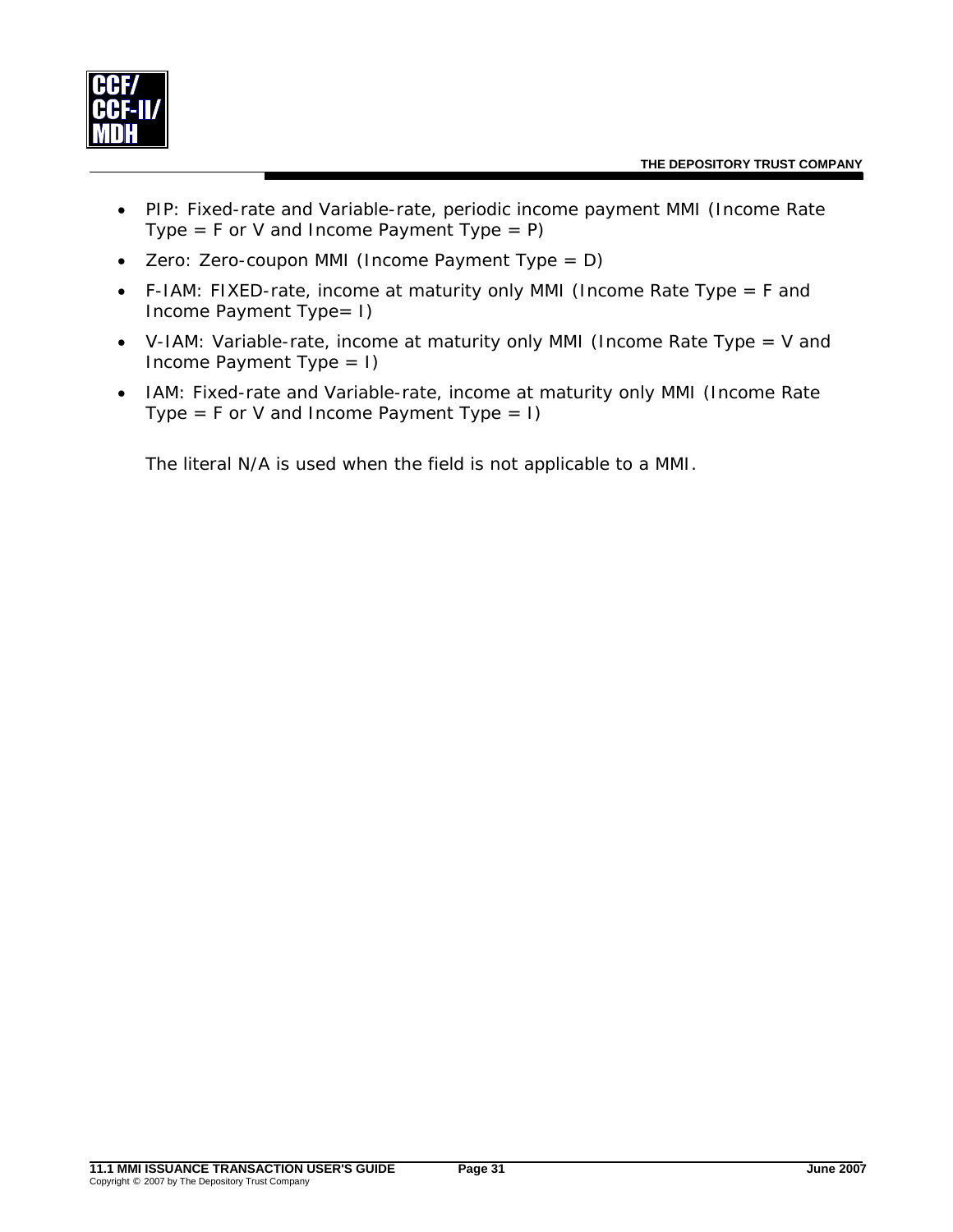

- PIP: Fixed-rate and Variable-rate, periodic income payment MMI (Income Rate Type =  $F$  or V and Income Payment Type =  $P$ )
- Zero: Zero-coupon MMI (Income Payment Type = D)
- F-IAM: FIXED-rate, income at maturity only MMI (Income Rate Type = F and Income Payment Type= I)
- V-IAM: Variable-rate, income at maturity only MMI (Income Rate Type = V and Income Payment Type = I)
- IAM: Fixed-rate and Variable-rate, income at maturity only MMI (Income Rate Type =  $F$  or V and Income Payment Type = I)

The literal N/A is used when the field is not applicable to a MMI.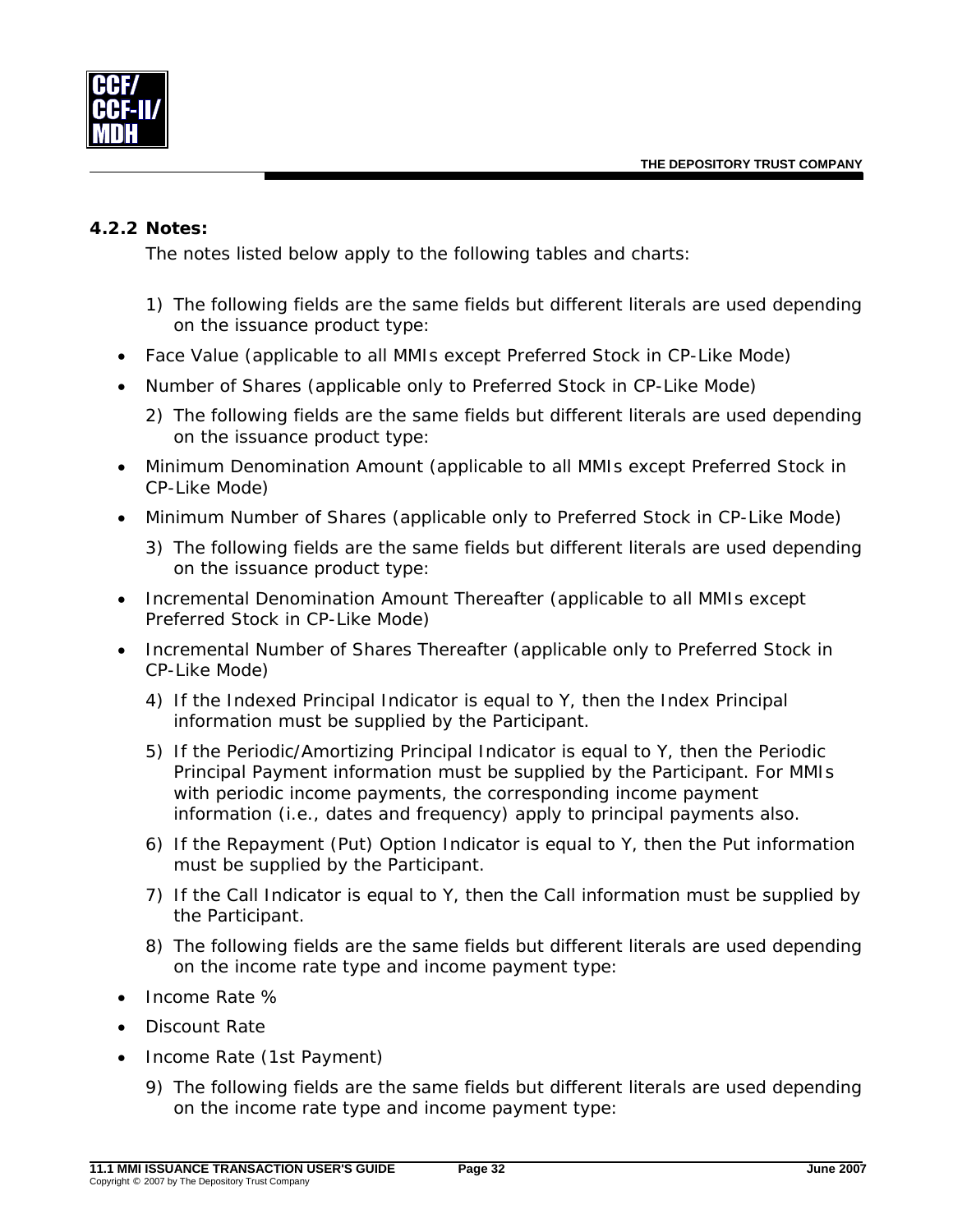<span id="page-34-0"></span>

#### *4.2.2 Notes:*

The notes listed below apply to the following tables and charts:

- 1) The following fields are the same fields but different literals are used depending on the issuance product type:
- Face Value (applicable to all MMIs except Preferred Stock in CP-Like Mode)
- Number of Shares (applicable only to Preferred Stock in CP-Like Mode)
	- 2) The following fields are the same fields but different literals are used depending on the issuance product type:
- Minimum Denomination Amount (applicable to all MMIs except Preferred Stock in CP-Like Mode)
- Minimum Number of Shares (applicable only to Preferred Stock in CP-Like Mode)
	- 3) The following fields are the same fields but different literals are used depending on the issuance product type:
- Incremental Denomination Amount Thereafter (applicable to all MMIs except Preferred Stock in CP-Like Mode)
- Incremental Number of Shares Thereafter (applicable only to Preferred Stock in CP-Like Mode)
	- 4) If the Indexed Principal Indicator is equal to Y, then the Index Principal information must be supplied by the Participant.
	- 5) If the Periodic/Amortizing Principal Indicator is equal to Y, then the Periodic Principal Payment information must be supplied by the Participant. For MMIs with periodic income payments, the corresponding income payment information (i.e., dates and frequency) apply to principal payments also.
	- 6) If the Repayment (Put) Option Indicator is equal to Y, then the Put information must be supplied by the Participant.
	- 7) If the Call Indicator is equal to Y, then the Call information must be supplied by the Participant.
	- 8) The following fields are the same fields but different literals are used depending on the income rate type and income payment type:
- Income Rate %
- Discount Rate
- Income Rate (1st Payment)
	- 9) The following fields are the same fields but different literals are used depending on the income rate type and income payment type: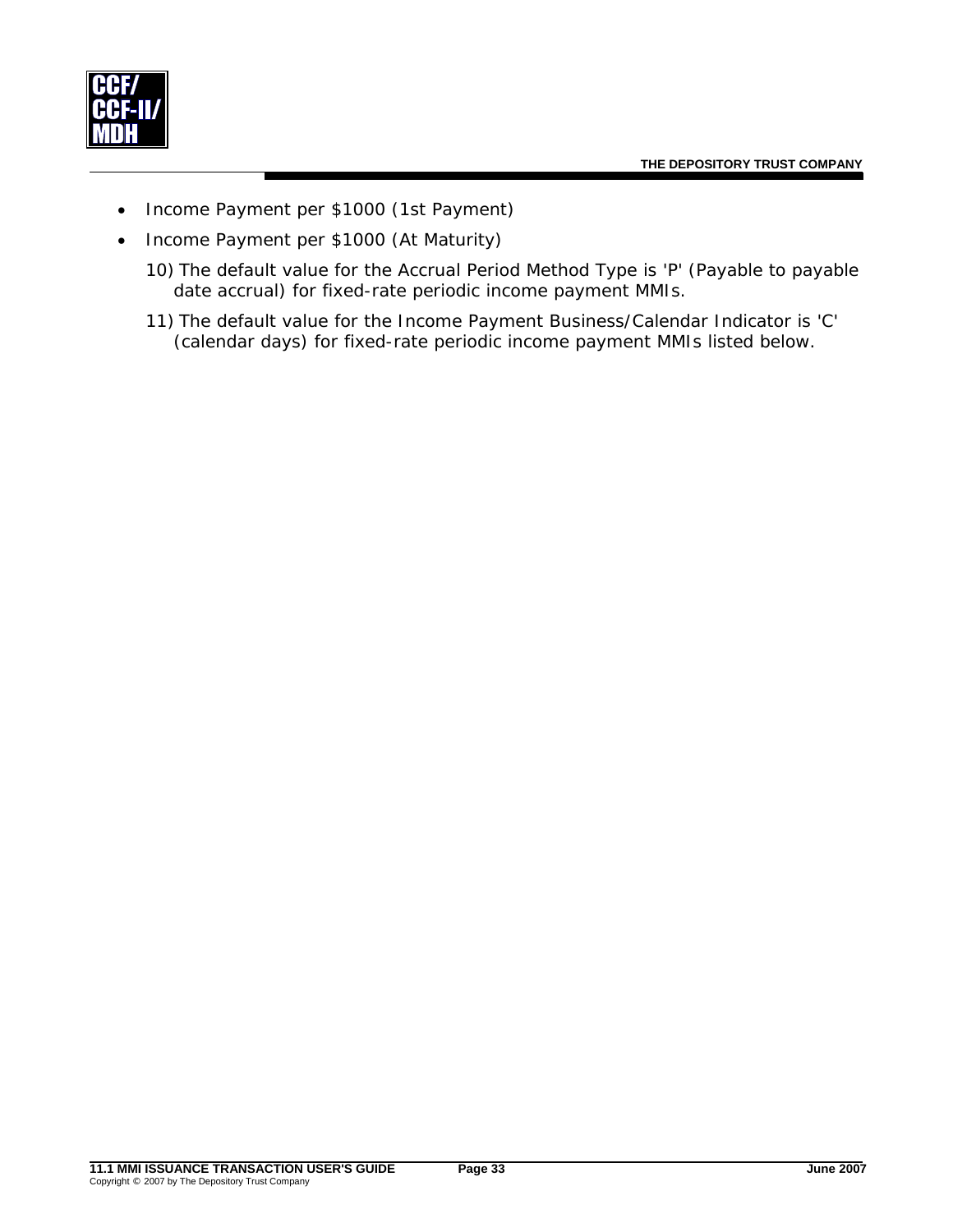

- Income Payment per \$1000 (1st Payment)
- Income Payment per \$1000 (At Maturity)
	- 10) The default value for the Accrual Period Method Type is 'P' (Payable to payable date accrual) for fixed-rate periodic income payment MMIs.
	- 11) The default value for the Income Payment Business/Calendar Indicator is 'C' (calendar days) for fixed-rate periodic income payment MMIs listed below.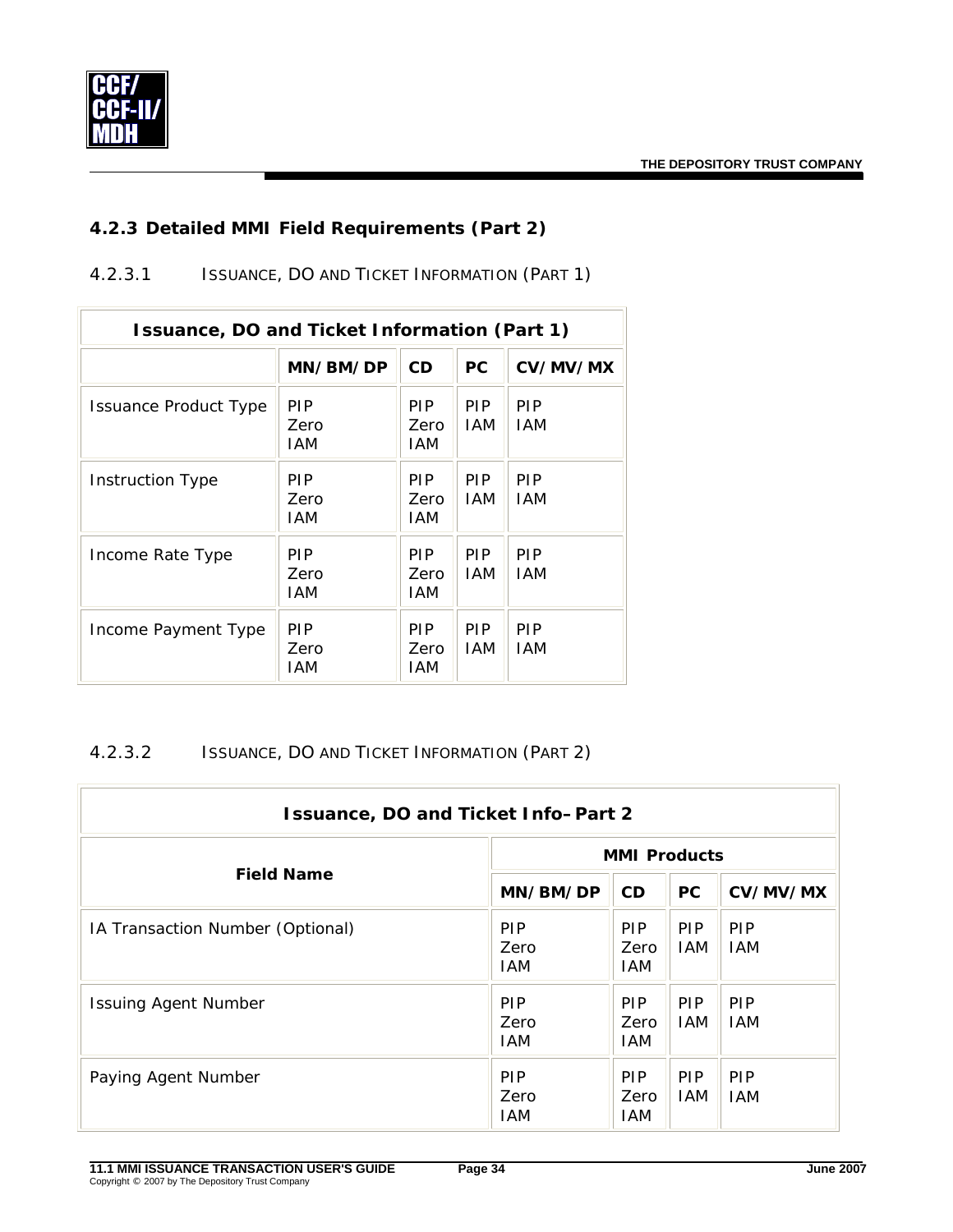

## *4.2.3 Detailed MMI Field Requirements (Part 2)*

4.2.3.1 ISSUANCE, DO AND TICKET INFORMATION (PART 1)

| Issuance, DO and Ticket Information (Part 1) |                           |                           |                          |                          |  |
|----------------------------------------------|---------------------------|---------------------------|--------------------------|--------------------------|--|
|                                              | MN/BM/DP                  | <b>CD</b>                 | <b>PC</b>                | CV/MV/MX                 |  |
| Issuance Product Type                        | <b>PIP</b><br>Zero<br>IAM | PIP.<br>Zero<br>IAM       | <b>PIP</b><br><b>IAM</b> | <b>PIP</b><br><b>IAM</b> |  |
| <b>Instruction Type</b>                      | <b>PIP</b><br>Zero<br>IAM | <b>PIP</b><br>Zero<br>IAM | <b>PIP</b><br><b>IAM</b> | <b>PIP</b><br><b>IAM</b> |  |
| Income Rate Type                             | <b>PIP</b><br>Zero<br>IAM | PIP.<br>Zero<br>IAM       | <b>PIP</b><br><b>IAM</b> | <b>PIP</b><br><b>IAM</b> |  |
| Income Payment Type                          | <b>PIP</b><br>Zero<br>IAM | <b>PIP</b><br>Zero<br>IAM | <b>PIP</b><br><b>IAM</b> | <b>PIP</b><br><b>IAM</b> |  |

## 4.2.3.2 ISSUANCE, DO AND TICKET INFORMATION (PART 2)

| <b>Issuance, DO and Ticket Info-Part 2</b> |                                  |                            |                          |                          |  |  |
|--------------------------------------------|----------------------------------|----------------------------|--------------------------|--------------------------|--|--|
|                                            | <b>MMI Products</b>              |                            |                          |                          |  |  |
| <b>Field Name</b>                          | MN/BM/DP                         | <b>CD</b>                  | <b>PC</b>                | CV/MV/MX                 |  |  |
| IA Transaction Number (Optional)           | <b>PIP</b><br>Zero<br><b>IAM</b> | PIP<br>Zero<br>IAM.        | <b>PIP</b><br><b>IAM</b> | <b>PIP</b><br><b>IAM</b> |  |  |
| <b>Issuing Agent Number</b>                | <b>PIP</b><br>Zero<br><b>IAM</b> | <b>PIP</b><br>Zero<br>IAM. | <b>PIP</b><br><b>IAM</b> | <b>PIP</b><br><b>IAM</b> |  |  |
| Paying Agent Number                        | <b>PIP</b><br>Zero<br><b>IAM</b> | <b>PIP</b><br>Zero<br>IAM. | <b>PIP</b><br><b>IAM</b> | <b>PIP</b><br><b>IAM</b> |  |  |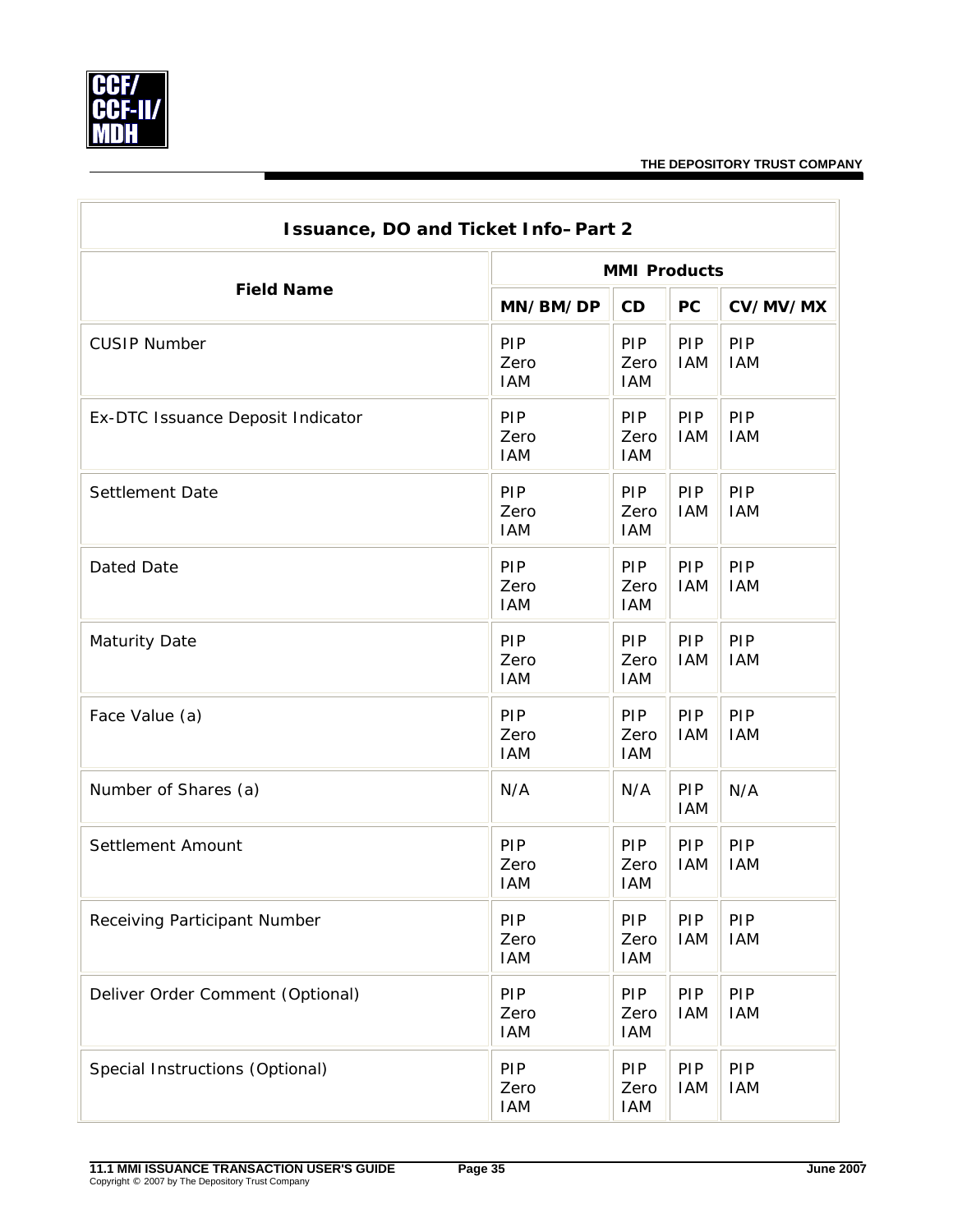

| Issuance, DO and Ticket Info-Part 2 |                           |                                  |                   |                          |  |  |
|-------------------------------------|---------------------------|----------------------------------|-------------------|--------------------------|--|--|
|                                     | <b>MMI Products</b>       |                                  |                   |                          |  |  |
| <b>Field Name</b>                   | MN/BM/DP                  | CD                               | <b>PC</b>         | CV/MV/MX                 |  |  |
| <b>CUSIP Number</b>                 | PIP<br>Zero<br><b>IAM</b> | <b>PIP</b><br>Zero<br><b>IAM</b> | PIP<br><b>IAM</b> | PIP<br><b>IAM</b>        |  |  |
| Ex-DTC Issuance Deposit Indicator   | PIP<br>Zero<br><b>IAM</b> | <b>PIP</b><br>Zero<br><b>IAM</b> | PIP<br><b>IAM</b> | PIP<br><b>IAM</b>        |  |  |
| Settlement Date                     | PIP<br>Zero<br><b>IAM</b> | <b>PIP</b><br>Zero<br><b>IAM</b> | PIP<br><b>IAM</b> | PIP<br><b>IAM</b>        |  |  |
| <b>Dated Date</b>                   | PIP<br>Zero<br><b>IAM</b> | <b>PIP</b><br>Zero<br><b>IAM</b> | PIP<br><b>IAM</b> | PIP<br><b>IAM</b>        |  |  |
| <b>Maturity Date</b>                | PIP<br>Zero<br><b>IAM</b> | <b>PIP</b><br>Zero<br><b>IAM</b> | PIP<br><b>IAM</b> | PIP<br><b>IAM</b>        |  |  |
| Face Value (a)                      | PIP<br>Zero<br><b>IAM</b> | <b>PIP</b><br>Zero<br><b>IAM</b> | PIP<br><b>IAM</b> | PIP<br><b>IAM</b>        |  |  |
| Number of Shares (a)                | N/A                       | N/A                              | PIP<br><b>IAM</b> | N/A                      |  |  |
| Settlement Amount                   | PIP<br>Zero<br><b>IAM</b> | PIP<br>Zero<br><b>IAM</b>        | PIP<br><b>IAM</b> | PIP<br><b>IAM</b>        |  |  |
| Receiving Participant Number        | PIP<br>Zero<br><b>IAM</b> | PIP<br>Zero<br><b>IAM</b>        | PIP<br><b>IAM</b> | <b>PIP</b><br><b>IAM</b> |  |  |
| Deliver Order Comment (Optional)    | PIP<br>Zero<br><b>IAM</b> | <b>PIP</b><br>Zero<br>IAM        | PIP<br><b>IAM</b> | PIP<br><b>IAM</b>        |  |  |
| Special Instructions (Optional)     | PIP<br>Zero<br><b>IAM</b> | <b>PIP</b><br>Zero<br>IAM        | PIP<br><b>IAM</b> | PIP<br><b>IAM</b>        |  |  |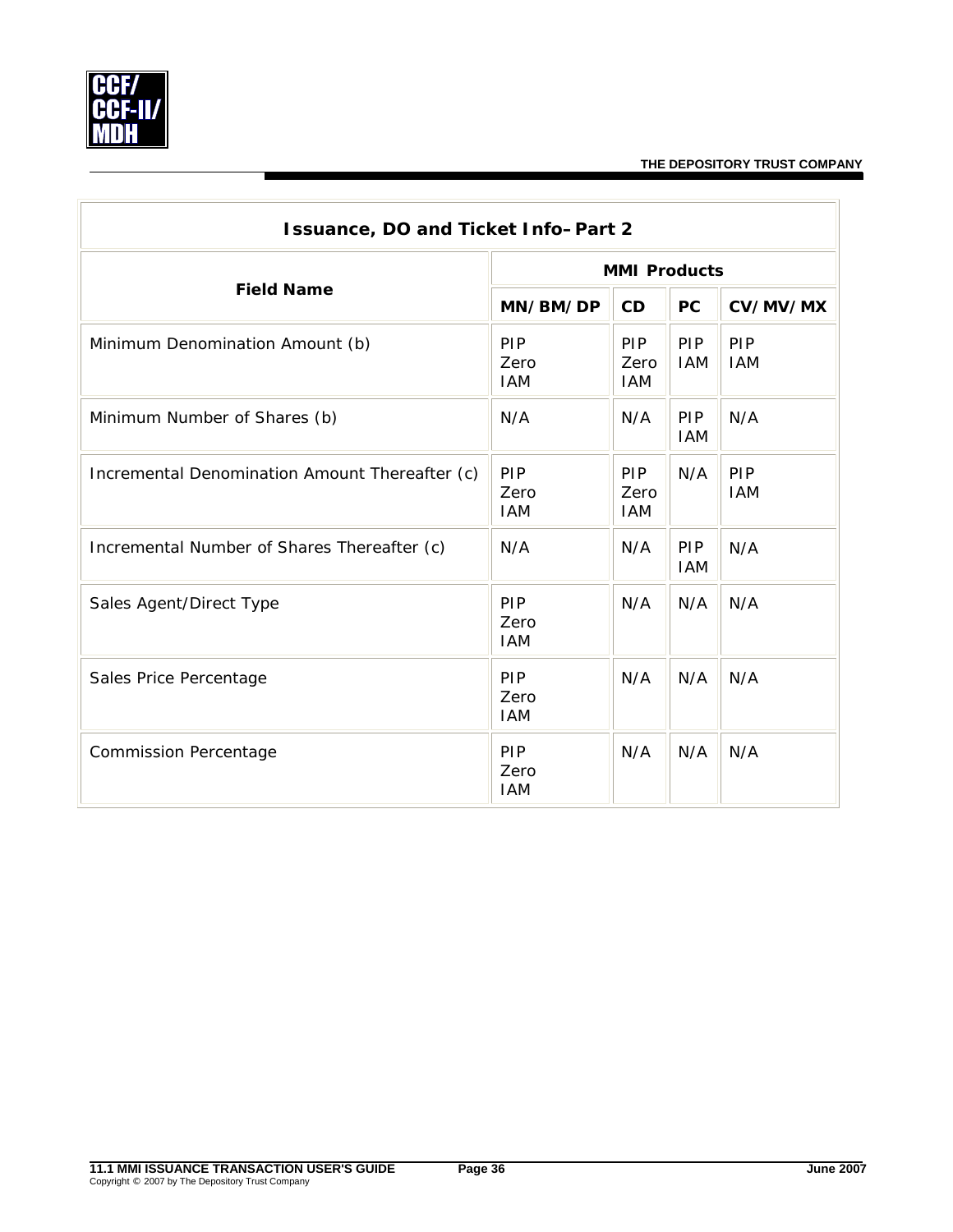

÷.

| Issuance, DO and Ticket Info-Part 2            |                                  |                                  |                   |                   |  |  |
|------------------------------------------------|----------------------------------|----------------------------------|-------------------|-------------------|--|--|
|                                                | <b>MMI Products</b>              |                                  |                   |                   |  |  |
| <b>Field Name</b>                              | MN/BM/DP                         | CD                               | <b>PC</b>         | CV/MV/MX          |  |  |
| Minimum Denomination Amount (b)                | <b>PIP</b><br>Zero<br><b>IAM</b> | <b>PIP</b><br>Zero<br><b>IAM</b> | PIP<br><b>IAM</b> | PIP<br><b>IAM</b> |  |  |
| Minimum Number of Shares (b)                   | N/A                              | N/A                              | PIP<br><b>IAM</b> | N/A               |  |  |
| Incremental Denomination Amount Thereafter (c) | PIP<br>Zero<br><b>IAM</b>        | <b>PIP</b><br>Zero<br>IAM        | N/A               | PIP<br><b>IAM</b> |  |  |
| Incremental Number of Shares Thereafter (c)    | N/A                              | N/A                              | PIP<br><b>IAM</b> | N/A               |  |  |
| Sales Agent/Direct Type                        | <b>PIP</b><br>Zero<br><b>IAM</b> | N/A                              | N/A               | N/A               |  |  |
| Sales Price Percentage                         | PIP<br>Zero<br><b>IAM</b>        | N/A                              | N/A               | N/A               |  |  |
| <b>Commission Percentage</b>                   | PIP<br>Zero<br><b>IAM</b>        | N/A                              | N/A               | N/A               |  |  |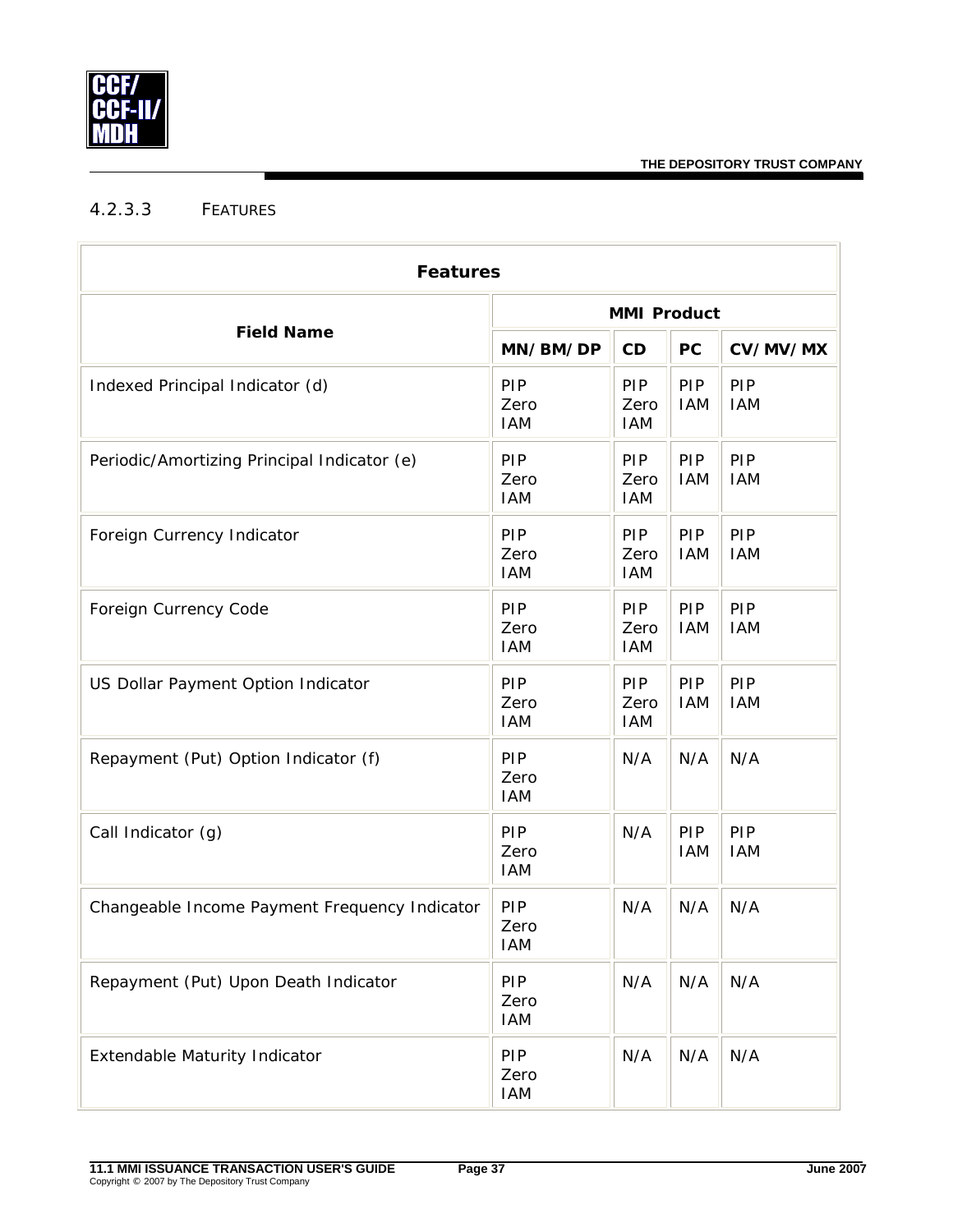

# <span id="page-39-0"></span>4.2.3.3 FEATURES

| <b>Features</b>                               |                                  |                           |                   |                   |  |  |
|-----------------------------------------------|----------------------------------|---------------------------|-------------------|-------------------|--|--|
|                                               | <b>MMI Product</b>               |                           |                   |                   |  |  |
| <b>Field Name</b>                             | MN/BM/DP                         | CD                        | PC                | CV/MV/MX          |  |  |
| Indexed Principal Indicator (d)               | PIP<br>Zero<br><b>IAM</b>        | PIP<br>Zero<br><b>IAM</b> | PIP<br><b>IAM</b> | PIP<br><b>IAM</b> |  |  |
| Periodic/Amortizing Principal Indicator (e)   | PIP<br>Zero<br><b>IAM</b>        | PIP<br>Zero<br><b>IAM</b> | PIP<br><b>IAM</b> | PIP<br><b>IAM</b> |  |  |
| Foreign Currency Indicator                    | PIP<br>Zero<br><b>IAM</b>        | PIP<br>Zero<br><b>IAM</b> | PIP<br><b>IAM</b> | PIP<br><b>IAM</b> |  |  |
| Foreign Currency Code                         | PIP<br>Zero<br><b>IAM</b>        | PIP<br>Zero<br><b>IAM</b> | PIP<br><b>IAM</b> | PIP<br><b>IAM</b> |  |  |
| US Dollar Payment Option Indicator            | PIP<br>Zero<br><b>IAM</b>        | PIP<br>Zero<br><b>IAM</b> | PIP<br><b>IAM</b> | PIP<br><b>IAM</b> |  |  |
| Repayment (Put) Option Indicator (f)          | PIP<br>Zero<br><b>IAM</b>        | N/A                       | N/A               | N/A               |  |  |
| Call Indicator (g)                            | PIP<br>Zero<br><b>IAM</b>        | N/A                       | PIP<br><b>IAM</b> | PIP<br><b>IAM</b> |  |  |
| Changeable Income Payment Frequency Indicator | PIP<br>Zero<br><b>IAM</b>        | N/A                       | N/A               | N/A               |  |  |
| Repayment (Put) Upon Death Indicator          | <b>PIP</b><br>Zero<br><b>IAM</b> | N/A                       | N/A               | N/A               |  |  |
| <b>Extendable Maturity Indicator</b>          | PIP<br>Zero<br><b>IAM</b>        | N/A                       | N/A               | N/A               |  |  |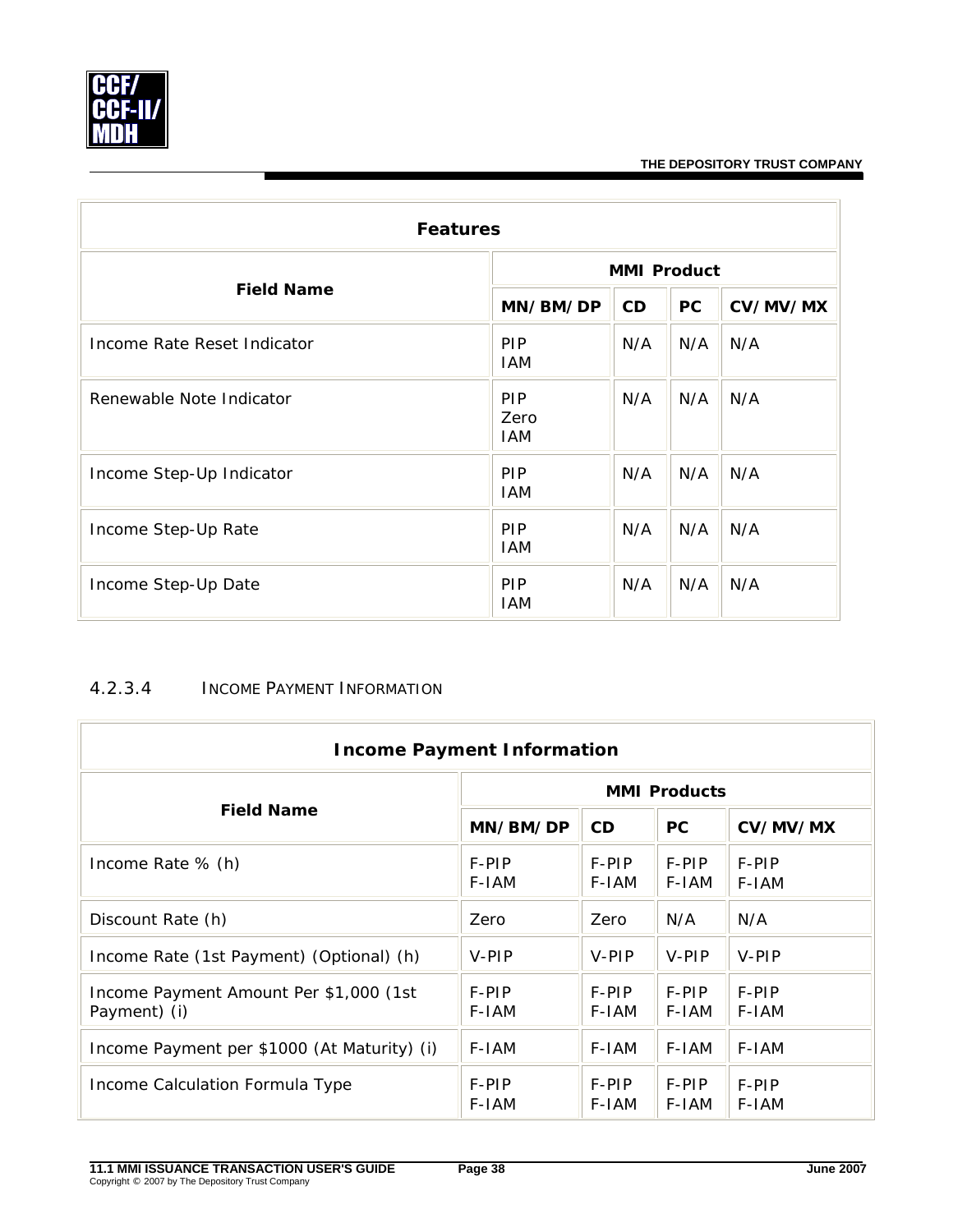

| <b>Features</b>             |                           |     |           |          |  |  |
|-----------------------------|---------------------------|-----|-----------|----------|--|--|
|                             | <b>MMI Product</b>        |     |           |          |  |  |
| <b>Field Name</b>           | MN/BM/DP                  | CD  | <b>PC</b> | CV/MV/MX |  |  |
| Income Rate Reset Indicator | <b>PIP</b><br><b>IAM</b>  | N/A | N/A       | N/A      |  |  |
| Renewable Note Indicator    | PIP<br>Zero<br><b>IAM</b> | N/A | N/A       | N/A      |  |  |
| Income Step-Up Indicator    | PIP<br><b>IAM</b>         | N/A | N/A       | N/A      |  |  |
| Income Step-Up Rate         | <b>PIP</b><br><b>IAM</b>  | N/A | N/A       | N/A      |  |  |
| Income Step-Up Date         | <b>PIP</b><br><b>IAM</b>  | N/A | N/A       | N/A      |  |  |

## <span id="page-40-0"></span>4.2.3.4 INCOME PAYMENT INFORMATION

| <b>Income Payment Information</b>                      |                     |                |                |                |  |  |  |
|--------------------------------------------------------|---------------------|----------------|----------------|----------------|--|--|--|
|                                                        | <b>MMI Products</b> |                |                |                |  |  |  |
| <b>Field Name</b>                                      | MN/BM/DP            | <b>CD</b>      | <b>PC</b>      | CV/MV/MX       |  |  |  |
| Income Rate % (h)                                      | F-PIP<br>F-IAM      | F-PIP<br>F-IAM | F-PIP<br>F-IAM | F-PIP<br>F-IAM |  |  |  |
| Discount Rate (h)                                      | Zero                | Zero           | N/A            | N/A            |  |  |  |
| Income Rate (1st Payment) (Optional) (h)               | V-PIP               | V-PIP          | V-PIP          | V-PIP          |  |  |  |
| Income Payment Amount Per \$1,000 (1st<br>Payment) (i) | F-PIP<br>F-IAM      | F-PIP<br>F-IAM | F-PIP<br>F-IAM | F-PIP<br>F-IAM |  |  |  |
| Income Payment per \$1000 (At Maturity) (i)            | F-IAM               | F-IAM          | F-IAM          | F-IAM          |  |  |  |
| Income Calculation Formula Type                        | F-PIP<br>F-IAM      | F-PIP<br>F-IAM | F-PIP<br>F-IAM | F-PIP<br>F-IAM |  |  |  |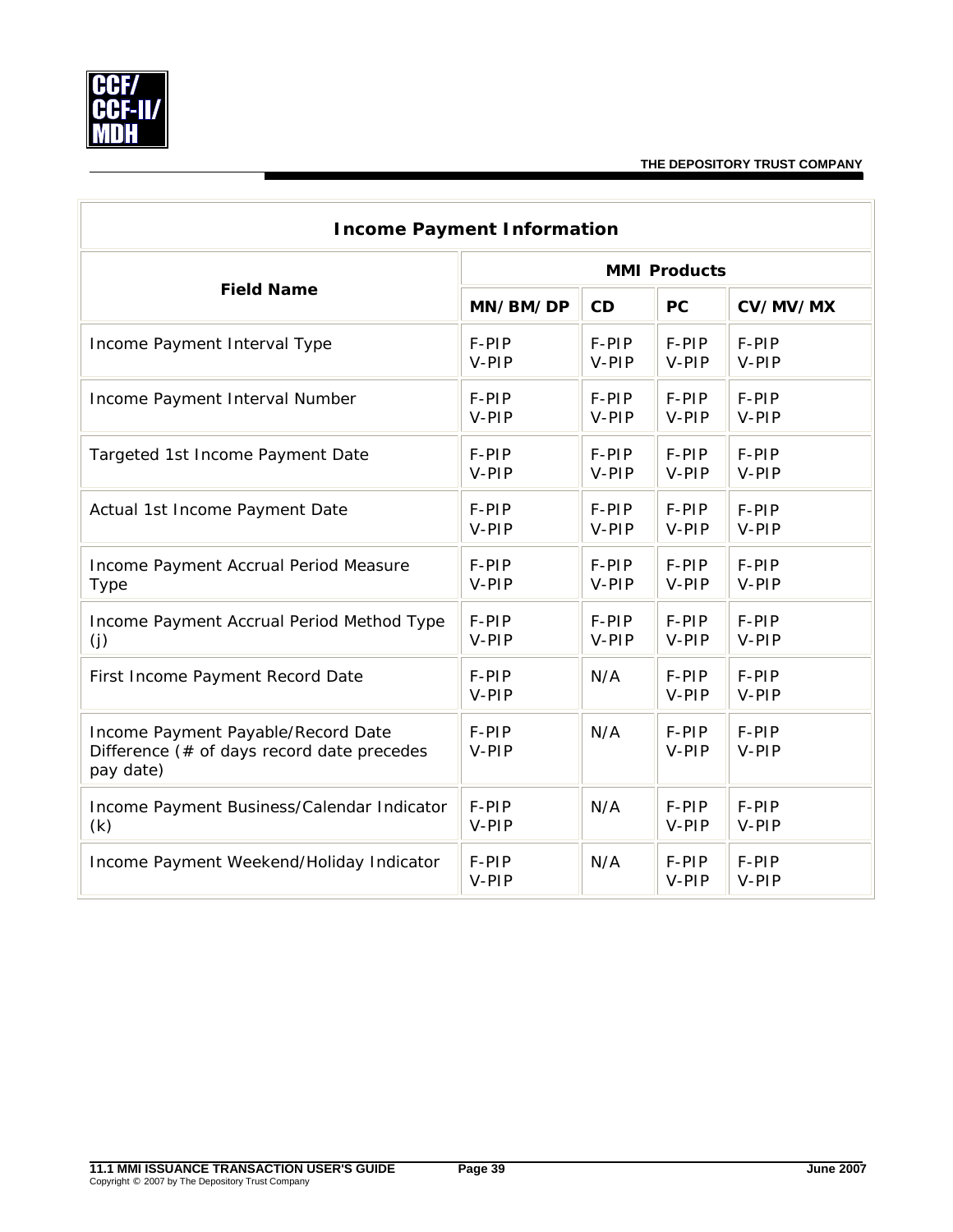

Ī.

| <b>Income Payment Information</b>                                                             |                     |       |                |                |  |  |  |
|-----------------------------------------------------------------------------------------------|---------------------|-------|----------------|----------------|--|--|--|
|                                                                                               | <b>MMI Products</b> |       |                |                |  |  |  |
| <b>Field Name</b>                                                                             | MN/BM/DP            | CD    | PC             | CV/MV/MX       |  |  |  |
| Income Payment Interval Type                                                                  | F-PIP               | F-PIP | F-PIP          | F-PIP          |  |  |  |
|                                                                                               | V-PIP               | V-PIP | V-PIP          | V-PIP          |  |  |  |
| Income Payment Interval Number                                                                | F-PIP               | F-PIP | F-PIP          | F-PIP          |  |  |  |
|                                                                                               | V-PIP               | V-PIP | V-PIP          | V-PIP          |  |  |  |
| Targeted 1st Income Payment Date                                                              | F-PIP               | F-PIP | F-PIP          | F-PIP          |  |  |  |
|                                                                                               | V-PIP               | V-PIP | V-PIP          | V-PIP          |  |  |  |
| Actual 1st Income Payment Date                                                                | F-PIP               | F-PIP | F-PIP          | F-PIP          |  |  |  |
|                                                                                               | V-PIP               | V-PIP | V-PIP          | V-PIP          |  |  |  |
| Income Payment Accrual Period Measure                                                         | F-PIP               | F-PIP | F-PIP          | F-PIP          |  |  |  |
| <b>Type</b>                                                                                   | V-PIP               | V-PIP | V-PIP          | V-PIP          |  |  |  |
| Income Payment Accrual Period Method Type                                                     | F-PIP               | F-PIP | F-PIP          | F-PIP          |  |  |  |
| (j)                                                                                           | V-PIP               | V-PIP | V-PIP          | V-PIP          |  |  |  |
| First Income Payment Record Date                                                              | F-PIP<br>V-PIP      | N/A   | F-PIP<br>V-PIP | F-PIP<br>V-PIP |  |  |  |
| Income Payment Payable/Record Date<br>Difference (# of days record date precedes<br>pay date) | F-PIP<br>V-PIP      | N/A   | F-PIP<br>V-PIP | F-PIP<br>V-PIP |  |  |  |
| Income Payment Business/Calendar Indicator                                                    | F-PIP               | N/A   | F-PIP          | F-PIP          |  |  |  |
| (k)                                                                                           | V-PIP               |       | V-PIP          | V-PIP          |  |  |  |
| Income Payment Weekend/Holiday Indicator                                                      | F-PIP<br>V-PIP      | N/A   | F-PIP<br>V-PIP | F-PIP<br>V-PIP |  |  |  |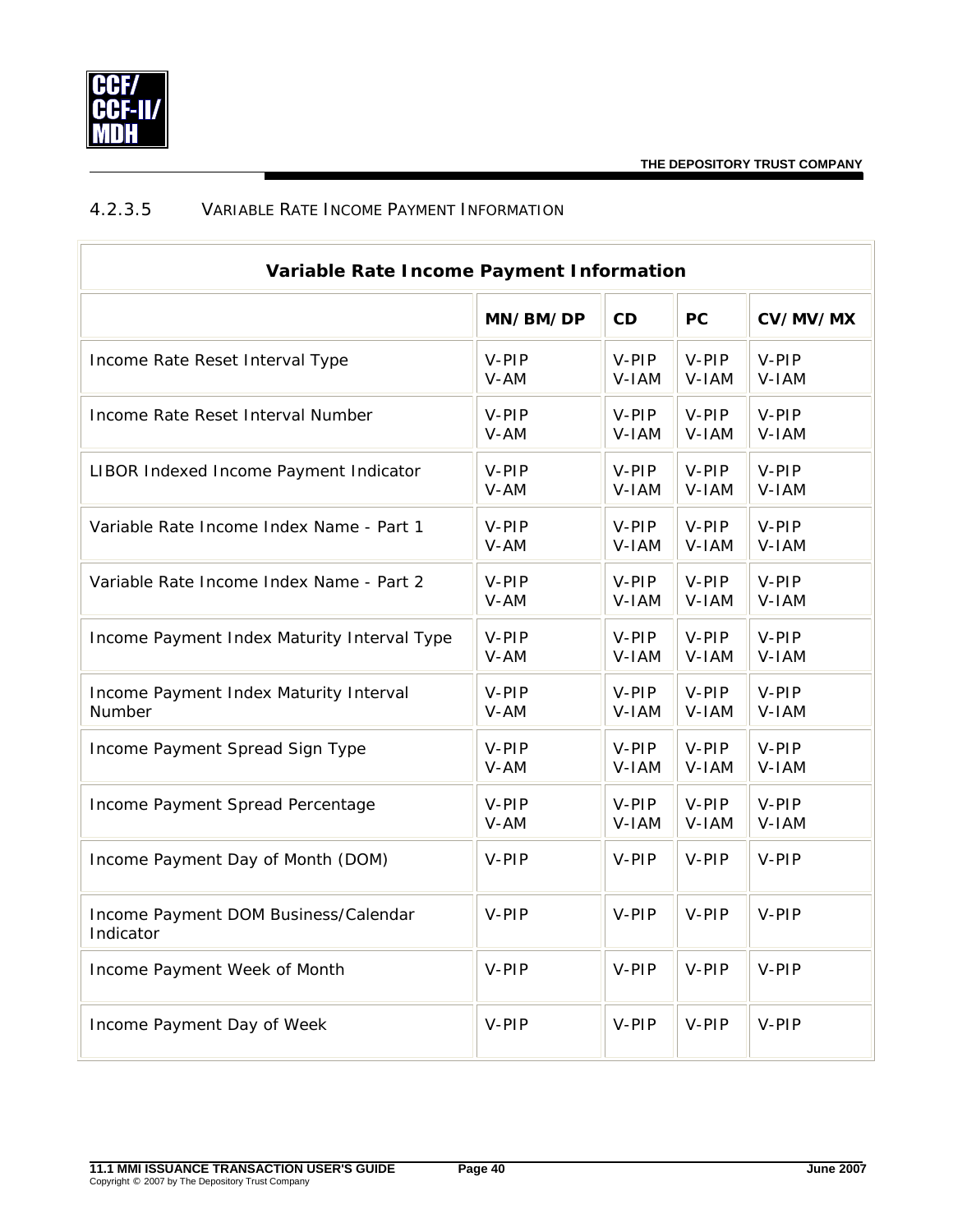## <span id="page-42-0"></span>4.2.3.5 VARIABLE RATE INCOME PAYMENT INFORMATION

| Variable Rate Income Payment Information          |          |         |           |          |  |  |
|---------------------------------------------------|----------|---------|-----------|----------|--|--|
|                                                   | MN/BM/DP | CD      | <b>PC</b> | CV/MV/MX |  |  |
| Income Rate Reset Interval Type                   | V-PIP    | $V-PIP$ | V-PIP     | V-PIP    |  |  |
|                                                   | V-AM     | V-IAM   | V-IAM     | V-IAM    |  |  |
| Income Rate Reset Interval Number                 | V-PIP    | $V-PIP$ | $V-PIP$   | V-PIP    |  |  |
|                                                   | V-AM     | V-IAM   | V-IAM     | V-IAM    |  |  |
| LIBOR Indexed Income Payment Indicator            | V-PIP    | V-PIP   | V-PIP     | V-PIP    |  |  |
|                                                   | V-AM     | V-IAM   | V-IAM     | V-IAM    |  |  |
| Variable Rate Income Index Name - Part 1          | V-PIP    | $V-PIP$ | $V-PIP$   | V-PIP    |  |  |
|                                                   | V-AM     | V-IAM   | V-IAM     | V-IAM    |  |  |
| Variable Rate Income Index Name - Part 2          | V-PIP    | V-PIP   | $V-PIP$   | V-PIP    |  |  |
|                                                   | V-AM     | V-IAM   | V-IAM     | V-IAM    |  |  |
| Income Payment Index Maturity Interval Type       | V-PIP    | V-PIP   | V-PIP     | V-PIP    |  |  |
|                                                   | V-AM     | V-IAM   | V-IAM     | V-IAM    |  |  |
| Income Payment Index Maturity Interval            | V-PIP    | V-PIP   | V-PIP     | V-PIP    |  |  |
| Number                                            | V-AM     | V-IAM   | V-IAM     | V-IAM    |  |  |
| Income Payment Spread Sign Type                   | V-PIP    | V-PIP   | $V-PIP$   | V-PIP    |  |  |
|                                                   | V-AM     | V-IAM   | V-IAM     | V-IAM    |  |  |
| Income Payment Spread Percentage                  | V-PIP    | $V-PIP$ | V-PIP     | V-PIP    |  |  |
|                                                   | V-AM     | V-IAM   | V-IAM     | V-IAM    |  |  |
| Income Payment Day of Month (DOM)                 | V-PIP    | V-PIP   | V-PIP     | V-PIP    |  |  |
| Income Payment DOM Business/Calendar<br>Indicator | V-PIP    | V-PIP   | V-PIP     | V-PIP    |  |  |
| Income Payment Week of Month                      | V-PIP    | V-PIP   | V-PIP     | V-PIP    |  |  |
| Income Payment Day of Week                        | V-PIP    | V-PIP   | V-PIP     | V-PIP    |  |  |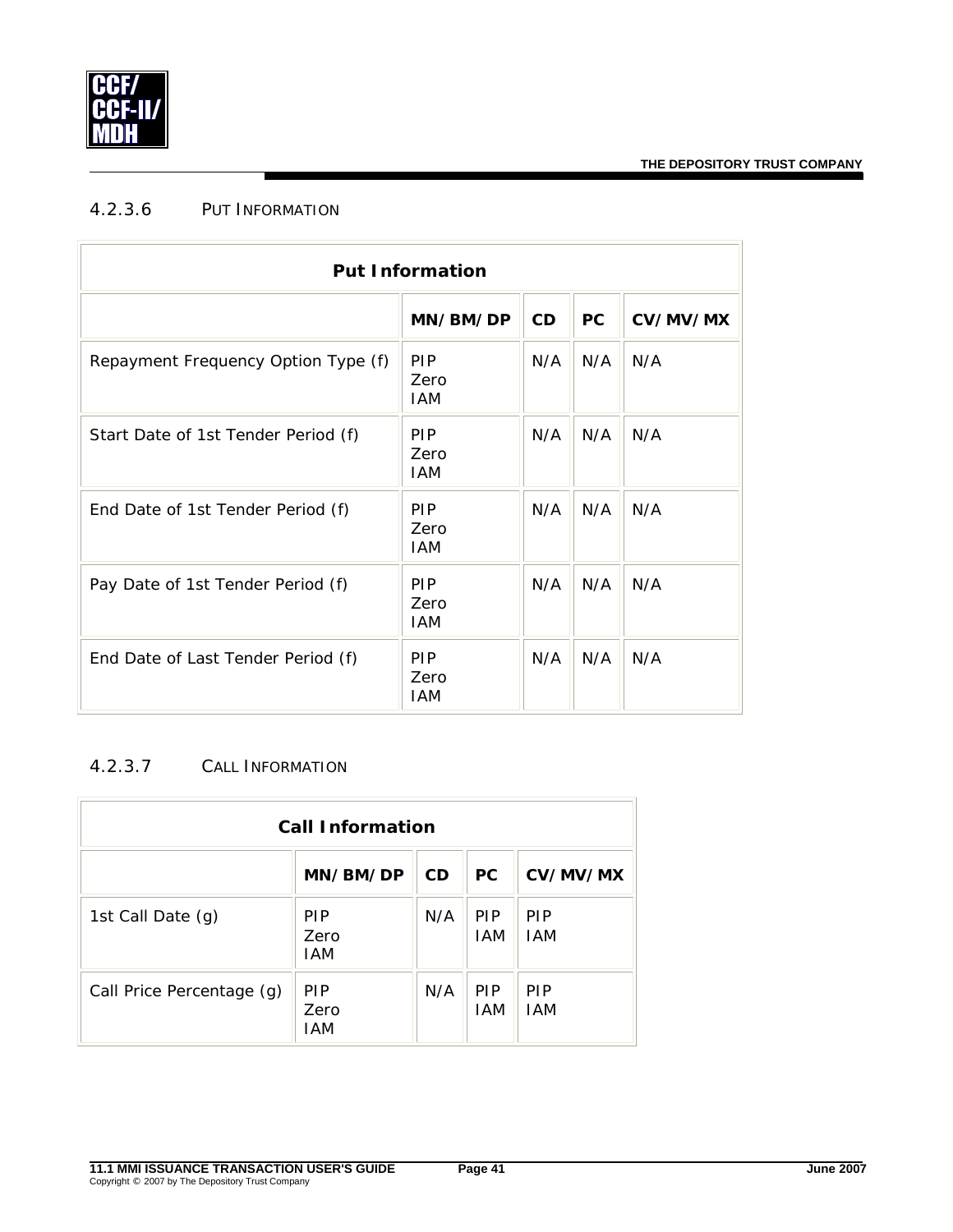

## <span id="page-43-0"></span>4.2.3.6 PUT INFORMATION

| <b>Put Information</b>              |                                  |     |           |          |  |  |
|-------------------------------------|----------------------------------|-----|-----------|----------|--|--|
|                                     | MN/BM/DP                         | CD  | <b>PC</b> | CV/MV/MX |  |  |
| Repayment Frequency Option Type (f) | <b>PIP</b><br>Zero<br><b>IAM</b> | N/A | N/A       | N/A      |  |  |
| Start Date of 1st Tender Period (f) | <b>PIP</b><br>Zero<br><b>IAM</b> | N/A | N/A       | N/A      |  |  |
| End Date of 1st Tender Period (f)   | <b>PIP</b><br>Zero<br><b>IAM</b> | N/A | N/A       | N/A      |  |  |
| Pay Date of 1st Tender Period (f)   | <b>PIP</b><br>Zero<br><b>IAM</b> | N/A | N/A       | N/A      |  |  |
| End Date of Last Tender Period (f)  | <b>PIP</b><br>Zero<br><b>IAM</b> | N/A | N/A       | N/A      |  |  |

#### <span id="page-43-1"></span>4.2.3.7 CALL INFORMATION

| <b>Call Information</b>   |                                  |           |                          |                          |  |  |
|---------------------------|----------------------------------|-----------|--------------------------|--------------------------|--|--|
|                           | MN/BM/DP                         | <b>CD</b> | PC.                      | CV/MV/MX                 |  |  |
| 1st Call Date (g)         | <b>PIP</b><br>Zero<br>IAM        | N/A       | <b>PIP</b><br><b>IAM</b> | <b>PIP</b><br><b>IAM</b> |  |  |
| Call Price Percentage (g) | <b>PIP</b><br>Zero<br><b>IAM</b> | N/A       | <b>PIP</b><br><b>IAM</b> | <b>PIP</b><br><b>IAM</b> |  |  |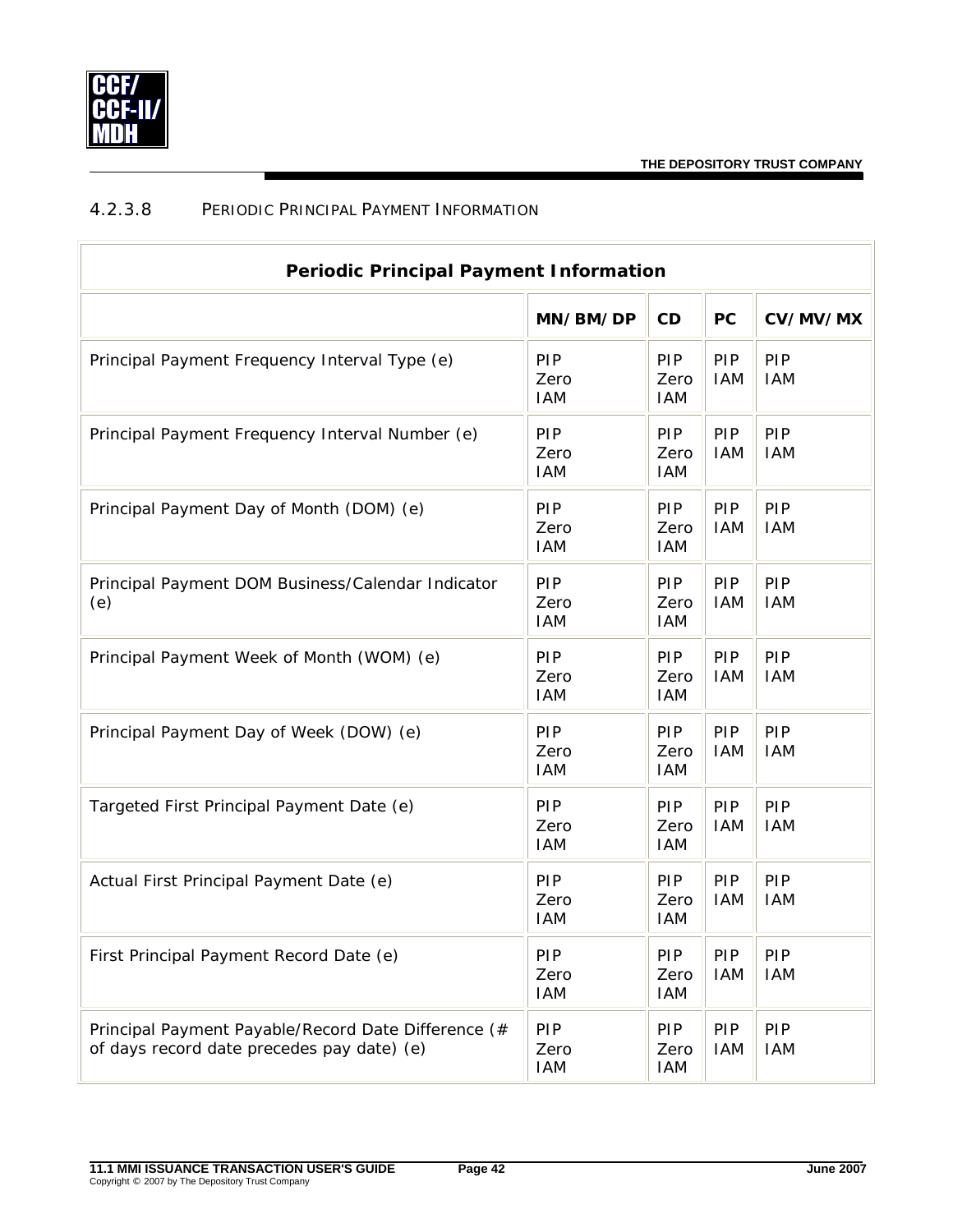

### <span id="page-44-0"></span>4.2.3.8 PERIODIC PRINCIPAL PAYMENT INFORMATION

| <b>Periodic Principal Payment Information</b>                                                     |                           |                           |                          |                          |  |
|---------------------------------------------------------------------------------------------------|---------------------------|---------------------------|--------------------------|--------------------------|--|
|                                                                                                   | MN/BM/DP                  | CD                        | <b>PC</b>                | CV/MV/MX                 |  |
| Principal Payment Frequency Interval Type (e)                                                     | PIP<br>Zero<br><b>IAM</b> | PIP<br>Zero<br>IAM        | <b>PIP</b><br><b>IAM</b> | PIP<br><b>IAM</b>        |  |
| Principal Payment Frequency Interval Number (e)                                                   | PIP<br>Zero<br><b>IAM</b> | PIP<br>Zero<br>IAM        | PIP<br><b>IAM</b>        | PIP<br><b>IAM</b>        |  |
| Principal Payment Day of Month (DOM) (e)                                                          | PIP<br>Zero<br><b>IAM</b> | PIP<br>Zero<br>IAM        | PIP<br><b>IAM</b>        | PIP<br><b>IAM</b>        |  |
| Principal Payment DOM Business/Calendar Indicator<br>(e)                                          | PIP<br>Zero<br><b>IAM</b> | PIP<br>Zero<br>IAM        | PIP<br><b>IAM</b>        | PIP<br><b>IAM</b>        |  |
| Principal Payment Week of Month (WOM) (e)                                                         | PIP<br>Zero<br><b>IAM</b> | PIP<br>Zero<br>IAM        | PIP<br><b>IAM</b>        | PIP<br><b>IAM</b>        |  |
| Principal Payment Day of Week (DOW) (e)                                                           | PIP<br>Zero<br><b>IAM</b> | PIP<br>Zero<br>IAM        | PIP<br><b>IAM</b>        | PIP<br><b>IAM</b>        |  |
| Targeted First Principal Payment Date (e)                                                         | PIP<br>Zero<br><b>IAM</b> | PIP<br>Zero<br>IAM        | PIP<br><b>IAM</b>        | PIP<br><b>IAM</b>        |  |
| Actual First Principal Payment Date (e)                                                           | PIP<br>Zero<br><b>IAM</b> | PIP<br>Zero<br>IAM        | PIP<br><b>IAM</b>        | PIP<br><b>IAM</b>        |  |
| First Principal Payment Record Date (e)                                                           | PIP<br>Zero<br><b>IAM</b> | PIP<br>Zero<br>IAM        | PIP<br><b>IAM</b>        | PIP<br><b>IAM</b>        |  |
| Principal Payment Payable/Record Date Difference (#<br>of days record date precedes pay date) (e) | PIP<br>Zero<br><b>IAM</b> | <b>PIP</b><br>Zero<br>IAM | <b>PIP</b><br><b>IAM</b> | <b>PIP</b><br><b>IAM</b> |  |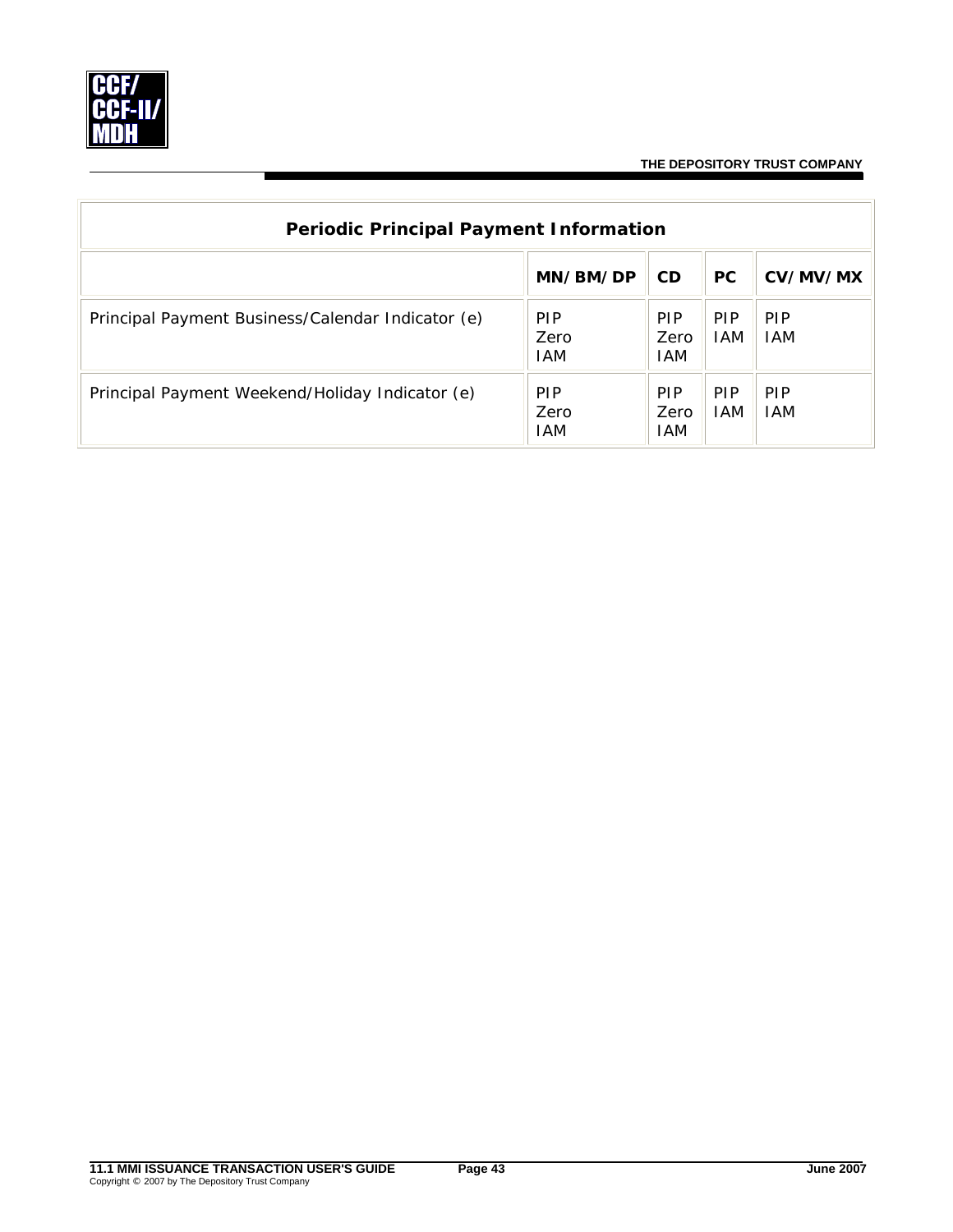

| <b>Periodic Principal Payment Information</b>     |                                  |                           |                          |                          |  |
|---------------------------------------------------|----------------------------------|---------------------------|--------------------------|--------------------------|--|
|                                                   | MN/BM/DP                         | <b>CD</b>                 | <b>PC</b>                | CV/MV/MX                 |  |
| Principal Payment Business/Calendar Indicator (e) | <b>PIP</b><br>Zero<br><b>IAM</b> | <b>PIP</b><br>Zero<br>IAM | <b>PIP</b><br><b>IAM</b> | <b>PIP</b><br><b>IAM</b> |  |
| Principal Payment Weekend/Holiday Indicator (e)   | <b>PIP</b><br>Zero<br>IAM        | <b>PIP</b><br>Zero<br>IAM | <b>PIP</b><br><b>IAM</b> | <b>PIP</b><br><b>IAM</b> |  |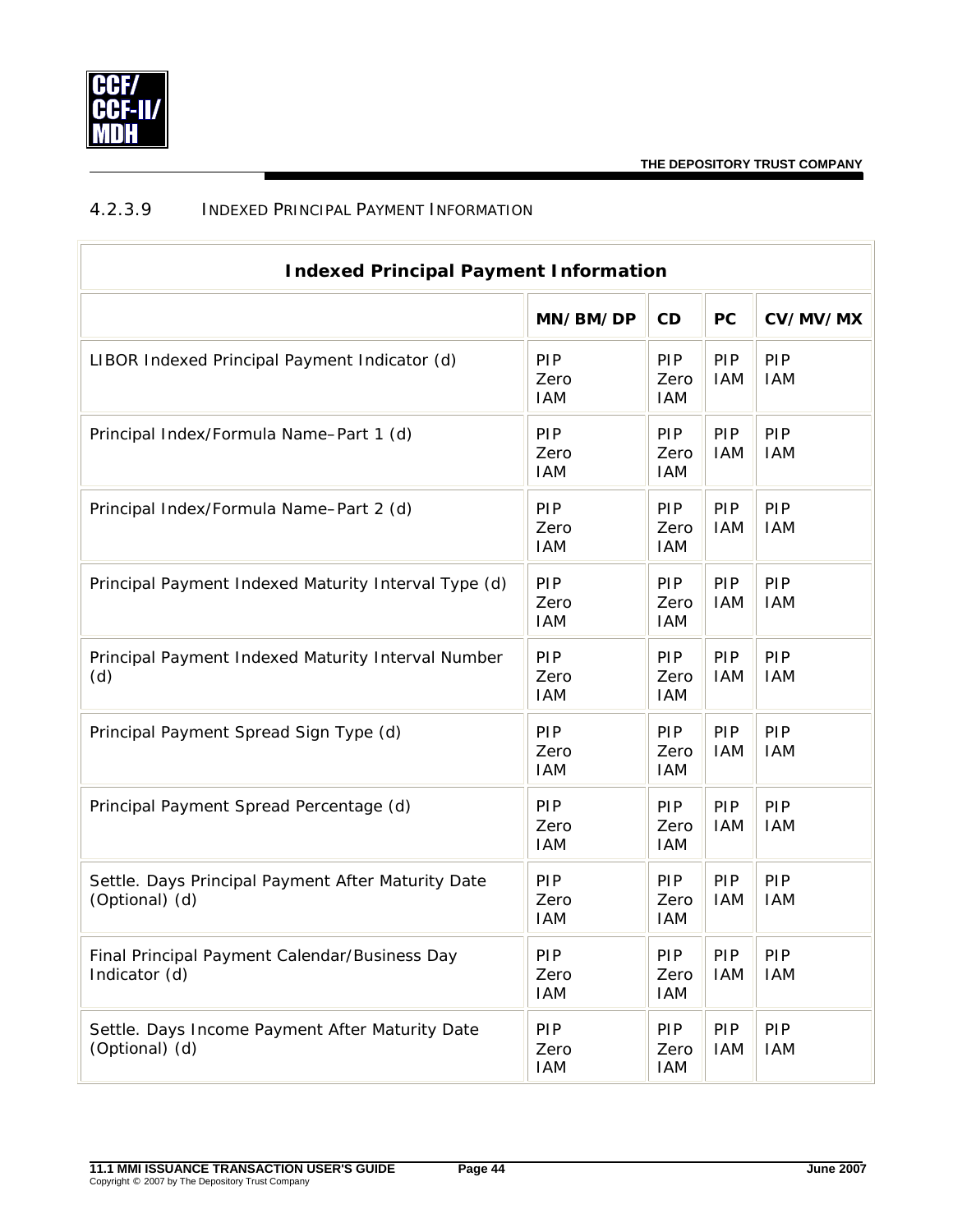

## <span id="page-46-0"></span>4.2.3.9 INDEXED PRINCIPAL PAYMENT INFORMATION

| <b>Indexed Principal Payment Information</b>                         |                                  |                           |                   |                   |  |
|----------------------------------------------------------------------|----------------------------------|---------------------------|-------------------|-------------------|--|
|                                                                      | MN/BM/DP                         | CD                        | <b>PC</b>         | CV/MV/MX          |  |
| LIBOR Indexed Principal Payment Indicator (d)                        | <b>PIP</b><br>Zero<br><b>IAM</b> | PIP<br>Zero<br><b>IAM</b> | PIP<br><b>IAM</b> | PIP<br><b>IAM</b> |  |
| Principal Index/Formula Name-Part 1 (d)                              | PIP<br>Zero<br><b>IAM</b>        | PIP<br>Zero<br><b>IAM</b> | PIP<br><b>IAM</b> | PIP<br><b>IAM</b> |  |
| Principal Index/Formula Name-Part 2 (d)                              | PIP<br>Zero<br><b>IAM</b>        | PIP<br>Zero<br><b>IAM</b> | PIP<br><b>IAM</b> | PIP<br><b>IAM</b> |  |
| Principal Payment Indexed Maturity Interval Type (d)                 | PIP<br>Zero<br><b>IAM</b>        | PIP<br>Zero<br><b>IAM</b> | PIP<br><b>IAM</b> | PIP<br><b>IAM</b> |  |
| Principal Payment Indexed Maturity Interval Number<br>(d)            | PIP<br>Zero<br><b>IAM</b>        | PIP<br>Zero<br><b>IAM</b> | PIP<br><b>IAM</b> | PIP<br><b>IAM</b> |  |
| Principal Payment Spread Sign Type (d)                               | PIP<br>Zero<br><b>IAM</b>        | PIP<br>Zero<br><b>IAM</b> | PIP<br><b>IAM</b> | PIP<br><b>IAM</b> |  |
| Principal Payment Spread Percentage (d)                              | PIP<br>Zero<br><b>IAM</b>        | PIP<br>Zero<br><b>IAM</b> | PIP<br><b>IAM</b> | PIP<br><b>IAM</b> |  |
| Settle. Days Principal Payment After Maturity Date<br>(Optional) (d) | PIP<br>Zero<br><b>IAM</b>        | PIP<br>Zero<br><b>IAM</b> | PIP<br><b>IAM</b> | PIP<br><b>IAM</b> |  |
| Final Principal Payment Calendar/Business Day<br>Indicator (d)       | PIP<br>Zero<br>IAM               | PIP<br>Zero<br><b>IAM</b> | PIP<br><b>IAM</b> | PIP<br><b>IAM</b> |  |
| Settle. Days Income Payment After Maturity Date<br>(Optional) (d)    | PIP<br>Zero<br>IAM               | PIP<br>Zero<br><b>IAM</b> | PIP<br><b>IAM</b> | PIP<br><b>IAM</b> |  |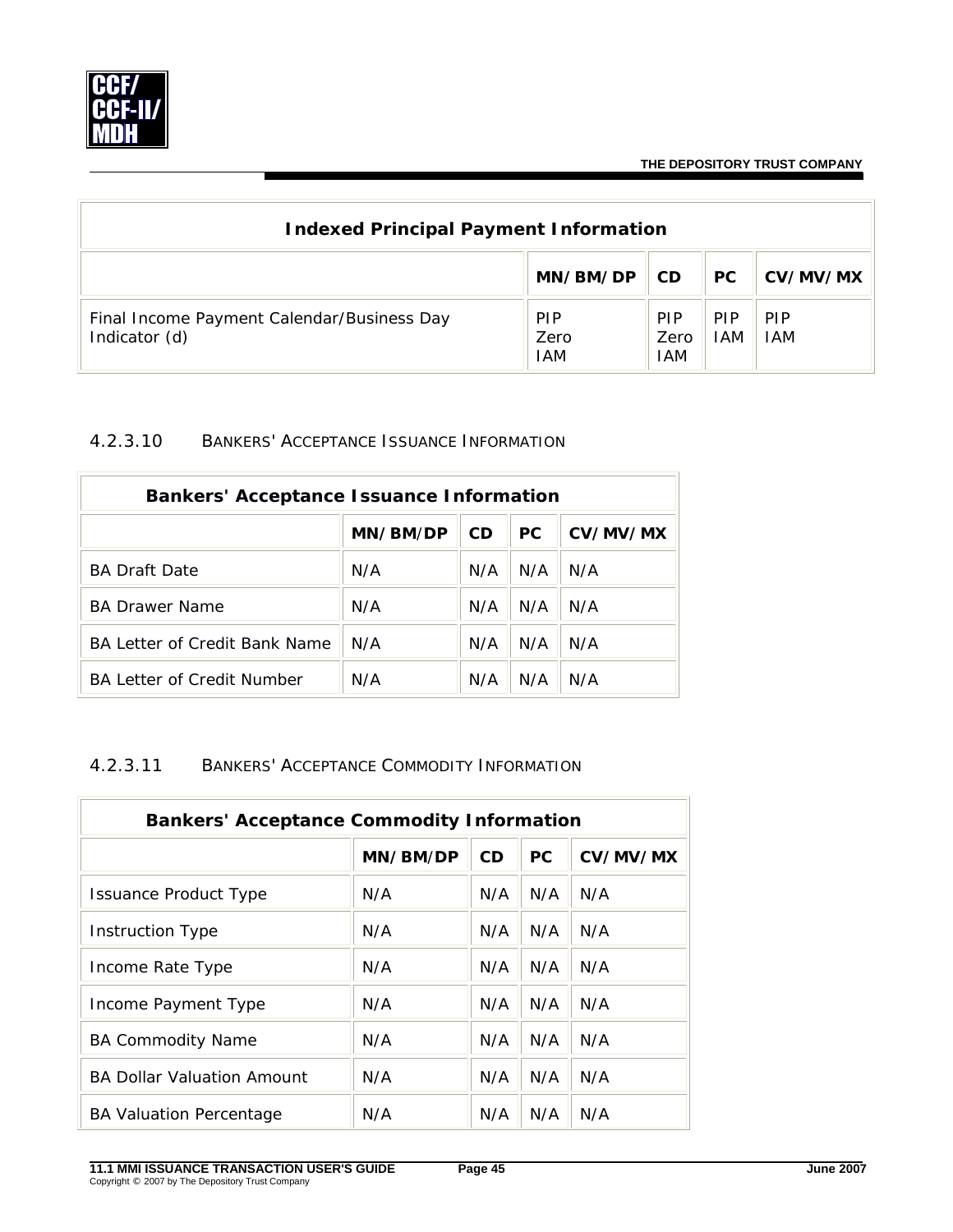

| <b>Indexed Principal Payment Information</b>                |                                  |                           |                    |                          |  |
|-------------------------------------------------------------|----------------------------------|---------------------------|--------------------|--------------------------|--|
|                                                             | MN/BM/DP                         | CD.                       | <b>PC</b>          | CV/MV/MX                 |  |
| Final Income Payment Calendar/Business Day<br>Indicator (d) | <b>PIP</b><br>Zero<br><b>IAM</b> | <b>PIP</b><br>Zero<br>IAM | <b>PIP</b><br>IAM. | <b>PIP</b><br><b>IAM</b> |  |

#### 4.2.3.10 BANKERS' ACCEPTANCE ISSUANCE INFORMATION

| <b>Bankers' Acceptance Issuance Information</b> |          |     |     |          |  |
|-------------------------------------------------|----------|-----|-----|----------|--|
|                                                 | MN/BM/DP | CD. | PC. | CV/MV/MX |  |
| <b>BA Draft Date</b>                            | N/A      | N/A | N/A | N/A      |  |
| <b>BA Drawer Name</b>                           | N/A      | N/A | N/A | N/A      |  |
| BA Letter of Credit Bank Name                   | N/A      | N/A | N/A | N/A      |  |
| <b>BA Letter of Credit Number</b>               | N/A      | N/A | N/A | N/A      |  |

#### 4.2.3.11 BANKERS' ACCEPTANCE COMMODITY INFORMATION

| <b>Bankers' Acceptance Commodity Information</b> |          |     |           |          |  |
|--------------------------------------------------|----------|-----|-----------|----------|--|
|                                                  | MN/BM/DP | CD  | <b>PC</b> | CV/MV/MX |  |
| <b>Issuance Product Type</b>                     | N/A      | N/A | N/A       | N/A      |  |
| Instruction Type                                 | N/A      | N/A | N/A       | N/A      |  |
| Income Rate Type                                 | N/A      | N/A | N/A       | N/A      |  |
| Income Payment Type                              | N/A      | N/A | N/A       | N/A      |  |
| <b>BA Commodity Name</b>                         | N/A      | N/A | N/A       | N/A      |  |
| <b>BA Dollar Valuation Amount</b>                | N/A      | N/A | N/A       | N/A      |  |
| <b>BA Valuation Percentage</b>                   | N/A      | N/A | N/A       | N/A      |  |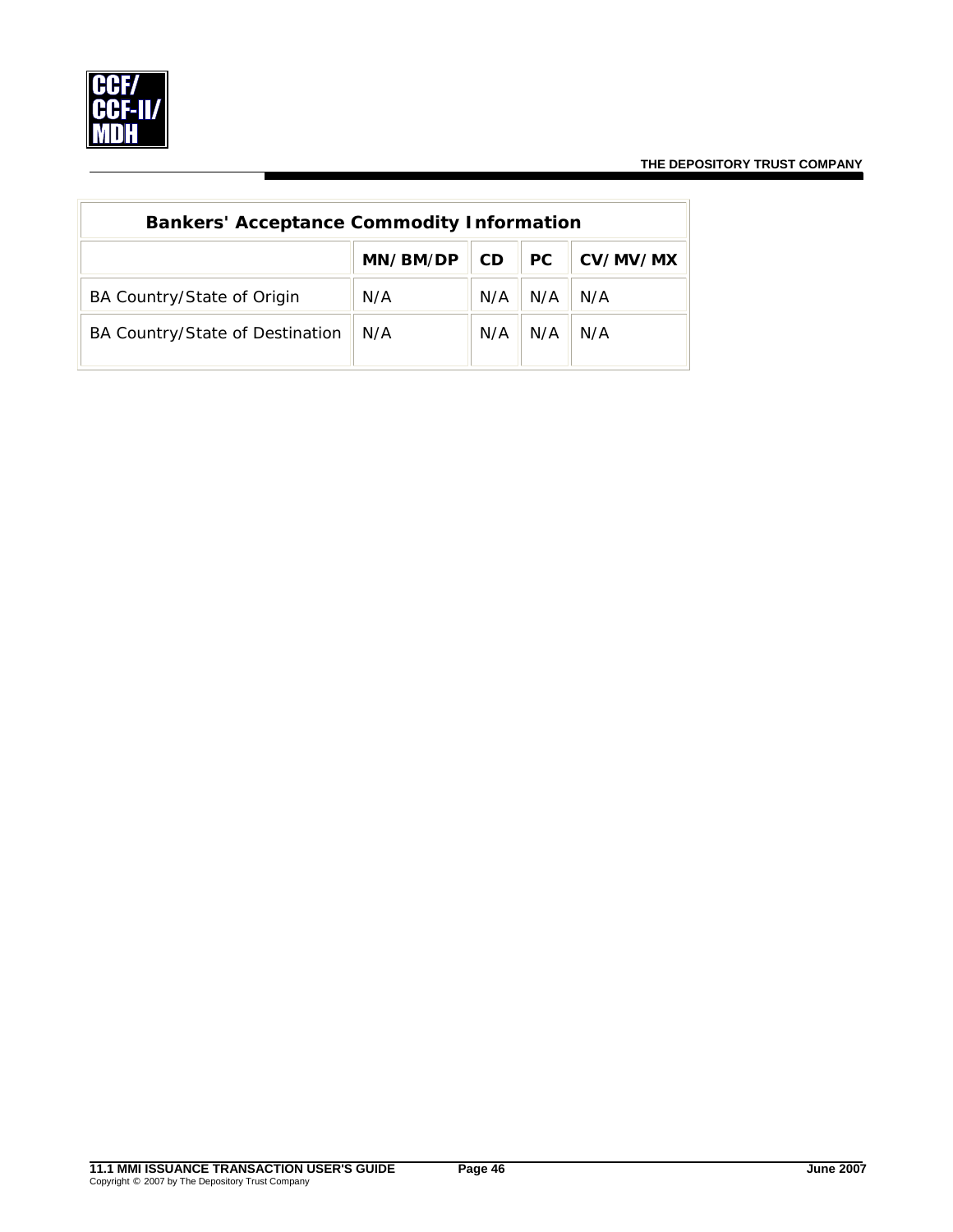

| <b>Bankers' Acceptance Commodity Information</b> |          |           |           |          |
|--------------------------------------------------|----------|-----------|-----------|----------|
|                                                  | MN/BM/DP | <b>CD</b> | <b>PC</b> | CV/MV/MX |
| BA Country/State of Origin                       | N/A      | N/A       | N/A       | N/A      |
| BA Country/State of Destination                  | N/A      | N/A       | N/A       | N/A      |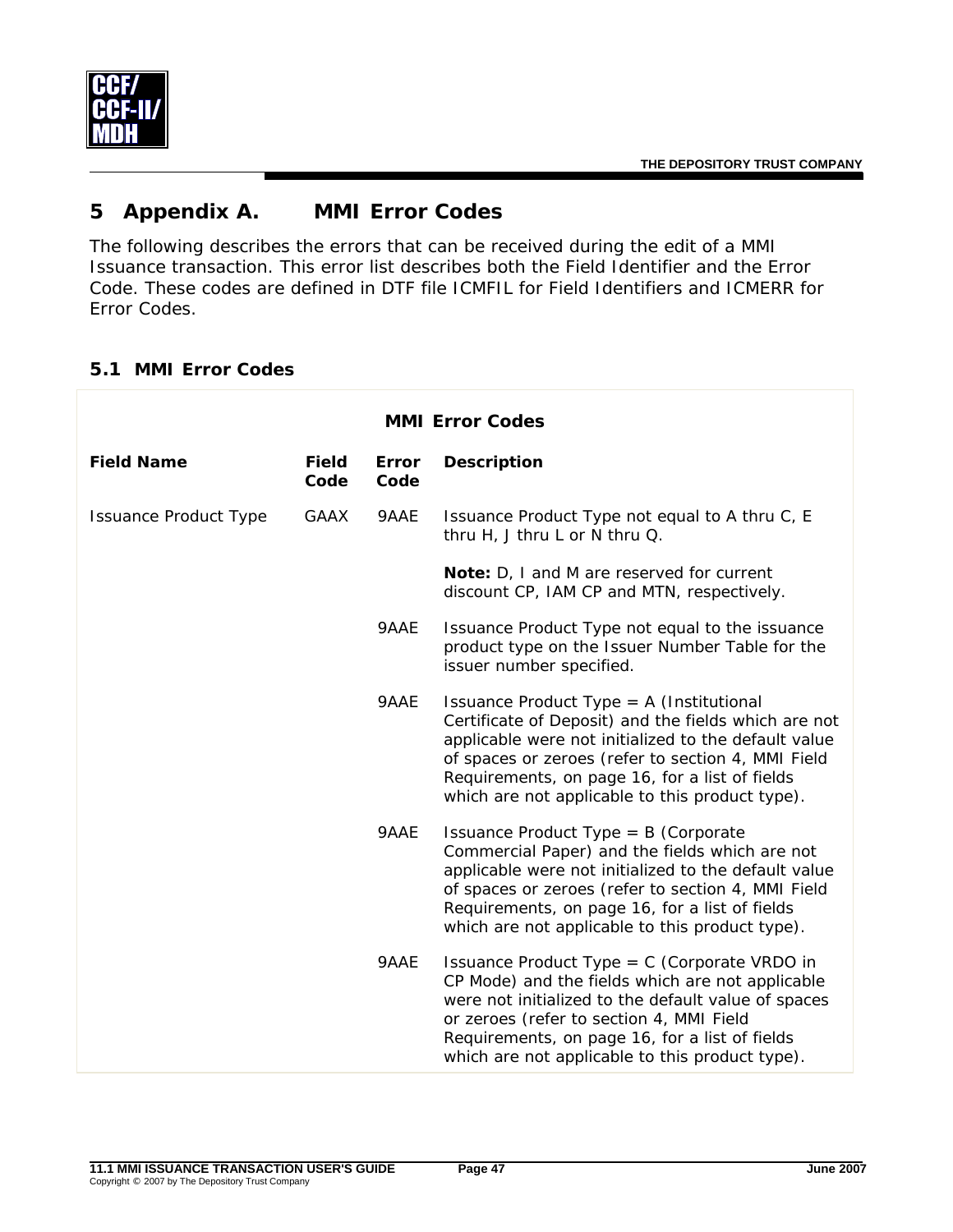

# **5 Appendix A. MMI Error Codes**

The following describes the errors that can be received during the edit of a MMI Issuance transaction. This error list describes both the Field Identifier and the Error Code. These codes are defined in DTF file ICMFIL for Field Identifiers and ICMERR for Error Codes.

## **5.1 MMI Error Codes**

| <b>MMI Error Codes</b>       |                      |                      |                                                                                                                                                                                                                                                                                                                       |  |  |
|------------------------------|----------------------|----------------------|-----------------------------------------------------------------------------------------------------------------------------------------------------------------------------------------------------------------------------------------------------------------------------------------------------------------------|--|--|
| <b>Field Name</b>            | <b>Field</b><br>Code | <b>Error</b><br>Code | <b>Description</b>                                                                                                                                                                                                                                                                                                    |  |  |
| <b>Issuance Product Type</b> | <b>GAAX</b>          | 9AAE                 | Issuance Product Type not equal to A thru C, E<br>thru H, J thru L or N thru Q.                                                                                                                                                                                                                                       |  |  |
|                              |                      |                      | Note: D, I and M are reserved for current<br>discount CP, IAM CP and MTN, respectively.                                                                                                                                                                                                                               |  |  |
|                              |                      | 9AAE                 | Issuance Product Type not equal to the issuance<br>product type on the Issuer Number Table for the<br>issuer number specified.                                                                                                                                                                                        |  |  |
|                              |                      | 9AAE                 | Issuance Product Type = $A$ (Institutional<br>Certificate of Deposit) and the fields which are not<br>applicable were not initialized to the default value<br>of spaces or zeroes (refer to section 4, MMI Field<br>Requirements, on page 16, for a list of fields<br>which are not applicable to this product type). |  |  |
|                              |                      | 9AAE                 | Issuance Product Type = $B$ (Corporate<br>Commercial Paper) and the fields which are not<br>applicable were not initialized to the default value<br>of spaces or zeroes (refer to section 4, MMI Field<br>Requirements, on page 16, for a list of fields<br>which are not applicable to this product type).           |  |  |
|                              |                      | 9AAE                 | Issuance Product Type = $C$ (Corporate VRDO in<br>CP Mode) and the fields which are not applicable<br>were not initialized to the default value of spaces<br>or zeroes (refer to section 4, MMI Field<br>Requirements, on page 16, for a list of fields<br>which are not applicable to this product type).            |  |  |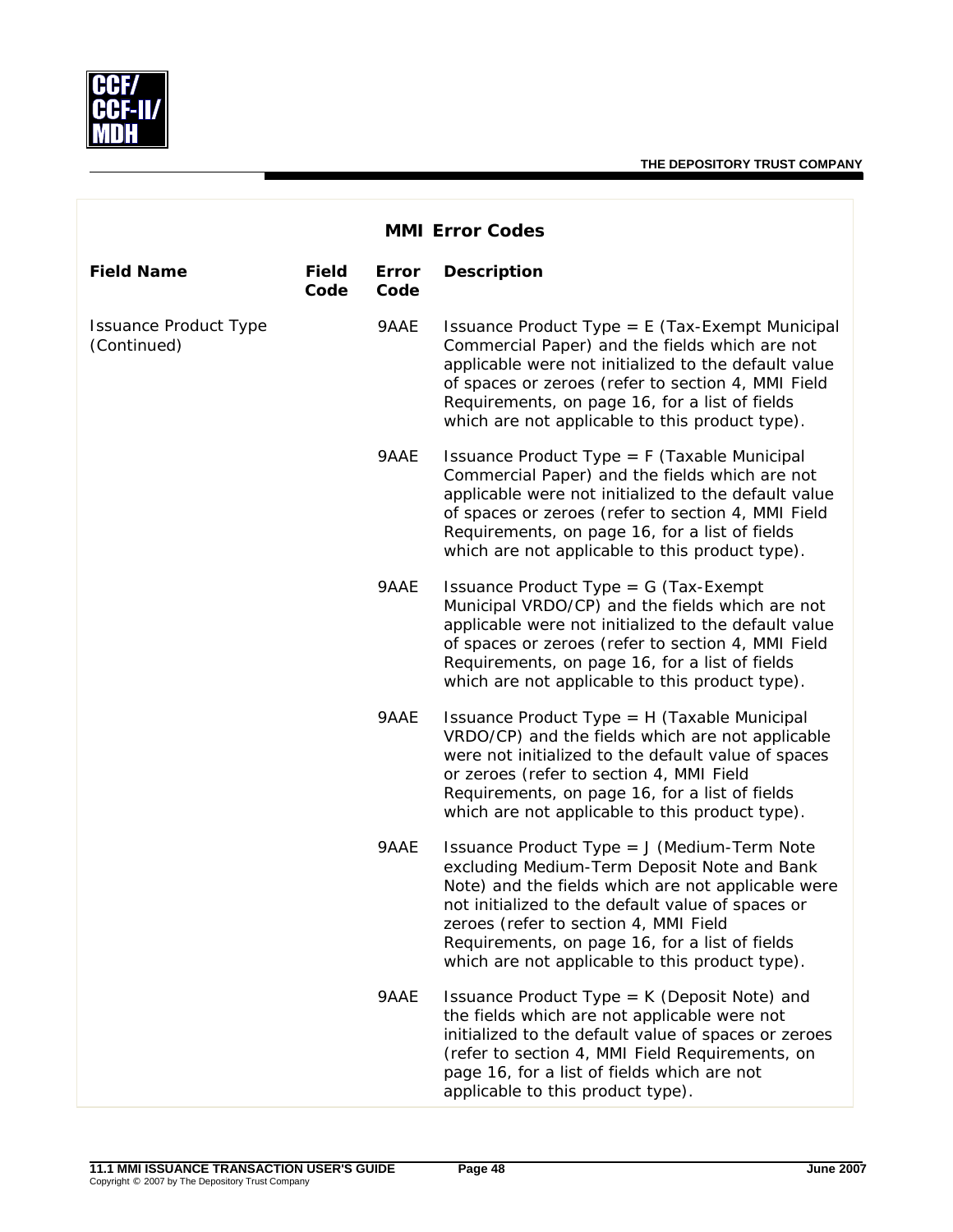

| <b>MMI Error Codes</b>                      |                      |               |                                                                                                                                                                                                                                                                                                                                                     |  |  |
|---------------------------------------------|----------------------|---------------|-----------------------------------------------------------------------------------------------------------------------------------------------------------------------------------------------------------------------------------------------------------------------------------------------------------------------------------------------------|--|--|
| <b>Field Name</b>                           | <b>Field</b><br>Code | Error<br>Code | <b>Description</b>                                                                                                                                                                                                                                                                                                                                  |  |  |
| <b>Issuance Product Type</b><br>(Continued) |                      | 9AAE          | Issuance Product Type = $E$ (Tax-Exempt Municipal<br>Commercial Paper) and the fields which are not<br>applicable were not initialized to the default value<br>of spaces or zeroes (refer to section 4, MMI Field<br>Requirements, on page 16, for a list of fields<br>which are not applicable to this product type).                              |  |  |
|                                             |                      | 9AAE          | Issuance Product Type = $F$ (Taxable Municipal<br>Commercial Paper) and the fields which are not<br>applicable were not initialized to the default value<br>of spaces or zeroes (refer to section 4, MMI Field<br>Requirements, on page 16, for a list of fields<br>which are not applicable to this product type).                                 |  |  |
|                                             |                      | 9AAE          | Issuance Product Type = $G$ (Tax-Exempt<br>Municipal VRDO/CP) and the fields which are not<br>applicable were not initialized to the default value<br>of spaces or zeroes (refer to section 4, MMI Field<br>Requirements, on page 16, for a list of fields<br>which are not applicable to this product type).                                       |  |  |
|                                             |                      | 9AAE          | Issuance Product Type = H (Taxable Municipal<br>VRDO/CP) and the fields which are not applicable<br>were not initialized to the default value of spaces<br>or zeroes (refer to section 4, MMI Field<br>Requirements, on page 16, for a list of fields<br>which are not applicable to this product type).                                            |  |  |
|                                             |                      | 9AAE          | Issuance Product Type = J (Medium-Term Note<br>excluding Medium-Term Deposit Note and Bank<br>Note) and the fields which are not applicable were<br>not initialized to the default value of spaces or<br>zeroes (refer to section 4, MMI Field<br>Requirements, on page 16, for a list of fields<br>which are not applicable to this product type). |  |  |
|                                             |                      | 9AAE          | Issuance Product Type = K (Deposit Note) and<br>the fields which are not applicable were not<br>initialized to the default value of spaces or zeroes<br>(refer to section 4, MMI Field Requirements, on<br>page 16, for a list of fields which are not<br>applicable to this product type).                                                         |  |  |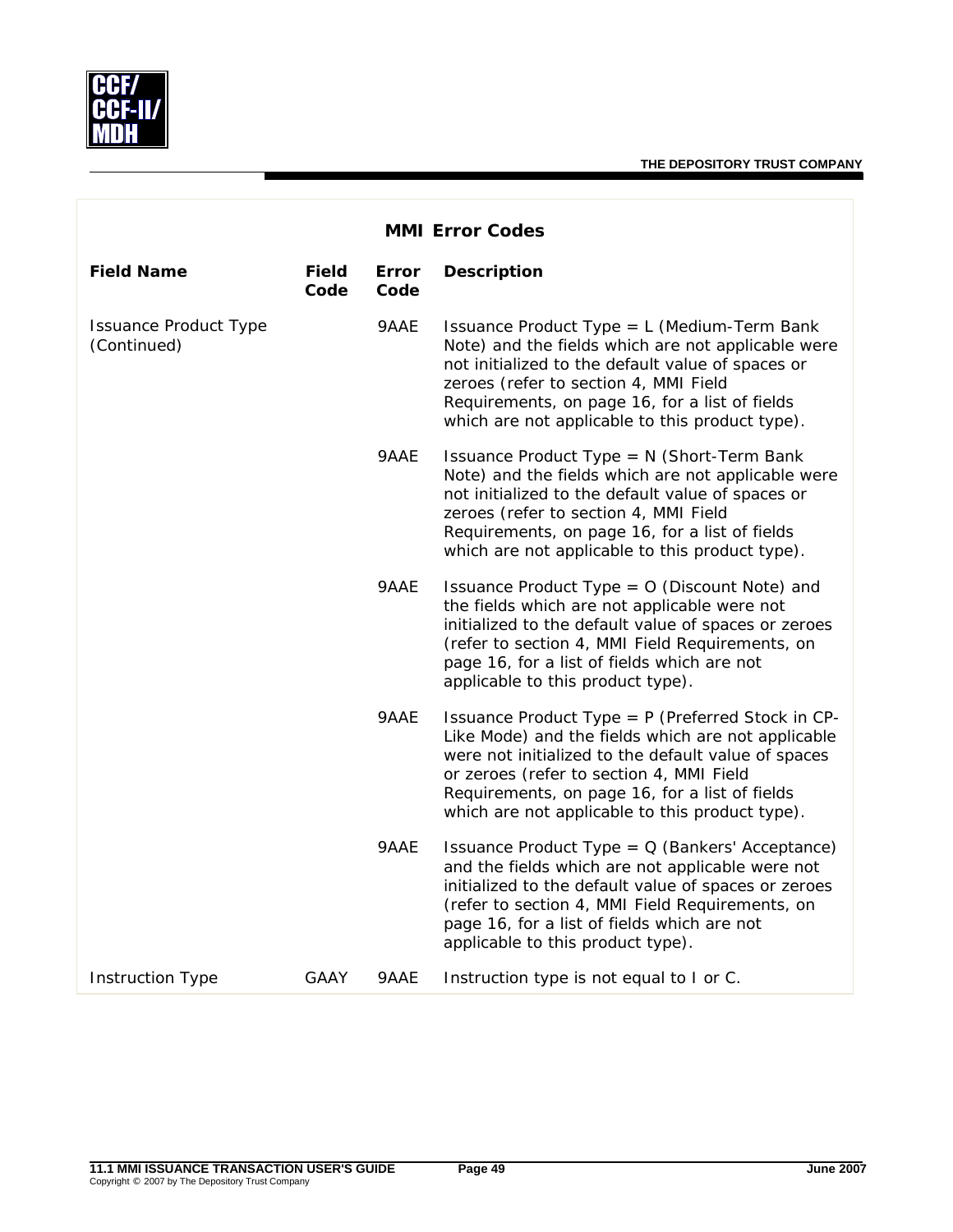

|                                             | <b>MMI Error Codes</b> |               |                                                                                                                                                                                                                                                                                                                 |  |  |  |  |  |
|---------------------------------------------|------------------------|---------------|-----------------------------------------------------------------------------------------------------------------------------------------------------------------------------------------------------------------------------------------------------------------------------------------------------------------|--|--|--|--|--|
| <b>Field Name</b>                           | <b>Field</b><br>Code   | Error<br>Code | <b>Description</b>                                                                                                                                                                                                                                                                                              |  |  |  |  |  |
| <b>Issuance Product Type</b><br>(Continued) |                        | 9AAE          | Issuance Product Type = L (Medium-Term Bank<br>Note) and the fields which are not applicable were<br>not initialized to the default value of spaces or<br>zeroes (refer to section 4, MMI Field<br>Requirements, on page 16, for a list of fields<br>which are not applicable to this product type).            |  |  |  |  |  |
|                                             |                        | 9AAE          | Issuance Product Type = N (Short-Term Bank<br>Note) and the fields which are not applicable were<br>not initialized to the default value of spaces or<br>zeroes (refer to section 4, MMI Field<br>Requirements, on page 16, for a list of fields<br>which are not applicable to this product type).             |  |  |  |  |  |
|                                             |                        | 9AAE          | Issuance Product Type = 0 (Discount Note) and<br>the fields which are not applicable were not<br>initialized to the default value of spaces or zeroes<br>(refer to section 4, MMI Field Requirements, on<br>page 16, for a list of fields which are not<br>applicable to this product type).                    |  |  |  |  |  |
|                                             |                        | 9AAE          | Issuance Product Type = P (Preferred Stock in CP-<br>Like Mode) and the fields which are not applicable<br>were not initialized to the default value of spaces<br>or zeroes (refer to section 4, MMI Field<br>Requirements, on page 16, for a list of fields<br>which are not applicable to this product type). |  |  |  |  |  |
|                                             |                        | 9AAE          | Issuance Product Type = $Q$ (Bankers' Acceptance)<br>and the fields which are not applicable were not<br>initialized to the default value of spaces or zeroes<br>(refer to section 4, MMI Field Requirements, on<br>page 16, for a list of fields which are not<br>applicable to this product type).            |  |  |  |  |  |
| <b>Instruction Type</b>                     | <b>GAAY</b>            | 9AAE          | Instruction type is not equal to I or C.                                                                                                                                                                                                                                                                        |  |  |  |  |  |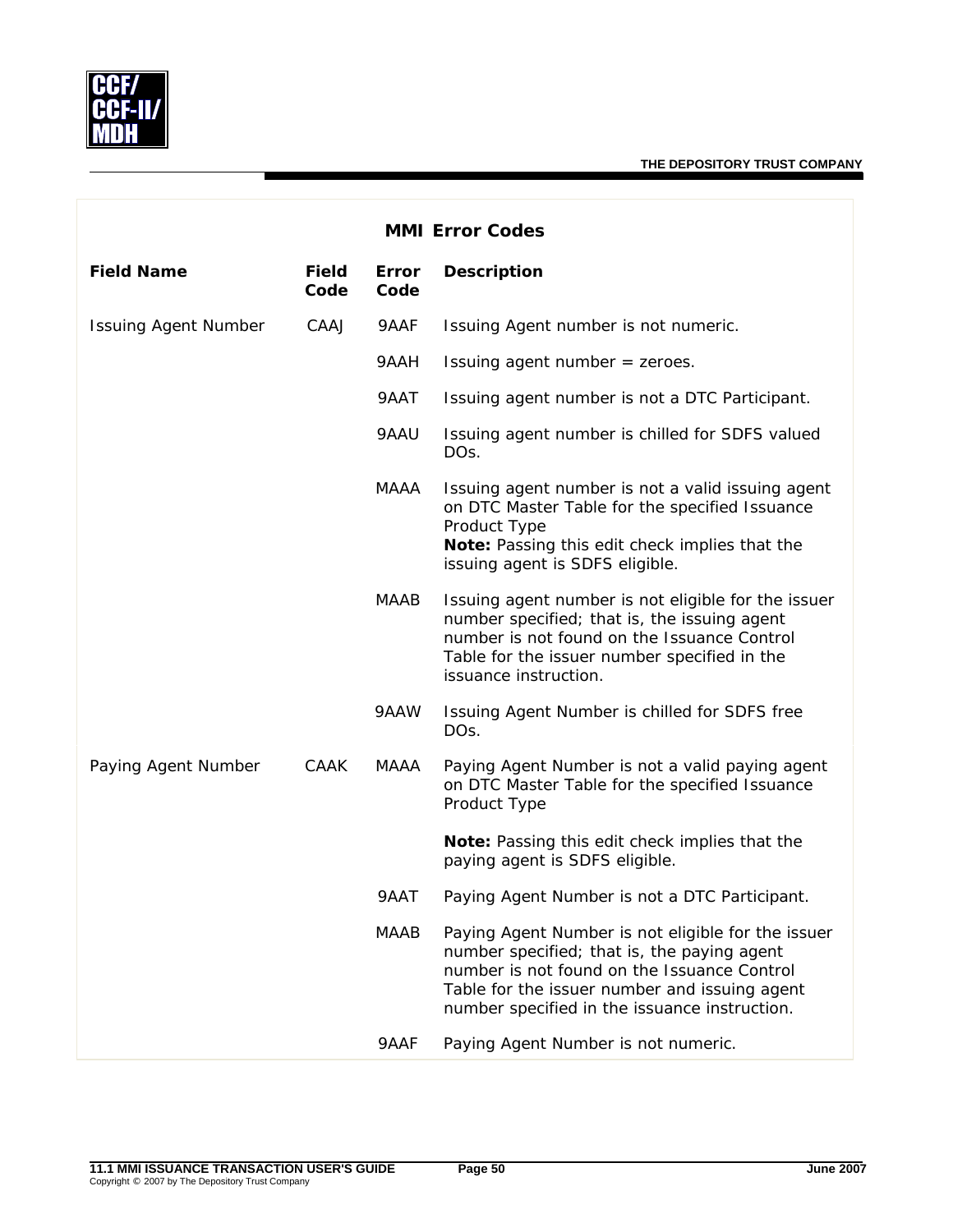

| <b>MMI Error Codes</b>      |                      |               |                                                                                                                                                                                                                                                    |  |  |
|-----------------------------|----------------------|---------------|----------------------------------------------------------------------------------------------------------------------------------------------------------------------------------------------------------------------------------------------------|--|--|
| <b>Field Name</b>           | <b>Field</b><br>Code | Error<br>Code | <b>Description</b>                                                                                                                                                                                                                                 |  |  |
| <b>Issuing Agent Number</b> | CAAJ                 | 9AAF          | Issuing Agent number is not numeric.                                                                                                                                                                                                               |  |  |
|                             |                      | 9AAH          | Issuing agent number = zeroes.                                                                                                                                                                                                                     |  |  |
|                             |                      | 9AAT          | Issuing agent number is not a DTC Participant.                                                                                                                                                                                                     |  |  |
|                             |                      | 9AAU          | Issuing agent number is chilled for SDFS valued<br>DO <sub>S</sub> .                                                                                                                                                                               |  |  |
|                             |                      | MAAA          | Issuing agent number is not a valid issuing agent<br>on DTC Master Table for the specified Issuance<br>Product Type<br>Note: Passing this edit check implies that the<br>issuing agent is SDFS eligible.                                           |  |  |
|                             |                      | <b>MAAB</b>   | Issuing agent number is not eligible for the issuer<br>number specified; that is, the issuing agent<br>number is not found on the Issuance Control<br>Table for the issuer number specified in the<br>issuance instruction.                        |  |  |
|                             |                      | 9AAW          | Issuing Agent Number is chilled for SDFS free<br>DOs.                                                                                                                                                                                              |  |  |
| Paying Agent Number         | CAAK                 | MAAA          | Paying Agent Number is not a valid paying agent<br>on DTC Master Table for the specified Issuance<br>Product Type                                                                                                                                  |  |  |
|                             |                      |               | Note: Passing this edit check implies that the<br>paying agent is SDFS eligible.                                                                                                                                                                   |  |  |
|                             |                      | 9AAT          | Paying Agent Number is not a DTC Participant.                                                                                                                                                                                                      |  |  |
|                             |                      | <b>MAAB</b>   | Paying Agent Number is not eligible for the issuer<br>number specified; that is, the paying agent<br>number is not found on the Issuance Control<br>Table for the issuer number and issuing agent<br>number specified in the issuance instruction. |  |  |
|                             |                      | 9AAF          | Paying Agent Number is not numeric.                                                                                                                                                                                                                |  |  |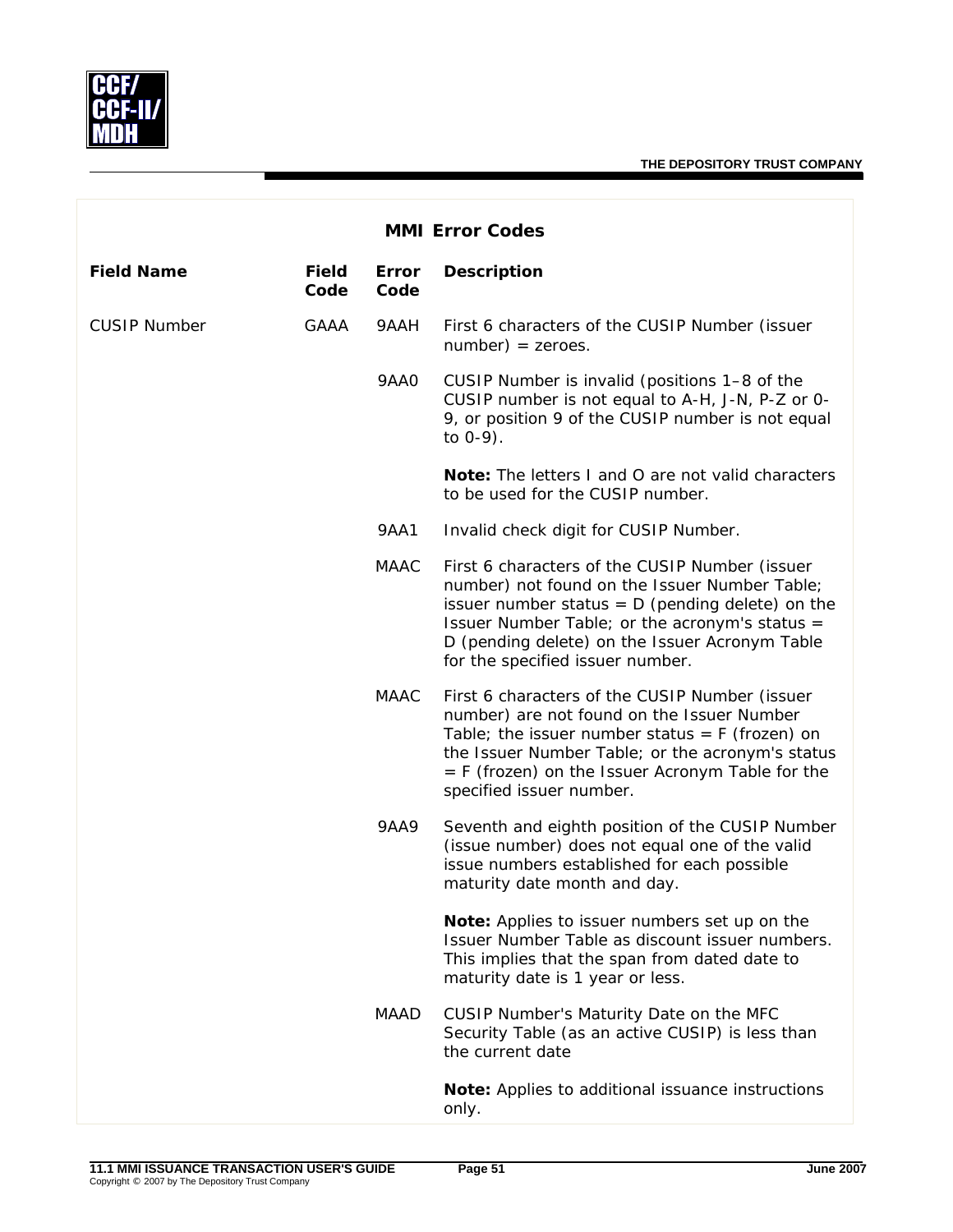

| <b>MMI Error Codes</b> |                      |               |                                                                                                                                                                                                                                                                                               |  |  |
|------------------------|----------------------|---------------|-----------------------------------------------------------------------------------------------------------------------------------------------------------------------------------------------------------------------------------------------------------------------------------------------|--|--|
| <b>Field Name</b>      | <b>Field</b><br>Code | Error<br>Code | <b>Description</b>                                                                                                                                                                                                                                                                            |  |  |
| <b>CUSIP Number</b>    | <b>GAAA</b>          | 9AAH          | First 6 characters of the CUSIP Number (issuer<br>$number) = zeroes.$                                                                                                                                                                                                                         |  |  |
|                        |                      | 9AA0          | CUSIP Number is invalid (positions 1-8 of the<br>CUSIP number is not equal to A-H, J-N, P-Z or 0-<br>9, or position 9 of the CUSIP number is not equal<br>to $0-9$ ).                                                                                                                         |  |  |
|                        |                      |               | <b>Note:</b> The letters I and O are not valid characters<br>to be used for the CUSIP number.                                                                                                                                                                                                 |  |  |
|                        |                      | <b>9AA1</b>   | Invalid check digit for CUSIP Number.                                                                                                                                                                                                                                                         |  |  |
|                        |                      | <b>MAAC</b>   | First 6 characters of the CUSIP Number (issuer<br>number) not found on the Issuer Number Table;<br>issuer number status = $D$ (pending delete) on the<br>Issuer Number Table; or the acronym's status =<br>D (pending delete) on the Issuer Acronym Table<br>for the specified issuer number. |  |  |
|                        |                      | MAAC          | First 6 characters of the CUSIP Number (issuer<br>number) are not found on the Issuer Number<br>Table; the issuer number status = $F$ (frozen) on<br>the Issuer Number Table; or the acronym's status<br>$=$ F (frozen) on the Issuer Acronym Table for the<br>specified issuer number.       |  |  |
|                        |                      | <b>9AA9</b>   | Seventh and eighth position of the CUSIP Number<br>(issue number) does not equal one of the valid<br>issue numbers established for each possible<br>maturity date month and day.                                                                                                              |  |  |
|                        |                      |               | Note: Applies to issuer numbers set up on the<br>Issuer Number Table as discount issuer numbers.<br>This implies that the span from dated date to<br>maturity date is 1 year or less.                                                                                                         |  |  |
|                        |                      | MAAD          | CUSIP Number's Maturity Date on the MFC<br>Security Table (as an active CUSIP) is less than<br>the current date                                                                                                                                                                               |  |  |
|                        |                      |               | Note: Applies to additional issuance instructions<br>only.                                                                                                                                                                                                                                    |  |  |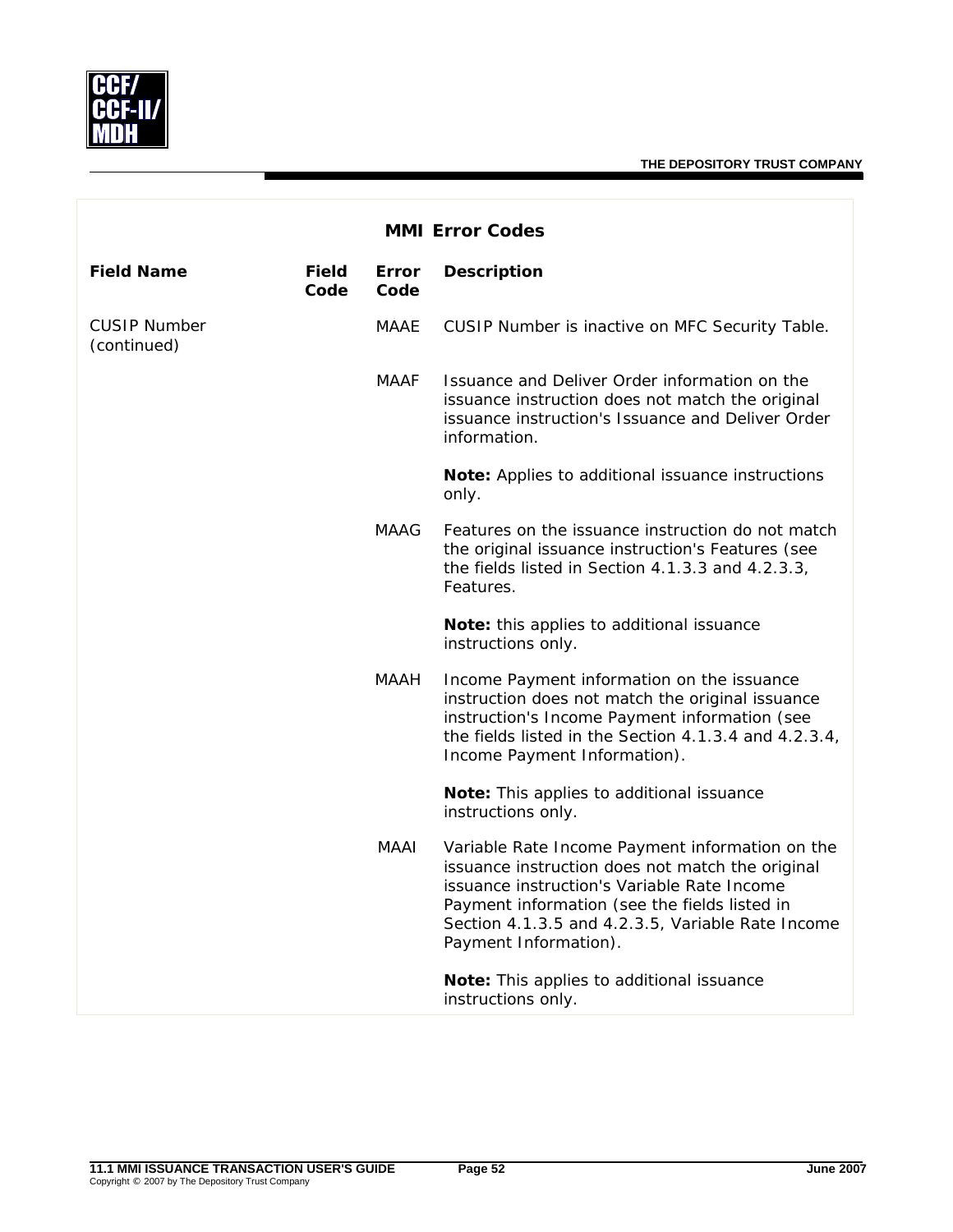

| <b>MMI Error Codes</b>             |                      |               |                                                                                                                                                                                                                                                                                   |  |  |
|------------------------------------|----------------------|---------------|-----------------------------------------------------------------------------------------------------------------------------------------------------------------------------------------------------------------------------------------------------------------------------------|--|--|
| <b>Field Name</b>                  | <b>Field</b><br>Code | Error<br>Code | <b>Description</b>                                                                                                                                                                                                                                                                |  |  |
| <b>CUSIP Number</b><br>(continued) |                      | MAAE          | CUSIP Number is inactive on MFC Security Table.                                                                                                                                                                                                                                   |  |  |
|                                    |                      | MAAF          | Issuance and Deliver Order information on the<br>issuance instruction does not match the original<br>issuance instruction's Issuance and Deliver Order<br>information.                                                                                                            |  |  |
|                                    |                      |               | Note: Applies to additional issuance instructions<br>only.                                                                                                                                                                                                                        |  |  |
|                                    |                      | <b>MAAG</b>   | Features on the issuance instruction do not match<br>the original issuance instruction's Features (see<br>the fields listed in Section 4.1.3.3 and 4.2.3.3,<br>Features.                                                                                                          |  |  |
|                                    |                      |               | Note: this applies to additional issuance<br>instructions only.                                                                                                                                                                                                                   |  |  |
|                                    |                      | MAAH          | Income Payment information on the issuance<br>instruction does not match the original issuance<br>instruction's Income Payment information (see<br>the fields listed in the Section 4.1.3.4 and 4.2.3.4,<br>Income Payment Information).                                          |  |  |
|                                    |                      |               | Note: This applies to additional issuance<br>instructions only.                                                                                                                                                                                                                   |  |  |
|                                    |                      | MAAI          | Variable Rate Income Payment information on the<br>issuance instruction does not match the original<br>issuance instruction's Variable Rate Income<br>Payment information (see the fields listed in<br>Section 4.1.3.5 and 4.2.3.5, Variable Rate Income<br>Payment Information). |  |  |
|                                    |                      |               | Note: This applies to additional issuance<br>instructions only.                                                                                                                                                                                                                   |  |  |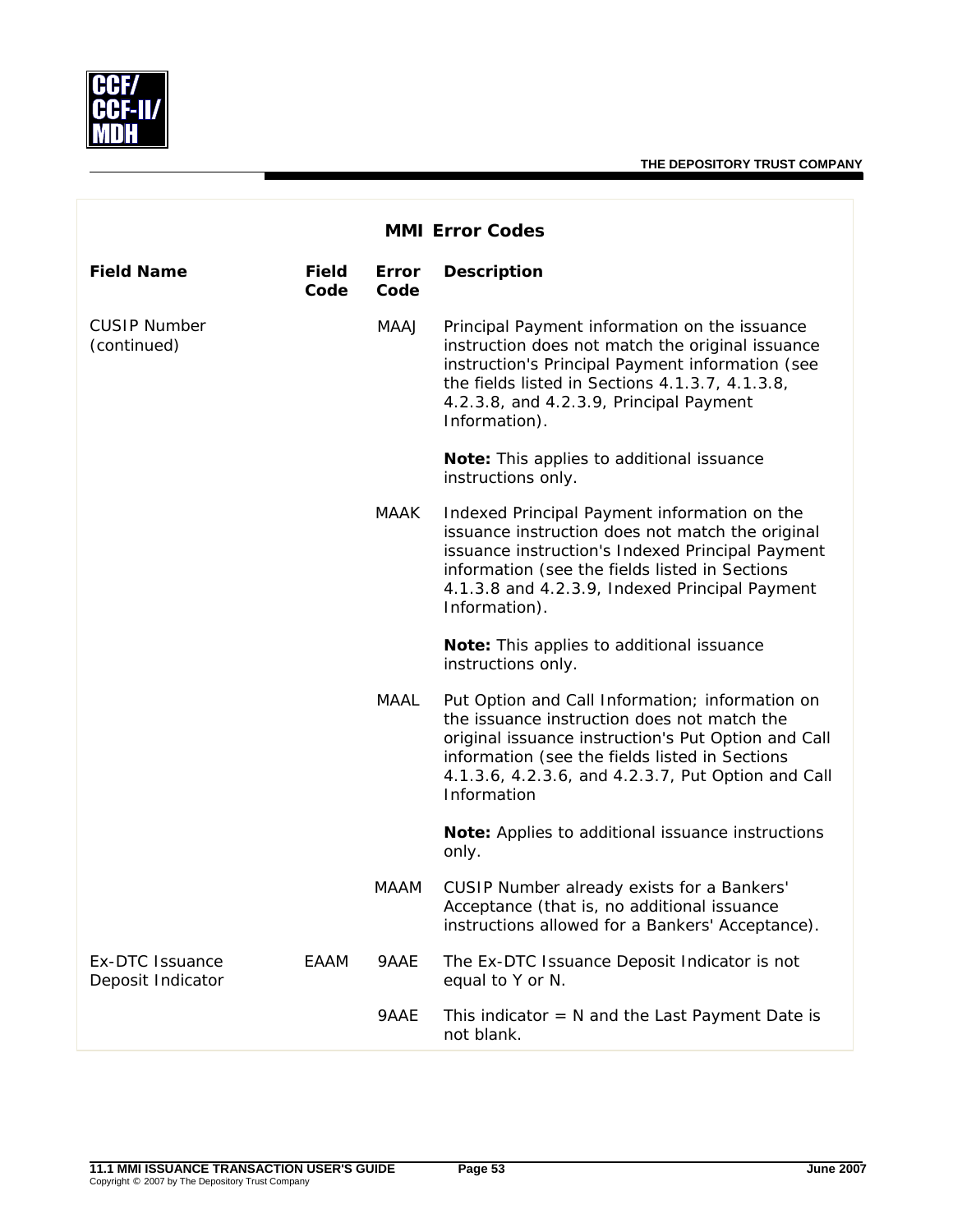

| <b>MMI Error Codes</b>               |                      |                      |                                                                                                                                                                                                                                                                              |  |  |
|--------------------------------------|----------------------|----------------------|------------------------------------------------------------------------------------------------------------------------------------------------------------------------------------------------------------------------------------------------------------------------------|--|--|
| <b>Field Name</b>                    | <b>Field</b><br>Code | <b>Error</b><br>Code | <b>Description</b>                                                                                                                                                                                                                                                           |  |  |
| <b>CUSIP Number</b><br>(continued)   |                      | MAAJ                 | Principal Payment information on the issuance<br>instruction does not match the original issuance<br>instruction's Principal Payment information (see<br>the fields listed in Sections 4.1.3.7, 4.1.3.8,<br>4.2.3.8, and 4.2.3.9, Principal Payment<br>Information).         |  |  |
|                                      |                      |                      | Note: This applies to additional issuance<br>instructions only.                                                                                                                                                                                                              |  |  |
|                                      |                      | MAAK                 | Indexed Principal Payment information on the<br>issuance instruction does not match the original<br>issuance instruction's Indexed Principal Payment<br>information (see the fields listed in Sections<br>4.1.3.8 and 4.2.3.9, Indexed Principal Payment<br>Information).    |  |  |
|                                      |                      |                      | Note: This applies to additional issuance<br>instructions only.                                                                                                                                                                                                              |  |  |
|                                      |                      | MAAL                 | Put Option and Call Information; information on<br>the issuance instruction does not match the<br>original issuance instruction's Put Option and Call<br>information (see the fields listed in Sections<br>4.1.3.6, 4.2.3.6, and 4.2.3.7, Put Option and Call<br>Information |  |  |
|                                      |                      |                      | Note: Applies to additional issuance instructions<br>only.                                                                                                                                                                                                                   |  |  |
|                                      |                      | <b>MAAM</b>          | CUSIP Number already exists for a Bankers'<br>Acceptance (that is, no additional issuance<br>instructions allowed for a Bankers' Acceptance).                                                                                                                                |  |  |
| Ex-DTC Issuance<br>Deposit Indicator | EAAM                 | 9AAE                 | The Ex-DTC Issuance Deposit Indicator is not<br>equal to Y or N.                                                                                                                                                                                                             |  |  |
|                                      |                      | 9AAE                 | This indicator $= N$ and the Last Payment Date is<br>not blank.                                                                                                                                                                                                              |  |  |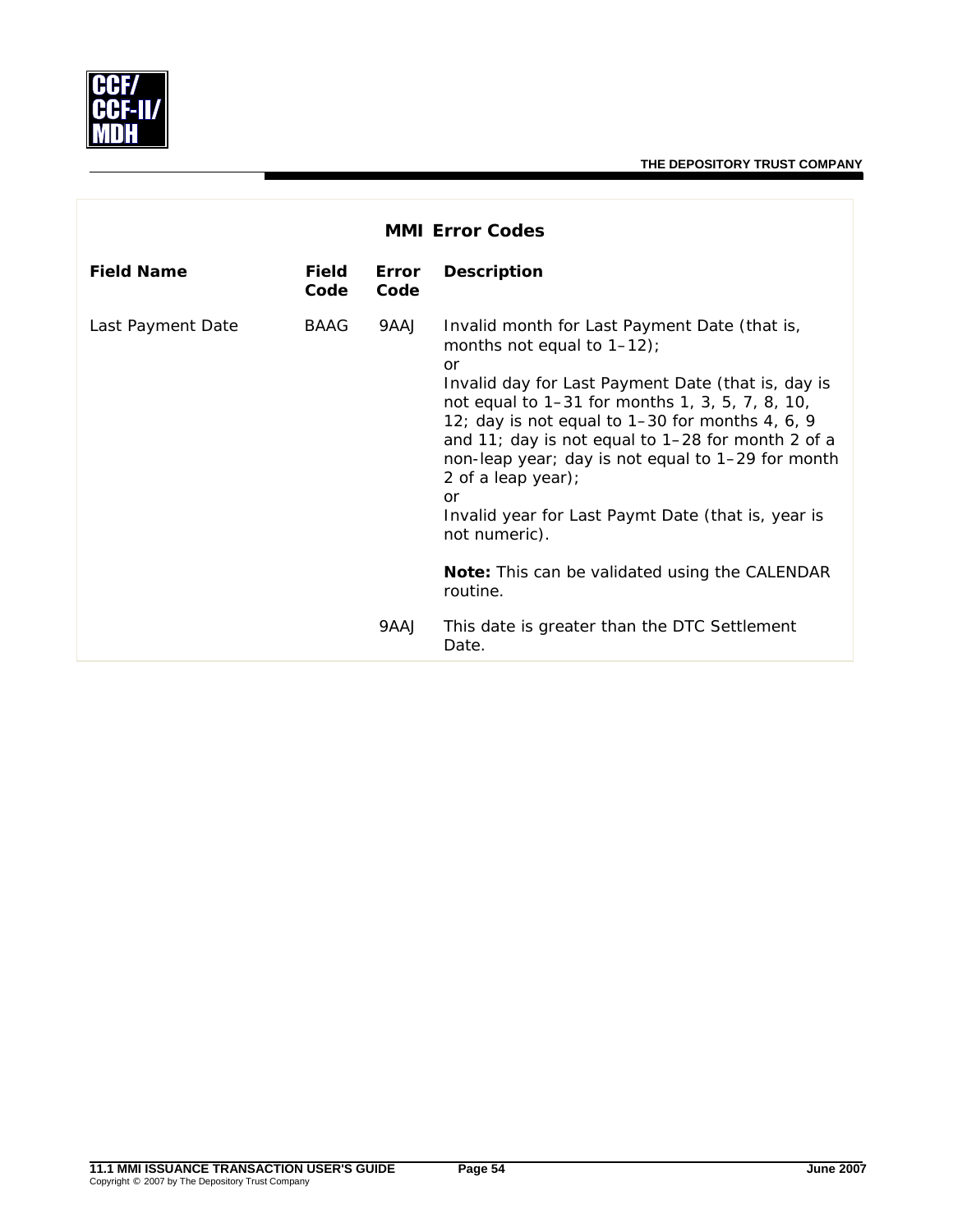

| <b>MMI Error Codes</b> |               |               |                                                                                                                                                                                                                                                                                                                                                                                                                                                                                                                                   |  |  |
|------------------------|---------------|---------------|-----------------------------------------------------------------------------------------------------------------------------------------------------------------------------------------------------------------------------------------------------------------------------------------------------------------------------------------------------------------------------------------------------------------------------------------------------------------------------------------------------------------------------------|--|--|
| <b>Field Name</b>      | Field<br>Code | Error<br>Code | <b>Description</b>                                                                                                                                                                                                                                                                                                                                                                                                                                                                                                                |  |  |
| Last Payment Date      | BAAG          | 9AAJ          | Invalid month for Last Payment Date (that is,<br>months not equal to $1-12$ ;<br>or<br>Invalid day for Last Payment Date (that is, day is<br>not equal to 1–31 for months 1, 3, 5, 7, 8, 10,<br>12; day is not equal to 1-30 for months 4, 6, 9<br>and 11; day is not equal to 1-28 for month 2 of a<br>non-leap year; day is not equal to 1-29 for month<br>2 of a leap year);<br>or<br>Invalid year for Last Paymt Date (that is, year is<br>not numeric).<br><b>Note:</b> This can be validated using the CALENDAR<br>routine. |  |  |
|                        |               | 9AAJ          | This date is greater than the DTC Settlement<br>Date.                                                                                                                                                                                                                                                                                                                                                                                                                                                                             |  |  |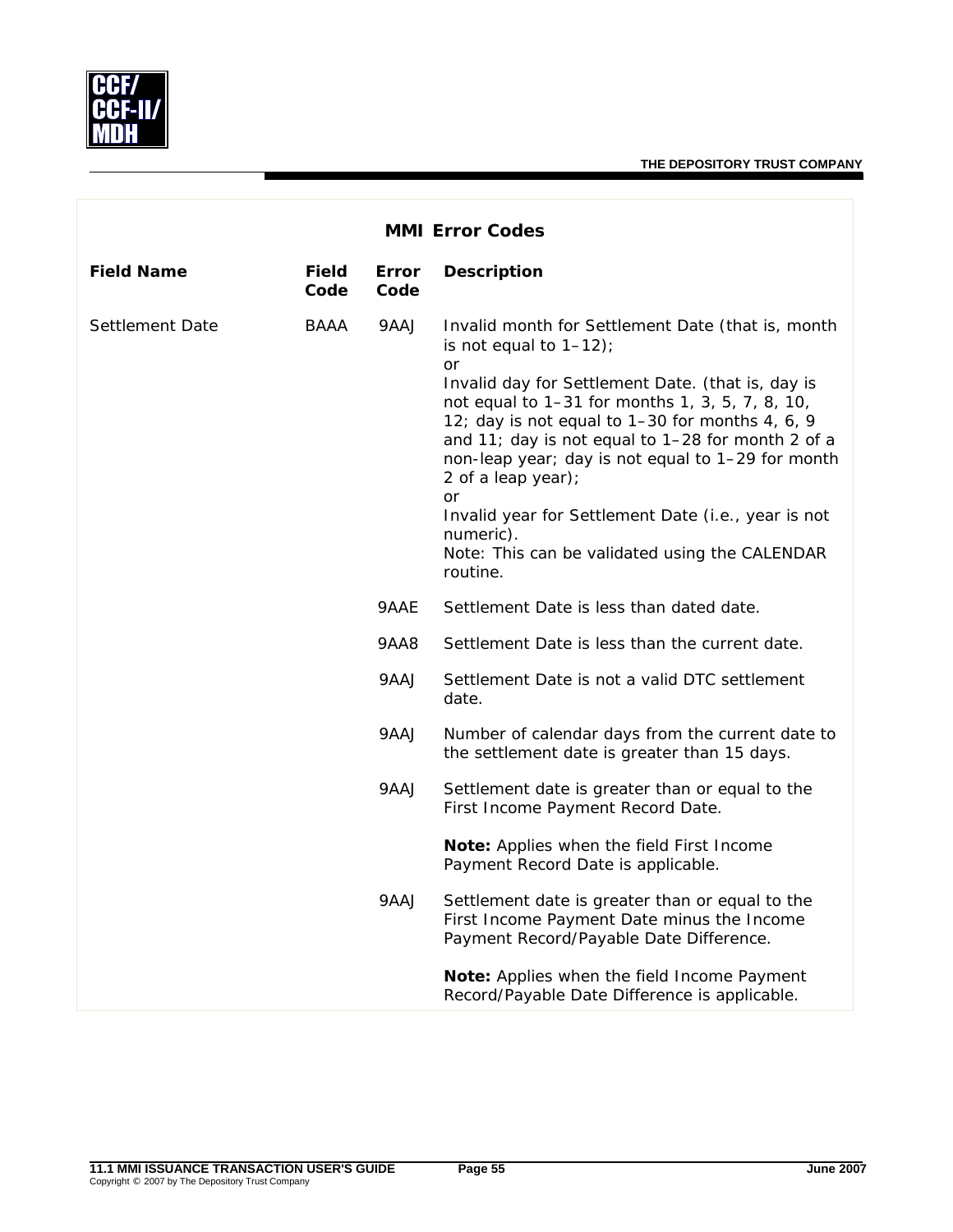

|                   | <b>MMI Error Codes</b> |               |                                                                                                                                                                                                                                                                                                                                                                                                                                                                                                                                       |  |  |  |
|-------------------|------------------------|---------------|---------------------------------------------------------------------------------------------------------------------------------------------------------------------------------------------------------------------------------------------------------------------------------------------------------------------------------------------------------------------------------------------------------------------------------------------------------------------------------------------------------------------------------------|--|--|--|
| <b>Field Name</b> | <b>Field</b><br>Code   | Error<br>Code | <b>Description</b>                                                                                                                                                                                                                                                                                                                                                                                                                                                                                                                    |  |  |  |
| Settlement Date   | BAAA                   | 9AAJ          | Invalid month for Settlement Date (that is, month<br>is not equal to $1-12$ );<br><b>or</b><br>Invalid day for Settlement Date. (that is, day is<br>not equal to 1-31 for months 1, 3, 5, 7, 8, 10,<br>12; day is not equal to 1-30 for months 4, 6, 9<br>and 11; day is not equal to 1-28 for month 2 of a<br>non-leap year; day is not equal to 1-29 for month<br>2 of a leap year);<br><b>or</b><br>Invalid year for Settlement Date (i.e., year is not<br>numeric).<br>Note: This can be validated using the CALENDAR<br>routine. |  |  |  |
|                   |                        | 9AAE          | Settlement Date is less than dated date.                                                                                                                                                                                                                                                                                                                                                                                                                                                                                              |  |  |  |
|                   |                        | <b>9AA8</b>   | Settlement Date is less than the current date.                                                                                                                                                                                                                                                                                                                                                                                                                                                                                        |  |  |  |
|                   |                        | 9AAJ          | Settlement Date is not a valid DTC settlement<br>date.                                                                                                                                                                                                                                                                                                                                                                                                                                                                                |  |  |  |
|                   |                        | 9AAJ          | Number of calendar days from the current date to<br>the settlement date is greater than 15 days.                                                                                                                                                                                                                                                                                                                                                                                                                                      |  |  |  |
|                   |                        | 9AAJ          | Settlement date is greater than or equal to the<br>First Income Payment Record Date.                                                                                                                                                                                                                                                                                                                                                                                                                                                  |  |  |  |
|                   |                        |               | Note: Applies when the field First Income<br>Payment Record Date is applicable.                                                                                                                                                                                                                                                                                                                                                                                                                                                       |  |  |  |
|                   |                        | 9AAJ          | Settlement date is greater than or equal to the<br>First Income Payment Date minus the Income<br>Payment Record/Payable Date Difference.                                                                                                                                                                                                                                                                                                                                                                                              |  |  |  |
|                   |                        |               | Note: Applies when the field Income Payment<br>Record/Payable Date Difference is applicable.                                                                                                                                                                                                                                                                                                                                                                                                                                          |  |  |  |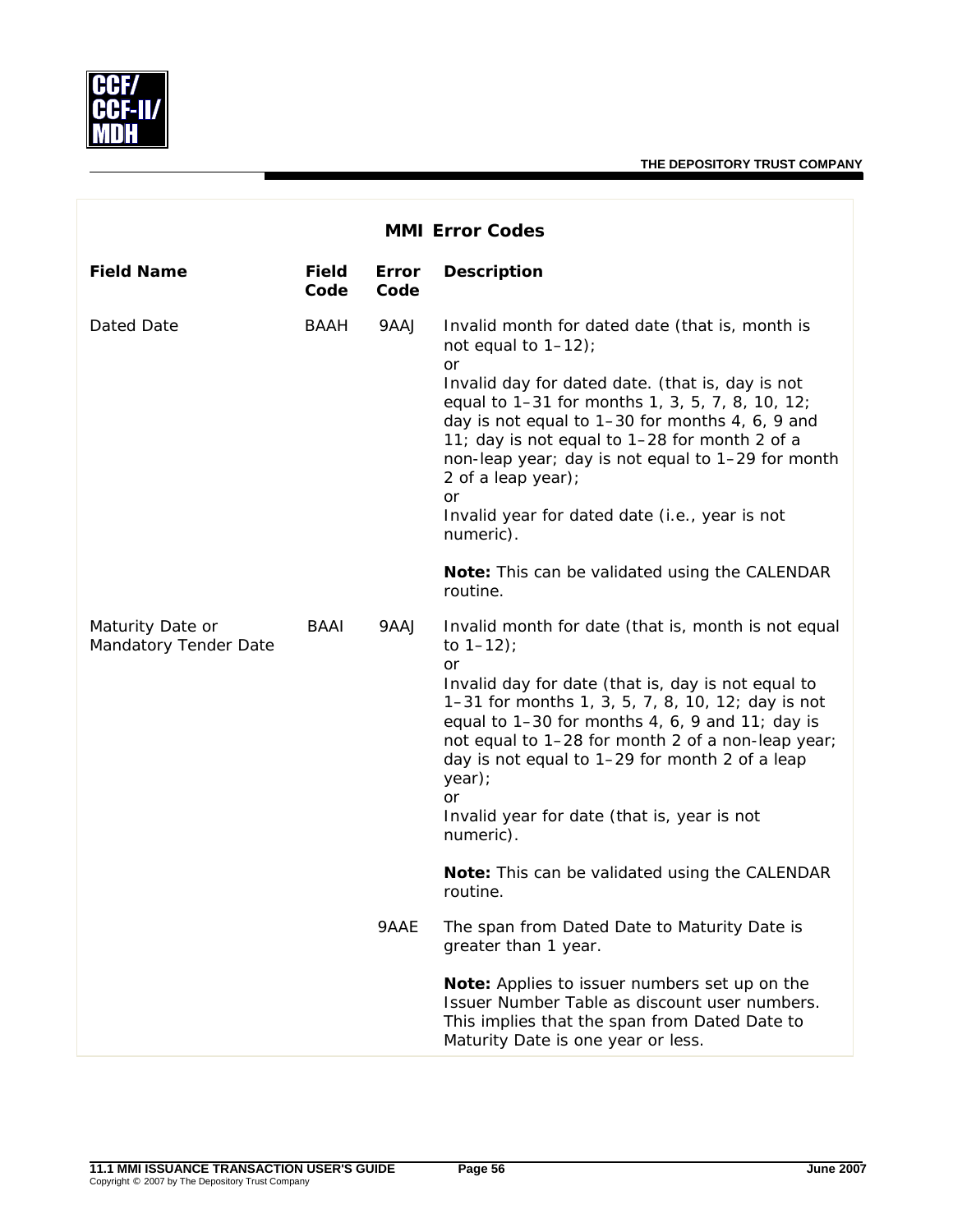|                                           |                      |                      | <b>MMI Error Codes</b>                                                                                                                                                                                                                                                                                                                                                                                                                     |
|-------------------------------------------|----------------------|----------------------|--------------------------------------------------------------------------------------------------------------------------------------------------------------------------------------------------------------------------------------------------------------------------------------------------------------------------------------------------------------------------------------------------------------------------------------------|
| <b>Field Name</b>                         | <b>Field</b><br>Code | <b>Error</b><br>Code | <b>Description</b>                                                                                                                                                                                                                                                                                                                                                                                                                         |
| Dated Date                                | <b>BAAH</b>          | 9AAJ                 | Invalid month for dated date (that is, month is<br>not equal to $1-12$ );<br>or<br>Invalid day for dated date. (that is, day is not<br>equal to 1-31 for months 1, 3, 5, 7, 8, 10, 12;<br>day is not equal to 1-30 for months 4, 6, 9 and<br>11; day is not equal to 1-28 for month 2 of a<br>non-leap year; day is not equal to 1-29 for month<br>2 of a leap year);<br>or<br>Invalid year for dated date (i.e., year is not<br>numeric). |
|                                           |                      |                      | Note: This can be validated using the CALENDAR<br>routine.                                                                                                                                                                                                                                                                                                                                                                                 |
| Maturity Date or<br>Mandatory Tender Date | BAAI                 | 9AAJ                 | Invalid month for date (that is, month is not equal<br>to $1 - 12$ );<br><b>or</b><br>Invalid day for date (that is, day is not equal to<br>1-31 for months 1, 3, 5, 7, 8, 10, 12; day is not<br>equal to $1-30$ for months 4, 6, 9 and 11; day is<br>not equal to 1-28 for month 2 of a non-leap year;<br>day is not equal to 1-29 for month 2 of a leap<br>year);<br>or<br>Invalid year for date (that is, year is not<br>numeric).      |
|                                           |                      |                      | Note: This can be validated using the CALENDAR<br>routine.                                                                                                                                                                                                                                                                                                                                                                                 |
|                                           |                      | 9AAE                 | The span from Dated Date to Maturity Date is<br>greater than 1 year.                                                                                                                                                                                                                                                                                                                                                                       |
|                                           |                      |                      | Note: Applies to issuer numbers set up on the<br>Issuer Number Table as discount user numbers.<br>This implies that the span from Dated Date to<br>Maturity Date is one year or less.                                                                                                                                                                                                                                                      |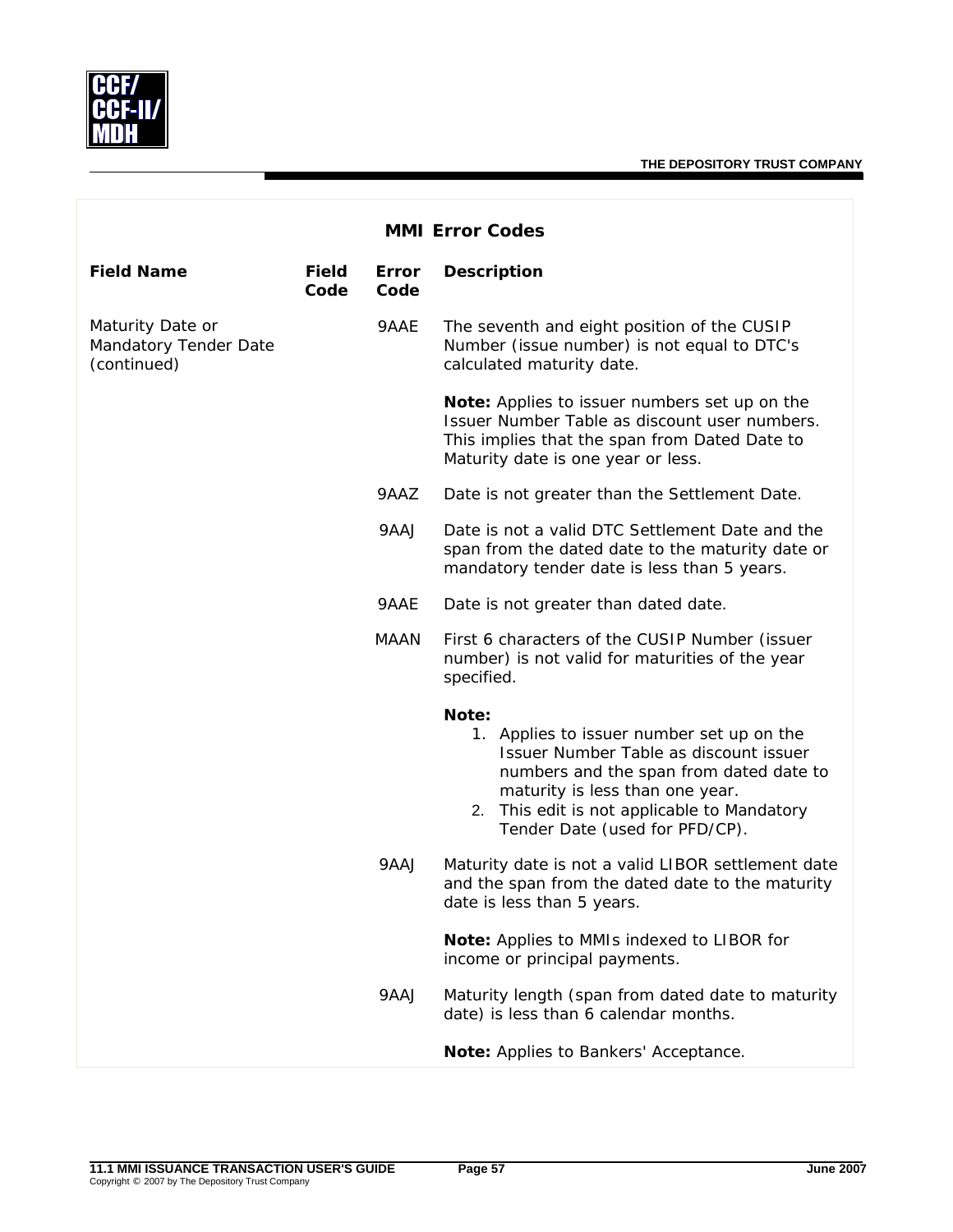

|                                                          |                      |               | <b>MMI Error Codes</b>                                                                                                                                                                                                                                      |
|----------------------------------------------------------|----------------------|---------------|-------------------------------------------------------------------------------------------------------------------------------------------------------------------------------------------------------------------------------------------------------------|
| <b>Field Name</b>                                        | <b>Field</b><br>Code | Error<br>Code | <b>Description</b>                                                                                                                                                                                                                                          |
| Maturity Date or<br>Mandatory Tender Date<br>(continued) |                      | 9AAE          | The seventh and eight position of the CUSIP<br>Number (issue number) is not equal to DTC's<br>calculated maturity date.                                                                                                                                     |
|                                                          |                      |               | Note: Applies to issuer numbers set up on the<br>Issuer Number Table as discount user numbers.<br>This implies that the span from Dated Date to<br>Maturity date is one year or less.                                                                       |
|                                                          |                      | 9AAZ          | Date is not greater than the Settlement Date.                                                                                                                                                                                                               |
|                                                          |                      | 9AAJ          | Date is not a valid DTC Settlement Date and the<br>span from the dated date to the maturity date or<br>mandatory tender date is less than 5 years.                                                                                                          |
|                                                          |                      | 9AAE          | Date is not greater than dated date.                                                                                                                                                                                                                        |
|                                                          |                      | <b>MAAN</b>   | First 6 characters of the CUSIP Number (issuer<br>number) is not valid for maturities of the year<br>specified.                                                                                                                                             |
|                                                          |                      |               | Note:<br>1. Applies to issuer number set up on the<br>Issuer Number Table as discount issuer<br>numbers and the span from dated date to<br>maturity is less than one year.<br>2. This edit is not applicable to Mandatory<br>Tender Date (used for PFD/CP). |
|                                                          |                      | 9AAJ          | Maturity date is not a valid LIBOR settlement date<br>and the span from the dated date to the maturity<br>date is less than 5 years.                                                                                                                        |
|                                                          |                      |               | Note: Applies to MMIs indexed to LIBOR for<br>income or principal payments.                                                                                                                                                                                 |
|                                                          |                      | 9AAJ          | Maturity length (span from dated date to maturity<br>date) is less than 6 calendar months.                                                                                                                                                                  |
|                                                          |                      |               | Note: Applies to Bankers' Acceptance.                                                                                                                                                                                                                       |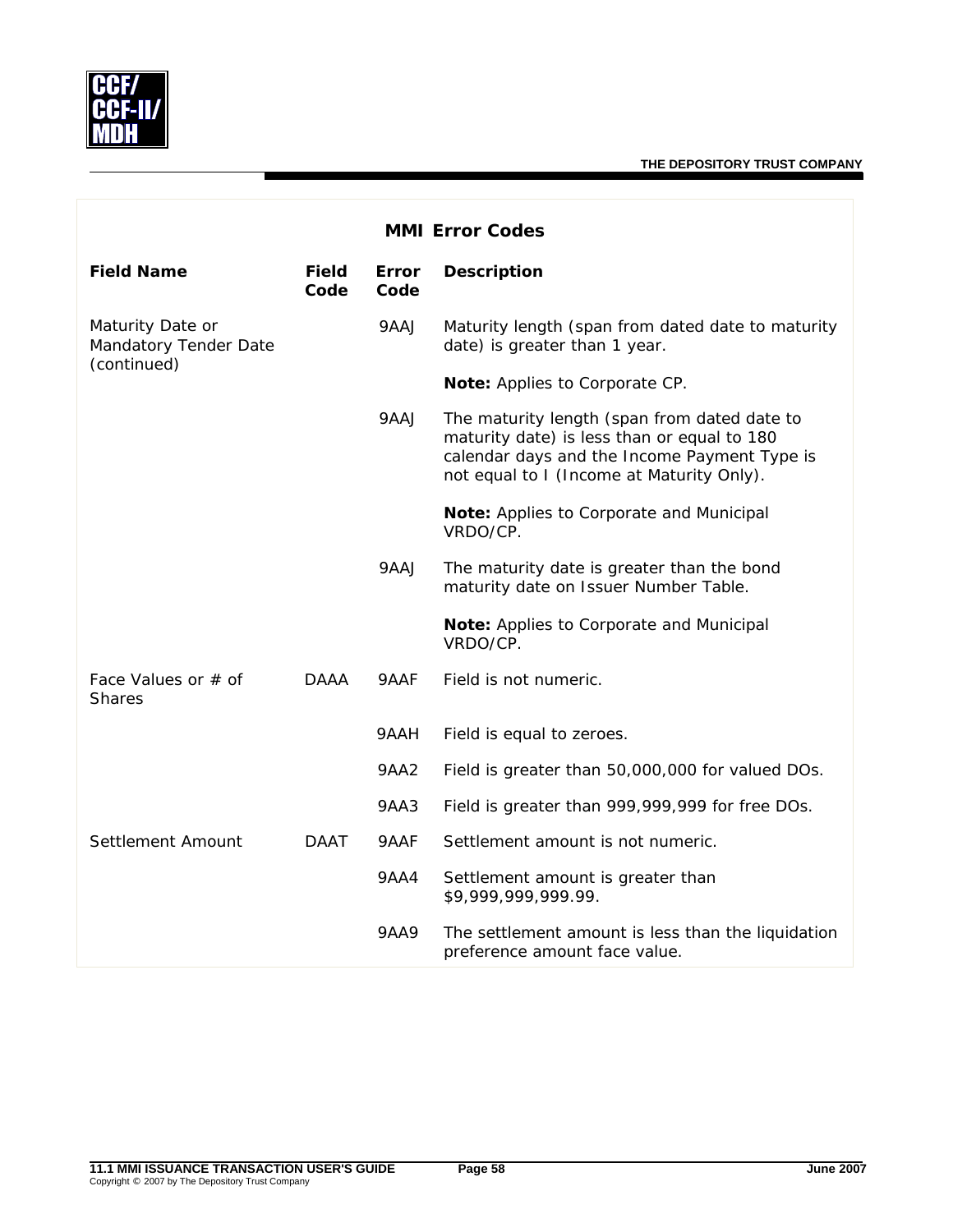

| <b>MMI Error Codes</b>                                   |                      |                      |                                                                                                                                                                                          |  |
|----------------------------------------------------------|----------------------|----------------------|------------------------------------------------------------------------------------------------------------------------------------------------------------------------------------------|--|
| <b>Field Name</b>                                        | <b>Field</b><br>Code | <b>Error</b><br>Code | <b>Description</b>                                                                                                                                                                       |  |
| Maturity Date or<br>Mandatory Tender Date<br>(continued) |                      | 9AAJ                 | Maturity length (span from dated date to maturity<br>date) is greater than 1 year.                                                                                                       |  |
|                                                          |                      |                      | Note: Applies to Corporate CP.                                                                                                                                                           |  |
|                                                          |                      | 9AAJ                 | The maturity length (span from dated date to<br>maturity date) is less than or equal to 180<br>calendar days and the Income Payment Type is<br>not equal to I (Income at Maturity Only). |  |
|                                                          |                      |                      | Note: Applies to Corporate and Municipal<br>VRDO/CP.                                                                                                                                     |  |
|                                                          |                      | 9AAJ                 | The maturity date is greater than the bond<br>maturity date on Issuer Number Table.                                                                                                      |  |
|                                                          |                      |                      | Note: Applies to Corporate and Municipal<br>VRDO/CP.                                                                                                                                     |  |
| Face Values or # of<br><b>Shares</b>                     | <b>DAAA</b>          | 9AAF                 | Field is not numeric.                                                                                                                                                                    |  |
|                                                          |                      | 9AAH                 | Field is equal to zeroes.                                                                                                                                                                |  |
|                                                          |                      | <b>9AA2</b>          | Field is greater than 50,000,000 for valued DOs.                                                                                                                                         |  |
|                                                          |                      | 9AA3                 | Field is greater than 999,999,999 for free DOs.                                                                                                                                          |  |
| Settlement Amount                                        | <b>DAAT</b>          | 9AAF                 | Settlement amount is not numeric.                                                                                                                                                        |  |
|                                                          |                      | <b>9AA4</b>          | Settlement amount is greater than<br>\$9,999,999,999.99.                                                                                                                                 |  |
|                                                          |                      | 9AA9                 | The settlement amount is less than the liquidation<br>preference amount face value.                                                                                                      |  |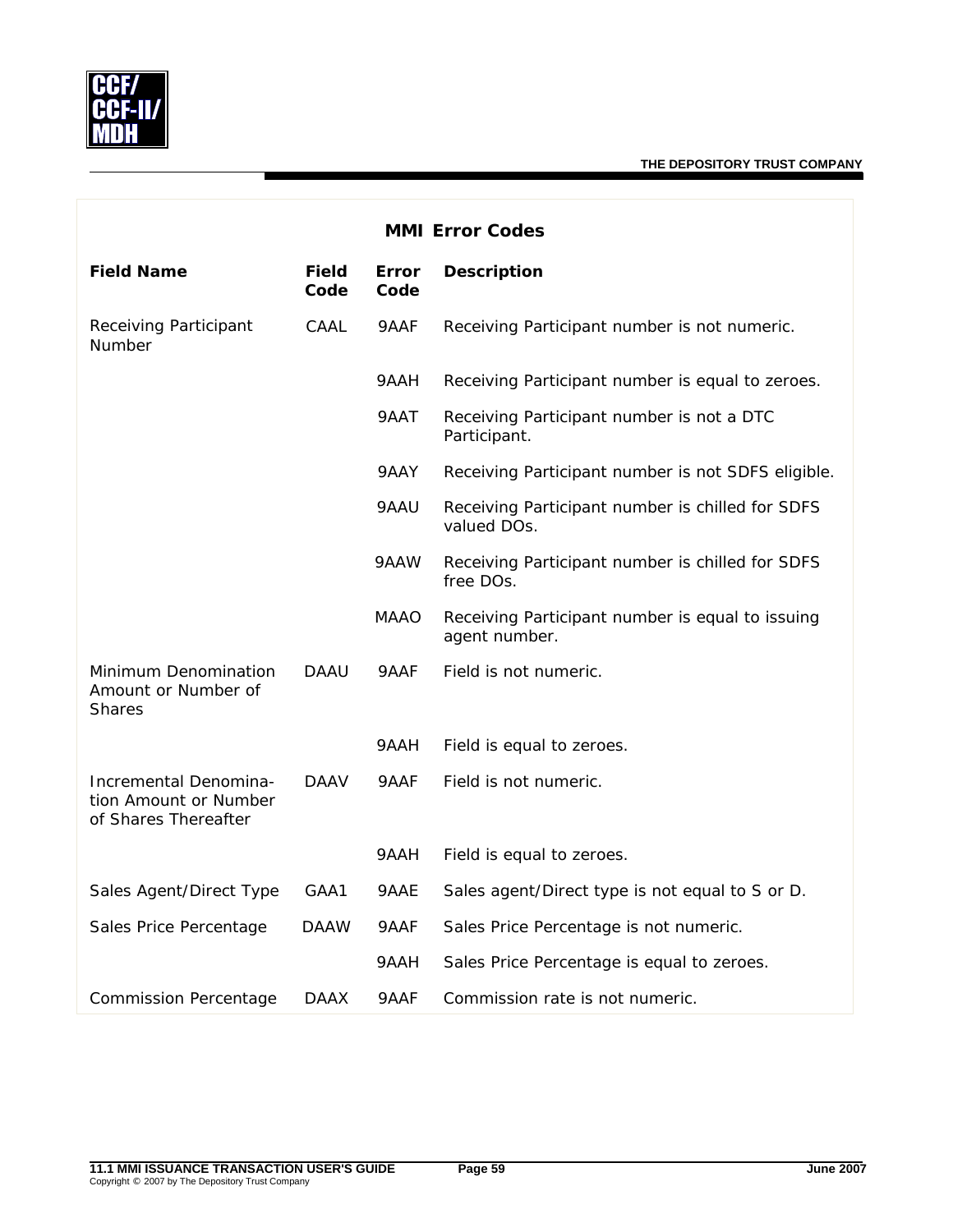

| <b>MMI Error Codes</b>                                                 |                      |               |                                                                   |  |  |
|------------------------------------------------------------------------|----------------------|---------------|-------------------------------------------------------------------|--|--|
| <b>Field Name</b>                                                      | <b>Field</b><br>Code | Error<br>Code | <b>Description</b>                                                |  |  |
| Receiving Participant<br>Number                                        | CAAL                 | 9AAF          | Receiving Participant number is not numeric.                      |  |  |
|                                                                        |                      | 9AAH          | Receiving Participant number is equal to zeroes.                  |  |  |
|                                                                        |                      | 9AAT          | Receiving Participant number is not a DTC<br>Participant.         |  |  |
|                                                                        |                      | 9AAY          | Receiving Participant number is not SDFS eligible.                |  |  |
|                                                                        |                      | 9AAU          | Receiving Participant number is chilled for SDFS<br>valued DOs.   |  |  |
|                                                                        |                      | 9AAW          | Receiving Participant number is chilled for SDFS<br>free DOs.     |  |  |
|                                                                        |                      | MAAO          | Receiving Participant number is equal to issuing<br>agent number. |  |  |
| Minimum Denomination<br>Amount or Number of<br><b>Shares</b>           | <b>DAAU</b>          | 9AAF          | Field is not numeric.                                             |  |  |
|                                                                        |                      | 9AAH          | Field is equal to zeroes.                                         |  |  |
| Incremental Denomina-<br>tion Amount or Number<br>of Shares Thereafter | <b>DAAV</b>          | 9AAF          | Field is not numeric.                                             |  |  |
|                                                                        |                      | 9AAH          | Field is equal to zeroes.                                         |  |  |
| Sales Agent/Direct Type                                                | GAA1                 | 9AAE          | Sales agent/Direct type is not equal to S or D.                   |  |  |
| Sales Price Percentage                                                 | <b>DAAW</b>          | 9AAF          | Sales Price Percentage is not numeric.                            |  |  |
|                                                                        |                      | 9AAH          | Sales Price Percentage is equal to zeroes.                        |  |  |
| <b>Commission Percentage</b>                                           | <b>DAAX</b>          | 9AAF          | Commission rate is not numeric.                                   |  |  |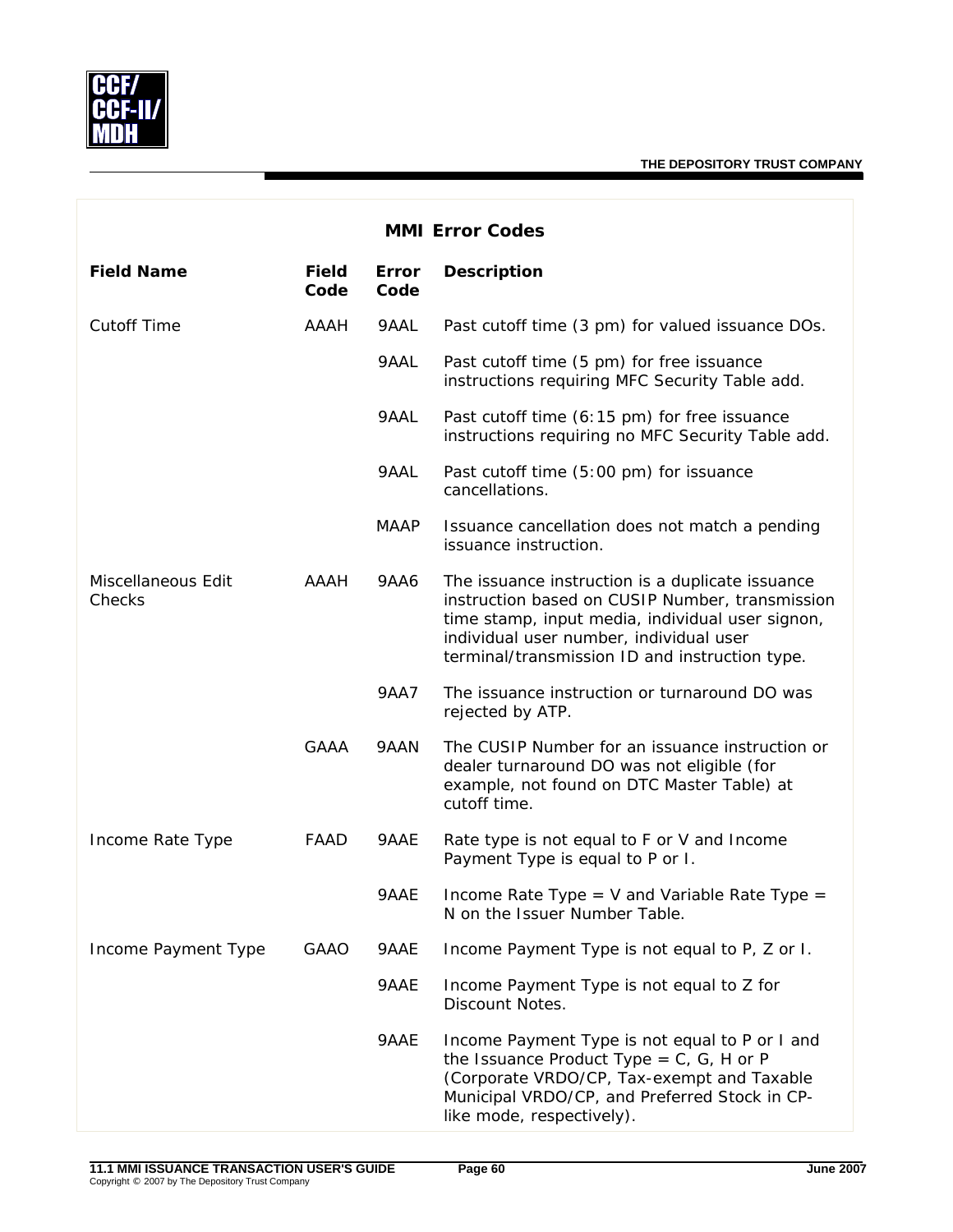

| <b>MMI Error Codes</b>       |                      |               |                                                                                                                                                                                                                                                      |  |  |
|------------------------------|----------------------|---------------|------------------------------------------------------------------------------------------------------------------------------------------------------------------------------------------------------------------------------------------------------|--|--|
| <b>Field Name</b>            | <b>Field</b><br>Code | Error<br>Code | <b>Description</b>                                                                                                                                                                                                                                   |  |  |
| <b>Cutoff Time</b>           | <b>AAAH</b>          | 9AAL          | Past cutoff time (3 pm) for valued issuance DOs.                                                                                                                                                                                                     |  |  |
|                              |                      | 9AAL          | Past cutoff time (5 pm) for free issuance<br>instructions requiring MFC Security Table add.                                                                                                                                                          |  |  |
|                              |                      | 9AAL          | Past cutoff time (6:15 pm) for free issuance<br>instructions requiring no MFC Security Table add.                                                                                                                                                    |  |  |
|                              |                      | 9AAL          | Past cutoff time (5:00 pm) for issuance<br>cancellations.                                                                                                                                                                                            |  |  |
|                              |                      | <b>MAAP</b>   | Issuance cancellation does not match a pending<br>issuance instruction.                                                                                                                                                                              |  |  |
| Miscellaneous Edit<br>Checks | <b>AAAH</b>          | <b>9AA6</b>   | The issuance instruction is a duplicate issuance<br>instruction based on CUSIP Number, transmission<br>time stamp, input media, individual user signon,<br>individual user number, individual user<br>terminal/transmission ID and instruction type. |  |  |
|                              |                      | 9AA7          | The issuance instruction or turnaround DO was<br>rejected by ATP.                                                                                                                                                                                    |  |  |
|                              | <b>GAAA</b>          | 9AAN          | The CUSIP Number for an issuance instruction or<br>dealer turnaround DO was not eligible (for<br>example, not found on DTC Master Table) at<br>cutoff time.                                                                                          |  |  |
| Income Rate Type             | FAAD                 | 9AAE          | Rate type is not equal to F or V and Income<br>Payment Type is equal to P or I.                                                                                                                                                                      |  |  |
|                              |                      | 9AAE          | Income Rate Type = V and Variable Rate Type =<br>N on the Issuer Number Table.                                                                                                                                                                       |  |  |
| Income Payment Type          | <b>GAAO</b>          | 9AAE          | Income Payment Type is not equal to P, Z or I.                                                                                                                                                                                                       |  |  |
|                              |                      | 9AAE          | Income Payment Type is not equal to Z for<br>Discount Notes.                                                                                                                                                                                         |  |  |
|                              |                      | 9AAE          | Income Payment Type is not equal to P or I and<br>the Issuance Product Type = $C$ , $G$ , H or P<br>(Corporate VRDO/CP, Tax-exempt and Taxable<br>Municipal VRDO/CP, and Preferred Stock in CP-<br>like mode, respectively).                         |  |  |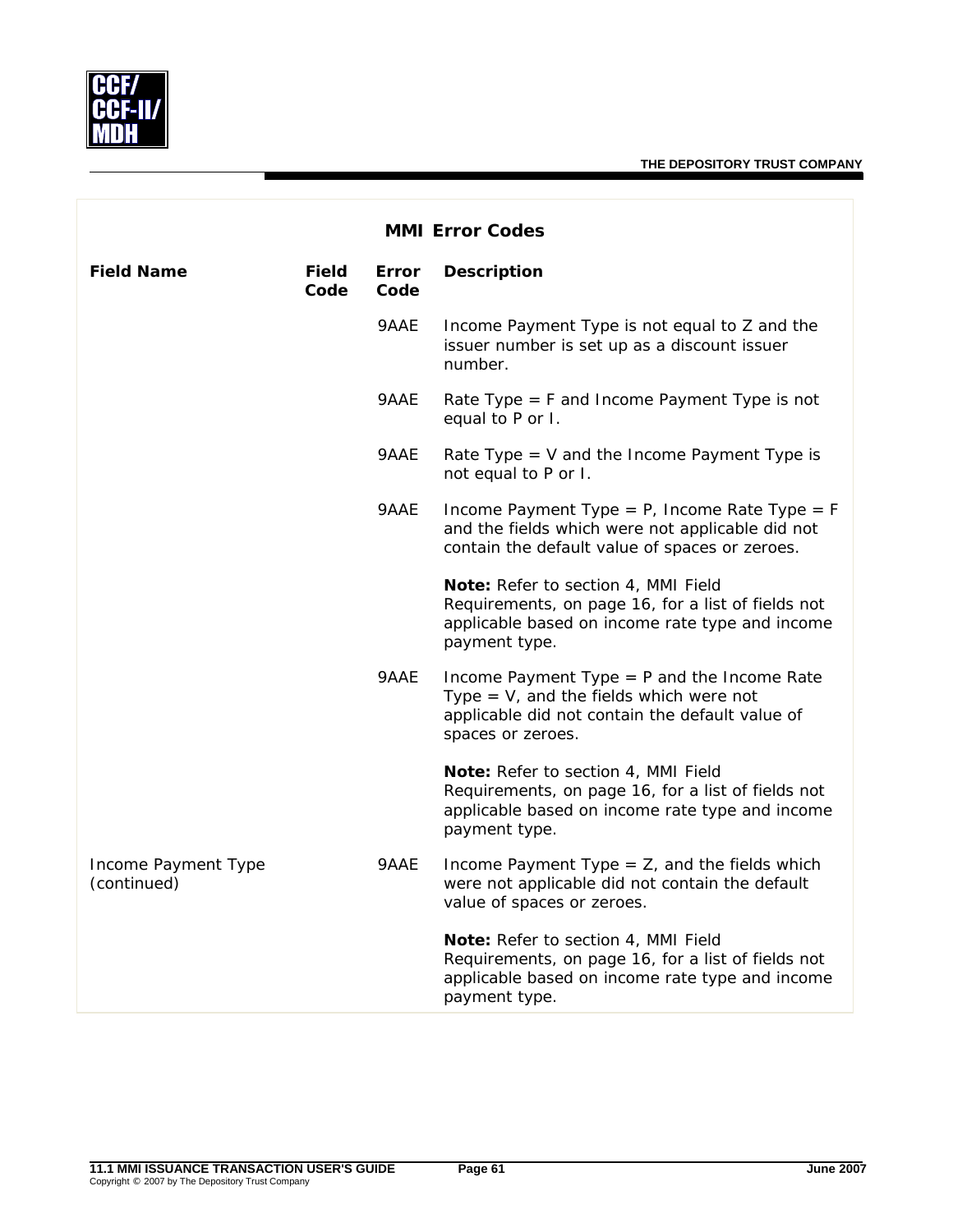

| <b>MMI Error Codes</b>             |                      |                      |                                                                                                                                                                    |  |
|------------------------------------|----------------------|----------------------|--------------------------------------------------------------------------------------------------------------------------------------------------------------------|--|
| <b>Field Name</b>                  | <b>Field</b><br>Code | <b>Error</b><br>Code | <b>Description</b>                                                                                                                                                 |  |
|                                    |                      | 9AAE                 | Income Payment Type is not equal to Z and the<br>issuer number is set up as a discount issuer<br>number.                                                           |  |
|                                    |                      | 9AAE                 | Rate Type $=$ F and Income Payment Type is not<br>equal to P or I.                                                                                                 |  |
|                                    |                      | 9AAE                 | Rate Type $=$ V and the Income Payment Type is<br>not equal to P or I.                                                                                             |  |
|                                    |                      | 9AAE                 | Income Payment Type = $P$ , Income Rate Type = $F$<br>and the fields which were not applicable did not<br>contain the default value of spaces or zeroes.           |  |
|                                    |                      |                      | Note: Refer to section 4, MMI Field<br>Requirements, on page 16, for a list of fields not<br>applicable based on income rate type and income<br>payment type.      |  |
|                                    |                      | 9AAE                 | Income Payment Type $=$ P and the Income Rate<br>Type $=$ V, and the fields which were not<br>applicable did not contain the default value of<br>spaces or zeroes. |  |
|                                    |                      |                      | Note: Refer to section 4, MMI Field<br>Requirements, on page 16, for a list of fields not<br>applicable based on income rate type and income<br>payment type.      |  |
| Income Payment Type<br>(continued) |                      | 9AAE                 | Income Payment Type $=$ Z, and the fields which<br>were not applicable did not contain the default<br>value of spaces or zeroes.                                   |  |
|                                    |                      |                      | Note: Refer to section 4, MMI Field<br>Requirements, on page 16, for a list of fields not<br>applicable based on income rate type and income<br>payment type.      |  |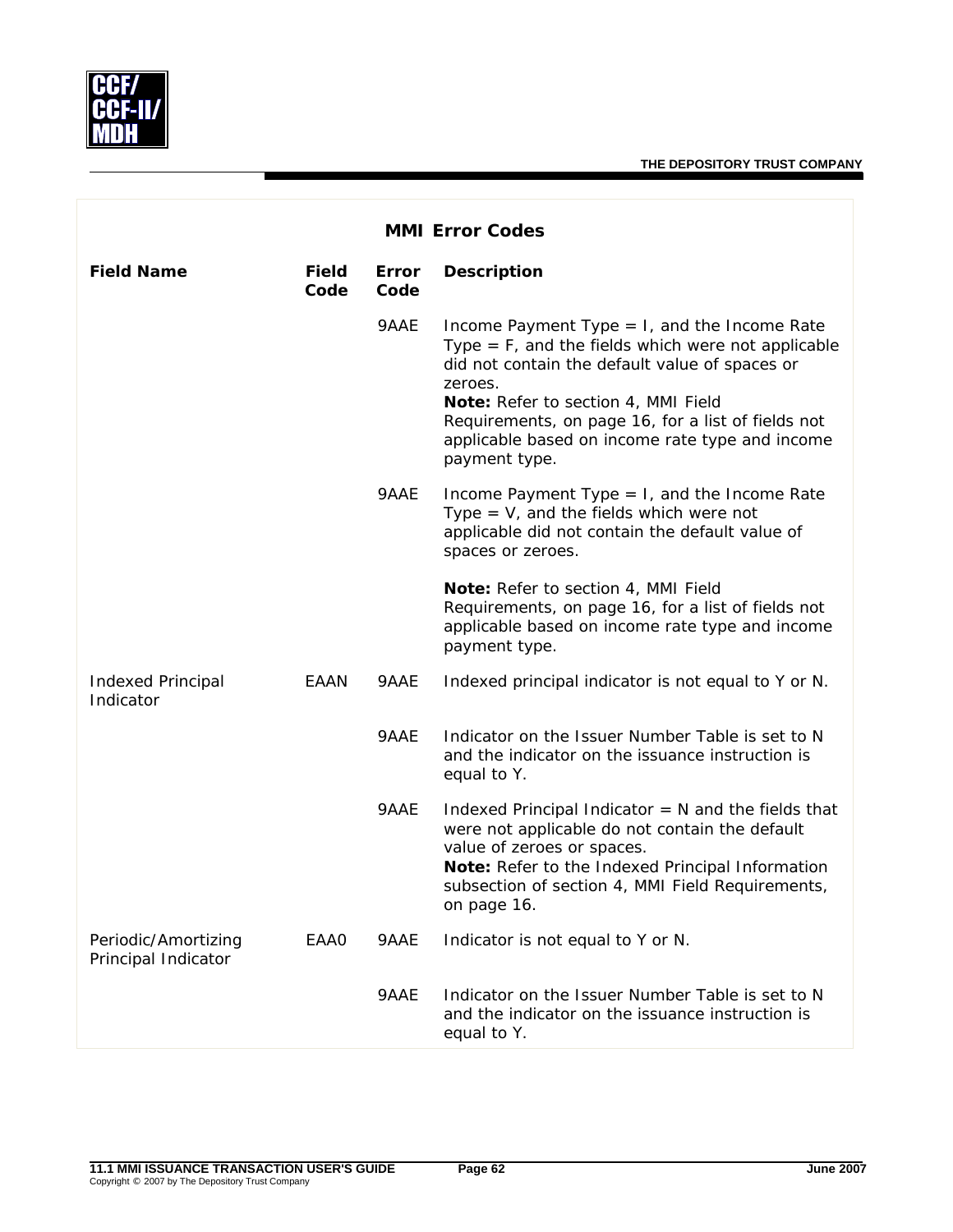

|                                            | <b>MMI Error Codes</b> |               |                                                                                                                                                                                                                                                                                                                                       |  |  |  |
|--------------------------------------------|------------------------|---------------|---------------------------------------------------------------------------------------------------------------------------------------------------------------------------------------------------------------------------------------------------------------------------------------------------------------------------------------|--|--|--|
| <b>Field Name</b>                          | <b>Field</b><br>Code   | Error<br>Code | <b>Description</b>                                                                                                                                                                                                                                                                                                                    |  |  |  |
|                                            |                        | 9AAE          | Income Payment Type $= 1$ , and the Income Rate<br>Type $=$ F, and the fields which were not applicable<br>did not contain the default value of spaces or<br>zeroes.<br>Note: Refer to section 4, MMI Field<br>Requirements, on page 16, for a list of fields not<br>applicable based on income rate type and income<br>payment type. |  |  |  |
|                                            |                        | 9AAE          | Income Payment Type $= 1$ , and the Income Rate<br>Type $=$ V, and the fields which were not<br>applicable did not contain the default value of<br>spaces or zeroes.                                                                                                                                                                  |  |  |  |
|                                            |                        |               | Note: Refer to section 4, MMI Field<br>Requirements, on page 16, for a list of fields not<br>applicable based on income rate type and income<br>payment type.                                                                                                                                                                         |  |  |  |
| <b>Indexed Principal</b><br>Indicator      | EAAN                   | 9AAE          | Indexed principal indicator is not equal to Y or N.                                                                                                                                                                                                                                                                                   |  |  |  |
|                                            |                        | 9AAE          | Indicator on the Issuer Number Table is set to N<br>and the indicator on the issuance instruction is<br>equal to Y.                                                                                                                                                                                                                   |  |  |  |
|                                            |                        | 9AAE          | Indexed Principal Indicator $= N$ and the fields that<br>were not applicable do not contain the default<br>value of zeroes or spaces.<br>Note: Refer to the Indexed Principal Information<br>subsection of section 4, MMI Field Requirements,<br>on page 16.                                                                          |  |  |  |
| Periodic/Amortizing<br>Principal Indicator | EAA0                   | 9AAE          | Indicator is not equal to Y or N.                                                                                                                                                                                                                                                                                                     |  |  |  |
|                                            |                        | 9AAE          | Indicator on the Issuer Number Table is set to N<br>and the indicator on the issuance instruction is<br>equal to Y.                                                                                                                                                                                                                   |  |  |  |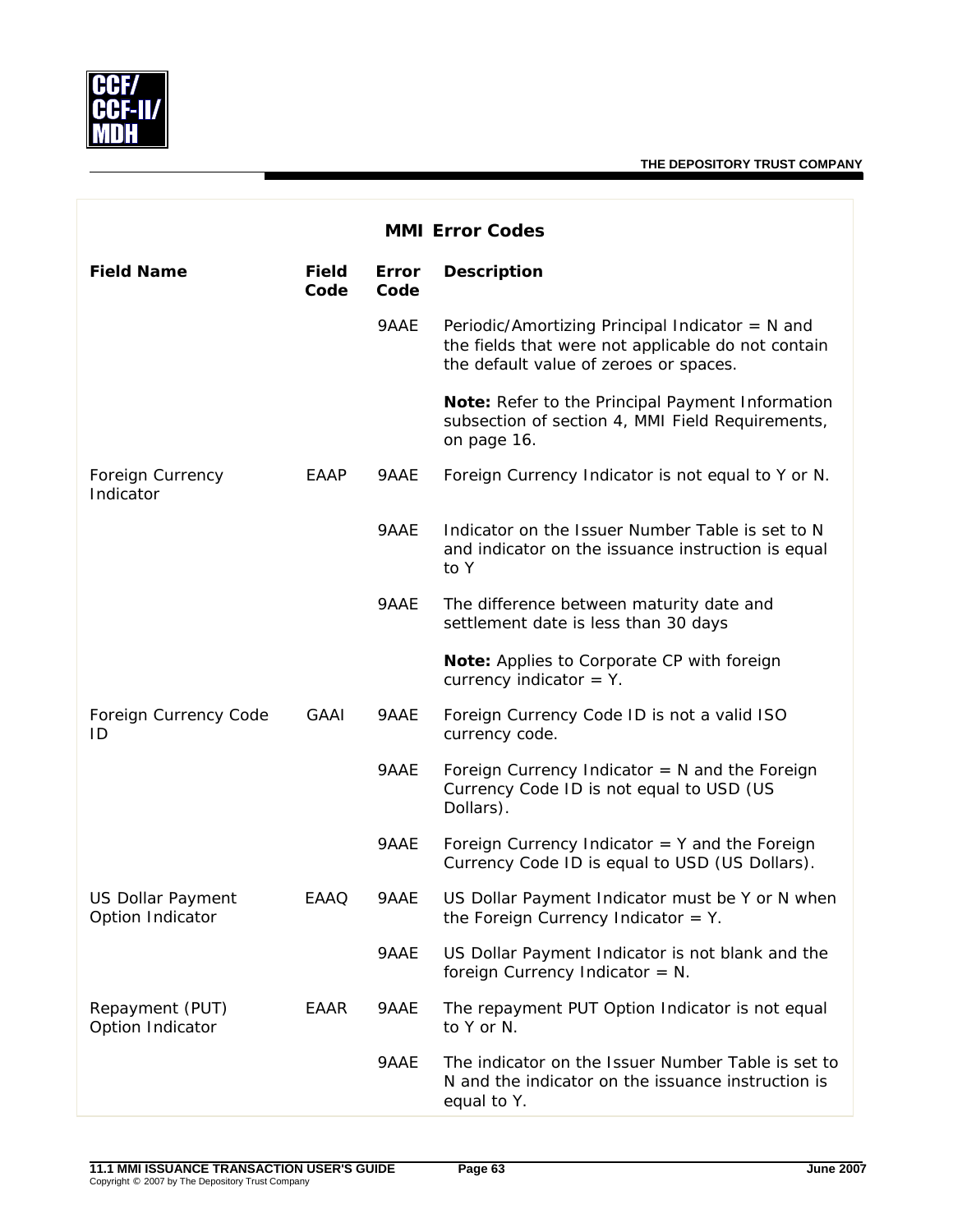|                                              | <b>MMI Error Codes</b> |               |                                                                                                                                                   |  |  |  |
|----------------------------------------------|------------------------|---------------|---------------------------------------------------------------------------------------------------------------------------------------------------|--|--|--|
| <b>Field Name</b>                            | <b>Field</b><br>Code   | Error<br>Code | <b>Description</b>                                                                                                                                |  |  |  |
|                                              |                        | 9AAE          | Periodic/Amortizing Principal Indicator = $N$ and<br>the fields that were not applicable do not contain<br>the default value of zeroes or spaces. |  |  |  |
|                                              |                        |               | Note: Refer to the Principal Payment Information<br>subsection of section 4, MMI Field Requirements,<br>on page 16.                               |  |  |  |
| Foreign Currency<br>Indicator                | EAAP                   | 9AAE          | Foreign Currency Indicator is not equal to Y or N.                                                                                                |  |  |  |
|                                              |                        | 9AAE          | Indicator on the Issuer Number Table is set to N<br>and indicator on the issuance instruction is equal<br>to Y                                    |  |  |  |
|                                              |                        | 9AAE          | The difference between maturity date and<br>settlement date is less than 30 days                                                                  |  |  |  |
|                                              |                        |               | Note: Applies to Corporate CP with foreign<br>currency indicator $=$ Y.                                                                           |  |  |  |
| Foreign Currency Code<br>ID                  | <b>GAAI</b>            | 9AAE          | Foreign Currency Code ID is not a valid ISO<br>currency code.                                                                                     |  |  |  |
|                                              |                        | 9AAE          | Foreign Currency Indicator $= N$ and the Foreign<br>Currency Code ID is not equal to USD (US<br>Dollars).                                         |  |  |  |
|                                              |                        | 9AAE          | Foreign Currency Indicator $=$ Y and the Foreign<br>Currency Code ID is equal to USD (US Dollars).                                                |  |  |  |
| <b>US Dollar Payment</b><br>Option Indicator | EAAO                   | 9AAE          | US Dollar Payment Indicator must be Y or N when<br>the Foreign Currency Indicator $=$ Y.                                                          |  |  |  |
|                                              |                        | 9AAE          | US Dollar Payment Indicator is not blank and the<br>foreign Currency Indicator = $N$ .                                                            |  |  |  |
| Repayment (PUT)<br>Option Indicator          | EAAR                   | 9AAE          | The repayment PUT Option Indicator is not equal<br>to Y or N.                                                                                     |  |  |  |
|                                              |                        | 9AAE          | The indicator on the Issuer Number Table is set to<br>N and the indicator on the issuance instruction is<br>equal to Y.                           |  |  |  |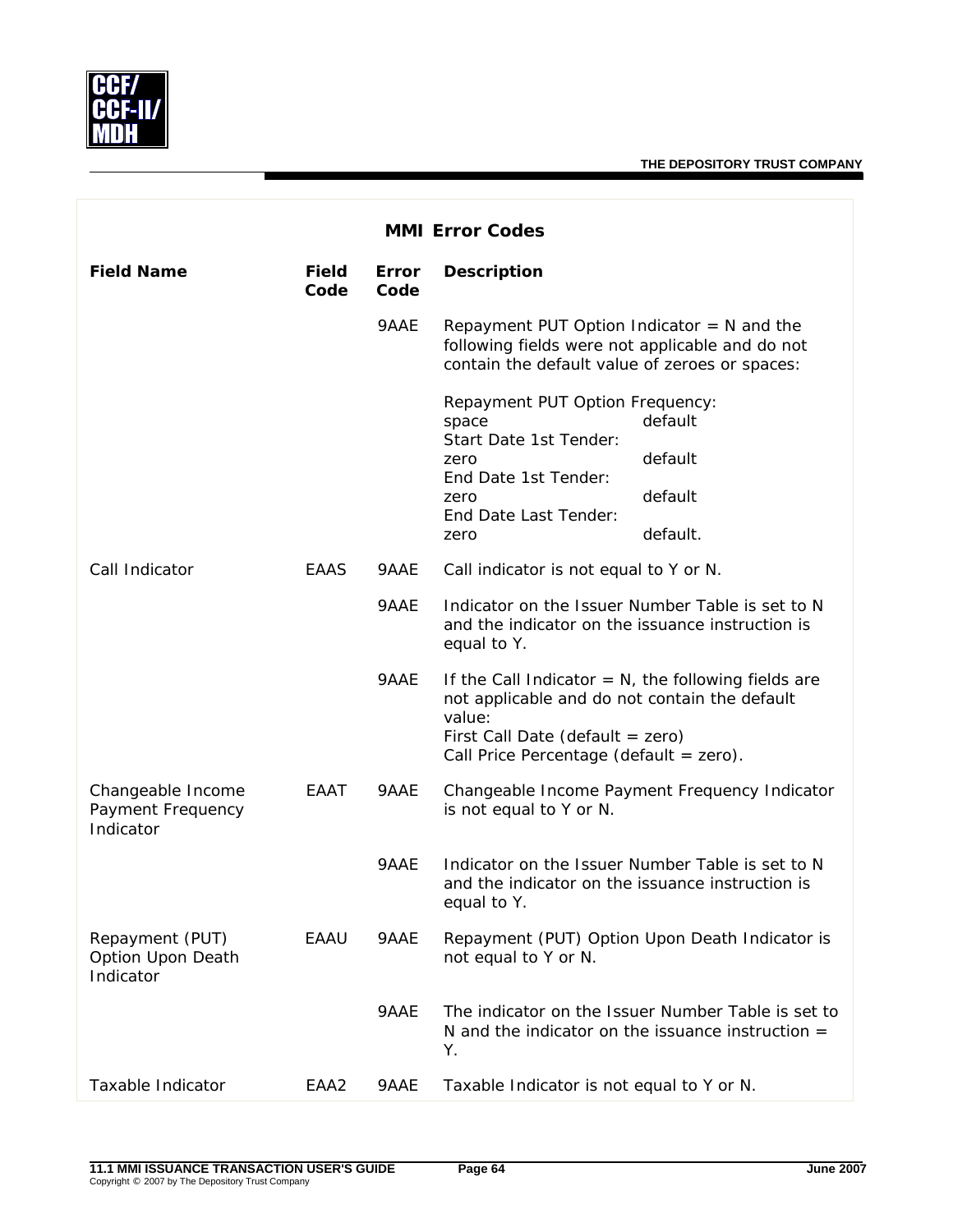

| <b>MMI Error Codes</b>                              |                      |                      |                                                                                                                                                       |                                                                                                           |
|-----------------------------------------------------|----------------------|----------------------|-------------------------------------------------------------------------------------------------------------------------------------------------------|-----------------------------------------------------------------------------------------------------------|
| <b>Field Name</b>                                   | <b>Field</b><br>Code | <b>Error</b><br>Code | <b>Description</b>                                                                                                                                    |                                                                                                           |
|                                                     |                      | 9AAE                 | Repayment PUT Option Indicator $= N$ and the<br>following fields were not applicable and do not<br>contain the default value of zeroes or spaces:     |                                                                                                           |
|                                                     |                      |                      | Repayment PUT Option Frequency:<br>space                                                                                                              | default                                                                                                   |
|                                                     |                      |                      | Start Date 1st Tender:<br>zero                                                                                                                        | default                                                                                                   |
|                                                     |                      |                      | End Date 1st Tender:<br>zero                                                                                                                          | default                                                                                                   |
|                                                     |                      |                      | End Date Last Tender:<br>zero                                                                                                                         | default.                                                                                                  |
| Call Indicator                                      | EAAS                 | 9AAE                 | Call indicator is not equal to Y or N.                                                                                                                |                                                                                                           |
|                                                     |                      | 9AAE                 | Indicator on the Issuer Number Table is set to N<br>and the indicator on the issuance instruction is<br>equal to Y.                                   |                                                                                                           |
|                                                     |                      | 9AAE                 | If the Call Indicator $= N$ , the following fields are<br>not applicable and do not contain the default<br>value:<br>First Call Date (default = zero) |                                                                                                           |
|                                                     |                      |                      | Call Price Percentage (default = zero).                                                                                                               |                                                                                                           |
| Changeable Income<br>Payment Frequency<br>Indicator | EAAT                 | 9AAE                 | is not equal to Y or N.                                                                                                                               | Changeable Income Payment Frequency Indicator                                                             |
|                                                     |                      | 9AAE                 | and the indicator on the issuance instruction is<br>equal to Y.                                                                                       | Indicator on the Issuer Number Table is set to N                                                          |
| Repayment (PUT)<br>Option Upon Death<br>Indicator   | EAAU                 | 9AAE                 | not equal to Y or N.                                                                                                                                  | Repayment (PUT) Option Upon Death Indicator is                                                            |
|                                                     |                      | 9AAE                 | Υ.                                                                                                                                                    | The indicator on the Issuer Number Table is set to<br>N and the indicator on the issuance instruction $=$ |
| Taxable Indicator                                   | EAA2                 | 9AAE                 | Taxable Indicator is not equal to Y or N.                                                                                                             |                                                                                                           |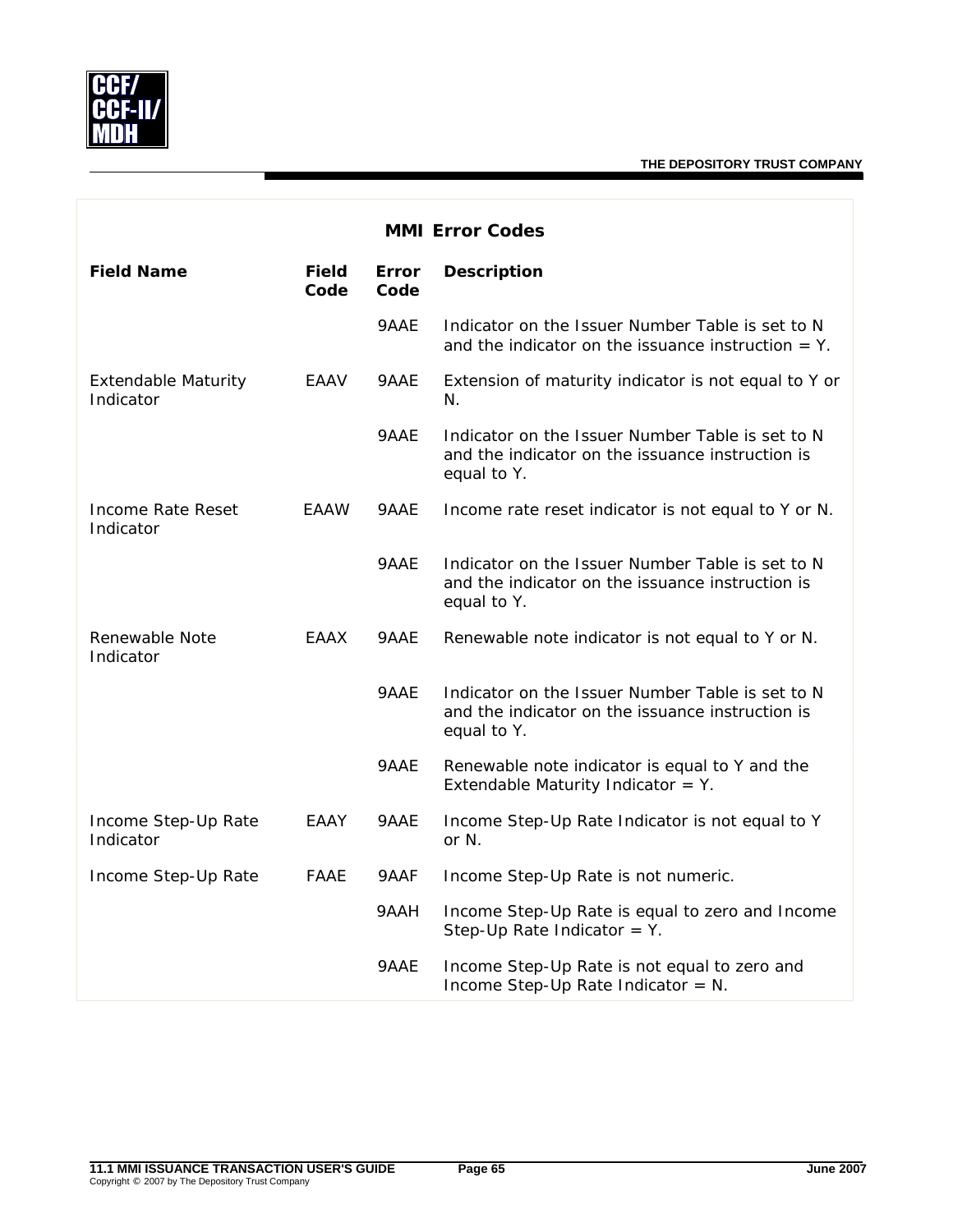

| <b>MMI Error Codes</b>                  |                      |                      |                                                                                                                     |
|-----------------------------------------|----------------------|----------------------|---------------------------------------------------------------------------------------------------------------------|
| <b>Field Name</b>                       | <b>Field</b><br>Code | <b>Error</b><br>Code | <b>Description</b>                                                                                                  |
|                                         |                      | 9AAE                 | Indicator on the Issuer Number Table is set to N<br>and the indicator on the issuance instruction $=$ Y.            |
| <b>Extendable Maturity</b><br>Indicator | EAAV                 | 9AAE                 | Extension of maturity indicator is not equal to Y or<br>N.                                                          |
|                                         |                      | 9AAE                 | Indicator on the Issuer Number Table is set to N<br>and the indicator on the issuance instruction is<br>equal to Y. |
| Income Rate Reset<br>Indicator          | <b>EAAW</b>          | 9AAE                 | Income rate reset indicator is not equal to Y or N.                                                                 |
|                                         |                      | 9AAE                 | Indicator on the Issuer Number Table is set to N<br>and the indicator on the issuance instruction is<br>equal to Y. |
| Renewable Note<br>Indicator             | EAAX                 | 9AAE                 | Renewable note indicator is not equal to Y or N.                                                                    |
|                                         |                      | 9AAE                 | Indicator on the Issuer Number Table is set to N<br>and the indicator on the issuance instruction is<br>equal to Y. |
|                                         |                      | 9AAE                 | Renewable note indicator is equal to Y and the<br>Extendable Maturity Indicator = $Y$ .                             |
| Income Step-Up Rate<br>Indicator        | EAAY                 | 9AAE                 | Income Step-Up Rate Indicator is not equal to Y<br>or N.                                                            |
| Income Step-Up Rate                     | FAAE                 | 9AAF                 | Income Step-Up Rate is not numeric.                                                                                 |
|                                         |                      | 9AAH                 | Income Step-Up Rate is equal to zero and Income<br>Step-Up Rate Indicator = $Y$ .                                   |
|                                         |                      | 9AAE                 | Income Step-Up Rate is not equal to zero and<br>Income Step-Up Rate Indicator = $N$ .                               |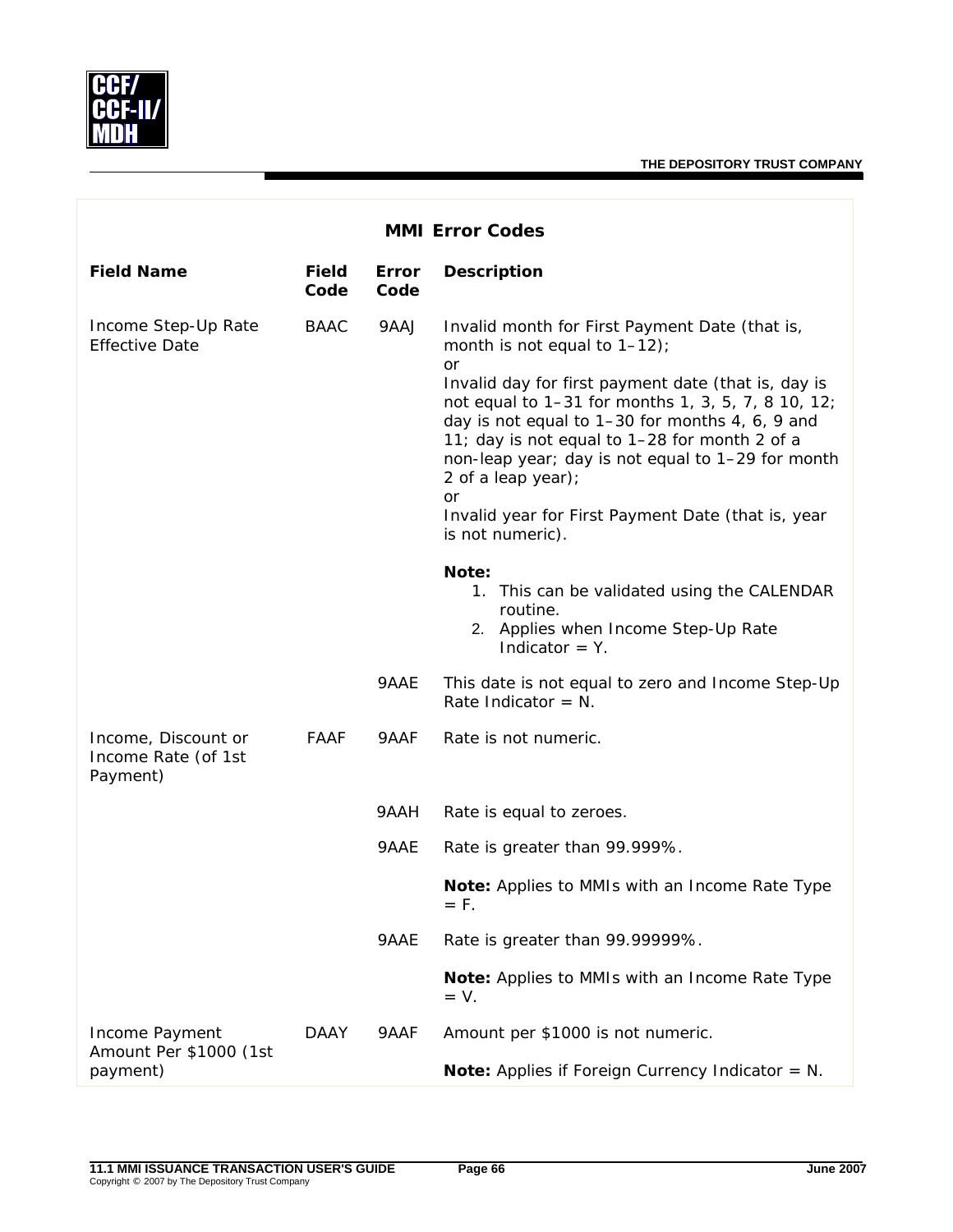

| <b>MMI Error Codes</b>                                 |                      |               |                                                                                                                                                                                                                                                                                                                                                                                                                                                                            |
|--------------------------------------------------------|----------------------|---------------|----------------------------------------------------------------------------------------------------------------------------------------------------------------------------------------------------------------------------------------------------------------------------------------------------------------------------------------------------------------------------------------------------------------------------------------------------------------------------|
| <b>Field Name</b>                                      | <b>Field</b><br>Code | Error<br>Code | <b>Description</b>                                                                                                                                                                                                                                                                                                                                                                                                                                                         |
| Income Step-Up Rate<br><b>Effective Date</b>           | <b>BAAC</b>          | 9AAJ          | Invalid month for First Payment Date (that is,<br>month is not equal to $1-12$ );<br><b>or</b><br>Invalid day for first payment date (that is, day is<br>not equal to 1-31 for months 1, 3, 5, 7, 8 10, 12;<br>day is not equal to 1-30 for months 4, 6, 9 and<br>11; day is not equal to 1-28 for month 2 of a<br>non-leap year; day is not equal to 1-29 for month<br>2 of a leap year);<br>or<br>Invalid year for First Payment Date (that is, year<br>is not numeric). |
|                                                        |                      |               | Note:<br>1. This can be validated using the CALENDAR<br>routine.<br>2. Applies when Income Step-Up Rate<br>Indicator $=$ Y.                                                                                                                                                                                                                                                                                                                                                |
|                                                        |                      | 9AAE          | This date is not equal to zero and Income Step-Up<br>Rate Indicator = $N$ .                                                                                                                                                                                                                                                                                                                                                                                                |
| Income, Discount or<br>Income Rate (of 1st<br>Payment) | FAAF                 | 9AAF          | Rate is not numeric.                                                                                                                                                                                                                                                                                                                                                                                                                                                       |
|                                                        |                      | 9AAH          | Rate is equal to zeroes.                                                                                                                                                                                                                                                                                                                                                                                                                                                   |
|                                                        |                      | 9AAE          | Rate is greater than 99.999%.                                                                                                                                                                                                                                                                                                                                                                                                                                              |
|                                                        |                      |               | Note: Applies to MMIs with an Income Rate Type<br>= F.                                                                                                                                                                                                                                                                                                                                                                                                                     |
|                                                        |                      | 9AAE          | Rate is greater than 99.99999%.                                                                                                                                                                                                                                                                                                                                                                                                                                            |
|                                                        |                      |               | Note: Applies to MMIs with an Income Rate Type<br>$= V.$                                                                                                                                                                                                                                                                                                                                                                                                                   |
| Income Payment<br>Amount Per \$1000 (1st<br>payment)   | DAAY                 | 9AAF          | Amount per \$1000 is not numeric.                                                                                                                                                                                                                                                                                                                                                                                                                                          |
|                                                        |                      |               | <b>Note:</b> Applies if Foreign Currency Indicator = $N$ .                                                                                                                                                                                                                                                                                                                                                                                                                 |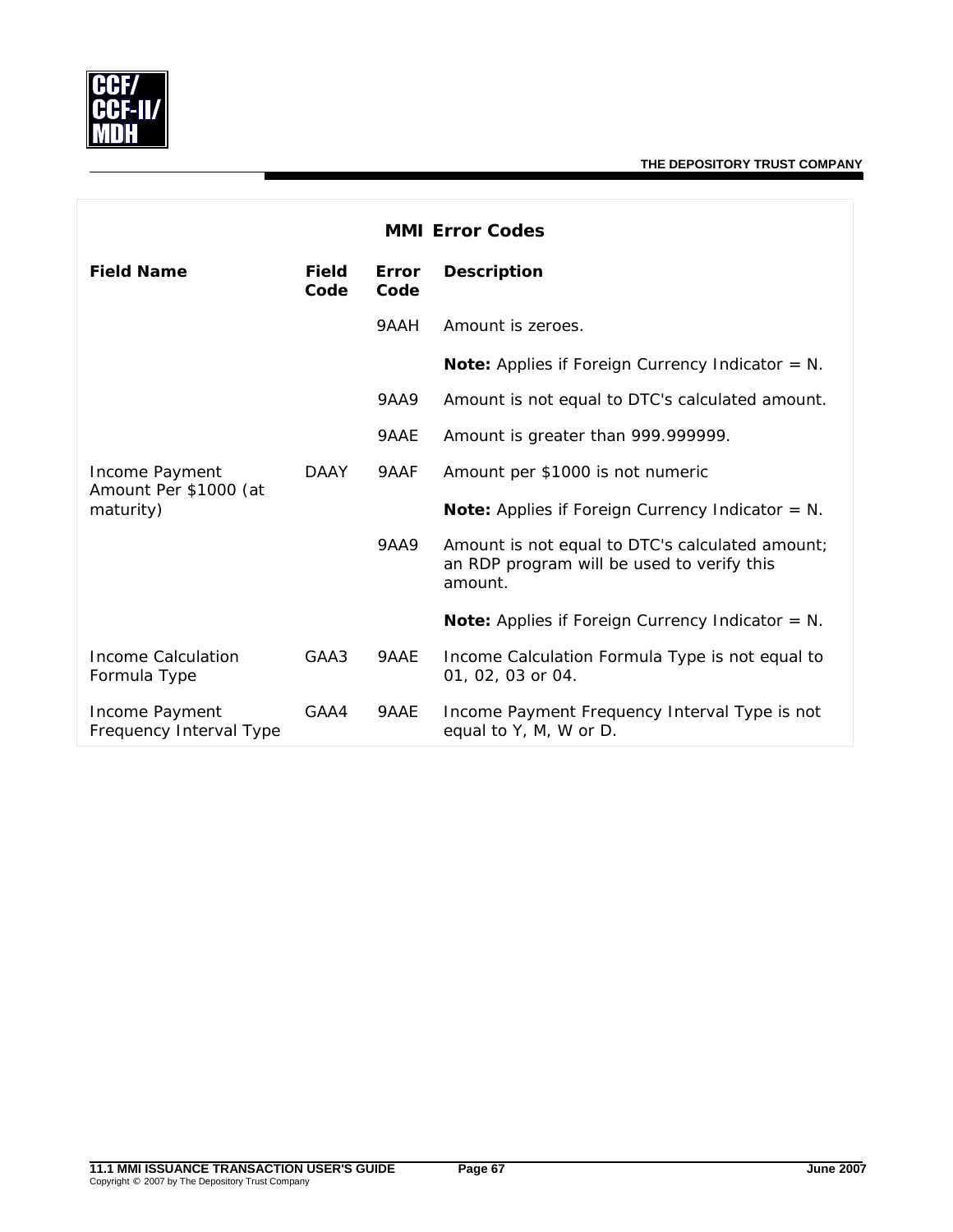

| <b>MMI Error Codes</b>                               |                      |               |                                                                                                          |  |
|------------------------------------------------------|----------------------|---------------|----------------------------------------------------------------------------------------------------------|--|
| <b>Field Name</b>                                    | <b>Field</b><br>Code | Error<br>Code | <b>Description</b>                                                                                       |  |
|                                                      |                      | 9AAH          | Amount is zeroes.                                                                                        |  |
|                                                      |                      |               | <b>Note:</b> Applies if Foreign Currency Indicator = $N$ .                                               |  |
| Income Payment<br>Amount Per \$1000 (at<br>maturity) |                      | <b>9AA9</b>   | Amount is not equal to DTC's calculated amount.                                                          |  |
|                                                      |                      | 9AAE          | Amount is greater than 999.999999.                                                                       |  |
|                                                      | <b>DAAY</b>          | 9AAF          | Amount per \$1000 is not numeric                                                                         |  |
|                                                      |                      |               | <b>Note:</b> Applies if Foreign Currency Indicator = $N$ .                                               |  |
|                                                      |                      | 9AA9          | Amount is not equal to DTC's calculated amount;<br>an RDP program will be used to verify this<br>amount. |  |
|                                                      |                      |               | <b>Note:</b> Applies if Foreign Currency Indicator = $N$ .                                               |  |
| Income Calculation<br>Formula Type                   | GAA3                 | 9AAE          | Income Calculation Formula Type is not equal to<br>01, 02, 03 or 04.                                     |  |
| Income Payment<br>Frequency Interval Type            | GAA4                 | 9AAE          | Income Payment Frequency Interval Type is not<br>equal to Y, M, W or D.                                  |  |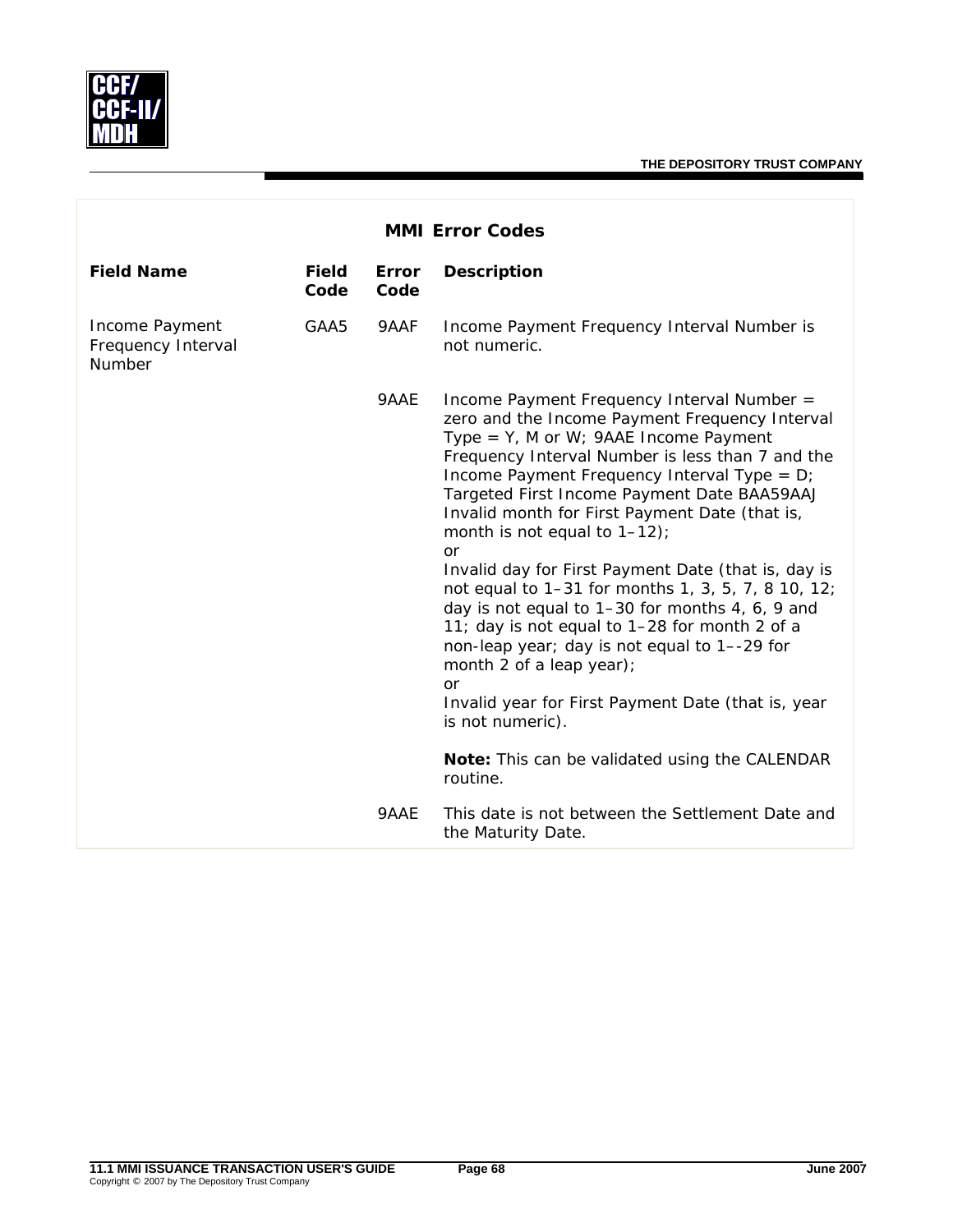

| <b>MMI Error Codes</b>                         |                      |               |                                                                                                                                                                                                                                                                                                                                                                                       |
|------------------------------------------------|----------------------|---------------|---------------------------------------------------------------------------------------------------------------------------------------------------------------------------------------------------------------------------------------------------------------------------------------------------------------------------------------------------------------------------------------|
| <b>Field Name</b>                              | <b>Field</b><br>Code | Error<br>Code | <b>Description</b>                                                                                                                                                                                                                                                                                                                                                                    |
| Income Payment<br>Frequency Interval<br>Number | GAA5                 | 9AAF          | Income Payment Frequency Interval Number is<br>not numeric.                                                                                                                                                                                                                                                                                                                           |
|                                                |                      | 9AAE          | Income Payment Frequency Interval Number =<br>zero and the Income Payment Frequency Interval<br>Type = $Y$ , M or W; 9AAE Income Payment<br>Frequency Interval Number is less than 7 and the<br>Income Payment Frequency Interval Type = D;<br>Targeted First Income Payment Date BAA59AAJ<br>Invalid month for First Payment Date (that is,<br>month is not equal to $1-12$ );<br>or |
|                                                |                      |               | Invalid day for First Payment Date (that is, day is<br>not equal to 1-31 for months 1, 3, 5, 7, 8 10, 12;<br>day is not equal to 1-30 for months 4, 6, 9 and<br>11; day is not equal to 1-28 for month 2 of a<br>non-leap year; day is not equal to 1--29 for<br>month 2 of a leap year);<br><b>or</b>                                                                                |
|                                                |                      |               | Invalid year for First Payment Date (that is, year<br>is not numeric).                                                                                                                                                                                                                                                                                                                |
|                                                |                      |               | Note: This can be validated using the CALENDAR<br>routine.                                                                                                                                                                                                                                                                                                                            |
|                                                |                      | 9AAE          | This date is not between the Settlement Date and<br>the Maturity Date.                                                                                                                                                                                                                                                                                                                |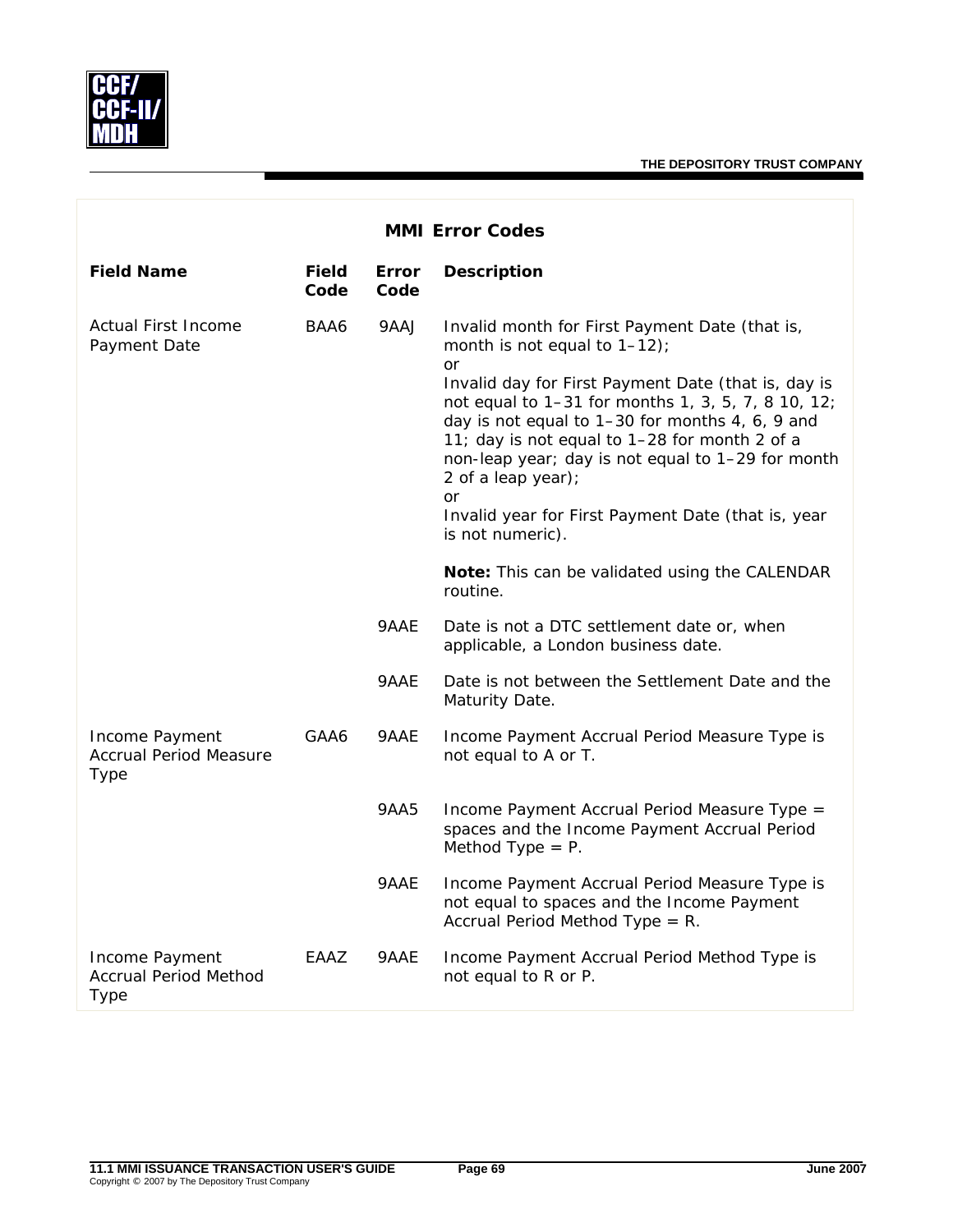

| <b>MMI Error Codes</b>                                  |                      |                      |                                                                                                                                                                                                                                                                                                                                                                                                                                                                           |
|---------------------------------------------------------|----------------------|----------------------|---------------------------------------------------------------------------------------------------------------------------------------------------------------------------------------------------------------------------------------------------------------------------------------------------------------------------------------------------------------------------------------------------------------------------------------------------------------------------|
| <b>Field Name</b>                                       | <b>Field</b><br>Code | <b>Error</b><br>Code | <b>Description</b>                                                                                                                                                                                                                                                                                                                                                                                                                                                        |
| <b>Actual First Income</b><br>Payment Date              | BAA6                 | 9AAJ                 | Invalid month for First Payment Date (that is,<br>month is not equal to $1-12$ ;<br><b>or</b><br>Invalid day for First Payment Date (that is, day is<br>not equal to 1-31 for months 1, 3, 5, 7, 8 10, 12;<br>day is not equal to 1-30 for months 4, 6, 9 and<br>11; day is not equal to 1-28 for month 2 of a<br>non-leap year; day is not equal to 1-29 for month<br>2 of a leap year);<br>or<br>Invalid year for First Payment Date (that is, year<br>is not numeric). |
|                                                         |                      |                      | Note: This can be validated using the CALENDAR<br>routine.                                                                                                                                                                                                                                                                                                                                                                                                                |
|                                                         |                      | 9AAE                 | Date is not a DTC settlement date or, when<br>applicable, a London business date.                                                                                                                                                                                                                                                                                                                                                                                         |
|                                                         |                      | 9AAE                 | Date is not between the Settlement Date and the<br>Maturity Date.                                                                                                                                                                                                                                                                                                                                                                                                         |
| Income Payment<br><b>Accrual Period Measure</b><br>Type | GAA6                 | 9AAE                 | Income Payment Accrual Period Measure Type is<br>not equal to A or T.                                                                                                                                                                                                                                                                                                                                                                                                     |
|                                                         |                      | 9AA5                 | Income Payment Accrual Period Measure Type =<br>spaces and the Income Payment Accrual Period<br>Method Type $= P$ .                                                                                                                                                                                                                                                                                                                                                       |
|                                                         |                      | 9AAE                 | Income Payment Accrual Period Measure Type is<br>not equal to spaces and the Income Payment<br>Accrual Period Method Type = $R$ .                                                                                                                                                                                                                                                                                                                                         |
| Income Payment<br><b>Accrual Period Method</b><br>Type  | EAAZ                 | 9AAE                 | Income Payment Accrual Period Method Type is<br>not equal to R or P.                                                                                                                                                                                                                                                                                                                                                                                                      |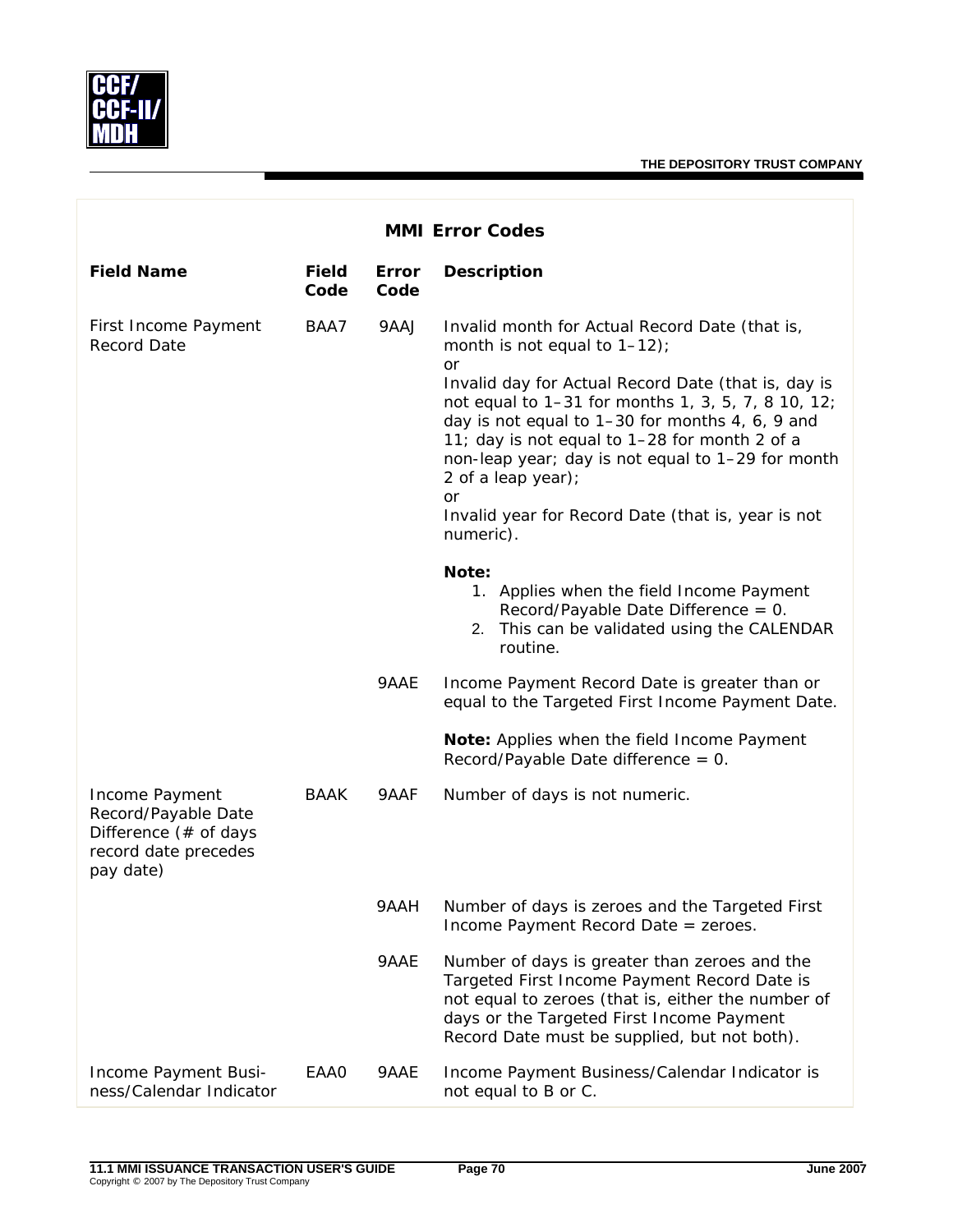

| <b>MMI Error Codes</b>                                                                              |                      |               |                                                                                                                                                                                                                                                                                                                                                                                                                                                                     |  |
|-----------------------------------------------------------------------------------------------------|----------------------|---------------|---------------------------------------------------------------------------------------------------------------------------------------------------------------------------------------------------------------------------------------------------------------------------------------------------------------------------------------------------------------------------------------------------------------------------------------------------------------------|--|
| <b>Field Name</b>                                                                                   | <b>Field</b><br>Code | Error<br>Code | <b>Description</b>                                                                                                                                                                                                                                                                                                                                                                                                                                                  |  |
| First Income Payment<br><b>Record Date</b>                                                          | BAA7                 | 9AAJ          | Invalid month for Actual Record Date (that is,<br>month is not equal to $1-12$ );<br>or<br>Invalid day for Actual Record Date (that is, day is<br>not equal to 1-31 for months 1, 3, 5, 7, 8 10, 12;<br>day is not equal to 1-30 for months 4, 6, 9 and<br>11; day is not equal to 1-28 for month 2 of a<br>non-leap year; day is not equal to 1-29 for month<br>2 of a leap year);<br><b>or</b><br>Invalid year for Record Date (that is, year is not<br>numeric). |  |
|                                                                                                     |                      |               | Note:<br>1. Applies when the field Income Payment<br>Record/Payable Date Difference = $0$ .<br>2. This can be validated using the CALENDAR<br>routine.                                                                                                                                                                                                                                                                                                              |  |
|                                                                                                     |                      | 9AAE          | Income Payment Record Date is greater than or<br>equal to the Targeted First Income Payment Date.                                                                                                                                                                                                                                                                                                                                                                   |  |
|                                                                                                     |                      |               | Note: Applies when the field Income Payment<br>Record/Payable Date difference = 0.                                                                                                                                                                                                                                                                                                                                                                                  |  |
| Income Payment<br>Record/Payable Date<br>Difference (# of days<br>record date precedes<br>pay date) | <b>BAAK</b>          | 9AAF          | Number of days is not numeric.                                                                                                                                                                                                                                                                                                                                                                                                                                      |  |
|                                                                                                     |                      | 9AAH          | Number of days is zeroes and the Targeted First<br>Income Payment Record Date = zeroes.                                                                                                                                                                                                                                                                                                                                                                             |  |
|                                                                                                     |                      | 9AAE          | Number of days is greater than zeroes and the<br>Targeted First Income Payment Record Date is<br>not equal to zeroes (that is, either the number of<br>days or the Targeted First Income Payment<br>Record Date must be supplied, but not both).                                                                                                                                                                                                                    |  |
| Income Payment Busi-<br>ness/Calendar Indicator                                                     | <b>EAA0</b>          | 9AAE          | Income Payment Business/Calendar Indicator is<br>not equal to B or C.                                                                                                                                                                                                                                                                                                                                                                                               |  |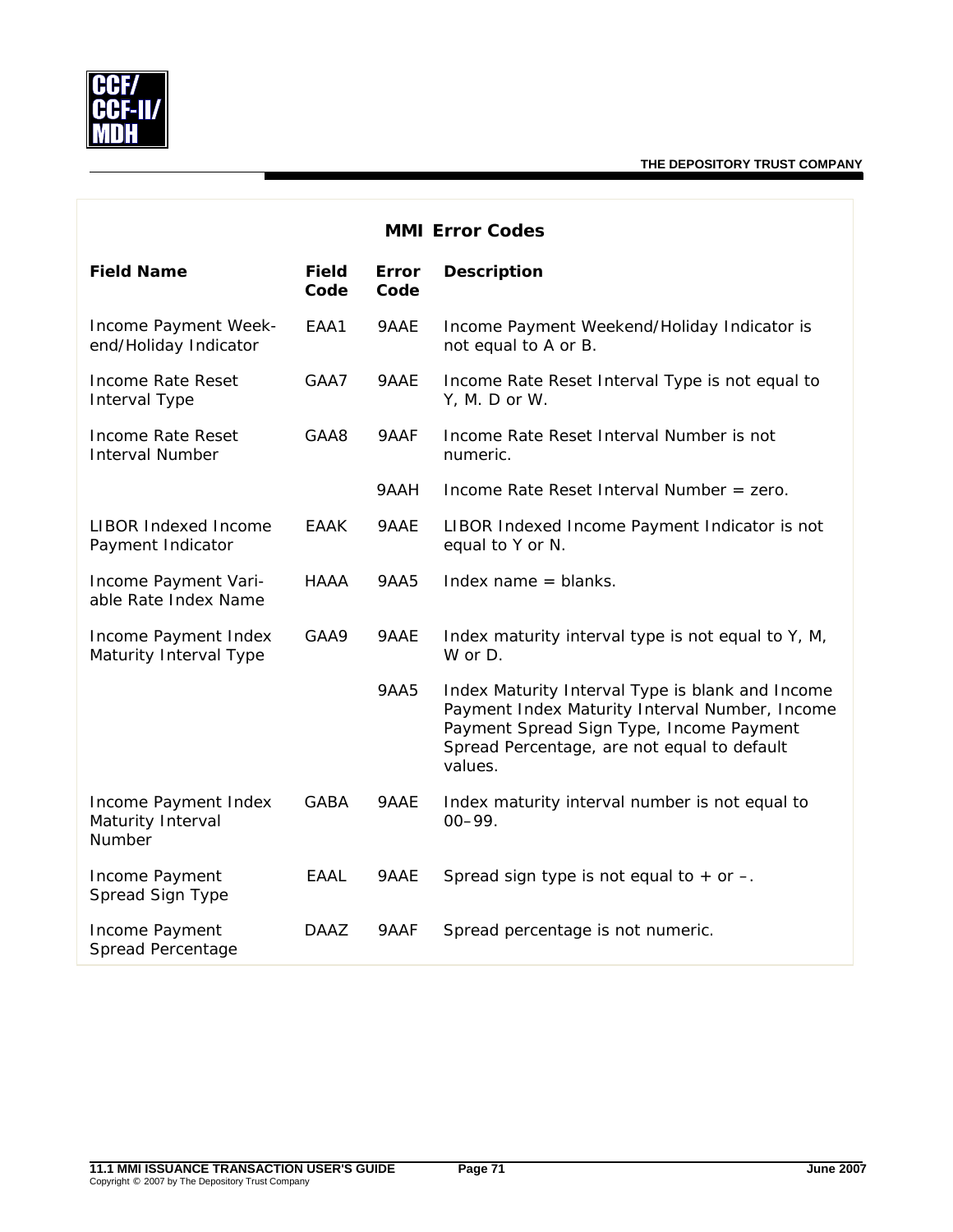

| <b>MMI Error Codes</b>                              |                      |                      |                                                                                                                                                                                                          |  |
|-----------------------------------------------------|----------------------|----------------------|----------------------------------------------------------------------------------------------------------------------------------------------------------------------------------------------------------|--|
| <b>Field Name</b>                                   | <b>Field</b><br>Code | <b>Error</b><br>Code | <b>Description</b>                                                                                                                                                                                       |  |
| Income Payment Week-<br>end/Holiday Indicator       | EAA1                 | 9AAE                 | Income Payment Weekend/Holiday Indicator is<br>not equal to A or B.                                                                                                                                      |  |
| Income Rate Reset<br>Interval Type                  | GAA7                 | 9AAE                 | Income Rate Reset Interval Type is not equal to<br>Y, M. D or W.                                                                                                                                         |  |
| <b>Income Rate Reset</b><br><b>Interval Number</b>  | GAA8                 | 9AAF                 | Income Rate Reset Interval Number is not<br>numeric.                                                                                                                                                     |  |
|                                                     |                      | 9AAH                 | Income Rate Reset Interval Number = zero.                                                                                                                                                                |  |
| <b>LIBOR Indexed Income</b><br>Payment Indicator    | <b>EAAK</b>          | 9AAE                 | LIBOR Indexed Income Payment Indicator is not<br>equal to Y or N.                                                                                                                                        |  |
| Income Payment Vari-<br>able Rate Index Name        | HAAA                 | 9AA5                 | Index name $=$ blanks.                                                                                                                                                                                   |  |
| Income Payment Index<br>Maturity Interval Type      | GAA9                 | 9AAE                 | Index maturity interval type is not equal to Y, M,<br>W or D.                                                                                                                                            |  |
|                                                     |                      | <b>9AA5</b>          | Index Maturity Interval Type is blank and Income<br>Payment Index Maturity Interval Number, Income<br>Payment Spread Sign Type, Income Payment<br>Spread Percentage, are not equal to default<br>values. |  |
| Income Payment Index<br>Maturity Interval<br>Number | <b>GABA</b>          | 9AAE                 | Index maturity interval number is not equal to<br>$00 - 99.$                                                                                                                                             |  |
| Income Payment<br>Spread Sign Type                  | <b>EAAL</b>          | 9AAE                 | Spread sign type is not equal to $+$ or $-$ .                                                                                                                                                            |  |
| Income Payment<br>Spread Percentage                 | DAAZ                 | 9AAF                 | Spread percentage is not numeric.                                                                                                                                                                        |  |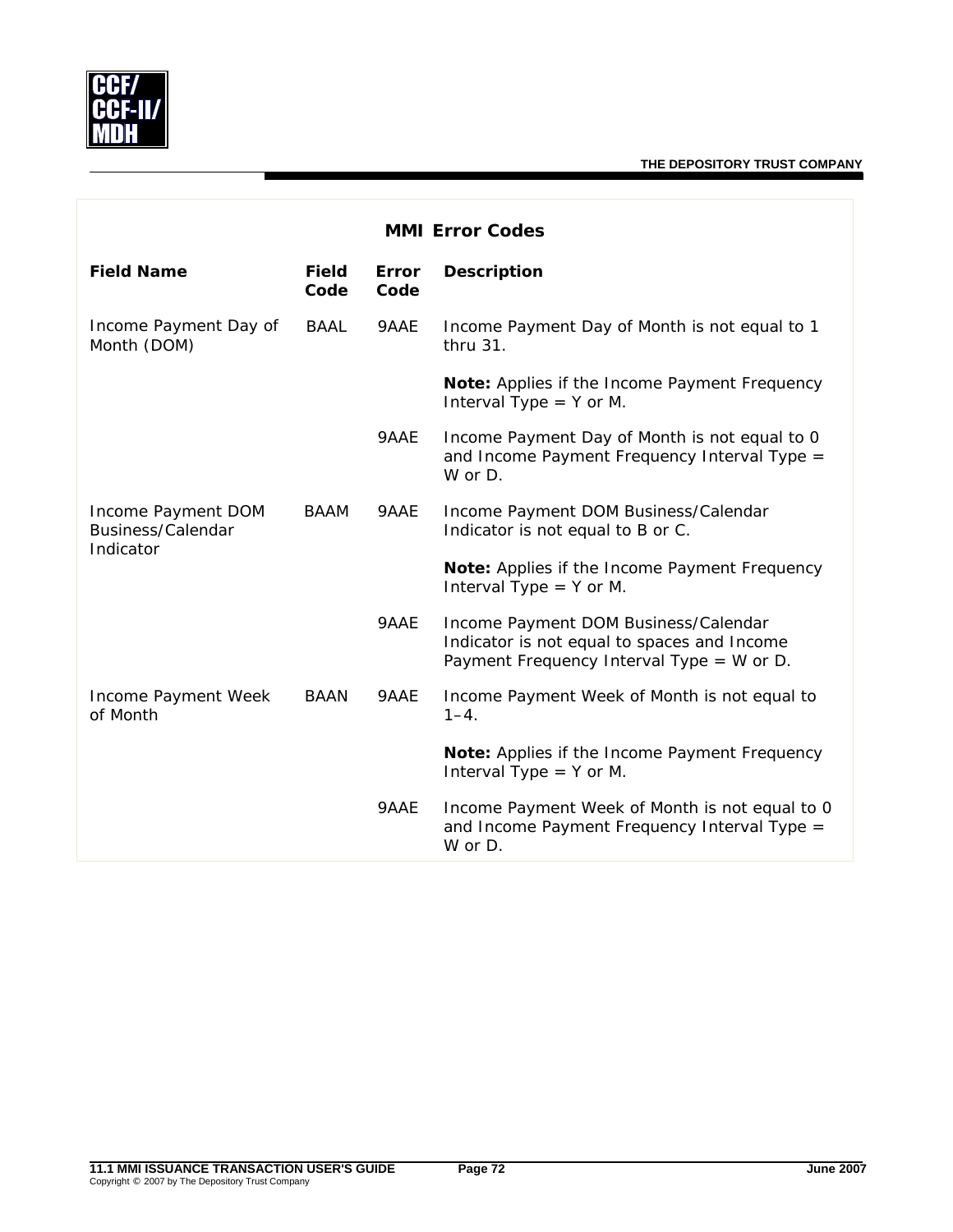

| <b>MMI Error Codes</b>                               |                      |               |                                                                                                                                  |  |
|------------------------------------------------------|----------------------|---------------|----------------------------------------------------------------------------------------------------------------------------------|--|
| <b>Field Name</b>                                    | <b>Field</b><br>Code | Error<br>Code | <b>Description</b>                                                                                                               |  |
| Income Payment Day of<br>Month (DOM)                 | <b>BAAL</b>          | 9AAE          | Income Payment Day of Month is not equal to 1<br>thru 31.                                                                        |  |
|                                                      |                      |               | Note: Applies if the Income Payment Frequency<br>Interval Type $=$ Y or M.                                                       |  |
|                                                      |                      | 9AAE          | Income Payment Day of Month is not equal to 0<br>and Income Payment Frequency Interval Type =<br>W or D.                         |  |
| Income Payment DOM<br>Business/Calendar<br>Indicator | BAAM                 | 9AAE          | Income Payment DOM Business/Calendar<br>Indicator is not equal to B or C.                                                        |  |
|                                                      |                      |               | Note: Applies if the Income Payment Frequency<br>Interval Type $=$ Y or M.                                                       |  |
|                                                      |                      | 9AAE          | Income Payment DOM Business/Calendar<br>Indicator is not equal to spaces and Income<br>Payment Frequency Interval Type = W or D. |  |
| Income Payment Week<br>of Month                      | <b>BAAN</b>          | 9AAE          | Income Payment Week of Month is not equal to<br>$1 - 4.$                                                                         |  |
|                                                      |                      |               | Note: Applies if the Income Payment Frequency<br>Interval Type $=$ Y or M.                                                       |  |
|                                                      |                      | 9AAE          | Income Payment Week of Month is not equal to 0<br>and Income Payment Frequency Interval Type =<br>W or D.                        |  |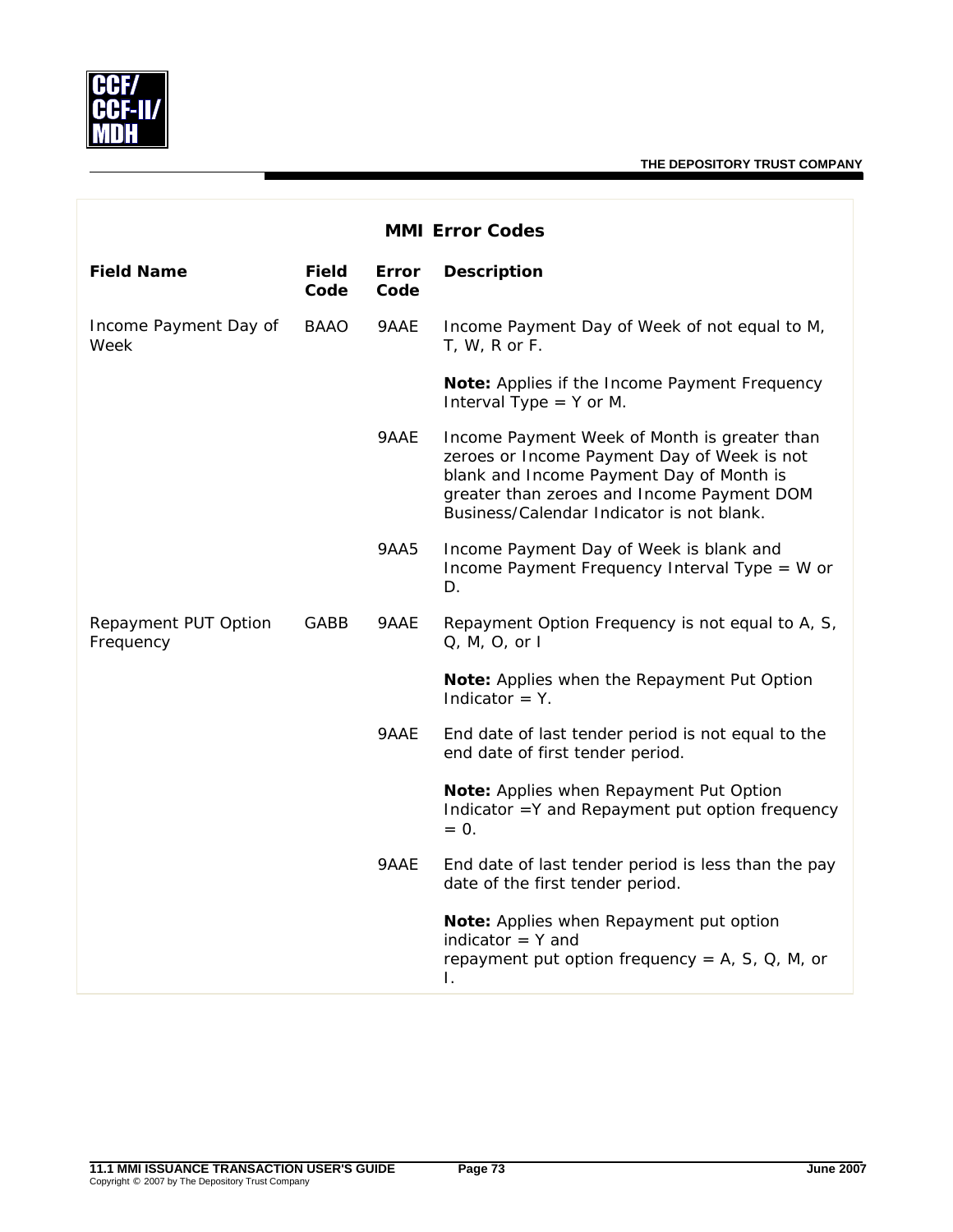

| <b>MMI Error Codes</b>            |                      |               |                                                                                                                                                                                                                                    |  |
|-----------------------------------|----------------------|---------------|------------------------------------------------------------------------------------------------------------------------------------------------------------------------------------------------------------------------------------|--|
| <b>Field Name</b>                 | <b>Field</b><br>Code | Error<br>Code | <b>Description</b>                                                                                                                                                                                                                 |  |
| Income Payment Day of<br>Week     | BAAO                 | 9AAE          | Income Payment Day of Week of not equal to M,<br>$T, W, R$ or $F.$                                                                                                                                                                 |  |
|                                   |                      |               | Note: Applies if the Income Payment Frequency<br>Interval Type $=$ Y or M.                                                                                                                                                         |  |
|                                   |                      | 9AAE          | Income Payment Week of Month is greater than<br>zeroes or Income Payment Day of Week is not<br>blank and Income Payment Day of Month is<br>greater than zeroes and Income Payment DOM<br>Business/Calendar Indicator is not blank. |  |
|                                   |                      | 9AA5          | Income Payment Day of Week is blank and<br>Income Payment Frequency Interval Type = W or<br>D.                                                                                                                                     |  |
| Repayment PUT Option<br>Frequency | GABB                 | 9AAE          | Repayment Option Frequency is not equal to A, S,<br>$Q, M, O,$ or $I$                                                                                                                                                              |  |
|                                   |                      |               | Note: Applies when the Repayment Put Option<br>Indicator = $Y$ .                                                                                                                                                                   |  |
|                                   |                      | 9AAE          | End date of last tender period is not equal to the<br>end date of first tender period.                                                                                                                                             |  |
|                                   |                      |               | Note: Applies when Repayment Put Option<br>Indicator = Y and Repayment put option frequency<br>$= 0.$                                                                                                                              |  |
|                                   |                      | 9AAE          | End date of last tender period is less than the pay<br>date of the first tender period.                                                                                                                                            |  |
|                                   |                      |               | Note: Applies when Repayment put option<br>indicator $=$ Y and<br>repayment put option frequency = $A$ , $S$ , $Q$ , $M$ , or<br>I.                                                                                                |  |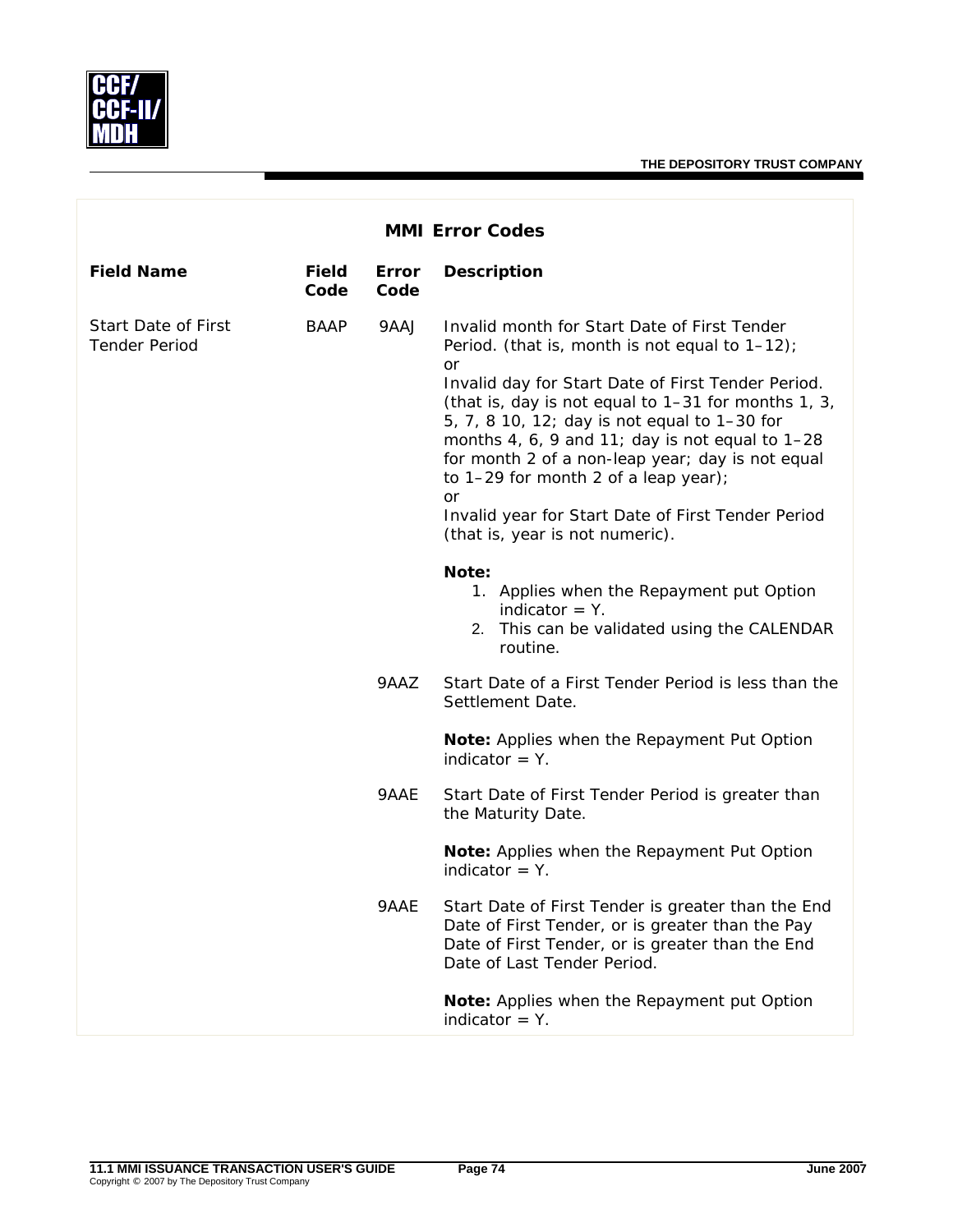

| <b>MMI Error Codes</b>                             |                      |               |                                                                                                                                                                                                                                                                                                                                                                             |  |
|----------------------------------------------------|----------------------|---------------|-----------------------------------------------------------------------------------------------------------------------------------------------------------------------------------------------------------------------------------------------------------------------------------------------------------------------------------------------------------------------------|--|
| <b>Field Name</b>                                  | <b>Field</b><br>Code | Error<br>Code | <b>Description</b>                                                                                                                                                                                                                                                                                                                                                          |  |
| <b>Start Date of First</b><br><b>Tender Period</b> | <b>BAAP</b>          | 9AAJ          | Invalid month for Start Date of First Tender<br>Period. (that is, month is not equal to $1-12$ );<br>or<br>Invalid day for Start Date of First Tender Period.<br>(that is, day is not equal to 1-31 for months 1, 3,<br>5, 7, 8 10, 12; day is not equal to 1-30 for<br>months 4, 6, 9 and 11; day is not equal to 1-28<br>for month 2 of a non-leap year; day is not equal |  |
|                                                    |                      |               | to 1-29 for month 2 of a leap year);<br>or<br>Invalid year for Start Date of First Tender Period<br>(that is, year is not numeric).                                                                                                                                                                                                                                         |  |
|                                                    |                      |               | Note:<br>1. Applies when the Repayment put Option<br>indicator $=$ Y.<br>2. This can be validated using the CALENDAR<br>routine.                                                                                                                                                                                                                                            |  |
|                                                    |                      | 9AAZ          | Start Date of a First Tender Period is less than the<br>Settlement Date.                                                                                                                                                                                                                                                                                                    |  |
|                                                    |                      |               | Note: Applies when the Repayment Put Option<br>indicator $=$ Y.                                                                                                                                                                                                                                                                                                             |  |
|                                                    |                      | 9AAE          | Start Date of First Tender Period is greater than<br>the Maturity Date.                                                                                                                                                                                                                                                                                                     |  |
|                                                    |                      |               | Note: Applies when the Repayment Put Option<br>indicator $=$ Y.                                                                                                                                                                                                                                                                                                             |  |
|                                                    |                      | 9AAE          | Start Date of First Tender is greater than the End<br>Date of First Tender, or is greater than the Pay<br>Date of First Tender, or is greater than the End<br>Date of Last Tender Period.                                                                                                                                                                                   |  |
|                                                    |                      |               | Note: Applies when the Repayment put Option<br>indicator $=$ Y.                                                                                                                                                                                                                                                                                                             |  |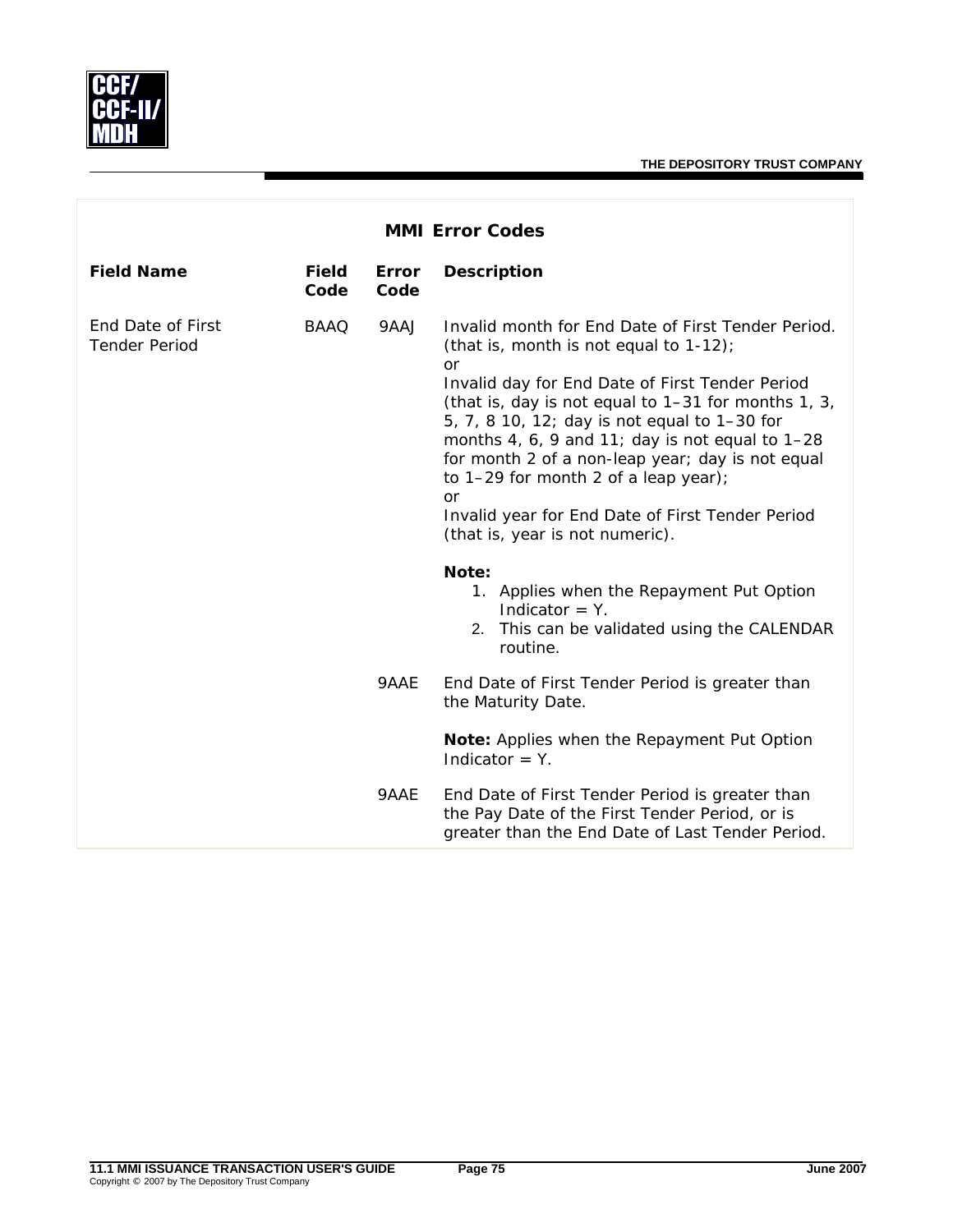

| <b>MMI Error Codes</b>                    |                      |                      |                                                                                                                                                                                                                                                                                                                                                                                                                                                                                                                                                                                                    |  |
|-------------------------------------------|----------------------|----------------------|----------------------------------------------------------------------------------------------------------------------------------------------------------------------------------------------------------------------------------------------------------------------------------------------------------------------------------------------------------------------------------------------------------------------------------------------------------------------------------------------------------------------------------------------------------------------------------------------------|--|
| <b>Field Name</b>                         | <b>Field</b><br>Code | <b>Error</b><br>Code | <b>Description</b>                                                                                                                                                                                                                                                                                                                                                                                                                                                                                                                                                                                 |  |
| End Date of First<br><b>Tender Period</b> | <b>BAAO</b>          | 9AAJ                 | Invalid month for End Date of First Tender Period.<br>(that is, month is not equal to 1-12);<br><b>or</b><br>Invalid day for End Date of First Tender Period<br>(that is, day is not equal to 1-31 for months 1, 3,<br>5, 7, 8 10, 12; day is not equal to 1-30 for<br>months 4, 6, 9 and 11; day is not equal to $1-28$<br>for month 2 of a non-leap year; day is not equal<br>to 1-29 for month 2 of a leap year);<br><b>or</b><br>Invalid year for End Date of First Tender Period<br>(that is, year is not numeric).<br>Note:<br>1. Applies when the Repayment Put Option<br>Indicator $= Y$ . |  |
|                                           |                      |                      | 2. This can be validated using the CALENDAR<br>routine.                                                                                                                                                                                                                                                                                                                                                                                                                                                                                                                                            |  |
|                                           |                      | 9AAE                 | End Date of First Tender Period is greater than<br>the Maturity Date.                                                                                                                                                                                                                                                                                                                                                                                                                                                                                                                              |  |
|                                           |                      |                      | Note: Applies when the Repayment Put Option<br>Indicator $= Y$ .                                                                                                                                                                                                                                                                                                                                                                                                                                                                                                                                   |  |
|                                           |                      | 9AAE                 | End Date of First Tender Period is greater than<br>the Pay Date of the First Tender Period, or is<br>greater than the End Date of Last Tender Period.                                                                                                                                                                                                                                                                                                                                                                                                                                              |  |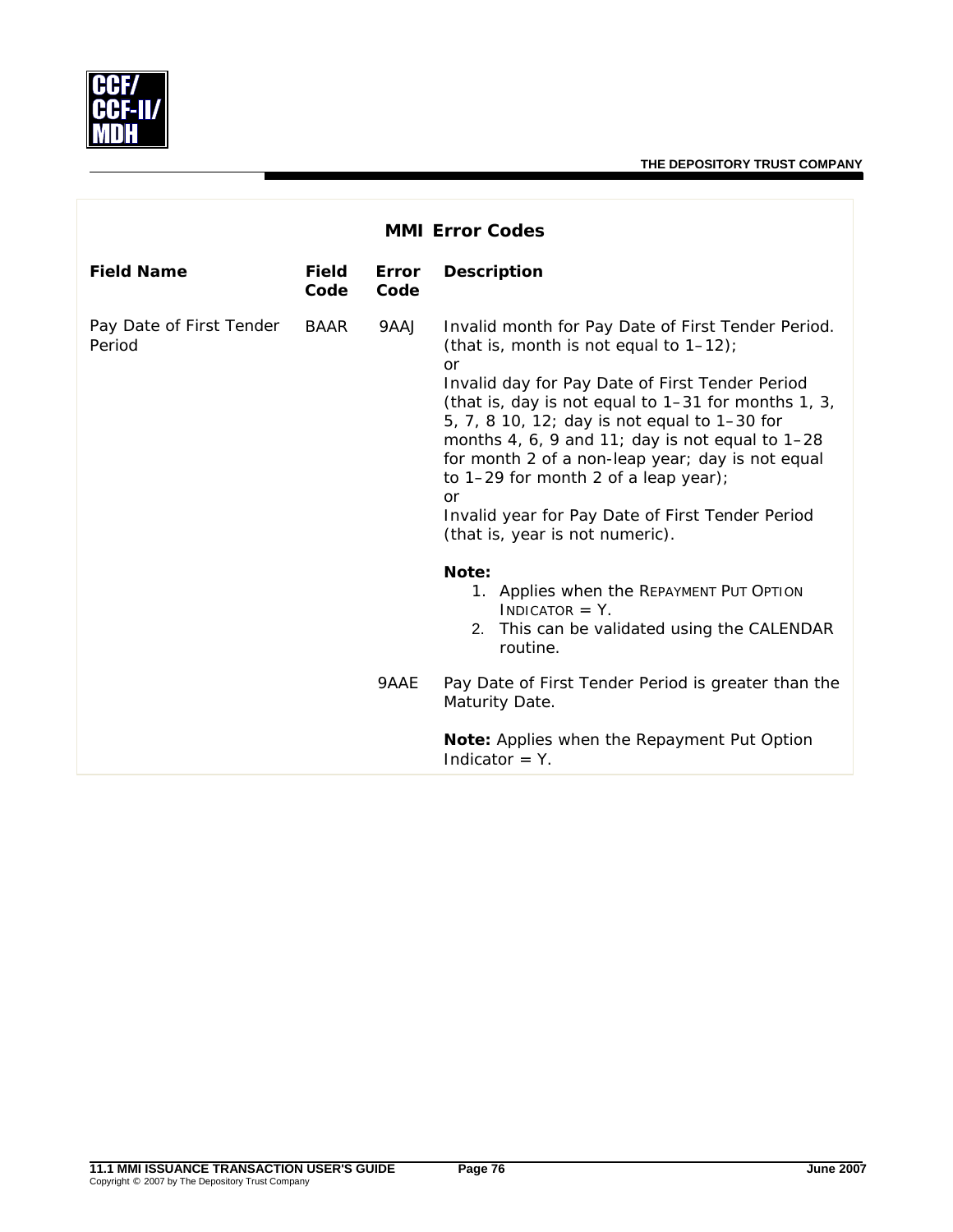

| <b>MMI Error Codes</b>             |                      |               |                                                                                                                                                                                                                                                                                                                                                                                                                                                                                                                                                                    |  |
|------------------------------------|----------------------|---------------|--------------------------------------------------------------------------------------------------------------------------------------------------------------------------------------------------------------------------------------------------------------------------------------------------------------------------------------------------------------------------------------------------------------------------------------------------------------------------------------------------------------------------------------------------------------------|--|
| <b>Field Name</b>                  | <b>Field</b><br>Code | Error<br>Code | <b>Description</b>                                                                                                                                                                                                                                                                                                                                                                                                                                                                                                                                                 |  |
| Pay Date of First Tender<br>Period | <b>BAAR</b>          | 9AAJ          | Invalid month for Pay Date of First Tender Period.<br>(that is, month is not equal to $1-12$ );<br>or<br>Invalid day for Pay Date of First Tender Period<br>(that is, day is not equal to 1-31 for months 1, 3,<br>5, 7, 8 10, 12; day is not equal to 1-30 for<br>months 4, 6, 9 and 11; day is not equal to 1-28<br>for month 2 of a non-leap year; day is not equal<br>to $1-29$ for month 2 of a leap year);<br>or<br>Invalid year for Pay Date of First Tender Period<br>(that is, year is not numeric).<br>Note:<br>1. Applies when the REPAYMENT PUT OPTION |  |
|                                    |                      |               | $INDICATOR = Y$ .<br>2. This can be validated using the CALENDAR<br>routine.                                                                                                                                                                                                                                                                                                                                                                                                                                                                                       |  |
|                                    |                      | 9AAE          | Pay Date of First Tender Period is greater than the<br>Maturity Date.                                                                                                                                                                                                                                                                                                                                                                                                                                                                                              |  |
|                                    |                      |               | Note: Applies when the Repayment Put Option<br>Indicator $= Y$ .                                                                                                                                                                                                                                                                                                                                                                                                                                                                                                   |  |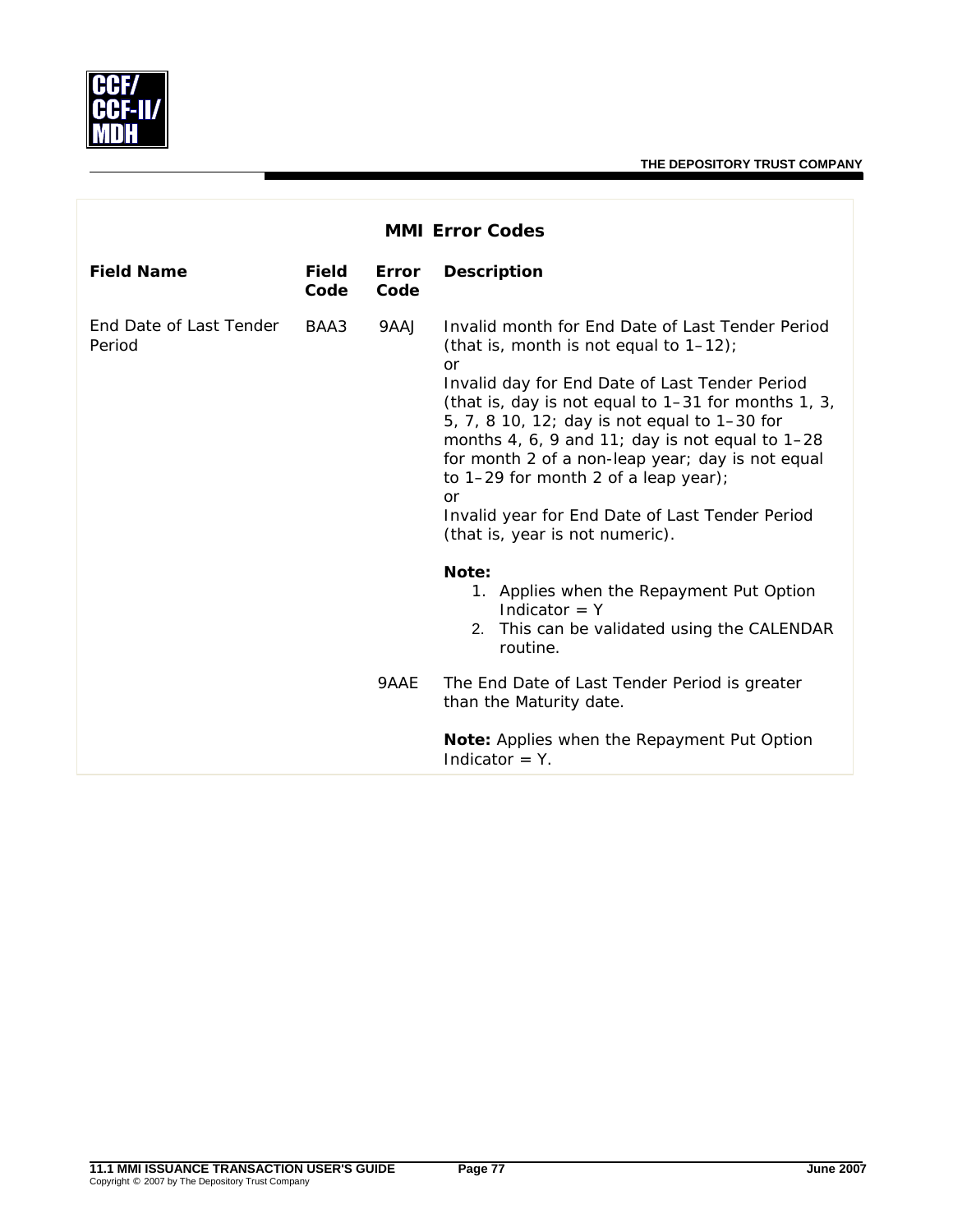

| <b>MMI Error Codes</b>                   |                      |               |                                                                                                                                                                                                                                                                                                                                                                                                                                                                                                                  |  |
|------------------------------------------|----------------------|---------------|------------------------------------------------------------------------------------------------------------------------------------------------------------------------------------------------------------------------------------------------------------------------------------------------------------------------------------------------------------------------------------------------------------------------------------------------------------------------------------------------------------------|--|
| <b>Field Name</b>                        | <b>Field</b><br>Code | Error<br>Code | <b>Description</b>                                                                                                                                                                                                                                                                                                                                                                                                                                                                                               |  |
| <b>Fnd Date of Last Tender</b><br>Period | BAA3                 | 9AAJ          | Invalid month for Fnd Date of Last Tender Period<br>(that is, month is not equal to $1-12$ );<br>or<br>Invalid day for End Date of Last Tender Period<br>(that is, day is not equal to 1-31 for months 1, 3,<br>5, 7, 8 10, 12; day is not equal to 1-30 for<br>months 4, 6, 9 and 11; day is not equal to $1-28$<br>for month 2 of a non-leap year; day is not equal<br>to 1-29 for month 2 of a leap year);<br><b>or</b><br>Invalid year for End Date of Last Tender Period<br>(that is, year is not numeric). |  |
|                                          |                      | 9AAE          | Note:<br>1. Applies when the Repayment Put Option<br>Indicator $= Y$<br>2. This can be validated using the CALENDAR<br>routine.<br>The End Date of Last Tender Period is greater<br>than the Maturity date.<br>Note: Applies when the Repayment Put Option<br>Indicator = $Y$ .                                                                                                                                                                                                                                  |  |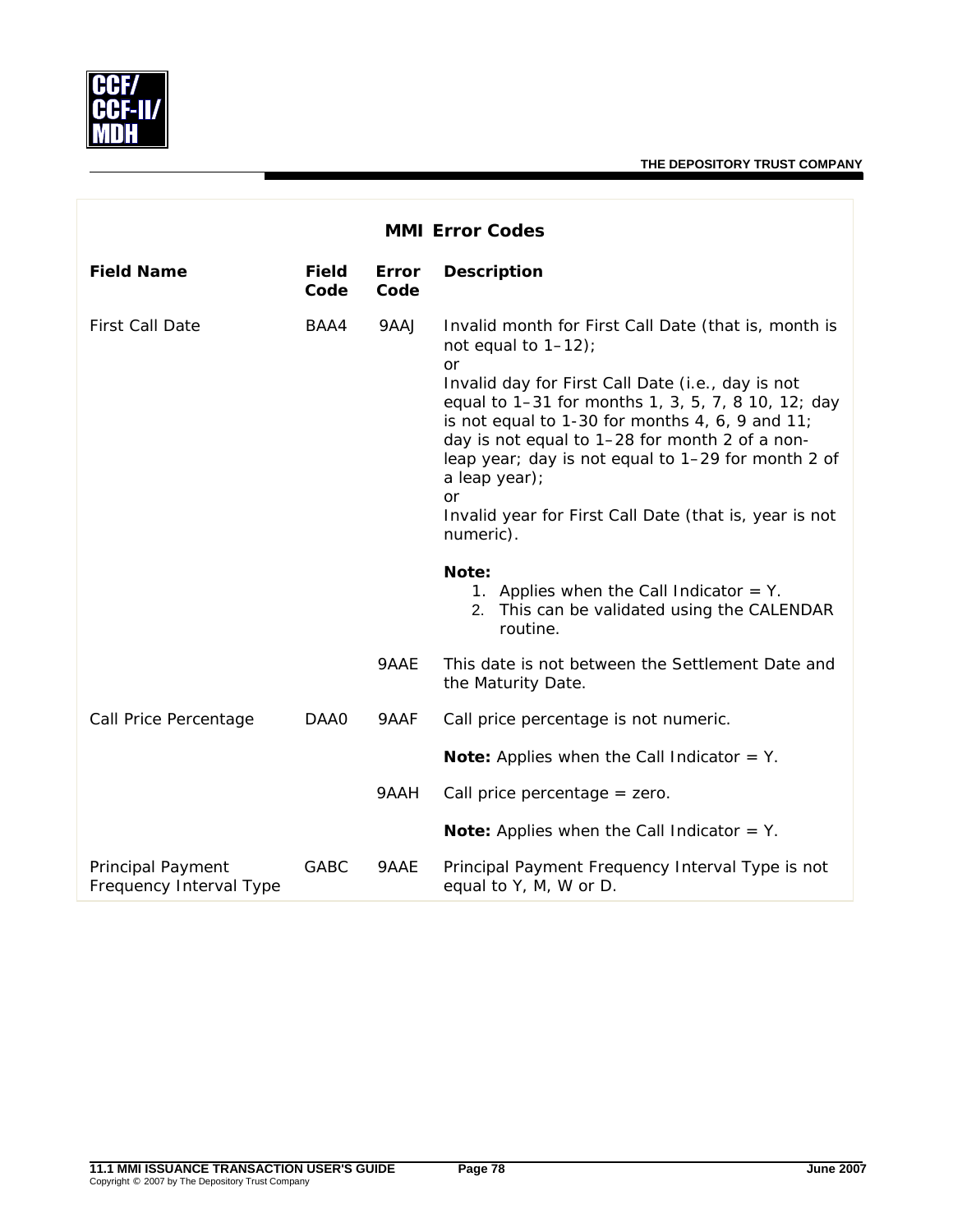

| <b>MMI Error Codes</b>                              |                      |               |                                                                                                                                                                                                                                                                                                                                                                                                                                                                        |  |
|-----------------------------------------------------|----------------------|---------------|------------------------------------------------------------------------------------------------------------------------------------------------------------------------------------------------------------------------------------------------------------------------------------------------------------------------------------------------------------------------------------------------------------------------------------------------------------------------|--|
| <b>Field Name</b>                                   | <b>Field</b><br>Code | Error<br>Code | <b>Description</b>                                                                                                                                                                                                                                                                                                                                                                                                                                                     |  |
| <b>First Call Date</b>                              | BAA4                 | 9AAJ          | Invalid month for First Call Date (that is, month is<br>not equal to $1-12$ );<br><b>or</b><br>Invalid day for First Call Date (i.e., day is not<br>equal to 1-31 for months 1, 3, 5, 7, 8 10, 12; day<br>is not equal to 1-30 for months 4, 6, 9 and 11;<br>day is not equal to 1-28 for month 2 of a non-<br>leap year; day is not equal to 1-29 for month 2 of<br>a leap year);<br><b>or</b><br>Invalid year for First Call Date (that is, year is not<br>numeric). |  |
|                                                     |                      |               | Note:<br>1. Applies when the Call Indicator $=$ Y.<br>2. This can be validated using the CALENDAR<br>routine.                                                                                                                                                                                                                                                                                                                                                          |  |
|                                                     |                      | 9AAE          | This date is not between the Settlement Date and<br>the Maturity Date.                                                                                                                                                                                                                                                                                                                                                                                                 |  |
| Call Price Percentage                               | DAA0                 | 9AAF          | Call price percentage is not numeric.                                                                                                                                                                                                                                                                                                                                                                                                                                  |  |
|                                                     |                      |               | <b>Note:</b> Applies when the Call Indicator $=$ Y.                                                                                                                                                                                                                                                                                                                                                                                                                    |  |
|                                                     |                      | 9AAH          | Call price percentage $=$ zero.                                                                                                                                                                                                                                                                                                                                                                                                                                        |  |
|                                                     |                      |               | <b>Note:</b> Applies when the Call Indicator $=$ Y.                                                                                                                                                                                                                                                                                                                                                                                                                    |  |
| <b>Principal Payment</b><br>Frequency Interval Type | <b>GABC</b>          | 9AAE          | Principal Payment Frequency Interval Type is not<br>equal to Y, M, W or D.                                                                                                                                                                                                                                                                                                                                                                                             |  |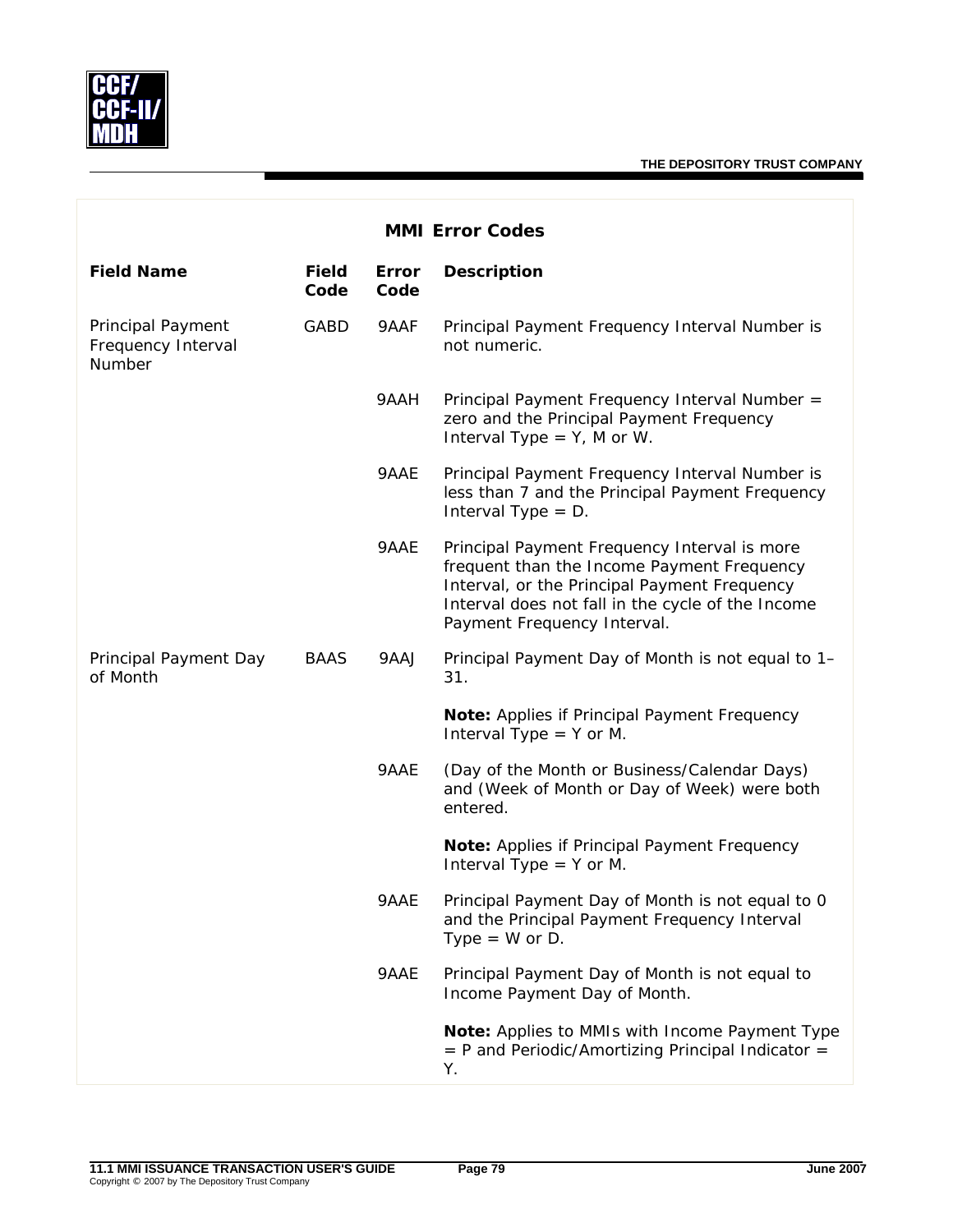

|                                                   |                      |               | <b>MMI Error Codes</b>                                                                                                                                                                                                         |
|---------------------------------------------------|----------------------|---------------|--------------------------------------------------------------------------------------------------------------------------------------------------------------------------------------------------------------------------------|
| <b>Field Name</b>                                 | <b>Field</b><br>Code | Error<br>Code | <b>Description</b>                                                                                                                                                                                                             |
| Principal Payment<br>Frequency Interval<br>Number | GABD                 | 9AAF          | Principal Payment Frequency Interval Number is<br>not numeric.                                                                                                                                                                 |
|                                                   |                      | 9AAH          | Principal Payment Frequency Interval Number =<br>zero and the Principal Payment Frequency<br>Interval Type = $Y$ , M or W.                                                                                                     |
|                                                   |                      | 9AAE          | Principal Payment Frequency Interval Number is<br>less than 7 and the Principal Payment Frequency<br>Interval Type $= D$ .                                                                                                     |
|                                                   |                      | 9AAE          | Principal Payment Frequency Interval is more<br>frequent than the Income Payment Frequency<br>Interval, or the Principal Payment Frequency<br>Interval does not fall in the cycle of the Income<br>Payment Frequency Interval. |
| Principal Payment Day<br>of Month                 | <b>BAAS</b>          | 9AAJ          | Principal Payment Day of Month is not equal to 1-<br>31.                                                                                                                                                                       |
|                                                   |                      |               | Note: Applies if Principal Payment Frequency<br>Interval Type $=$ Y or M.                                                                                                                                                      |
|                                                   |                      | 9AAE          | (Day of the Month or Business/Calendar Days)<br>and (Week of Month or Day of Week) were both<br>entered.                                                                                                                       |
|                                                   |                      |               | Note: Applies if Principal Payment Frequency<br>Interval Type $=$ Y or M.                                                                                                                                                      |
|                                                   |                      | 9AAE          | Principal Payment Day of Month is not equal to 0<br>and the Principal Payment Frequency Interval<br>Type = $W$ or D.                                                                                                           |
|                                                   |                      | 9AAE          | Principal Payment Day of Month is not equal to<br>Income Payment Day of Month.                                                                                                                                                 |
|                                                   |                      |               | Note: Applies to MMIs with Income Payment Type<br>$=$ P and Periodic/Amortizing Principal Indicator $=$<br>Υ.                                                                                                                  |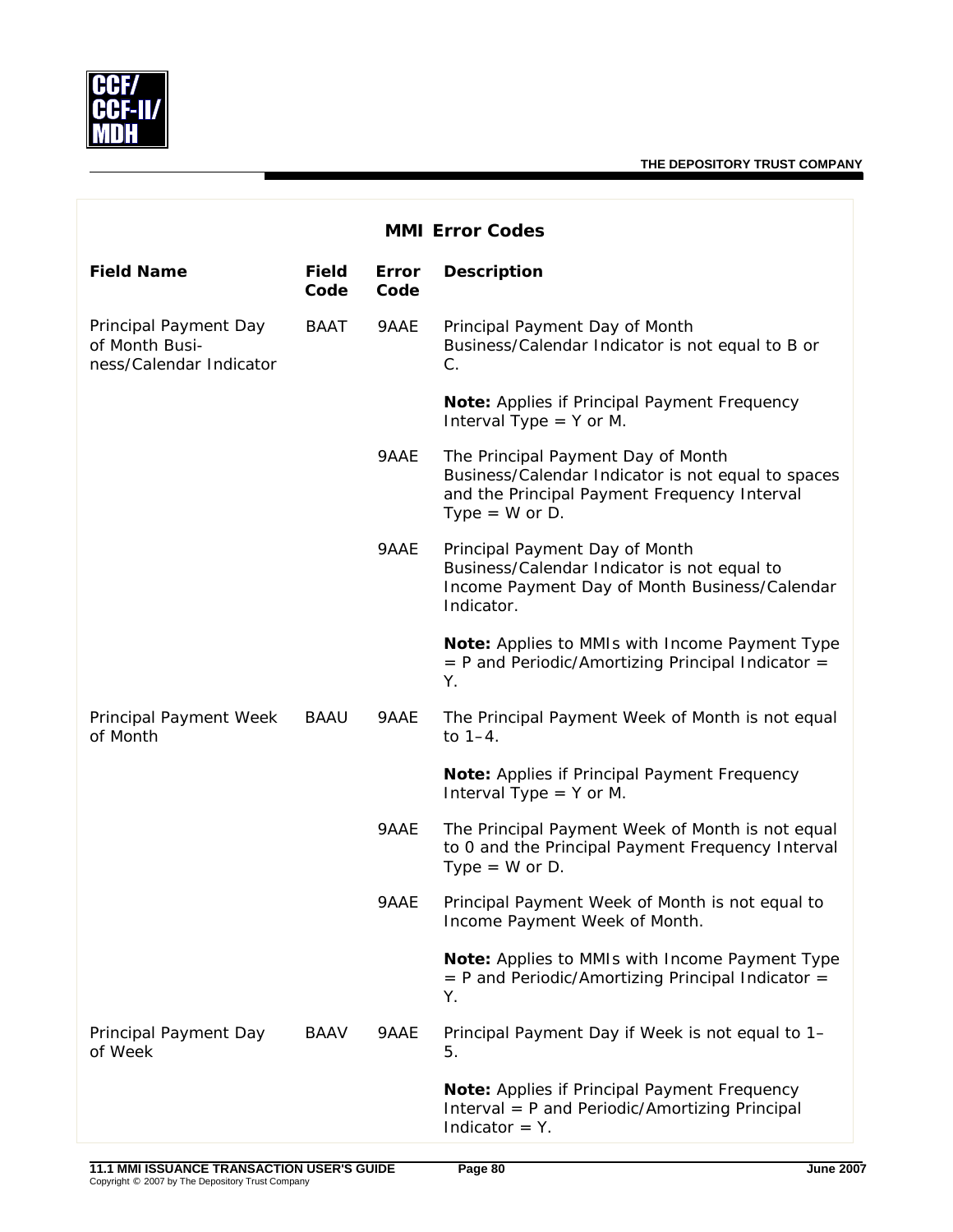

| <b>MMI Error Codes</b>                                             |                      |               |                                                                                                                                                              |  |
|--------------------------------------------------------------------|----------------------|---------------|--------------------------------------------------------------------------------------------------------------------------------------------------------------|--|
| <b>Field Name</b>                                                  | <b>Field</b><br>Code | Error<br>Code | <b>Description</b>                                                                                                                                           |  |
| Principal Payment Day<br>of Month Busi-<br>ness/Calendar Indicator | BAAT                 | 9AAE          | Principal Payment Day of Month<br>Business/Calendar Indicator is not equal to B or<br>C.                                                                     |  |
|                                                                    |                      |               | Note: Applies if Principal Payment Frequency<br>Interval Type $=$ Y or M.                                                                                    |  |
|                                                                    |                      | 9AAE          | The Principal Payment Day of Month<br>Business/Calendar Indicator is not equal to spaces<br>and the Principal Payment Frequency Interval<br>Type = $W$ or D. |  |
|                                                                    |                      | 9AAE          | Principal Payment Day of Month<br>Business/Calendar Indicator is not equal to<br>Income Payment Day of Month Business/Calendar<br>Indicator.                 |  |
|                                                                    |                      |               | Note: Applies to MMIs with Income Payment Type<br>$=$ P and Periodic/Amortizing Principal Indicator $=$<br>Υ.                                                |  |
| Principal Payment Week<br>of Month                                 | BAAU                 | 9AAE          | The Principal Payment Week of Month is not equal<br>to $1-4$ .                                                                                               |  |
|                                                                    |                      |               | Note: Applies if Principal Payment Frequency<br>Interval Type $=$ Y or M.                                                                                    |  |
|                                                                    |                      | 9AAE          | The Principal Payment Week of Month is not equal<br>to 0 and the Principal Payment Frequency Interval<br>Type = $W$ or D.                                    |  |
|                                                                    |                      | 9AAE          | Principal Payment Week of Month is not equal to<br>Income Payment Week of Month.                                                                             |  |
|                                                                    |                      |               | Note: Applies to MMIs with Income Payment Type<br>$=$ P and Periodic/Amortizing Principal Indicator $=$<br>Υ.                                                |  |
| Principal Payment Day<br>of Week                                   | BAAV                 | 9AAE          | Principal Payment Day if Week is not equal to 1-<br>5.                                                                                                       |  |
|                                                                    |                      |               | Note: Applies if Principal Payment Frequency<br>Interval = P and Periodic/Amortizing Principal<br>Indicator $=$ Y.                                           |  |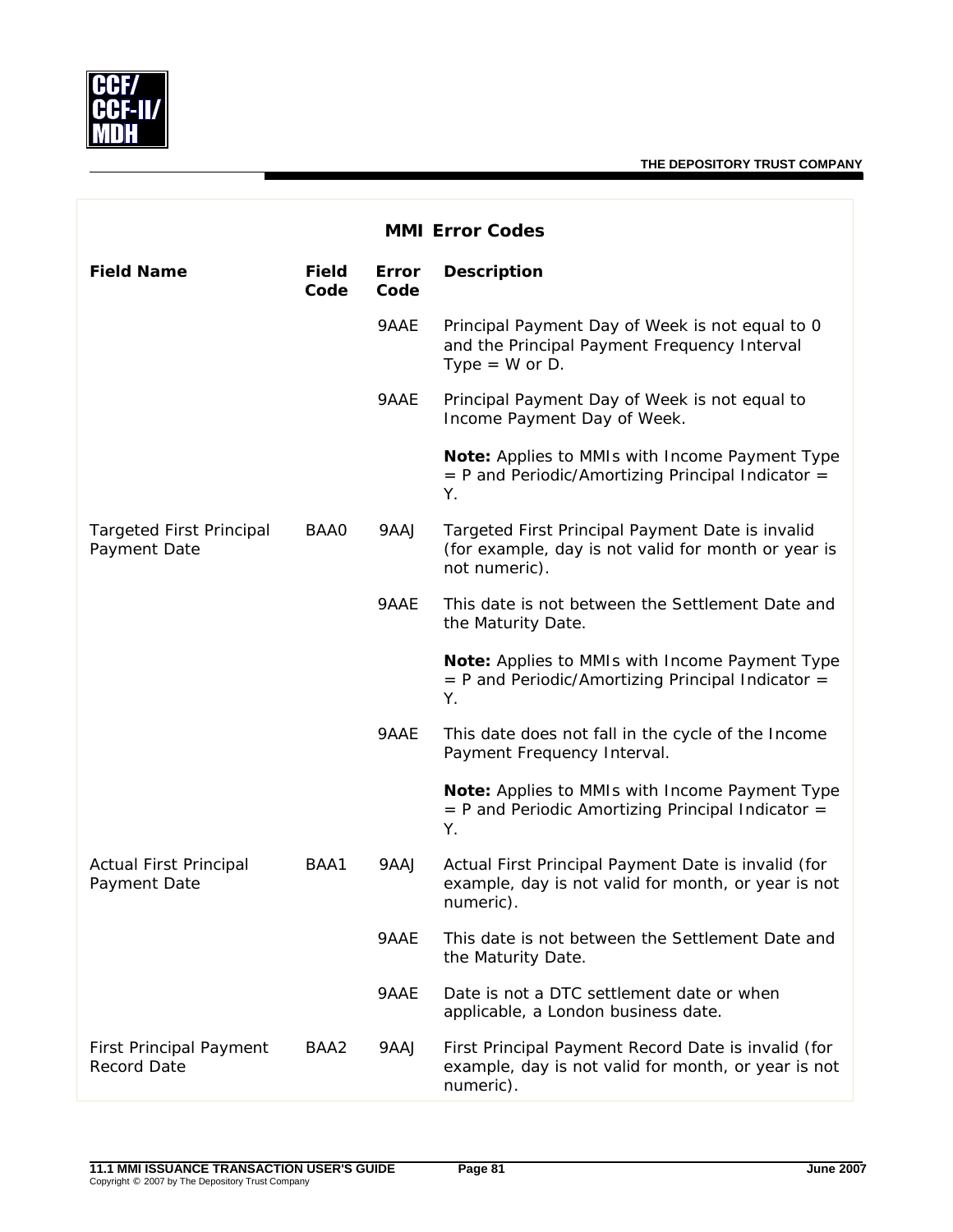

| <b>MMI Error Codes</b>                          |                      |               |                                                                                                                          |  |
|-------------------------------------------------|----------------------|---------------|--------------------------------------------------------------------------------------------------------------------------|--|
| <b>Field Name</b>                               | <b>Field</b><br>Code | Error<br>Code | <b>Description</b>                                                                                                       |  |
|                                                 |                      | 9AAE          | Principal Payment Day of Week is not equal to 0<br>and the Principal Payment Frequency Interval<br>Type = $W$ or D.      |  |
|                                                 |                      | 9AAE          | Principal Payment Day of Week is not equal to<br>Income Payment Day of Week.                                             |  |
|                                                 |                      |               | Note: Applies to MMIs with Income Payment Type<br>$=$ P and Periodic/Amortizing Principal Indicator $=$<br>Υ.            |  |
| <b>Targeted First Principal</b><br>Payment Date | BAA0                 | 9AAJ          | Targeted First Principal Payment Date is invalid<br>(for example, day is not valid for month or year is<br>not numeric). |  |
|                                                 |                      | 9AAE          | This date is not between the Settlement Date and<br>the Maturity Date.                                                   |  |
|                                                 |                      |               | Note: Applies to MMIs with Income Payment Type<br>$=$ P and Periodic/Amortizing Principal Indicator $=$<br>Υ.            |  |
|                                                 |                      | 9AAE          | This date does not fall in the cycle of the Income<br>Payment Frequency Interval.                                        |  |
|                                                 |                      |               | Note: Applies to MMIs with Income Payment Type<br>$=$ P and Periodic Amortizing Principal Indicator $=$<br>Υ.            |  |
| <b>Actual First Principal</b><br>Payment Date   | BAA1                 | 9AAJ          | Actual First Principal Payment Date is invalid (for<br>example, day is not valid for month, or year is not<br>numeric).  |  |
|                                                 |                      | 9AAE          | This date is not between the Settlement Date and<br>the Maturity Date.                                                   |  |
|                                                 |                      | 9AAE          | Date is not a DTC settlement date or when<br>applicable, a London business date.                                         |  |
| <b>First Principal Payment</b><br>Record Date   | BAA2                 | 9AAJ          | First Principal Payment Record Date is invalid (for<br>example, day is not valid for month, or year is not<br>numeric).  |  |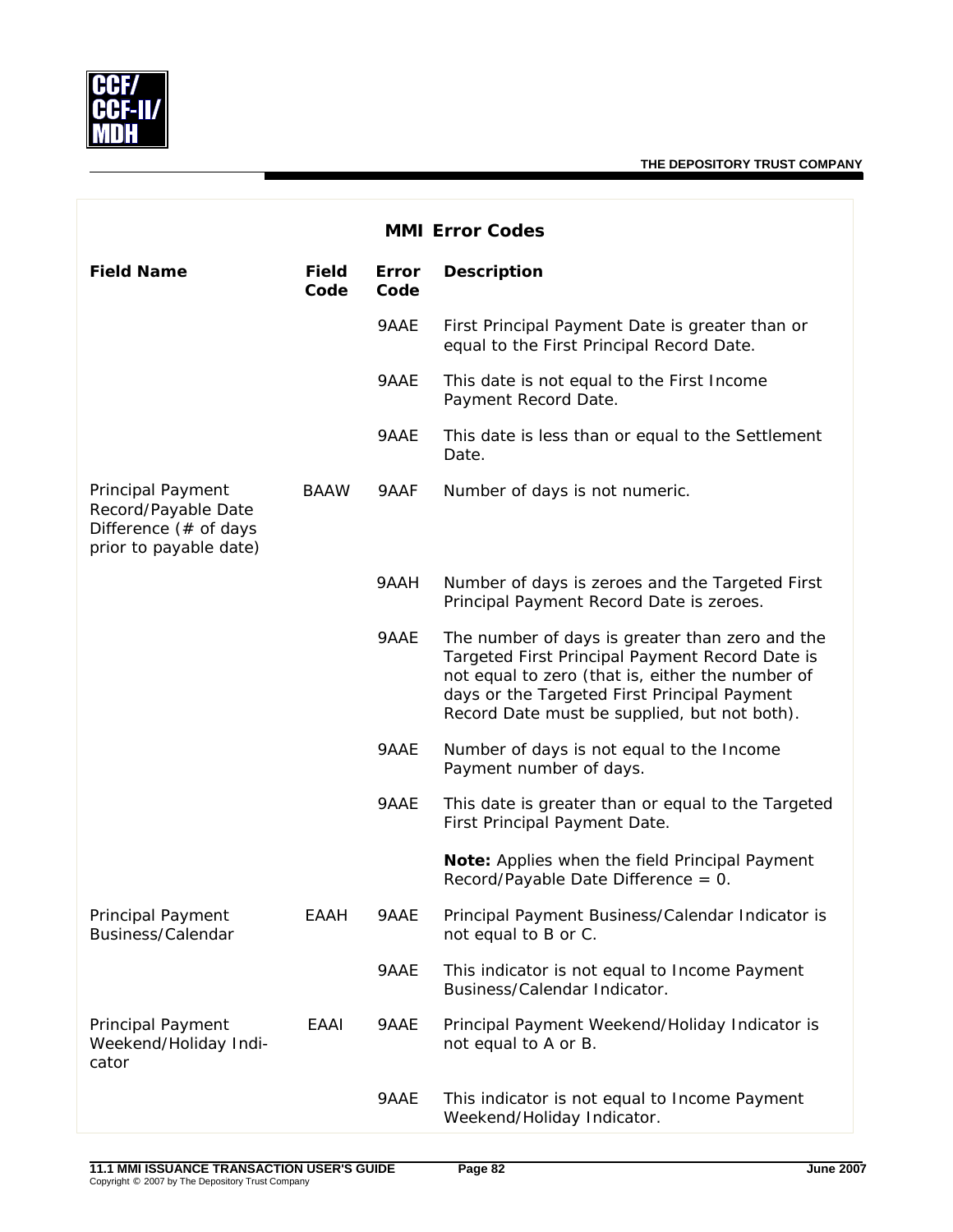

| <b>MMI Error Codes</b>                                                                             |                      |                      |                                                                                                                                                                                                                                                        |
|----------------------------------------------------------------------------------------------------|----------------------|----------------------|--------------------------------------------------------------------------------------------------------------------------------------------------------------------------------------------------------------------------------------------------------|
| <b>Field Name</b>                                                                                  | <b>Field</b><br>Code | <b>Error</b><br>Code | <b>Description</b>                                                                                                                                                                                                                                     |
|                                                                                                    |                      | 9AAE                 | First Principal Payment Date is greater than or<br>equal to the First Principal Record Date.                                                                                                                                                           |
|                                                                                                    |                      | 9AAE                 | This date is not equal to the First Income<br>Payment Record Date.                                                                                                                                                                                     |
|                                                                                                    |                      | 9AAE                 | This date is less than or equal to the Settlement<br>Date.                                                                                                                                                                                             |
| <b>Principal Payment</b><br>Record/Payable Date<br>Difference (# of days<br>prior to payable date) | <b>BAAW</b>          | 9AAF                 | Number of days is not numeric.                                                                                                                                                                                                                         |
|                                                                                                    |                      | 9AAH                 | Number of days is zeroes and the Targeted First<br>Principal Payment Record Date is zeroes.                                                                                                                                                            |
|                                                                                                    |                      | 9AAE                 | The number of days is greater than zero and the<br>Targeted First Principal Payment Record Date is<br>not equal to zero (that is, either the number of<br>days or the Targeted First Principal Payment<br>Record Date must be supplied, but not both). |
|                                                                                                    |                      | 9AAE                 | Number of days is not equal to the Income<br>Payment number of days.                                                                                                                                                                                   |
|                                                                                                    |                      | 9AAE                 | This date is greater than or equal to the Targeted<br>First Principal Payment Date.                                                                                                                                                                    |
|                                                                                                    |                      |                      | Note: Applies when the field Principal Payment<br>Record/Payable Date Difference = 0.                                                                                                                                                                  |
| Principal Payment<br>Business/Calendar                                                             | EAAH                 | 9AAE                 | Principal Payment Business/Calendar Indicator is<br>not equal to B or C.                                                                                                                                                                               |
|                                                                                                    |                      | 9AAE                 | This indicator is not equal to Income Payment<br>Business/Calendar Indicator.                                                                                                                                                                          |
| Principal Payment<br>Weekend/Holiday Indi-<br>cator                                                | EAAI                 | 9AAE                 | Principal Payment Weekend/Holiday Indicator is<br>not equal to A or B.                                                                                                                                                                                 |
|                                                                                                    |                      | 9AAE                 | This indicator is not equal to Income Payment<br>Weekend/Holiday Indicator.                                                                                                                                                                            |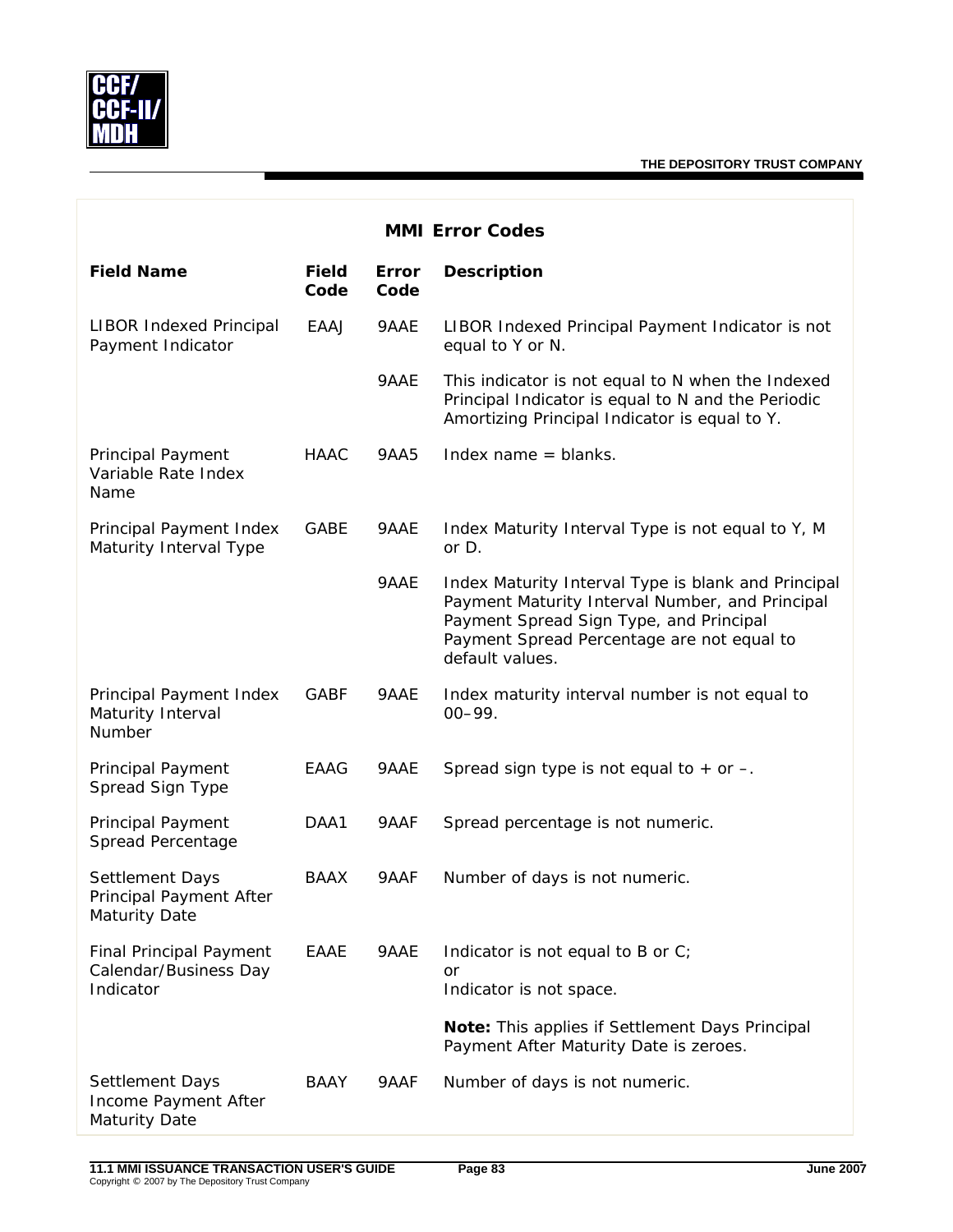

| <b>MMI Error Codes</b>                                               |                      |               |                                                                                                                                                                                                                    |  |
|----------------------------------------------------------------------|----------------------|---------------|--------------------------------------------------------------------------------------------------------------------------------------------------------------------------------------------------------------------|--|
| <b>Field Name</b>                                                    | <b>Field</b><br>Code | Error<br>Code | <b>Description</b>                                                                                                                                                                                                 |  |
| <b>LIBOR Indexed Principal</b><br>Payment Indicator                  | EAAJ                 | 9AAE          | LIBOR Indexed Principal Payment Indicator is not<br>equal to Y or N.                                                                                                                                               |  |
|                                                                      |                      | 9AAE          | This indicator is not equal to N when the Indexed<br>Principal Indicator is equal to N and the Periodic<br>Amortizing Principal Indicator is equal to Y.                                                           |  |
| <b>Principal Payment</b><br>Variable Rate Index<br>Name              | <b>HAAC</b>          | 9AA5          | Index name $=$ blanks.                                                                                                                                                                                             |  |
| Principal Payment Index<br>Maturity Interval Type                    | GABE                 | 9AAE          | Index Maturity Interval Type is not equal to Y, M<br>or D.                                                                                                                                                         |  |
|                                                                      |                      | 9AAE          | Index Maturity Interval Type is blank and Principal<br>Payment Maturity Interval Number, and Principal<br>Payment Spread Sign Type, and Principal<br>Payment Spread Percentage are not equal to<br>default values. |  |
| Principal Payment Index<br>Maturity Interval<br>Number               | <b>GABF</b>          | 9AAE          | Index maturity interval number is not equal to<br>$00 - 99.$                                                                                                                                                       |  |
| <b>Principal Payment</b><br>Spread Sign Type                         | EAAG                 | 9AAE          | Spread sign type is not equal to $+$ or $-$ .                                                                                                                                                                      |  |
| <b>Principal Payment</b><br>Spread Percentage                        | DAA1                 | 9AAF          | Spread percentage is not numeric.                                                                                                                                                                                  |  |
| Settlement Days<br>Principal Payment After<br>Maturity Date          | <b>BAAX</b>          | 9AAF          | Number of days is not numeric.                                                                                                                                                                                     |  |
| <b>Final Principal Payment</b><br>Calendar/Business Day<br>Indicator | EAAE                 | 9AAE          | Indicator is not equal to B or C;<br>or<br>Indicator is not space.                                                                                                                                                 |  |
|                                                                      |                      |               | Note: This applies if Settlement Days Principal<br>Payment After Maturity Date is zeroes.                                                                                                                          |  |
| Settlement Days<br>Income Payment After<br>Maturity Date             | BAAY                 | 9AAF          | Number of days is not numeric.                                                                                                                                                                                     |  |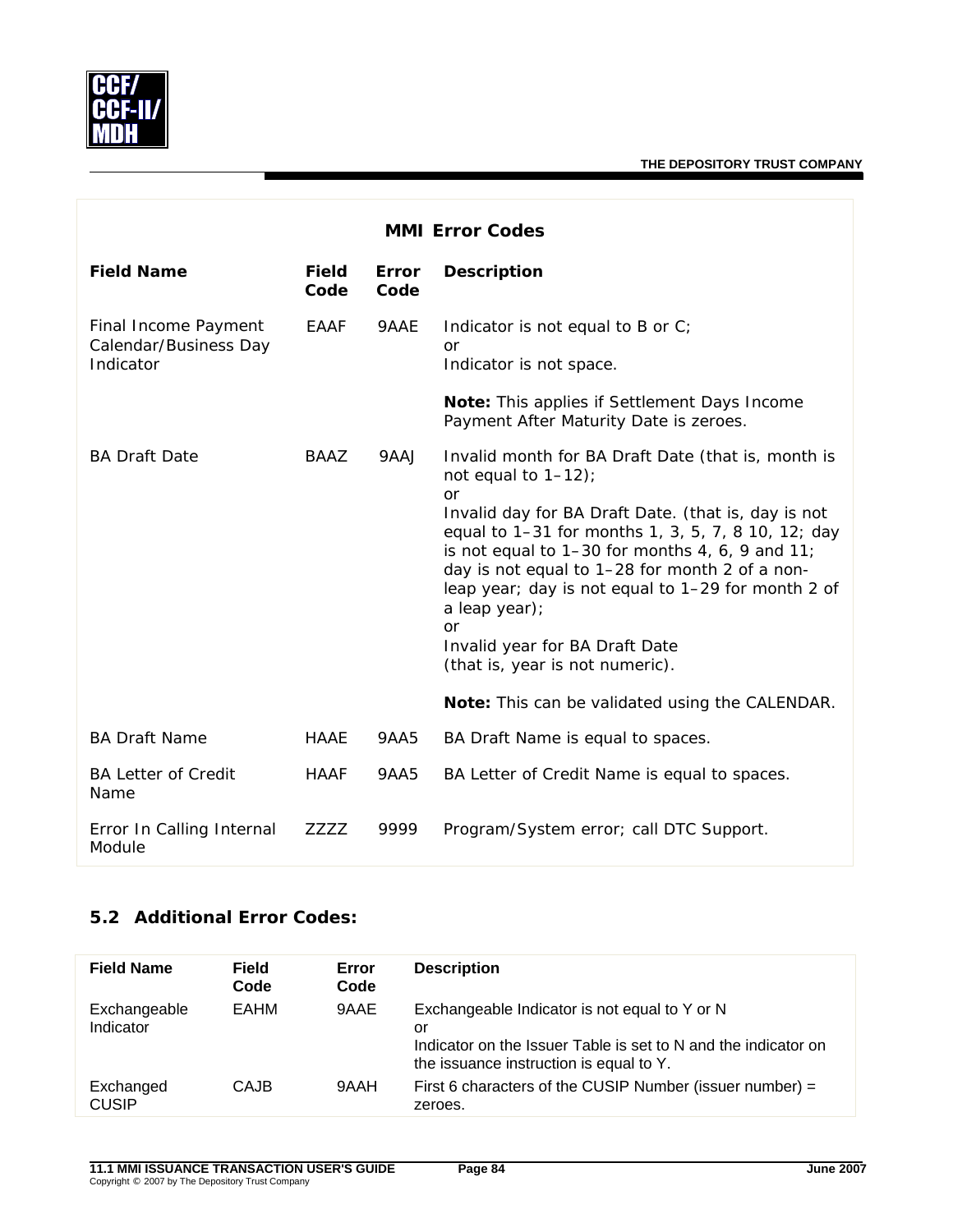

| <b>MMI Error Codes</b>                                     |                      |                      |                                                                                                                                                                                                                                                                                                                                                                                                                                                                                                                                                             |  |
|------------------------------------------------------------|----------------------|----------------------|-------------------------------------------------------------------------------------------------------------------------------------------------------------------------------------------------------------------------------------------------------------------------------------------------------------------------------------------------------------------------------------------------------------------------------------------------------------------------------------------------------------------------------------------------------------|--|
| <b>Field Name</b>                                          | <b>Field</b><br>Code | <b>Error</b><br>Code | <b>Description</b>                                                                                                                                                                                                                                                                                                                                                                                                                                                                                                                                          |  |
| Final Income Payment<br>Calendar/Business Day<br>Indicator | <b>EAAF</b>          | 9AAE                 | Indicator is not equal to B or C;<br>or<br>Indicator is not space.<br><b>Note:</b> This applies if Settlement Days Income                                                                                                                                                                                                                                                                                                                                                                                                                                   |  |
| <b>BA Draft Date</b>                                       | BAAZ                 | 9AAJ                 | Payment After Maturity Date is zeroes.<br>Invalid month for BA Draft Date (that is, month is<br>not equal to $1-12$ ;<br><b>or</b><br>Invalid day for BA Draft Date. (that is, day is not<br>equal to 1-31 for months 1, 3, 5, 7, 8 10, 12; day<br>is not equal to $1-30$ for months 4, 6, 9 and 11;<br>day is not equal to 1-28 for month 2 of a non-<br>leap year; day is not equal to 1-29 for month 2 of<br>a leap year);<br>or<br>Invalid year for BA Draft Date<br>(that is, year is not numeric).<br>Note: This can be validated using the CALENDAR. |  |
| <b>BA Draft Name</b>                                       | HAAE                 | 9AA5                 | BA Draft Name is equal to spaces.                                                                                                                                                                                                                                                                                                                                                                                                                                                                                                                           |  |
| <b>BA Letter of Credit</b><br>Name                         | <b>HAAF</b>          | 9AA5                 | BA Letter of Credit Name is equal to spaces.                                                                                                                                                                                                                                                                                                                                                                                                                                                                                                                |  |
| Error In Calling Internal<br>Module                        | <b>ZZZZ</b>          | 9999                 | Program/System error; call DTC Support.                                                                                                                                                                                                                                                                                                                                                                                                                                                                                                                     |  |

## **5.2 Additional Error Codes:**

| <b>Field Name</b>         | <b>Field</b><br>Code | Error<br>Code | <b>Description</b>                                                                                                                                               |
|---------------------------|----------------------|---------------|------------------------------------------------------------------------------------------------------------------------------------------------------------------|
| Exchangeable<br>Indicator | EAHM                 | 9AAE          | Exchangeable Indicator is not equal to Y or N<br>or<br>Indicator on the Issuer Table is set to N and the indicator on<br>the issuance instruction is equal to Y. |
| Exchanged<br><b>CUSIP</b> | CAJB                 | 9AAH          | First 6 characters of the CUSIP Number (issuer number) $=$<br>zeroes.                                                                                            |